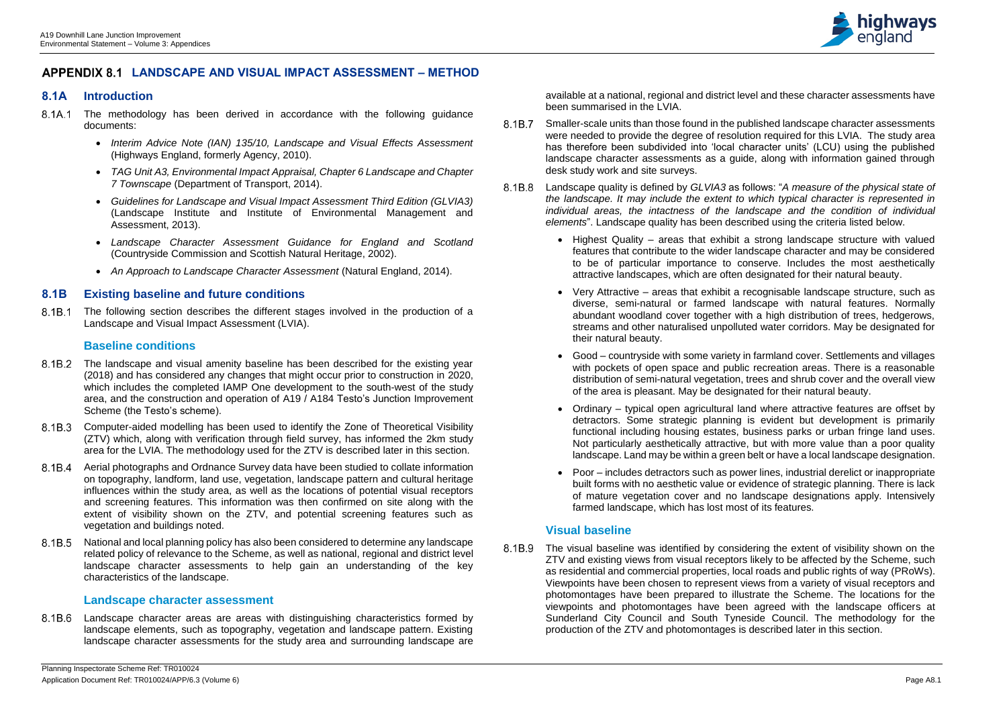

# **LANDSCAPE AND VISUAL IMPACT ASSESSMENT – METHOD**

# **8.1A Introduction**

- 8.1A.1 The methodology has been derived in accordance with the following guidance documents:
	- *Interim Advice Note (IAN) 135/10, Landscape and Visual Effects Assessment* (Highways England, formerly Agency, 2010).
	- *TAG Unit A3, Environmental Impact Appraisal, Chapter 6 Landscape and Chapter 7 Townscape* (Department of Transport, 2014).
	- *Guidelines for Landscape and Visual Impact Assessment Third Edition (GLVIA3)* (Landscape Institute and Institute of Environmental Management and Assessment, 2013).
	- *Landscape Character Assessment Guidance for England and Scotland*  (Countryside Commission and Scottish Natural Heritage, 2002).
	- *An Approach to Landscape Character Assessment* (Natural England, 2014).

8.1B.1 The following section describes the different stages involved in the production of a Landscape and Visual Impact Assessment (LVIA).

# **8.1B Existing baseline and future conditions**

## **Baseline conditions**

- 8.1B.2 The landscape and visual amenity baseline has been described for the existing year (2018) and has considered any changes that might occur prior to construction in 2020, which includes the completed IAMP One development to the south-west of the study area, and the construction and operation of A19 / A184 Testo's Junction Improvement Scheme (the Testo's scheme).
- 8.1B.3 Computer-aided modelling has been used to identify the Zone of Theoretical Visibility (ZTV) which, along with verification through field survey, has informed the 2km study area for the LVIA. The methodology used for the ZTV is described later in this section.
- Aerial photographs and Ordnance Survey data have been studied to collate information on topography, landform, land use, vegetation, landscape pattern and cultural heritage influences within the study area, as well as the locations of potential visual receptors and screening features. This information was then confirmed on site along with the extent of visibility shown on the ZTV, and potential screening features such as vegetation and buildings noted.
- National and local planning policy has also been considered to determine any landscape related policy of relevance to the Scheme, as well as national, regional and district level landscape character assessments to help gain an understanding of the key characteristics of the landscape.

8.1B.6 Landscape character areas are areas with distinguishing characteristics formed by landscape elements, such as topography, vegetation and landscape pattern. Existing landscape character assessments for the study area and surrounding landscape are

## **Landscape character assessment**

- 8.1B.7 Smaller-scale units than those found in the published landscape character assessments were needed to provide the degree of resolution required for this LVIA. The study area has therefore been subdivided into 'local character units' (LCU) using the published landscape character assessments as a guide, along with information gained through desk study work and site surveys.
- Landscape quality is defined by *GLVIA3* as follows: "*A measure of the physical state of*  8.1B.8 *the landscape. It may include the extent to which typical character is represented in individual areas, the intactness of the landscape and the condition of individual elements*". Landscape quality has been described using the criteria listed below.
	- Highest Quality areas that exhibit a strong landscape structure with valued features that contribute to the wider landscape character and may be considered to be of particular importance to conserve. Includes the most aesthetically attractive landscapes, which are often designated for their natural beauty.
	- Very Attractive areas that exhibit a recognisable landscape structure, such as diverse, semi-natural or farmed landscape with natural features. Normally abundant woodland cover together with a high distribution of trees, hedgerows, streams and other naturalised unpolluted water corridors. May be designated for their natural beauty.
	- Good countryside with some variety in farmland cover. Settlements and villages with pockets of open space and public recreation areas. There is a reasonable distribution of semi-natural vegetation, trees and shrub cover and the overall view of the area is pleasant. May be designated for their natural beauty.
	- Ordinary typical open agricultural land where attractive features are offset by detractors. Some strategic planning is evident but development is primarily functional including housing estates, business parks or urban fringe land uses. Not particularly aesthetically attractive, but with more value than a poor quality landscape. Land may be within a green belt or have a local landscape designation.
	- Poor includes detractors such as power lines, industrial derelict or inappropriate built forms with no aesthetic value or evidence of strategic planning. There is lack of mature vegetation cover and no landscape designations apply. Intensively farmed landscape, which has lost most of its features.

8.1B.9 The visual baseline was identified by considering the extent of visibility shown on the ZTV and existing views from visual receptors likely to be affected by the Scheme, such as residential and commercial properties, local roads and public rights of way (PRoWs). Viewpoints have been chosen to represent views from a variety of visual receptors and photomontages have been prepared to illustrate the Scheme. The locations for the viewpoints and photomontages have been agreed with the landscape officers at Sunderland City Council and South Tyneside Council. The methodology for the production of the ZTV and photomontages is described later in this section.

# **Visual baseline**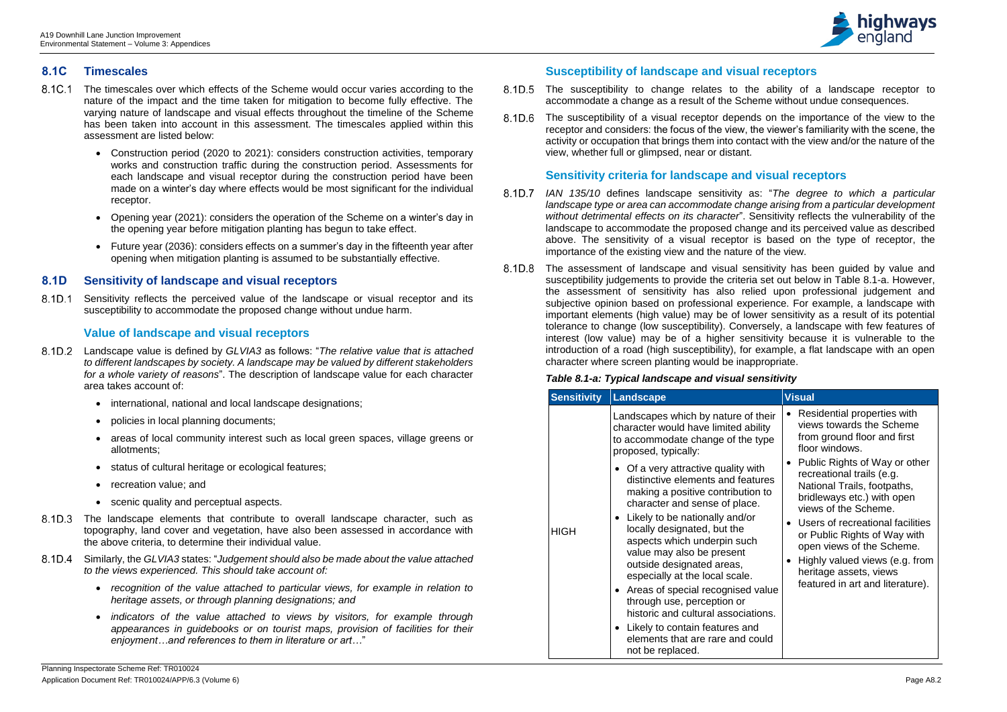

# **8.1C Timescales**

8.1D.1 Sensitivity reflects the perceived value of the landscape or visual receptor and its susceptibility to accommodate the proposed change without undue harm.

- The timescales over which effects of the Scheme would occur varies according to the 8.1C.1 nature of the impact and the time taken for mitigation to become fully effective. The varying nature of landscape and visual effects throughout the timeline of the Scheme has been taken into account in this assessment. The timescales applied within this assessment are listed below:
	- Construction period (2020 to 2021): considers construction activities, temporary works and construction traffic during the construction period. Assessments for each landscape and visual receptor during the construction period have been made on a winter's day where effects would be most significant for the individual receptor.
	- Opening year (2021): considers the operation of the Scheme on a winter's day in the opening year before mitigation planting has begun to take effect.
	- Future year (2036): considers effects on a summer's day in the fifteenth year after opening when mitigation planting is assumed to be substantially effective.

# **8.1D Sensitivity of landscape and visual receptors**

# **Value of landscape and visual receptors**

- 8.1D.5 The susceptibility to change relates to the ability of a landscape receptor to accommodate a change as a result of the Scheme without undue consequences.
- The susceptibility of a visual receptor depends on the importance of the view to the 8.1D.6 receptor and considers: the focus of the view, the viewer's familiarity with the scene, the activity or occupation that brings them into contact with the view and/or the nature of the view, whether full or glimpsed, near or distant.

- Landscape value is defined by *GLVIA3* as follows: "*The relative value that is attached to different landscapes by society. A landscape may be valued by different stakeholders for a whole variety of reasons*". The description of landscape value for each character area takes account of:
	- international, national and local landscape designations;
	- policies in local planning documents;
	- areas of local community interest such as local green spaces, village greens or allotments;
	- status of cultural heritage or ecological features;
	- recreation value: and
	- scenic quality and perceptual aspects.
- 8.1D.3 The landscape elements that contribute to overall landscape character, such as topography, land cover and vegetation, have also been assessed in accordance with the above criteria, to determine their individual value.
- Similarly, the *GLVIA3* states: "*Judgement should also be made about the value attached to the views experienced. This should take account of:*
	- *recognition of the value attached to particular views, for example in relation to heritage assets, or through planning designations; and*
	- *indicators of the value attached to views by visitors, for example through appearances in guidebooks or on tourist maps, provision of facilities for their enjoyment…and references to them in literature or art…*"
- 8.1D.7 *IAN 135/10* defines landscape sensitivity as: "*The degree to which a particular landscape type or area can accommodate change arising from a particular development without detrimental effects on its character*". Sensitivity reflects the vulnerability of the landscape to accommodate the proposed change and its perceived value as described above. The sensitivity of a visual receptor is based on the type of receptor, the importance of the existing view and the nature of the view.
- The assessment of landscape and visual sensitivity has been guided by value and 8.1D.8 susceptibility judgements to provide the criteria set out below in Table 8.1-a. However, the assessment of sensitivity has also relied upon professional judgement and subjective opinion based on professional experience. For example, a landscape with important elements (high value) may be of lower sensitivity as a result of its potential tolerance to change (low susceptibility). Conversely, a landscape with few features of interest (low value) may be of a higher sensitivity because it is vulnerable to the introduction of a road (high susceptibility), for example, a flat landscape with an open character where screen planting would be inappropriate.

# **Susceptibility of landscape and visual receptors**

# **Sensitivity criteria for landscape and visual receptors**

# *Table 8.1-a: Typical landscape and visual sensitivity*

| <b>Sensitivity</b> | Landscape                                                                                                                                                                                                                                                                                                                                                                                                                                                                                                                                                                                                                                                                                        | <b>Visual</b>                                                                                                                                                                                                                                                                                                                                                                                                                                                |
|--------------------|--------------------------------------------------------------------------------------------------------------------------------------------------------------------------------------------------------------------------------------------------------------------------------------------------------------------------------------------------------------------------------------------------------------------------------------------------------------------------------------------------------------------------------------------------------------------------------------------------------------------------------------------------------------------------------------------------|--------------------------------------------------------------------------------------------------------------------------------------------------------------------------------------------------------------------------------------------------------------------------------------------------------------------------------------------------------------------------------------------------------------------------------------------------------------|
| <b>HIGH</b>        | Landscapes which by nature of their<br>character would have limited ability<br>to accommodate change of the type<br>proposed, typically:<br>• Of a very attractive quality with<br>distinctive elements and features<br>making a positive contribution to<br>character and sense of place.<br>• Likely to be nationally and/or<br>locally designated, but the<br>aspects which underpin such<br>value may also be present<br>outside designated areas,<br>especially at the local scale.<br>• Areas of special recognised value<br>through use, perception or<br>historic and cultural associations.<br>• Likely to contain features and<br>elements that are rare and could<br>not be replaced. | Residential properties with<br>views towards the Scheme<br>from ground floor and first<br>floor windows.<br>Public Rights of Way or other<br>recreational trails (e.g.<br>National Trails, footpaths,<br>bridleways etc.) with open<br>views of the Scheme.<br>Users of recreational facilities<br>or Public Rights of Way with<br>open views of the Scheme.<br>Highly valued views (e.g. from<br>heritage assets, views<br>featured in art and literature). |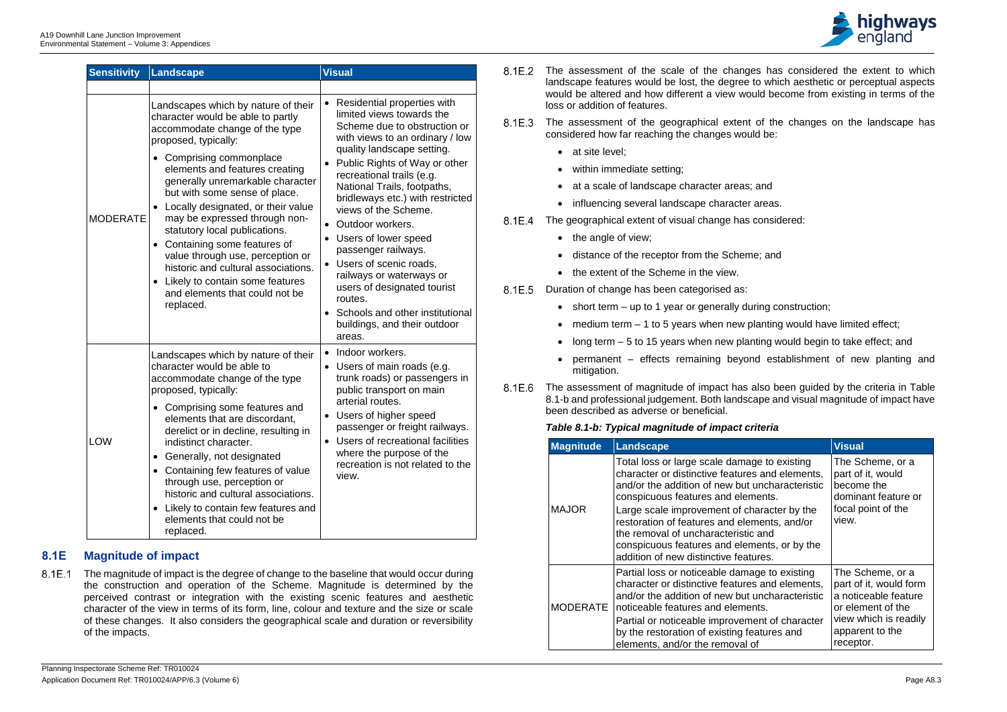

| <b>Sensitivity</b> | <b>Landscape</b>                                                                                                                                                                                                                                                                                                                                                                                                                                                                                                                                                                     | <b>Visual</b>                                                                                                                                                                                                                                                                                                                                                                                                                                                                                                                                                      |
|--------------------|--------------------------------------------------------------------------------------------------------------------------------------------------------------------------------------------------------------------------------------------------------------------------------------------------------------------------------------------------------------------------------------------------------------------------------------------------------------------------------------------------------------------------------------------------------------------------------------|--------------------------------------------------------------------------------------------------------------------------------------------------------------------------------------------------------------------------------------------------------------------------------------------------------------------------------------------------------------------------------------------------------------------------------------------------------------------------------------------------------------------------------------------------------------------|
|                    |                                                                                                                                                                                                                                                                                                                                                                                                                                                                                                                                                                                      |                                                                                                                                                                                                                                                                                                                                                                                                                                                                                                                                                                    |
| <b>MODERATE</b>    | Landscapes which by nature of their<br>character would be able to partly<br>accommodate change of the type<br>proposed, typically:<br>Comprising commonplace<br>elements and features creating<br>generally unremarkable character<br>but with some sense of place.<br>Locally designated, or their value<br>may be expressed through non-<br>statutory local publications.<br>Containing some features of<br>$\bullet$<br>value through use, perception or<br>historic and cultural associations.<br>Likely to contain some features<br>and elements that could not be<br>replaced. | Residential properties with<br>limited views towards the<br>Scheme due to obstruction or<br>with views to an ordinary / low<br>quality landscape setting.<br>Public Rights of Way or other<br>recreational trails (e.g.<br>National Trails, footpaths,<br>bridleways etc.) with restricted<br>views of the Scheme.<br>Outdoor workers.<br>Users of lower speed<br>passenger railways.<br>Users of scenic roads,<br>railways or waterways or<br>users of designated tourist<br>routes.<br>Schools and other institutional<br>buildings, and their outdoor<br>areas. |
| <b>LOW</b>         | Landscapes which by nature of their<br>character would be able to<br>accommodate change of the type<br>proposed, typically:<br>Comprising some features and<br>elements that are discordant,<br>derelict or in decline, resulting in<br>indistinct character.<br>Generally, not designated<br>$\bullet$<br>Containing few features of value<br>$\bullet$<br>through use, perception or<br>historic and cultural associations.<br>Likely to contain few features and<br>elements that could not be<br>replaced.                                                                       | Indoor workers.<br>$\bullet$<br>Users of main roads (e.g.<br>trunk roads) or passengers in<br>public transport on main<br>arterial routes.<br>Users of higher speed<br>passenger or freight railways.<br>Users of recreational facilities<br>where the purpose of the<br>recreation is not related to the<br>view.                                                                                                                                                                                                                                                 |

- 8.1E.2 The assessment of the scale of the changes has considered the extent to which landscape features would be lost, the degree to which aesthetic or perceptual aspects would be altered and how different a view would become from existing in terms of the loss or addition of features.
- 8.1E.3 The assessment of the geographical extent of the changes on the landscape has considered how far reaching the changes would be:
	- at site level;
	- within immediate setting;
	- at a scale of landscape character areas; and
	- influencing several landscape character areas.
- 8.1E.4 The geographical extent of visual change has considered:
	- the angle of view;
	- distance of the receptor from the Scheme; and
	- the extent of the Scheme in the view.

8.1E.5 Duration of change has been categorised as:

- short term up to 1 year or generally during construction;
- medium term  $-1$  to 5 years when new planting would have limited effect;
- long term 5 to 15 years when new planting would begin to take effect; and
- permanent effects remaining beyond establishment of new planting and mitigation.
- 8.1E.6 The assessment of magnitude of impact has also been guided by the criteria in Table 8.1-b and professional judgement. Both landscape and visual magnitude of impact have been described as adverse or beneficial.

# **8.1E Magnitude of impact**

The magnitude of impact is the degree of change to the baseline that would occur during  $8.1E.1$ the construction and operation of the Scheme. Magnitude is determined by the perceived contrast or integration with the existing scenic features and aesthetic character of the view in terms of its form, line, colour and texture and the size or scale of these changes. It also considers the geographical scale and duration or reversibility of the impacts.

## *Table 8.1-b: Typical magnitude of impact criteria*

| <b>Magnitude</b> | <b>Landscape</b>                                                                                                                                                                                                                                                                                                                                                                                                        | <b>Visual</b>                                                                                                                                    |
|------------------|-------------------------------------------------------------------------------------------------------------------------------------------------------------------------------------------------------------------------------------------------------------------------------------------------------------------------------------------------------------------------------------------------------------------------|--------------------------------------------------------------------------------------------------------------------------------------------------|
| <b>MAJOR</b>     | Total loss or large scale damage to existing<br>character or distinctive features and elements,<br>and/or the addition of new but uncharacteristic<br>conspicuous features and elements.<br>Large scale improvement of character by the<br>restoration of features and elements, and/or<br>the removal of uncharacteristic and<br>conspicuous features and elements, or by the<br>addition of new distinctive features. | The Scheme, or a<br>part of it, would<br>become the<br>dominant feature or<br>focal point of the<br>view.                                        |
| <b>MODERATE</b>  | Partial loss or noticeable damage to existing<br>character or distinctive features and elements,<br>and/or the addition of new but uncharacteristic<br>noticeable features and elements.<br>Partial or noticeable improvement of character<br>by the restoration of existing features and<br>elements, and/or the removal of                                                                                            | The Scheme, or a<br>part of it, would form<br>a noticeable feature<br>or element of the<br>view which is readily<br>apparent to the<br>receptor. |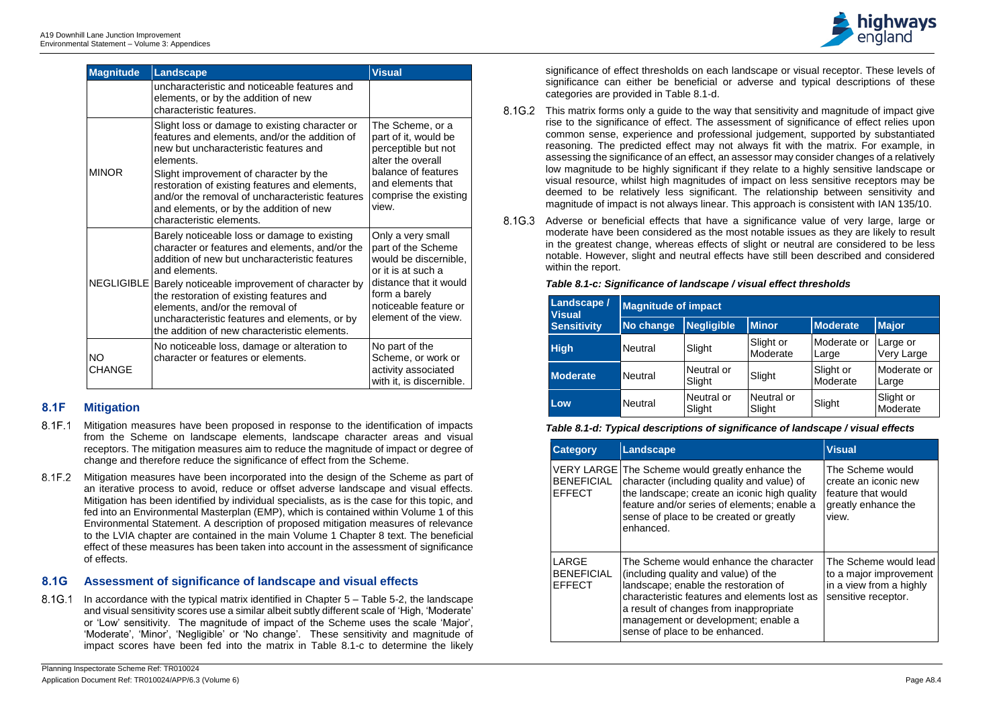| <b>Magnitude</b>           | Landscape                                                                                                                                                                                                                                                                                                                                                                                                      | <b>Visual</b>                                                                                                                                                                      |
|----------------------------|----------------------------------------------------------------------------------------------------------------------------------------------------------------------------------------------------------------------------------------------------------------------------------------------------------------------------------------------------------------------------------------------------------------|------------------------------------------------------------------------------------------------------------------------------------------------------------------------------------|
|                            | uncharacteristic and noticeable features and<br>elements, or by the addition of new<br>characteristic features.                                                                                                                                                                                                                                                                                                |                                                                                                                                                                                    |
| <b>MINOR</b>               | Slight loss or damage to existing character or<br>features and elements, and/or the addition of<br>new but uncharacteristic features and<br>elements.<br>Slight improvement of character by the<br>restoration of existing features and elements,<br>and/or the removal of uncharacteristic features<br>and elements, or by the addition of new<br>characteristic elements.                                    | The Scheme, or a<br>part of it, would be<br>perceptible but not<br>alter the overall<br>balance of features<br>and elements that<br>comprise the existing<br>view.                 |
|                            | Barely noticeable loss or damage to existing<br>character or features and elements, and/or the<br>addition of new but uncharacteristic features<br>and elements.<br>NEGLIGIBLE   Barely noticeable improvement of character by<br>the restoration of existing features and<br>elements, and/or the removal of<br>uncharacteristic features and elements, or by<br>the addition of new characteristic elements. | Only a very small<br>part of the Scheme<br>would be discernible,<br>or it is at such a<br>distance that it would<br>form a barely<br>noticeable feature or<br>element of the view. |
| <b>NO</b><br><b>CHANGE</b> | No noticeable loss, damage or alteration to<br>character or features or elements.                                                                                                                                                                                                                                                                                                                              | No part of the<br>Scheme, or work or<br>activity associated<br>with it, is discernible.                                                                                            |

- 8.1F.1 Mitigation measures have been proposed in response to the identification of impacts from the Scheme on landscape elements, landscape character areas and visual receptors. The mitigation measures aim to reduce the magnitude of impact or degree of change and therefore reduce the significance of effect from the Scheme.
- 8.1F.2 Mitigation measures have been incorporated into the design of the Scheme as part of an iterative process to avoid, reduce or offset adverse landscape and visual effects. Mitigation has been identified by individual specialists, as is the case for this topic, and fed into an Environmental Masterplan (EMP), which is contained within Volume 1 of this Environmental Statement. A description of proposed mitigation measures of relevance to the LVIA chapter are contained in the main Volume 1 Chapter 8 text. The beneficial effect of these measures has been taken into account in the assessment of significance of effects.

8.1G.1 In accordance with the typical matrix identified in Chapter 5 – Table 5-2, the landscape and visual sensitivity scores use a similar albeit subtly different scale of 'High, 'Moderate' or 'Low' sensitivity. The magnitude of impact of the Scheme uses the scale 'Major', 'Moderate', 'Minor', 'Negligible' or 'No change'. These sensitivity and magnitude of impact scores have been fed into the matrix in Table 8.1-c to determine the likely

# **8.1F Mitigation**

- 8.1G.2 This matrix forms only a quide to the way that sensitivity and magnitude of impact give rise to the significance of effect. The assessment of significance of effect relies upon common sense, experience and professional judgement, supported by substantiated reasoning. The predicted effect may not always fit with the matrix. For example, in assessing the significance of an effect, an assessor may consider changes of a relatively low magnitude to be highly significant if they relate to a highly sensitive landscape or visual resource, whilst high magnitudes of impact on less sensitive receptors may be deemed to be relatively less significant. The relationship between sensitivity and magnitude of impact is not always linear. This approach is consistent with IAN 135/10.
- 8.1G.3 Adverse or beneficial effects that have a significance value of very large, large or moderate have been considered as the most notable issues as they are likely to result in the greatest change, whereas effects of slight or neutral are considered to be less notable. However, slight and neutral effects have still been described and considered within the report.

# **8.1G Assessment of significance of landscape and visual effects**

significance of effect thresholds on each landscape or visual receptor. These levels of significance can either be beneficial or adverse and typical descriptions of these categories are provided in Table 8.1-d.

## *Table 8.1-c: Significance of landscape / visual effect thresholds*

| <b>Landscape /</b><br><b>Visual</b> | <b>Magnitude of impact</b> |                      |                       |                       |                        |
|-------------------------------------|----------------------------|----------------------|-----------------------|-----------------------|------------------------|
| <b>Sensitivity</b>                  | No change                  | <b>Negligible</b>    | <b>Minor</b>          | Moderate              | <b>Major</b>           |
| <b>High</b>                         | <b>Neutral</b>             | Slight               | Slight or<br>Moderate | Moderate or<br>Large  | Large or<br>Very Large |
| <b>Moderate</b>                     | <b>Neutral</b>             | Neutral or<br>Slight | Slight                | Slight or<br>Moderate | Moderate or<br>Large   |
| Low                                 | <b>Neutral</b>             | Neutral or<br>Slight | Neutral or<br>Slight  | Slight                | Slight or<br>Moderate  |

## *Table 8.1-d: Typical descriptions of significance of landscape / visual effects*

| <b>Category</b>                             | Landscape                                                                                                                                                                                                                                                                                 | <b>Visual</b>                                                                                     |
|---------------------------------------------|-------------------------------------------------------------------------------------------------------------------------------------------------------------------------------------------------------------------------------------------------------------------------------------------|---------------------------------------------------------------------------------------------------|
| <b>BENEFICIAL</b><br><b>EFFECT</b>          | VERY LARGE The Scheme would greatly enhance the<br>character (including quality and value) of<br>the landscape; create an iconic high quality<br>feature and/or series of elements; enable a<br>sense of place to be created or greatly<br>enhanced.                                      | The Scheme would<br>create an iconic new<br>feature that would<br>greatly enhance the<br>view.    |
| LARGE<br><b>BENEFICIAL</b><br><b>EFFECT</b> | The Scheme would enhance the character<br>(including quality and value) of the<br>landscape; enable the restoration of<br>characteristic features and elements lost as<br>a result of changes from inappropriate<br>management or development; enable a<br>sense of place to be enhanced. | The Scheme would lead<br>to a major improvement<br>in a view from a highly<br>sensitive receptor. |

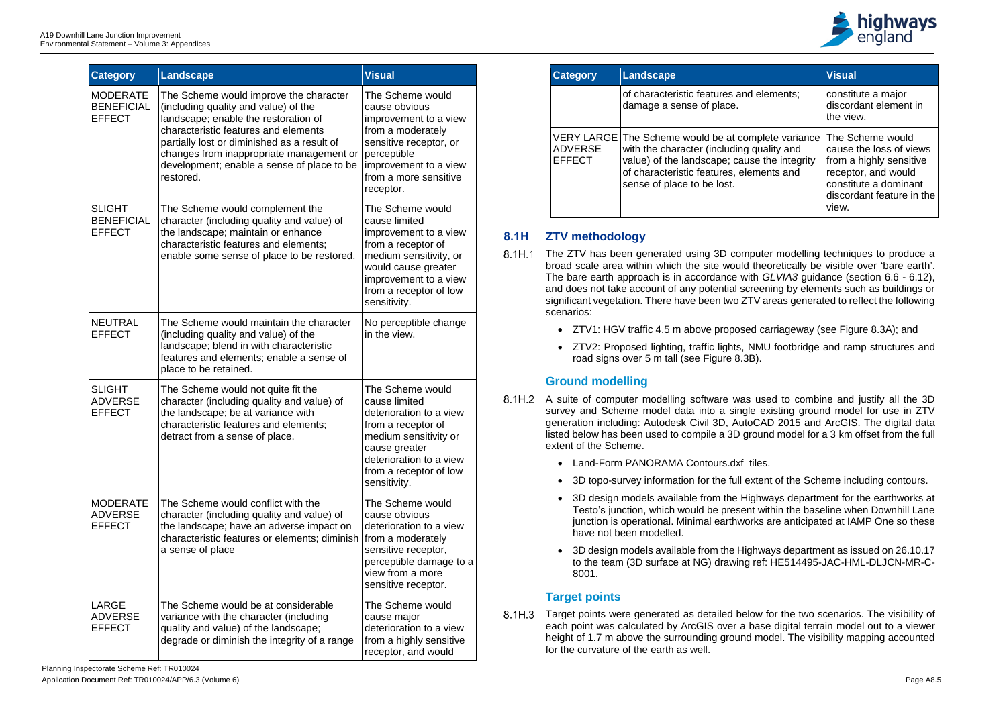| <b>Category</b>                                       | <b>Landscape</b>                                                                                                                                                                                                                                                                                                     | <b>Visual</b>                                                                                                                                                                                        |
|-------------------------------------------------------|----------------------------------------------------------------------------------------------------------------------------------------------------------------------------------------------------------------------------------------------------------------------------------------------------------------------|------------------------------------------------------------------------------------------------------------------------------------------------------------------------------------------------------|
| <b>MODERATE</b><br><b>BENEFICIAL</b><br><b>EFFECT</b> | The Scheme would improve the character<br>(including quality and value) of the<br>landscape; enable the restoration of<br>characteristic features and elements<br>partially lost or diminished as a result of<br>changes from inappropriate management or<br>development; enable a sense of place to be<br>restored. | The Scheme would<br>cause obvious<br>improvement to a view<br>from a moderately<br>sensitive receptor, or<br>perceptible<br>improvement to a view<br>from a more sensitive<br>receptor.              |
| <b>SLIGHT</b><br><b>BENEFICIAL</b><br><b>EFFECT</b>   | The Scheme would complement the<br>character (including quality and value) of<br>the landscape; maintain or enhance<br>characteristic features and elements;<br>enable some sense of place to be restored.                                                                                                           | The Scheme would<br>cause limited<br>improvement to a view<br>from a receptor of<br>medium sensitivity, or<br>would cause greater<br>improvement to a view<br>from a receptor of low<br>sensitivity. |
| <b>NEUTRAL</b><br><b>EFFECT</b>                       | The Scheme would maintain the character<br>(including quality and value) of the<br>landscape; blend in with characteristic<br>features and elements; enable a sense of<br>place to be retained.                                                                                                                      | No perceptible change<br>in the view.                                                                                                                                                                |
| <b>SLIGHT</b><br><b>ADVERSE</b><br><b>EFFECT</b>      | The Scheme would not quite fit the<br>character (including quality and value) of<br>the landscape; be at variance with<br>characteristic features and elements;<br>detract from a sense of place.                                                                                                                    | The Scheme would<br>cause limited<br>deterioration to a view<br>from a receptor of<br>medium sensitivity or<br>cause greater<br>deterioration to a view<br>from a receptor of low<br>sensitivity.    |
| <b>MODERATE</b><br><b>ADVERSE</b><br><b>EFFECT</b>    | The Scheme would conflict with the<br>character (including quality and value) of<br>the landscape; have an adverse impact on<br>characteristic features or elements; diminish<br>a sense of place                                                                                                                    | The Scheme would<br>cause obvious<br>deterioration to a view<br>from a moderately<br>sensitive receptor,<br>perceptible damage to a<br>view from a more<br>sensitive receptor.                       |
| LARGE<br><b>ADVERSE</b><br><b>EFFECT</b>              | The Scheme would be at considerable<br>variance with the character (including<br>quality and value) of the landscape;<br>degrade or diminish the integrity of a range                                                                                                                                                | The Scheme would<br>cause major<br>deterioration to a view<br>from a highly sensitive<br>receptor, and would                                                                                         |

- 8.1H.1 The ZTV has been generated using 3D computer modelling techniques to produce a broad scale area within which the site would theoretically be visible over 'bare earth'. The bare earth approach is in accordance with *GLVIA3* guidance (section 6.6 - 6.12), and does not take account of any potential screening by elements such as buildings or significant vegetation. There have been two ZTV areas generated to reflect the following scenarios:
	- ZTV1: HGV traffic 4.5 m above proposed carriageway (see Figure 8.3A); and
	- ZTV2: Proposed lighting, traffic lights, NMU footbridge and ramp structures and road signs over 5 m tall (see Figure 8.3B).

8.1H.3 Target points were generated as detailed below for the two scenarios. The visibility of each point was calculated by ArcGIS over a base digital terrain model out to a viewer height of 1.7 m above the surrounding ground model. The visibility mapping accounted for the curvature of the earth as well.



| <b>Category</b>                 | <b>Landscape</b>                                                                                                                                                                                                           | <b>Visual</b>                                                                                                                                                |
|---------------------------------|----------------------------------------------------------------------------------------------------------------------------------------------------------------------------------------------------------------------------|--------------------------------------------------------------------------------------------------------------------------------------------------------------|
|                                 | of characteristic features and elements;<br>damage a sense of place.                                                                                                                                                       | constitute a major<br>discordant element in<br>the view.                                                                                                     |
| <b>ADVERSE</b><br><b>EFFECT</b> | VERY LARGE The Scheme would be at complete variance<br>with the character (including quality and<br>value) of the landscape; cause the integrity<br>of characteristic features, elements and<br>sense of place to be lost. | The Scheme would<br>cause the loss of views<br>from a highly sensitive<br>receptor, and would<br>constitute a dominant<br>discordant feature in the<br>view. |

# **8.1H ZTV methodology**

# **Ground modelling**

- A suite of computer modelling software was used to combine and justify all the 3D survey and Scheme model data into a single existing ground model for use in ZTV generation including: Autodesk Civil 3D, AutoCAD 2015 and ArcGIS. The digital data listed below has been used to compile a 3D ground model for a 3 km offset from the full extent of the Scheme.
	- Land-Form PANORAMA Contours.dxf tiles.
	- 3D topo-survey information for the full extent of the Scheme including contours.
	- 3D design models available from the Highways department for the earthworks at Testo's junction, which would be present within the baseline when Downhill Lane junction is operational. Minimal earthworks are anticipated at IAMP One so these have not been modelled.
	- 3D design models available from the Highways department as issued on 26.10.17 to the team (3D surface at NG) drawing ref: HE514495-JAC-HML-DLJCN-MR-C-8001.

# **Target points**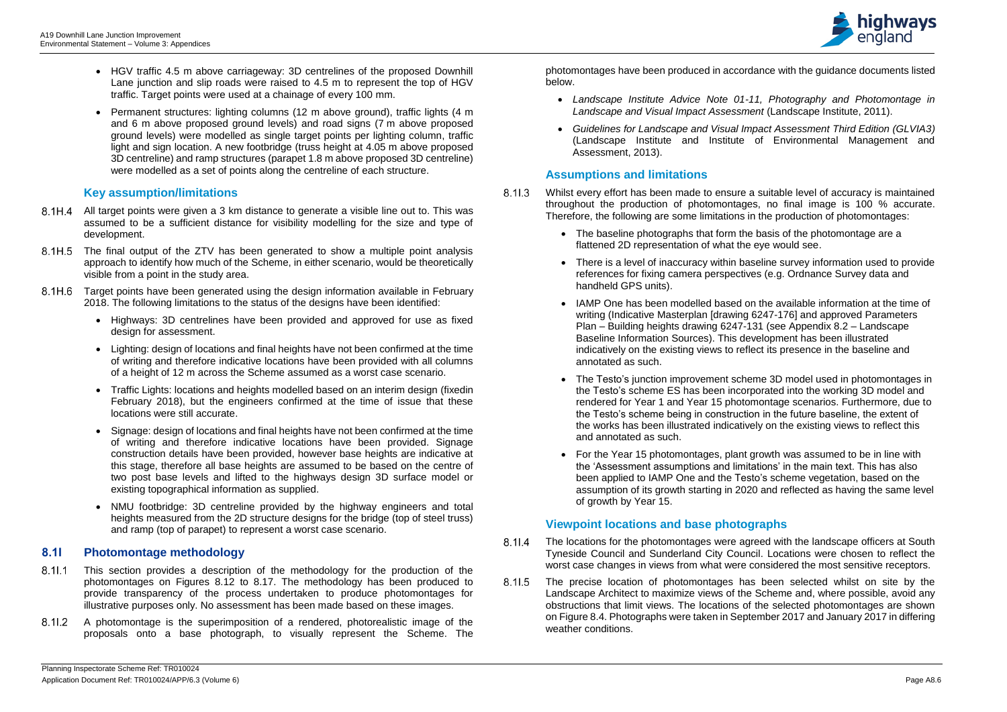

- HGV traffic 4.5 m above carriageway: 3D centrelines of the proposed Downhill Lane junction and slip roads were raised to 4.5 m to represent the top of HGV traffic. Target points were used at a chainage of every 100 mm.
- Permanent structures: lighting columns (12 m above ground), traffic lights (4 m and 6 m above proposed ground levels) and road signs (7 m above proposed ground levels) were modelled as single target points per lighting column, traffic light and sign location. A new footbridge (truss height at 4.05 m above proposed 3D centreline) and ramp structures (parapet 1.8 m above proposed 3D centreline) were modelled as a set of points along the centreline of each structure.

# **Key assumption/limitations**

- $8.11.1$ This section provides a description of the methodology for the production of the photomontages on Figures 8.12 to 8.17. The methodology has been produced to provide transparency of the process undertaken to produce photomontages for illustrative purposes only. No assessment has been made based on these images.
- A photomontage is the superimposition of a rendered, photorealistic image of the  $8.11.2$ proposals onto a base photograph, to visually represent the Scheme. The
- All target points were given a 3 km distance to generate a visible line out to. This was assumed to be a sufficient distance for visibility modelling for the size and type of development.
- 8.1H.5 The final output of the ZTV has been generated to show a multiple point analysis approach to identify how much of the Scheme, in either scenario, would be theoretically visible from a point in the study area.
- 8.1H.6 Target points have been generated using the design information available in February 2018. The following limitations to the status of the designs have been identified:
	- Highways: 3D centrelines have been provided and approved for use as fixed design for assessment.
	- Lighting: design of locations and final heights have not been confirmed at the time of writing and therefore indicative locations have been provided with all columns of a height of 12 m across the Scheme assumed as a worst case scenario.
	- Traffic Lights: locations and heights modelled based on an interim design (fixedin February 2018), but the engineers confirmed at the time of issue that these locations were still accurate.
	- Signage: design of locations and final heights have not been confirmed at the time of writing and therefore indicative locations have been provided. Signage construction details have been provided, however base heights are indicative at this stage, therefore all base heights are assumed to be based on the centre of two post base levels and lifted to the highways design 3D surface model or existing topographical information as supplied.
	- NMU footbridge: 3D centreline provided by the highway engineers and total heights measured from the 2D structure designs for the bridge (top of steel truss) and ramp (top of parapet) to represent a worst case scenario.

8.11.3 Whilst every effort has been made to ensure a suitable level of accuracy is maintained throughout the production of photomontages, no final image is 100 % accurate. Therefore, the following are some limitations in the production of photomontages:

# **8.1I Photomontage methodology**

- $8.11.4$ The locations for the photomontages were agreed with the landscape officers at South Tyneside Council and Sunderland City Council. Locations were chosen to reflect the worst case changes in views from what were considered the most sensitive receptors.
- $8.11.5$ The precise location of photomontages has been selected whilst on site by the Landscape Architect to maximize views of the Scheme and, where possible, avoid any obstructions that limit views. The locations of the selected photomontages are shown on Figure 8.4. Photographs were taken in September 2017 and January 2017 in differing weather conditions.

photomontages have been produced in accordance with the guidance documents listed below.

- *Landscape Institute Advice Note 01-11, Photography and Photomontage in Landscape and Visual Impact Assessment* (Landscape Institute, 2011).
- *Guidelines for Landscape and Visual Impact Assessment Third Edition (GLVIA3)* (Landscape Institute and Institute of Environmental Management and Assessment, 2013).

# **Assumptions and limitations**

- The baseline photographs that form the basis of the photomontage are a flattened 2D representation of what the eye would see.
- There is a level of inaccuracy within baseline survey information used to provide references for fixing camera perspectives (e.g. Ordnance Survey data and handheld GPS units).
- IAMP One has been modelled based on the available information at the time of writing (Indicative Masterplan [drawing 6247-176] and approved Parameters Plan – Building heights drawing 6247-131 (see Appendix 8.2 – Landscape Baseline Information Sources). This development has been illustrated indicatively on the existing views to reflect its presence in the baseline and annotated as such.
- The Testo's junction improvement scheme 3D model used in photomontages in the Testo's scheme ES has been incorporated into the working 3D model and rendered for Year 1 and Year 15 photomontage scenarios. Furthermore, due to the Testo's scheme being in construction in the future baseline, the extent of the works has been illustrated indicatively on the existing views to reflect this and annotated as such.
- For the Year 15 photomontages, plant growth was assumed to be in line with the 'Assessment assumptions and limitations' in the main text. This has also been applied to IAMP One and the Testo's scheme vegetation, based on the assumption of its growth starting in 2020 and reflected as having the same level of growth by Year 15.

# **Viewpoint locations and base photographs**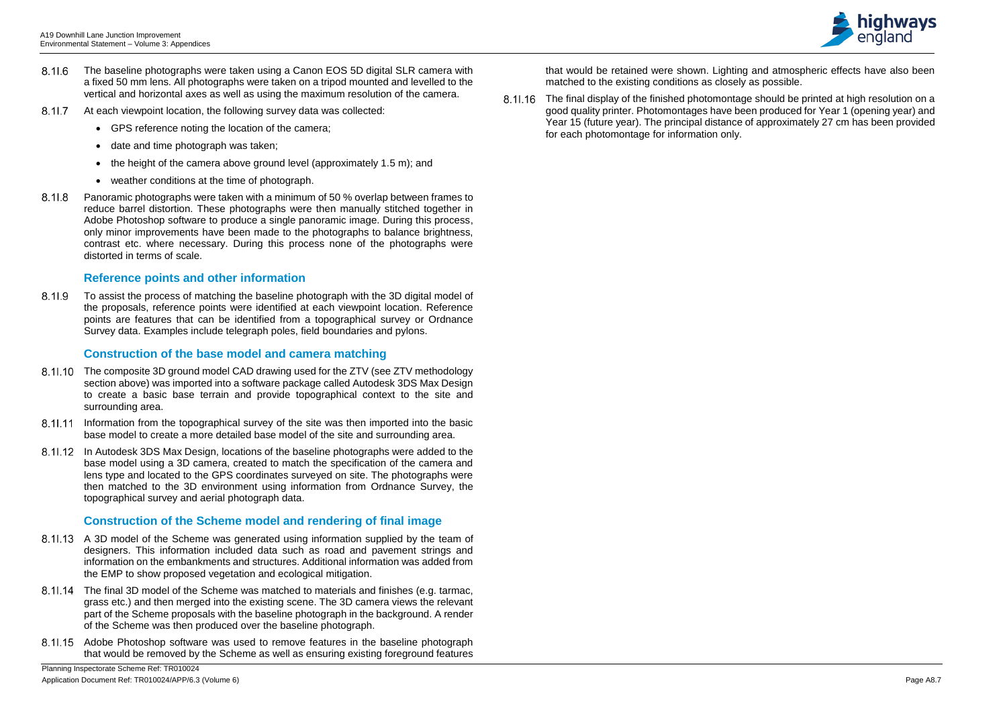- 8.11.6 The baseline photographs were taken using a Canon EOS 5D digital SLR camera with a fixed 50 mm lens. All photographs were taken on a tripod mounted and levelled to the vertical and horizontal axes as well as using the maximum resolution of the camera.
- 8.11.7 At each viewpoint location, the following survey data was collected:
	- GPS reference noting the location of the camera;
	- date and time photograph was taken:
	- the height of the camera above ground level (approximately 1.5 m); and
	- weather conditions at the time of photograph.
- 8.11.8 Panoramic photographs were taken with a minimum of 50 % overlap between frames to reduce barrel distortion. These photographs were then manually stitched together in Adobe Photoshop software to produce a single panoramic image. During this process, only minor improvements have been made to the photographs to balance brightness, contrast etc. where necessary. During this process none of the photographs were distorted in terms of scale.

8.11.9 To assist the process of matching the baseline photograph with the 3D digital model of the proposals, reference points were identified at each viewpoint location. Reference points are features that can be identified from a topographical survey or Ordnance Survey data. Examples include telegraph poles, field boundaries and pylons.

# **Reference points and other information**

- 8.11.10 The composite 3D ground model CAD drawing used for the ZTV (see ZTV methodology section above) was imported into a software package called Autodesk 3DS Max Design to create a basic base terrain and provide topographical context to the site and surrounding area.
- 8.11.11 Information from the topographical survey of the site was then imported into the basic base model to create a more detailed base model of the site and surrounding area.
- 8.11.12 In Autodesk 3DS Max Design, locations of the baseline photographs were added to the base model using a 3D camera, created to match the specification of the camera and lens type and located to the GPS coordinates surveyed on site. The photographs were then matched to the 3D environment using information from Ordnance Survey, the topographical survey and aerial photograph data.

# **Construction of the base model and camera matching**

- 8.11.13 A 3D model of the Scheme was generated using information supplied by the team of designers. This information included data such as road and pavement strings and information on the embankments and structures. Additional information was added from the EMP to show proposed vegetation and ecological mitigation.
- 8.11.14 The final 3D model of the Scheme was matched to materials and finishes (e.g. tarmac, grass etc.) and then merged into the existing scene. The 3D camera views the relevant part of the Scheme proposals with the baseline photograph in the background. A render of the Scheme was then produced over the baseline photograph.
- Adobe Photoshop software was used to remove features in the baseline photograph that would be removed by the Scheme as well as ensuring existing foreground features

8.11.16 The final display of the finished photomontage should be printed at high resolution on a good quality printer. Photomontages have been produced for Year 1 (opening year) and Year 15 (future year). The principal distance of approximately 27 cm has been provided for each photomontage for information only.



# **Construction of the Scheme model and rendering of final image**

that would be retained were shown. Lighting and atmospheric effects have also been matched to the existing conditions as closely as possible.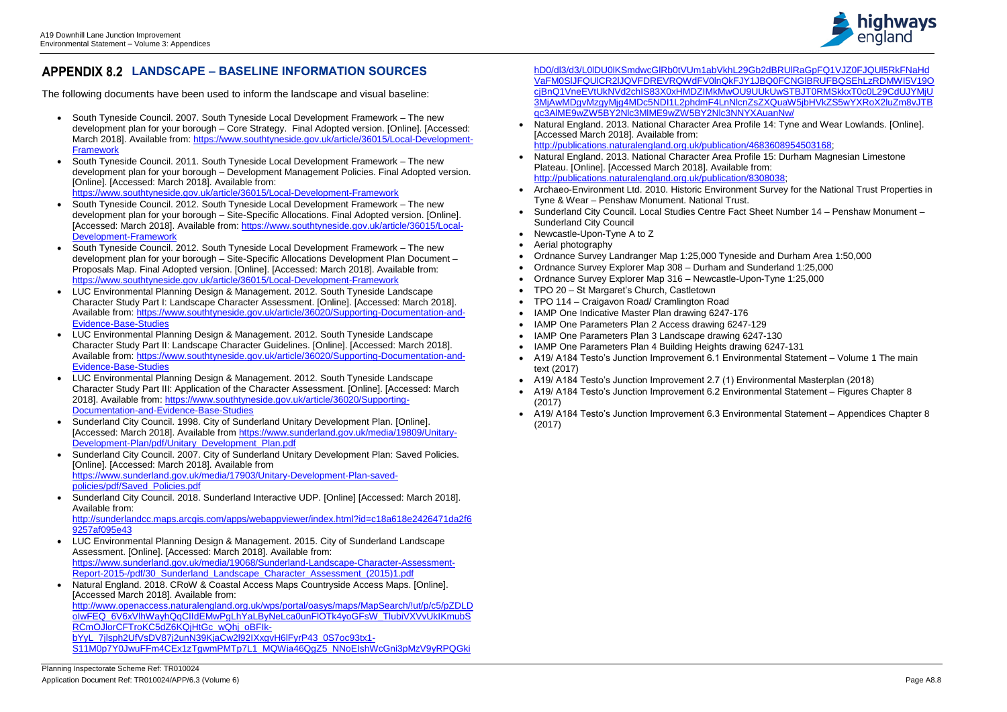

# **LANDSCAPE – BASELINE INFORMATION SOURCES**

The following documents have been used to inform the landscape and visual baseline:

- LUC Environmental Planning Design & Management. 2015. City of Sunderland Landscape Assessment. [Online]. [Accessed: March 2018]. Available from: [https://www.sunderland.gov.uk/media/19068/Sunderland-Landscape-Character-Assessment-](https://www.sunderland.gov.uk/media/19068/Sunderland-Landscape-Character-Assessment-Report-2015-/pdf/30_Sunderland_Landscape_Character_Assessment_(2015)1.pdf)[Report-2015-/pdf/30\\_Sunderland\\_Landscape\\_Character\\_Assessment\\_\(2015\)1.pdf](https://www.sunderland.gov.uk/media/19068/Sunderland-Landscape-Character-Assessment-Report-2015-/pdf/30_Sunderland_Landscape_Character_Assessment_(2015)1.pdf)
- Natural England. 2018. CRoW & Coastal Access Maps Countryside Access Maps. [Online]. [Accessed March 2018]. Available from: [http://www.openaccess.naturalengland.org.uk/wps/portal/oasys/maps/MapSearch/!ut/p/c5/pZDLD](http://www.openaccess.naturalengland.org.uk/wps/portal/oasys/maps/MapSearch/!ut/p/c5/pZDLDoIwFEQ_6V6xVlhWayhQqCIIdEMwPgLhYaLByNeLca0unFlOTk4yoGFsW_TlubiVXVvUkIKmubSRCmOJlorCFTroKC5dZ6KQjHtGc_wQhj_oBFIk-bYyL_7jlsph2UfVsDV87j2unN39KjaCw2l92IXxgvH6lFyrP43_0S7oc93tx1-S11M0p7Y0JwuFFm4CEx1zTgwmPMTp7L1_MQWia46QgZ5_NNoEIshWcGni3pMzV9yRPQGkihD0/dl3/d3/L0lDU0lKSmdwcGlRb0tVUm1abVkhL29Gb2dBRUlRaGpFQ1VJZ0FJQUl5RkFNaHdVaFM0SlJFQUlCR2lJQVFDREVRQWdFV0lnQkFJY1JBQ0FCNGlBRUFBQSEhLzRDMWI5V19OcjBnQ1VneEVtUkNVd2chIS83X0xHMDZIMkMwOU9UUkUwSTBJT0RMSkkxT0c0L29CdUJYMjU3MjAwMDgvMzgyMjg4MDc5NDI1L2phdmF4LnNlcnZsZXQuaW5jbHVkZS5wYXRoX2luZm8vJTBqc3AlME9wZW5BY2Nlc3MlME9wZW5BY2Nlc3NNYXAuanNw/) olwFEQ\_6V6xVlhWayhQqCIIdEMwPgLhYaLByNeLca0unFlOTk4yoGFsW\_TlubiVXVvUkIKmubS [RCmOJlorCFTroKC5dZ6KQjHtGc\\_wQhj\\_oBFIk](http://www.openaccess.naturalengland.org.uk/wps/portal/oasys/maps/MapSearch/!ut/p/c5/pZDLDoIwFEQ_6V6xVlhWayhQqCIIdEMwPgLhYaLByNeLca0unFlOTk4yoGFsW_TlubiVXVvUkIKmubSRCmOJlorCFTroKC5dZ6KQjHtGc_wQhj_oBFIk-bYyL_7jlsph2UfVsDV87j2unN39KjaCw2l92IXxgvH6lFyrP43_0S7oc93tx1-S11M0p7Y0JwuFFm4CEx1zTgwmPMTp7L1_MQWia46QgZ5_NNoEIshWcGni3pMzV9yRPQGkihD0/dl3/d3/L0lDU0lKSmdwcGlRb0tVUm1abVkhL29Gb2dBRUlRaGpFQ1VJZ0FJQUl5RkFNaHdVaFM0SlJFQUlCR2lJQVFDREVRQWdFV0lnQkFJY1JBQ0FCNGlBRUFBQSEhLzRDMWI5V19OcjBnQ1VneEVtUkNVd2chIS83X0xHMDZIMkMwOU9UUkUwSTBJT0RMSkkxT0c0L29CdUJYMjU3MjAwMDgvMzgyMjg4MDc5NDI1L2phdmF4LnNlcnZsZXQuaW5jbHVkZS5wYXRoX2luZm8vJTBqc3AlME9wZW5BY2Nlc3MlME9wZW5BY2Nlc3NNYXAuanNw/)bYyL\_7jlsph2UfVsDV87j2unN39KjaCw2l92IXxqvH6lFyrP43\_0S7oc93tx1-S11M0p7Y0JwuFFm4CEx1zTgwmPMTp7L1\_MQWia46QqZ5\_NNoEIshWcGni3pMzV9vRPQGki
- South Tyneside Council. 2007. South Tyneside Local Development Framework The new development plan for your borough – Core Strategy. Final Adopted version. [Online]. [Accessed: March 2018]. Available from: [https://www.southtyneside.gov.uk/article/36015/Local-Development-](https://www.southtyneside.gov.uk/article/36015/Local-Development-Framework)**[Framework](https://www.southtyneside.gov.uk/article/36015/Local-Development-Framework)**
- South Tyneside Council. 2011. South Tyneside Local Development Framework The new development plan for your borough – Development Management Policies. Final Adopted version. [Online]. [Accessed: March 2018]. Available from: <https://www.southtyneside.gov.uk/article/36015/Local-Development-Framework>
- South Tyneside Council. 2012. South Tyneside Local Development Framework The new development plan for your borough – Site-Specific Allocations. Final Adopted version. [Online]. [Accessed: March 2018]. Available from: [https://www.southtyneside.gov.uk/article/36015/Local-](https://www.southtyneside.gov.uk/article/36015/Local-Development-Framework)[Development-Framework](https://www.southtyneside.gov.uk/article/36015/Local-Development-Framework)
- South Tyneside Council. 2012. South Tyneside Local Development Framework The new development plan for your borough – Site-Specific Allocations Development Plan Document – Proposals Map. Final Adopted version. [Online]. [Accessed: March 2018]. Available from: <https://www.southtyneside.gov.uk/article/36015/Local-Development-Framework>
- LUC Environmental Planning Design & Management. 2012. South Tyneside Landscape Character Study Part I: Landscape Character Assessment. [Online]. [Accessed: March 2018]. Available from: [https://www.southtyneside.gov.uk/article/36020/Supporting-Documentation-and-](https://www.southtyneside.gov.uk/article/36020/Supporting-Documentation-and-Evidence-Base-Studies)[Evidence-Base-Studies](https://www.southtyneside.gov.uk/article/36020/Supporting-Documentation-and-Evidence-Base-Studies)
- LUC Environmental Planning Design & Management. 2012. South Tyneside Landscape Character Study Part II: Landscape Character Guidelines. [Online]. [Accessed: March 2018]. Available from: [https://www.southtyneside.gov.uk/article/36020/Supporting-Documentation-and-](https://www.southtyneside.gov.uk/article/36020/Supporting-Documentation-and-Evidence-Base-Studies)[Evidence-Base-Studies](https://www.southtyneside.gov.uk/article/36020/Supporting-Documentation-and-Evidence-Base-Studies)
- LUC Environmental Planning Design & Management. 2012. South Tyneside Landscape Character Study Part III: Application of the Character Assessment. [Online]. [Accessed: March 2018]. Available from: [https://www.southtyneside.gov.uk/article/36020/Supporting-](https://www.southtyneside.gov.uk/article/36020/Supporting-Documentation-and-Evidence-Base-Studies)[Documentation-and-Evidence-Base-Studies](https://www.southtyneside.gov.uk/article/36020/Supporting-Documentation-and-Evidence-Base-Studies)
- Sunderland City Council, 1998. City of Sunderland Unitary Development Plan. [Online]. [Accessed: March 2018]. Available from [https://www.sunderland.gov.uk/media/19809/Unitary-](https://www.sunderland.gov.uk/media/19809/Unitary-Development-Plan/pdf/Unitary_Development_Plan.pdf)[Development-Plan/pdf/Unitary\\_Development\\_Plan.pdf](https://www.sunderland.gov.uk/media/19809/Unitary-Development-Plan/pdf/Unitary_Development_Plan.pdf)
- Sunderland City Council. 2007. City of Sunderland Unitary Development Plan: Saved Policies. [Online]. [Accessed: March 2018]. Available from [https://www.sunderland.gov.uk/media/17903/Unitary-Development-Plan-saved](https://www.sunderland.gov.uk/media/17903/Unitary-Development-Plan-saved-policies/pdf/Saved_Policies.pdf)[policies/pdf/Saved\\_Policies.pdf](https://www.sunderland.gov.uk/media/17903/Unitary-Development-Plan-saved-policies/pdf/Saved_Policies.pdf)
- Sunderland City Council. 2018. Sunderland Interactive UDP. [Online] [Accessed: March 2018]. Available from: [http://sunderlandcc.maps.arcgis.com/apps/webappviewer/index.html?id=c18a618e2426471da2f6](http://sunderlandcc.maps.arcgis.com/apps/webappviewer/index.html?id=c18a618e2426471da2f69257af095e43)

[9257af095e43](http://sunderlandcc.maps.arcgis.com/apps/webappviewer/index.html?id=c18a618e2426471da2f69257af095e43)

[hD0/dl3/d3/L0lDU0lKSmdwcGlRb0tVUm1abVkhL29Gb2dBRUlRaGpFQ1VJZ0FJQUl5RkFNaHd](http://www.openaccess.naturalengland.org.uk/wps/portal/oasys/maps/MapSearch/!ut/p/c5/pZDLDoIwFEQ_6V6xVlhWayhQqCIIdEMwPgLhYaLByNeLca0unFlOTk4yoGFsW_TlubiVXVvUkIKmubSRCmOJlorCFTroKC5dZ6KQjHtGc_wQhj_oBFIk-bYyL_7jlsph2UfVsDV87j2unN39KjaCw2l92IXxgvH6lFyrP43_0S7oc93tx1-S11M0p7Y0JwuFFm4CEx1zTgwmPMTp7L1_MQWia46QgZ5_NNoEIshWcGni3pMzV9yRPQGkihD0/dl3/d3/L0lDU0lKSmdwcGlRb0tVUm1abVkhL29Gb2dBRUlRaGpFQ1VJZ0FJQUl5RkFNaHdVaFM0SlJFQUlCR2lJQVFDREVRQWdFV0lnQkFJY1JBQ0FCNGlBRUFBQSEhLzRDMWI5V19OcjBnQ1VneEVtUkNVd2chIS83X0xHMDZIMkMwOU9UUkUwSTBJT0RMSkkxT0c0L29CdUJYMjU3MjAwMDgvMzgyMjg4MDc5NDI1L2phdmF4LnNlcnZsZXQuaW5jbHVkZS5wYXRoX2luZm8vJTBqc3AlME9wZW5BY2Nlc3MlME9wZW5BY2Nlc3NNYXAuanNw/)

- Natural England. 2013. National Character Area Profile 14: Tyne and Wear Lowlands. [Online]. [Accessed March 2018]. Available from: [http://publications.naturalengland.org.uk/publication/4683608954503168;](http://publications.naturalengland.org.uk/publication/4683608954503168)
- Natural England. 2013. National Character Area Profile 15: Durham Magnesian Limestone Plateau. [Online]. [Accessed March 2018]. Available from: [http://publications.naturalengland.org.uk/publication/8308038;](http://publications.naturalengland.org.uk/publication/8308038)
- Archaeo-Environment Ltd. 2010. Historic Environment Survey for the National Trust Properties in Tyne & Wear – Penshaw Monument. National Trust.
- Sunderland City Council. Local Studies Centre Fact Sheet Number 14 Penshaw Monument Sunderland City Council
- Newcastle-Upon-Tyne A to Z
- Aerial photography
- Ordnance Survey Landranger Map 1:25,000 Tyneside and Durham Area 1:50,000
- Ordnance Survey Explorer Map 308 Durham and Sunderland 1:25,000
- Ordnance Survey Explorer Map 316 Newcastle-Upon-Tyne 1:25,000
- TPO 20 St Margaret's Church, Castletown
- TPO 114 Craigavon Road/ Cramlington Road
- IAMP One Indicative Master Plan drawing 6247-176
- IAMP One Parameters Plan 2 Access drawing 6247-129
- IAMP One Parameters Plan 3 Landscape drawing 6247-130
- IAMP One Parameters Plan 4 Building Heights drawing 6247-131
- A19/ A184 Testo's Junction Improvement 6.1 Environmental Statement Volume 1 The main text (2017)
- A19/ A184 Testo's Junction Improvement 2.7 (1) Environmental Masterplan (2018)
- A19/ A184 Testo's Junction Improvement 6.2 Environmental Statement Figures Chapter 8 (2017)
- A19/ A184 Testo's Junction Improvement 6.3 Environmental Statement Appendices Chapter 8 (2017)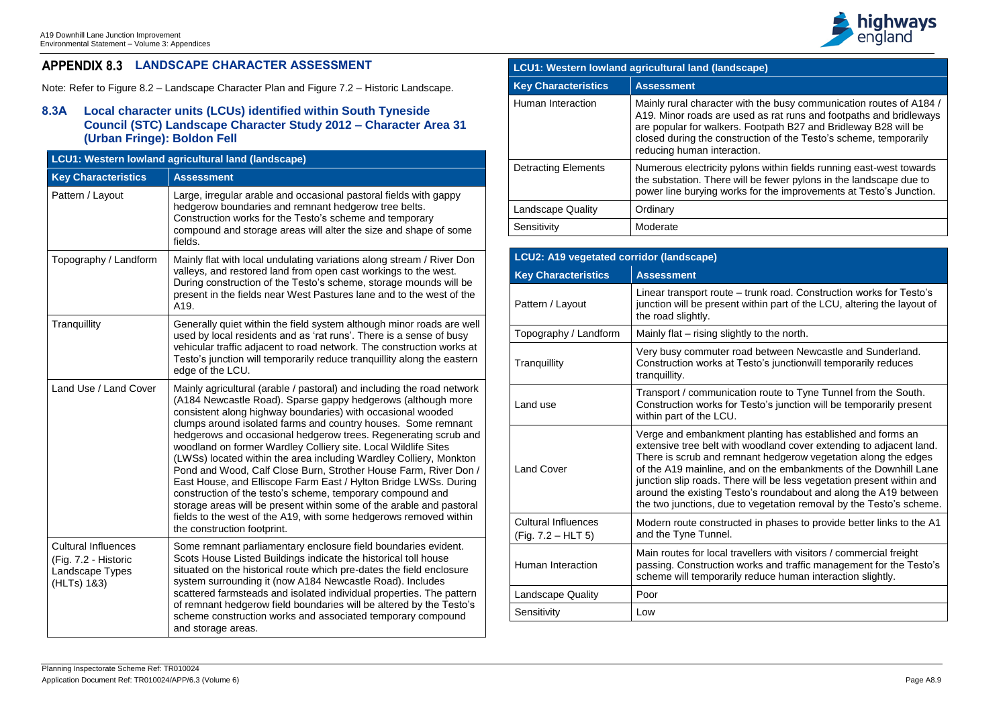

he busy communication routes of A184 / as rat runs and footpaths and bridleways tpath B27 and Bridleway B28 will be on of the Testo's scheme, temporarily

within fields running east-west towards fewer pylons in the landscape due to the improvements at Testo's Junction.

lk road. Construction works for Testo's in part of the LCU, altering the layout of

o the north.

vetween Newcastle and Sunderland.  $\delta$ 's junction will temporarily reduces

route to Tyne Tunnel from the South. to's junction will be temporarily present

anting has established and forms an dland cover extending to adjacent land. hedgerow vegetation along the edges the embankments of the Downhill Lane ill be less vegetation present within and roundabout and along the A19 between getation removal by the Testo's scheme.

n phases to provide better links to the A1

ers with visitors / commercial freight is and traffic management for the Testo's uce human interaction slightly.

# **LANDSCAPE CHARACTER ASSESSMENT**

Note: Refer to Figure 8.2 – Landscape Character Plan and Figure 7.2 – Historic Landscape.

# **8.3A Local character units (LCUs) identified within South Tyneside Council (STC) Landscape Character Study 2012 – Character Area 31 (Urban Fringe): Boldon Fell**

| LCU1: Western lowland agricultural land (landscape)                                  |                                                                                                                                                                                                                                                                                                                                                                                                                                                                                                                                                                                                                                                                                                                                                                                                                                                                     |  |
|--------------------------------------------------------------------------------------|---------------------------------------------------------------------------------------------------------------------------------------------------------------------------------------------------------------------------------------------------------------------------------------------------------------------------------------------------------------------------------------------------------------------------------------------------------------------------------------------------------------------------------------------------------------------------------------------------------------------------------------------------------------------------------------------------------------------------------------------------------------------------------------------------------------------------------------------------------------------|--|
| <b>Key Characteristics</b>                                                           | <b>Assessment</b>                                                                                                                                                                                                                                                                                                                                                                                                                                                                                                                                                                                                                                                                                                                                                                                                                                                   |  |
| Pattern / Layout                                                                     | Large, irregular arable and occasional pastoral fields with gappy<br>hedgerow boundaries and remnant hedgerow tree belts.<br>Construction works for the Testo's scheme and temporary<br>compound and storage areas will alter the size and shape of some<br>fields.                                                                                                                                                                                                                                                                                                                                                                                                                                                                                                                                                                                                 |  |
| Topography / Landform                                                                | Mainly flat with local undulating variations along stream / River Don<br>valleys, and restored land from open cast workings to the west.<br>During construction of the Testo's scheme, storage mounds will be<br>present in the fields near West Pastures lane and to the west of the<br>A <sub>19</sub> .                                                                                                                                                                                                                                                                                                                                                                                                                                                                                                                                                          |  |
| Tranquillity                                                                         | Generally quiet within the field system although minor roads are well<br>used by local residents and as 'rat runs'. There is a sense of busy<br>vehicular traffic adjacent to road network. The construction works at<br>Testo's junction will temporarily reduce tranquillity along the eastern<br>edge of the LCU.                                                                                                                                                                                                                                                                                                                                                                                                                                                                                                                                                |  |
| Land Use / Land Cover                                                                | Mainly agricultural (arable / pastoral) and including the road network<br>(A184 Newcastle Road). Sparse gappy hedgerows (although more<br>consistent along highway boundaries) with occasional wooded<br>clumps around isolated farms and country houses. Some remnant<br>hedgerows and occasional hedgerow trees. Regenerating scrub and<br>woodland on former Wardley Colliery site. Local Wildlife Sites<br>(LWSs) located within the area including Wardley Colliery, Monkton<br>Pond and Wood, Calf Close Burn, Strother House Farm, River Don /<br>East House, and Elliscope Farm East / Hylton Bridge LWSs. During<br>construction of the testo's scheme, temporary compound and<br>storage areas will be present within some of the arable and pastoral<br>fields to the west of the A19, with some hedgerows removed within<br>the construction footprint. |  |
| <b>Cultural Influences</b><br>(Fig. 7.2 - Historic<br>Landscape Types<br>(HLTs) 1&3) | Some remnant parliamentary enclosure field boundaries evident.<br>Scots House Listed Buildings indicate the historical toll house<br>situated on the historical route which pre-dates the field enclosure<br>system surrounding it (now A184 Newcastle Road). Includes<br>scattered farmsteads and isolated individual properties. The pattern<br>of remnant hedgerow field boundaries will be altered by the Testo's<br>scheme construction works and associated temporary compound<br>and storage areas.                                                                                                                                                                                                                                                                                                                                                          |  |

| LCU1: Western lowland agricultural land (landscape) |                                                                                                                                                                    |  |
|-----------------------------------------------------|--------------------------------------------------------------------------------------------------------------------------------------------------------------------|--|
| <b>Key Characteristics</b>                          | <b>Assessment</b>                                                                                                                                                  |  |
| Human Interaction                                   | Mainly rural character with the<br>A19. Minor roads are used as<br>are popular for walkers. Footp<br>closed during the construction<br>reducing human interaction. |  |
| <b>Detracting Elements</b>                          | Numerous electricity pylons w<br>the substation. There will be f<br>power line burying works for t                                                                 |  |
| <b>Landscape Quality</b>                            | Ordinary                                                                                                                                                           |  |
| Sensitivity                                         | Moderate                                                                                                                                                           |  |

| LCU2: A19 vegetated corridor (landscape)         |                                                                                                                                                                                                                      |  |  |
|--------------------------------------------------|----------------------------------------------------------------------------------------------------------------------------------------------------------------------------------------------------------------------|--|--|
| <b>Key Characteristics</b>                       | <b>Assessment</b>                                                                                                                                                                                                    |  |  |
| Pattern / Layout                                 | Linear transport route - trun<br>junction will be present with<br>the road slightly.                                                                                                                                 |  |  |
| Topography / Landform                            | Mainly flat – rising slightly to                                                                                                                                                                                     |  |  |
| Tranquillity                                     | Very busy commuter road b<br><b>Construction works at Testo</b><br>tranquillity.                                                                                                                                     |  |  |
| Land use                                         | Transport / communication<br>Construction works for Test<br>within part of the LCU.                                                                                                                                  |  |  |
| <b>Land Cover</b>                                | Verge and embankment pla<br>extensive tree belt with woo<br>There is scrub and remnant<br>of the A19 mainline, and on<br>junction slip roads. There w<br>around the existing Testo's<br>the two junctions, due to ve |  |  |
| <b>Cultural Influences</b><br>(Fig. 7.2 - HLT 5) | Modern route constructed in<br>and the Tyne Tunnel.                                                                                                                                                                  |  |  |
| <b>Human Interaction</b>                         | Main routes for local travelle<br>passing. Construction works<br>scheme will temporarily red                                                                                                                         |  |  |
| <b>Landscape Quality</b>                         | Poor                                                                                                                                                                                                                 |  |  |
| Sensitivity                                      | Low                                                                                                                                                                                                                  |  |  |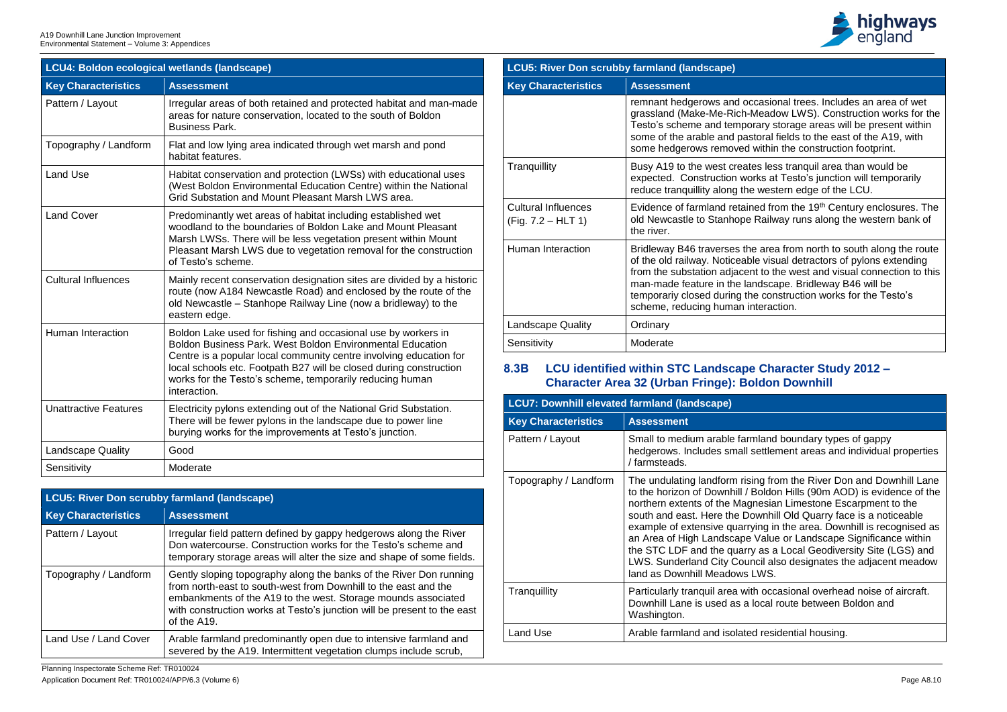Planning Inspectorate Scheme Ref: TR010024 Application Document Ref: TR010024/APP/6.3 (Volume 6) Page A8.10



rasional trees. Includes an area of wet leadow LWS). Construction works for the ary storage areas will be present within oral fields to the east of the A19, with vithin the construction footprint.

s less tranquil area than would be ks at Testo's junction will temporarily western edge of the LCU.

ed from the 19<sup>th</sup> Century enclosures. The Railway runs along the western bank of

area from north to south along the route visual detractors of pylons extending to the west and visual connection to this dscape. Bridleway B46 will be construction works for the Testo's eraction.

land boundary types of gappy ettlement areas and individual properties

Ing from the River Don and Downhill Lane oldon Hills (90m AOD) is evidence of the esian Limestone Escarpment to the wnhill Old Quarry face is a noticeable ing in the area. Downhill is recognised as Value or Landscape Significance within as a Local Geodiversity Site (LGS) and cil also designates the adjacent meadow WS.

occasional overhead noise of aircraft. ocal route between Boldon and

residential housing.

| LCU4: Boldon ecological wetlands (landscape) |                                                                                                                                                                                                                                                                                                                                                    |  |
|----------------------------------------------|----------------------------------------------------------------------------------------------------------------------------------------------------------------------------------------------------------------------------------------------------------------------------------------------------------------------------------------------------|--|
| <b>Key Characteristics</b>                   | <b>Assessment</b>                                                                                                                                                                                                                                                                                                                                  |  |
| Pattern / Layout                             | Irregular areas of both retained and protected habitat and man-made<br>areas for nature conservation, located to the south of Boldon<br><b>Business Park.</b>                                                                                                                                                                                      |  |
| Topography / Landform                        | Flat and low lying area indicated through wet marsh and pond<br>habitat features.                                                                                                                                                                                                                                                                  |  |
| <b>Land Use</b>                              | Habitat conservation and protection (LWSs) with educational uses<br>(West Boldon Environmental Education Centre) within the National<br>Grid Substation and Mount Pleasant Marsh LWS area.                                                                                                                                                         |  |
| <b>Land Cover</b>                            | Predominantly wet areas of habitat including established wet<br>woodland to the boundaries of Boldon Lake and Mount Pleasant<br>Marsh LWSs. There will be less vegetation present within Mount<br>Pleasant Marsh LWS due to vegetation removal for the construction<br>of Testo's scheme.                                                          |  |
| <b>Cultural Influences</b>                   | Mainly recent conservation designation sites are divided by a historic<br>route (now A184 Newcastle Road) and enclosed by the route of the<br>old Newcastle - Stanhope Railway Line (now a bridleway) to the<br>eastern edge.                                                                                                                      |  |
| <b>Human Interaction</b>                     | Boldon Lake used for fishing and occasional use by workers in<br>Boldon Business Park, West Boldon Environmental Education<br>Centre is a popular local community centre involving education for<br>local schools etc. Footpath B27 will be closed during construction<br>works for the Testo's scheme, temporarily reducing human<br>interaction. |  |
| <b>Unattractive Features</b>                 | Electricity pylons extending out of the National Grid Substation.<br>There will be fewer pylons in the landscape due to power line<br>burying works for the improvements at Testo's junction.                                                                                                                                                      |  |
| <b>Landscape Quality</b>                     | Good                                                                                                                                                                                                                                                                                                                                               |  |
| Sensitivity                                  | Moderate                                                                                                                                                                                                                                                                                                                                           |  |

| <b>LCU5: River Don scrubby farmland (landscape)</b> |                                                                                                                                                                                                                                                                                                  |  |  |
|-----------------------------------------------------|--------------------------------------------------------------------------------------------------------------------------------------------------------------------------------------------------------------------------------------------------------------------------------------------------|--|--|
| <b>Key Characteristics</b>                          | <b>Assessment</b>                                                                                                                                                                                                                                                                                |  |  |
| Pattern / Layout                                    | Irregular field pattern defined by gappy hedgerows along the River<br>Don watercourse. Construction works for the Testo's scheme and<br>temporary storage areas will alter the size and shape of some fields.                                                                                    |  |  |
| Topography / Landform                               | Gently sloping topography along the banks of the River Don running<br>from north-east to south-west from Downhill to the east and the<br>embankments of the A19 to the west. Storage mounds associated<br>with construction works at Testo's junction will be present to the east<br>of the A19. |  |  |
| Land Use / Land Cover                               | Arable farmland predominantly open due to intensive farmland and<br>severed by the A19. Intermittent vegetation clumps include scrub,                                                                                                                                                            |  |  |

| <b>LCU5: River Don scrubby farmland (landscape)</b> |                                                                                                                                                                                              |  |  |
|-----------------------------------------------------|----------------------------------------------------------------------------------------------------------------------------------------------------------------------------------------------|--|--|
| <b>Key Characteristics</b>                          | <b>Assessment</b>                                                                                                                                                                            |  |  |
|                                                     | remnant hedgerows and occa<br>grassland (Make-Me-Rich-Me<br>Testo's scheme and tempora<br>some of the arable and pasto<br>some hedgerows removed w                                           |  |  |
| Tranquillity                                        | Busy A19 to the west creates<br>expected. Construction work<br>reduce tranquillity along the v                                                                                               |  |  |
| <b>Cultural Influences</b><br>$(Fig. 7.2 - HLT 1)$  | Evidence of farmland retaine<br>old Newcastle to Stanhope R<br>the river.                                                                                                                    |  |  |
| Human Interaction                                   | Bridleway B46 traverses the<br>of the old railway. Noticeable<br>from the substation adjacent<br>man-made feature in the land<br>temporariy closed during the<br>scheme, reducing human inte |  |  |
| <b>Landscape Quality</b>                            | Ordinary                                                                                                                                                                                     |  |  |
| Sensitivity                                         | Moderate                                                                                                                                                                                     |  |  |

# **8.3B LCU identified within STC Landscape Character Study 2012 – Character Area 32 (Urban Fringe): Boldon Downhill**

| <b>LCU7: Downhill elevated farmland (landscape)</b> |                                                                                                                                                                                                                                                                                                     |  |  |
|-----------------------------------------------------|-----------------------------------------------------------------------------------------------------------------------------------------------------------------------------------------------------------------------------------------------------------------------------------------------------|--|--|
| <b>Key Characteristics</b>                          | <b>Assessment</b>                                                                                                                                                                                                                                                                                   |  |  |
| Pattern / Layout                                    | Small to medium arable farml<br>hedgerows. Includes small se<br>/ farmsteads.                                                                                                                                                                                                                       |  |  |
| Topography / Landform                               | The undulating landform risin<br>to the horizon of Downhill / Bo<br>northern extents of the Magne<br>south and east. Here the Dov<br>example of extensive quarryin<br>an Area of High Landscape V<br>the STC LDF and the quarry<br><b>LWS. Sunderland City Cound</b><br>land as Downhill Meadows L\ |  |  |
| Tranquillity                                        | Particularly tranquil area with<br>Downhill Lane is used as a lo<br>Washington.                                                                                                                                                                                                                     |  |  |
| <b>Land Use</b>                                     | Arable farmland and isolated                                                                                                                                                                                                                                                                        |  |  |
|                                                     |                                                                                                                                                                                                                                                                                                     |  |  |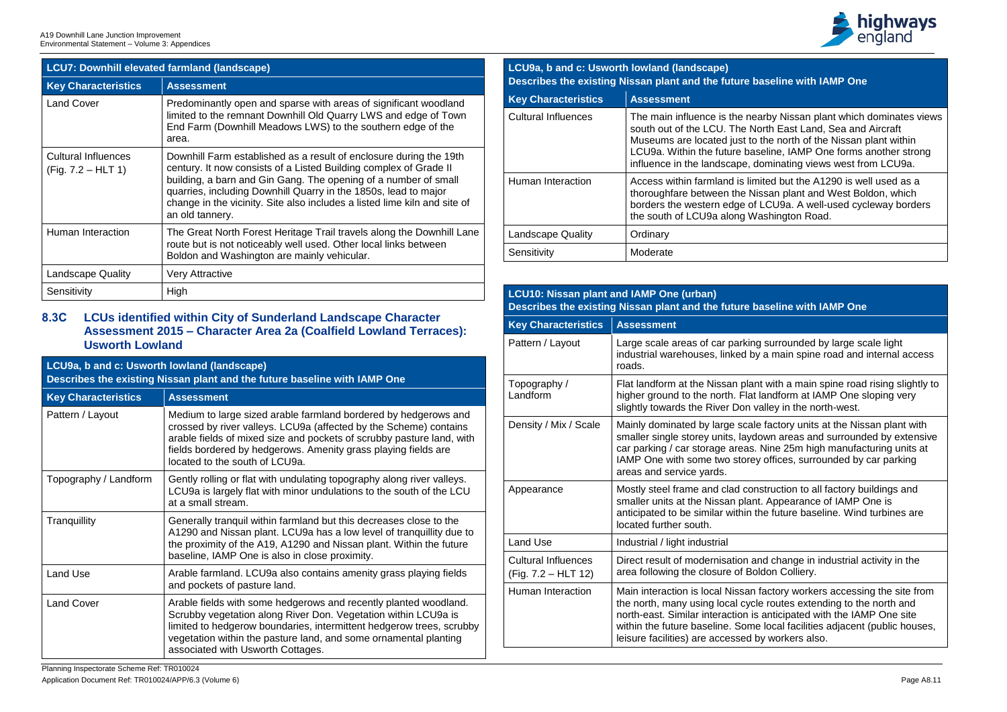

arby Nissan plant which dominates views orth East Land, Sea and Aircraft the north of the Nissan plant within seline, IAMP One forms another strong ominating views west from LCU9a.

ited but the A1290 is well used as a ssan plant and West Boldon, which LCU9a. A well-used cycleway borders ashington Road.

surrounded by large scale light a main spine road and internal access

It with a main spine road rising slightly to landform at IAMP One sloping very alley in the north-west.

factory units at the Nissan plant with own areas and surrounded by extensive Nine 25m high manufacturing units at offices, surrounded by car parking

apprearance Mostruction to all factory buildings and t. Appearance of IAMP One is he future baseline. Wind turbines are

nd change in industrial activity in the Idon Colliery.

factory workers accessing the site from e routes extending to the north and anticipated with the IAMP One site local facilities adjacent (public houses, ly workers also.

| <b>LCU7: Downhill elevated farmland (landscape)</b> |                                                                                                                                                                                                                                                                                                                                                                               |  |  |
|-----------------------------------------------------|-------------------------------------------------------------------------------------------------------------------------------------------------------------------------------------------------------------------------------------------------------------------------------------------------------------------------------------------------------------------------------|--|--|
| <b>Key Characteristics</b>                          | <b>Assessment</b>                                                                                                                                                                                                                                                                                                                                                             |  |  |
| <b>Land Cover</b>                                   | Predominantly open and sparse with areas of significant woodland<br>limited to the remnant Downhill Old Quarry LWS and edge of Town<br>End Farm (Downhill Meadows LWS) to the southern edge of the<br>area.                                                                                                                                                                   |  |  |
| <b>Cultural Influences</b><br>$(Fig. 7.2 - HLT 1)$  | Downhill Farm established as a result of enclosure during the 19th<br>century. It now consists of a Listed Building complex of Grade II<br>building, a barn and Gin Gang. The opening of a number of small<br>quarries, including Downhill Quarry in the 1850s, lead to major<br>change in the vicinity. Site also includes a listed lime kiln and site of<br>an old tannery. |  |  |
| Human Interaction                                   | The Great North Forest Heritage Trail travels along the Downhill Lane<br>route but is not noticeably well used. Other local links between<br>Boldon and Washington are mainly vehicular.                                                                                                                                                                                      |  |  |
| <b>Landscape Quality</b>                            | <b>Very Attractive</b>                                                                                                                                                                                                                                                                                                                                                        |  |  |
| Sensitivity                                         | High                                                                                                                                                                                                                                                                                                                                                                          |  |  |

# **8.3C LCUs identified within City of Sunderland Landscape Character Assessment 2015 – Character Area 2a (Coalfield Lowland Terraces): Usworth Lowland**

| LCU9a, b and c: Usworth lowland (landscape)<br>Describes the existing Nissan plant and the future baseline with IAMP One |                                                                                                                                                                                                                                                                                                                     |  |  |
|--------------------------------------------------------------------------------------------------------------------------|---------------------------------------------------------------------------------------------------------------------------------------------------------------------------------------------------------------------------------------------------------------------------------------------------------------------|--|--|
| <b>Key Characteristics</b>                                                                                               | <b>Assessment</b>                                                                                                                                                                                                                                                                                                   |  |  |
| Pattern / Layout                                                                                                         | Medium to large sized arable farmland bordered by hedgerows and<br>crossed by river valleys. LCU9a (affected by the Scheme) contains<br>arable fields of mixed size and pockets of scrubby pasture land, with<br>fields bordered by hedgerows. Amenity grass playing fields are<br>located to the south of LCU9a.   |  |  |
| Topography / Landform                                                                                                    | Gently rolling or flat with undulating topography along river valleys.<br>LCU9a is largely flat with minor undulations to the south of the LCU<br>at a small stream.                                                                                                                                                |  |  |
| Tranquillity                                                                                                             | Generally tranquil within farmland but this decreases close to the<br>A1290 and Nissan plant. LCU9a has a low level of tranquillity due to<br>the proximity of the A19, A1290 and Nissan plant. Within the future<br>baseline, IAMP One is also in close proximity.                                                 |  |  |
| <b>Land Use</b>                                                                                                          | Arable farmland. LCU9a also contains amenity grass playing fields<br>and pockets of pasture land.                                                                                                                                                                                                                   |  |  |
| <b>Land Cover</b>                                                                                                        | Arable fields with some hedgerows and recently planted woodland.<br>Scrubby vegetation along River Don. Vegetation within LCU9a is<br>limited to hedgerow boundaries, intermittent hedgerow trees, scrubby<br>vegetation within the pasture land, and some ornamental planting<br>associated with Usworth Cottages. |  |  |

# **LCU9a, b and c: Usworth lowland (landscape) Describes the existing Nissan plant and the future baseline with IAMP One**

| <b>Key Characteristics</b> | <b>Assessment</b>                                                                                                                                               |
|----------------------------|-----------------------------------------------------------------------------------------------------------------------------------------------------------------|
| <b>Cultural Influences</b> | The main influence is the near<br>south out of the LCU. The No<br>Museums are located just to<br>LCU9a. Within the future bas<br>influence in the landscape, do |
| <b>Human Interaction</b>   | Access within farmland is lim<br>thoroughfare between the Nist<br>borders the western edge of<br>the south of LCU9a along Wa                                    |
| <b>Landscape Quality</b>   | Ordinary                                                                                                                                                        |
| Sensitivity                | Moderate                                                                                                                                                        |

# **LCU10: Nissan plant and IAMP One (urban) Describes the existing Nissan plant and the future baseline with IAMP One**

| <b>Key Characteristics</b>                        | <b>Assessment</b>                                                                                                                                                                       |
|---------------------------------------------------|-----------------------------------------------------------------------------------------------------------------------------------------------------------------------------------------|
| Pattern / Layout                                  | Large scale areas of car parking<br>industrial warehouses, linked by<br>roads.                                                                                                          |
| Topography /<br>Landform                          | Flat landform at the Nissan plant<br>higher ground to the north. Flat I<br>slightly towards the River Don va                                                                            |
| Density / Mix / Scale                             | Mainly dominated by large scale<br>smaller single storey units, laydo<br>car parking / car storage areas.<br>IAMP One with some two storey<br>areas and service yards.                  |
| Appearance                                        | Mostly steel frame and clad cons<br>smaller units at the Nissan plant<br>anticipated to be similar within th<br>located further south.                                                  |
| <b>Land Use</b>                                   | Industrial / light industrial                                                                                                                                                           |
| <b>Cultural Influences</b><br>(Fig. 7.2 - HLT 12) | Direct result of modernisation ar<br>area following the closure of Bol                                                                                                                  |
| <b>Human Interaction</b>                          | Main interaction is local Nissan f<br>the north, many using local cycle<br>north-east. Similar interaction is<br>within the future baseline. Some<br>leisure facilities) are accessed b |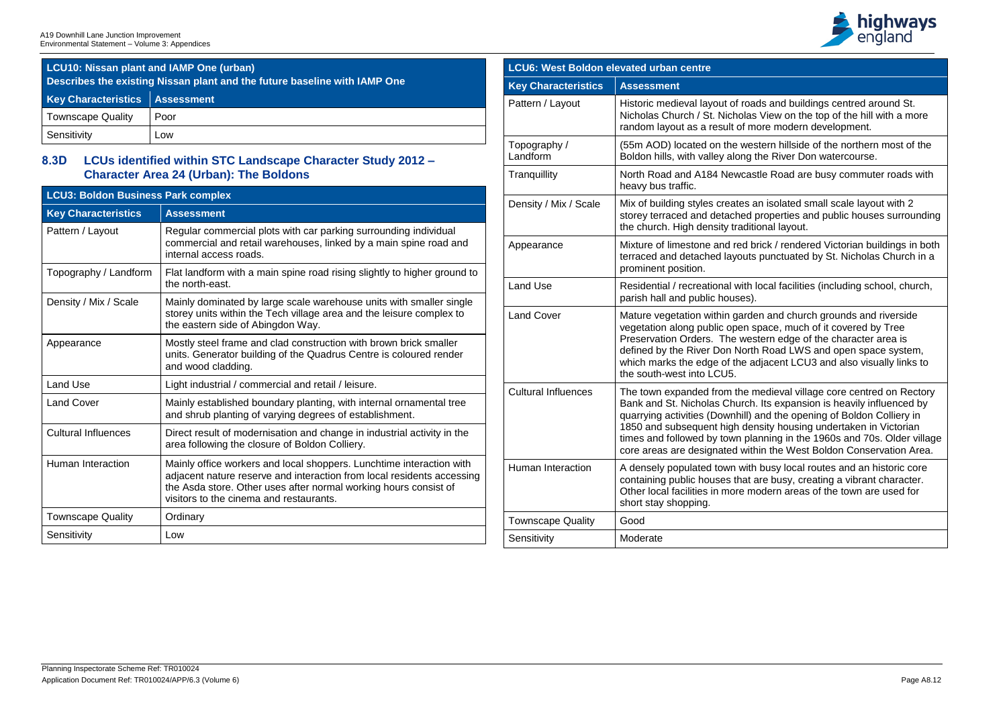

Is and buildings centred around St. View on the top of the hill with a more ore modern development.

tern hillside of the northern most of the he River Don watercourse.

tle Road are busy commuter roads with

n isolated small scale layout with 2 properties and public houses surrounding onal layout.

rick / rendered Victorian buildings in both punctuated by St. Nicholas Church in a

ocal facilities (including school, church,

In and church grounds and riverside wetted in all covered by Tree ern edge of the character area is Road LWS and open space system, diacent LCU3 and also visually links to

nedieval village core centred on Rectory Its expansion is heavily influenced by and the opening of Boldon Colliery in 1860 and sity housing undertaken in Victorian nning in the 1960s and 70s. Older village in the West Boldon Conservation Area.

busy local routes and an historic core are busy, creating a vibrant character. odern areas of the town are used for

| <b>LCU10: Nissan plant and IAMP One (urban)</b><br>Describes the existing Nissan plant and the future baseline with IAMP One |      |  |  |
|------------------------------------------------------------------------------------------------------------------------------|------|--|--|
| <b>Key Characteristics   Assessment</b>                                                                                      |      |  |  |
| <b>Townscape Quality</b>                                                                                                     | Poor |  |  |
| Sensitivity                                                                                                                  | Low  |  |  |

# **8.3D LCUs identified within STC Landscape Character Study 2012 – Character Area 24 (Urban): The Boldons**

| <b>LCU3: Boldon Business Park complex</b> |                                                                                                                                                                                                                                                               |  |  |
|-------------------------------------------|---------------------------------------------------------------------------------------------------------------------------------------------------------------------------------------------------------------------------------------------------------------|--|--|
| <b>Key Characteristics</b>                | <b>Assessment</b>                                                                                                                                                                                                                                             |  |  |
| Pattern / Layout                          | Regular commercial plots with car parking surrounding individual<br>commercial and retail warehouses, linked by a main spine road and<br>internal access roads.                                                                                               |  |  |
| Topography / Landform                     | Flat landform with a main spine road rising slightly to higher ground to<br>the north-east.                                                                                                                                                                   |  |  |
| Density / Mix / Scale                     | Mainly dominated by large scale warehouse units with smaller single<br>storey units within the Tech village area and the leisure complex to<br>the eastern side of Abingdon Way.                                                                              |  |  |
| Appearance                                | Mostly steel frame and clad construction with brown brick smaller<br>units. Generator building of the Quadrus Centre is coloured render<br>and wood cladding.                                                                                                 |  |  |
| <b>Land Use</b>                           | Light industrial / commercial and retail / leisure.                                                                                                                                                                                                           |  |  |
| <b>Land Cover</b>                         | Mainly established boundary planting, with internal ornamental tree<br>and shrub planting of varying degrees of establishment.                                                                                                                                |  |  |
| <b>Cultural Influences</b>                | Direct result of modernisation and change in industrial activity in the<br>area following the closure of Boldon Colliery.                                                                                                                                     |  |  |
| Human Interaction                         | Mainly office workers and local shoppers. Lunchtime interaction with<br>adjacent nature reserve and interaction from local residents accessing<br>the Asda store. Other uses after normal working hours consist of<br>visitors to the cinema and restaurants. |  |  |
| <b>Townscape Quality</b>                  | Ordinary                                                                                                                                                                                                                                                      |  |  |
| Sensitivity                               | Low                                                                                                                                                                                                                                                           |  |  |

| LCU6: West Boldon elevated urban centre |                                                                                                                                                                                                          |  |
|-----------------------------------------|----------------------------------------------------------------------------------------------------------------------------------------------------------------------------------------------------------|--|
| <b>Key Characteristics</b>              | <b>Assessment</b>                                                                                                                                                                                        |  |
| Pattern / Layout                        | Historic medieval layout of road<br>Nicholas Church / St. Nicholas<br>random layout as a result of mo                                                                                                    |  |
| Topography /<br>Landform                | (55m AOD) located on the west<br>Boldon hills, with valley along th                                                                                                                                      |  |
| Tranquillity                            | North Road and A184 Newcast<br>heavy bus traffic.                                                                                                                                                        |  |
| Density / Mix / Scale                   | Mix of building styles creates are<br>storey terraced and detached p<br>the church. High density traditic                                                                                                |  |
| Appearance                              | Mixture of limestone and red br<br>terraced and detached layouts<br>prominent position.                                                                                                                  |  |
| <b>Land Use</b>                         | Residential / recreational with Id<br>parish hall and public houses).                                                                                                                                    |  |
| <b>Land Cover</b>                       | Mature vegetation within garder<br>vegetation along public open sp<br>Preservation Orders. The west<br>defined by the River Don North<br>which marks the edge of the ad<br>the south-west into LCU5.     |  |
| <b>Cultural Influences</b>              | The town expanded from the m<br>Bank and St. Nicholas Church.<br>quarrying activities (Downhill) a<br>1850 and subsequent high den<br>times and followed by town plar<br>core areas are designated withi |  |
| <b>Human Interaction</b>                | A densely populated town with<br>containing public houses that a<br>Other local facilities in more mo<br>short stay shopping.                                                                            |  |
| <b>Townscape Quality</b>                | Good                                                                                                                                                                                                     |  |
| Sensitivity                             | Moderate                                                                                                                                                                                                 |  |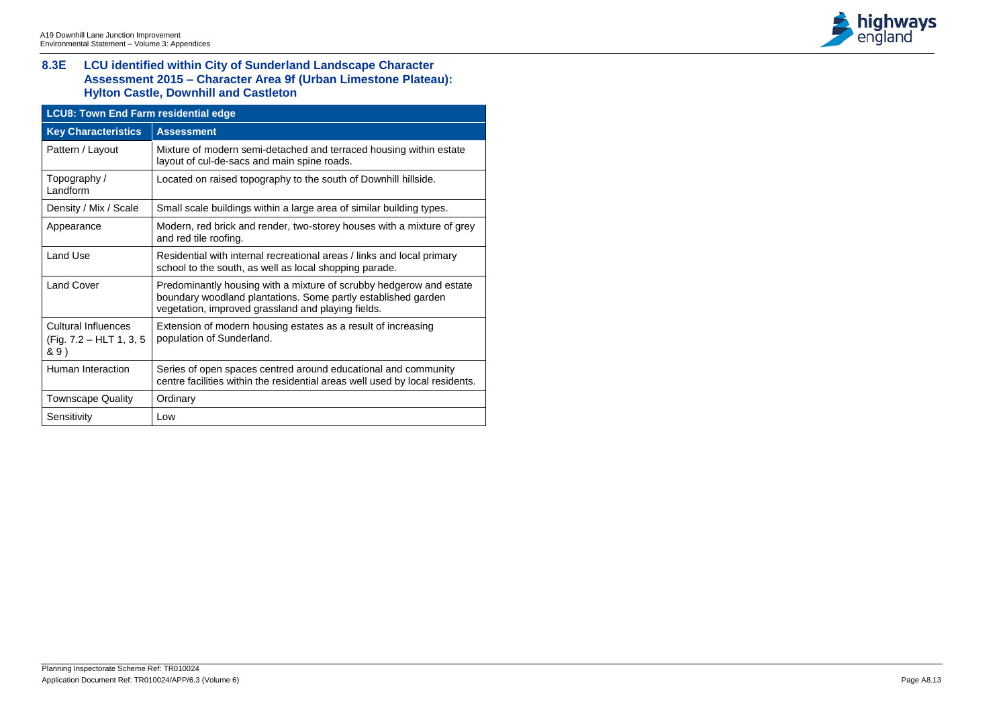# **8.3E LCU identified within City of Sunderland Landscape Character Assessment 2015 – Character Area 9f (Urban Limestone Plateau): Hylton Castle, Downhill and Castleton**

| <b>LCU8: Town End Farm residential edge</b>                   |                                                                                                                                                                                            |  |  |
|---------------------------------------------------------------|--------------------------------------------------------------------------------------------------------------------------------------------------------------------------------------------|--|--|
| <b>Key Characteristics</b>                                    | <b>Assessment</b>                                                                                                                                                                          |  |  |
| Pattern / Layout                                              | Mixture of modern semi-detached and terraced housing within estate<br>layout of cul-de-sacs and main spine roads.                                                                          |  |  |
| Topography /<br>Landform                                      | Located on raised topography to the south of Downhill hillside.                                                                                                                            |  |  |
| Density / Mix / Scale                                         | Small scale buildings within a large area of similar building types.                                                                                                                       |  |  |
| Appearance                                                    | Modern, red brick and render, two-storey houses with a mixture of grey<br>and red tile roofing.                                                                                            |  |  |
| <b>Land Use</b>                                               | Residential with internal recreational areas / links and local primary<br>school to the south, as well as local shopping parade.                                                           |  |  |
| <b>Land Cover</b>                                             | Predominantly housing with a mixture of scrubby hedgerow and estate<br>boundary woodland plantations. Some partly established garden<br>vegetation, improved grassland and playing fields. |  |  |
| <b>Cultural Influences</b><br>(Fig. 7.2 – HLT 1, 3, 5<br>& 9) | Extension of modern housing estates as a result of increasing<br>population of Sunderland.                                                                                                 |  |  |
| <b>Human Interaction</b>                                      | Series of open spaces centred around educational and community<br>centre facilities within the residential areas well used by local residents.                                             |  |  |
| <b>Townscape Quality</b>                                      | Ordinary                                                                                                                                                                                   |  |  |
| Sensitivity                                                   | Low                                                                                                                                                                                        |  |  |

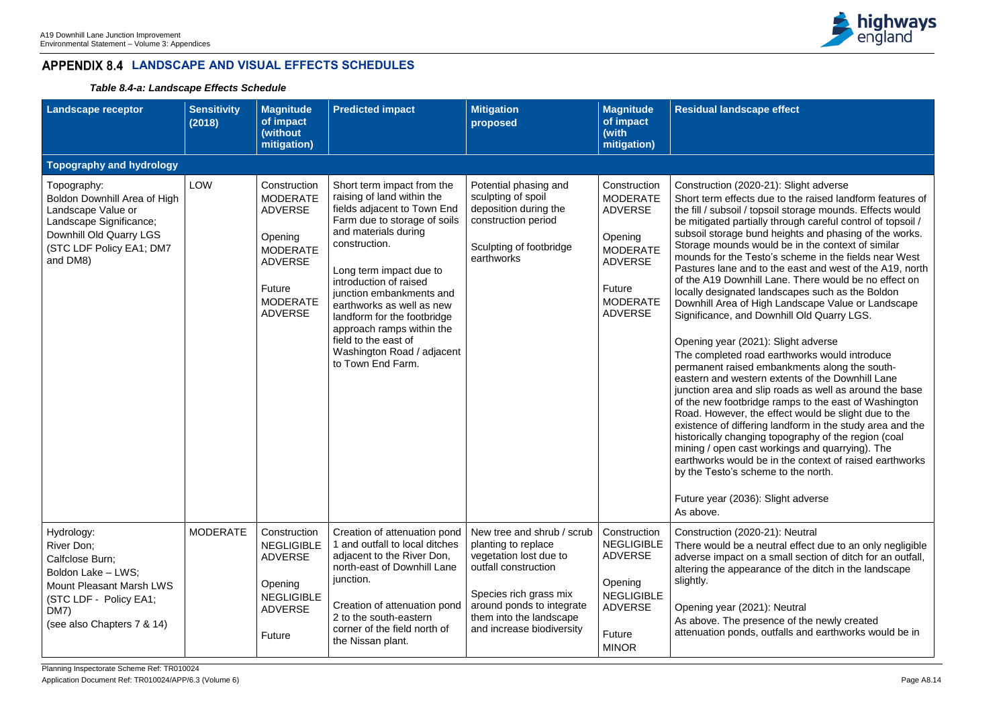

## **Residue**

## e-21): Slight adverse

due to the raised landform features of psoil storage mounds. Effects would lly through careful control of topsoil / nd heights and phasing of the works. ould be in the context of similar sto's scheme in the fields near West to the east and west of the A19, north Lane. There would be no effect on landscapes such as the Boldon ligh Landscape Value or Landscape **Oownhill Old Quarry LGS.** 

## 21): Slight adverse

ad earthworks would introduce embankments along the southrn extents of the Downhill Lane slip roads as well as around the base lge ramps to the east of Washington e effect would be slight due to the ig landform in the study area and the ng topography of the region (coal workings and quarrying). The e in the context of raised earthworks **by** the north.

## Slight adverse

Construction (21): Neutral neutral effect due to an only negligible a small section of ditch for an outfall, rance of the ditch in the landscape

## 21): Neutral

sence of the newly created outfalls and earthworks would be in

# **LANDSCAPE AND VISUAL EFFECTS SCHEDULES**

*Table 8.4-a: Landscape Effects Schedule* 

| <b>Landscape receptor</b>                                                                                                                                            | <b>Sensitivity</b><br>(2018) | <b>Magnitude</b><br>of impact<br>(without<br>mitigation)                                                                                         | <b>Predicted impact</b>                                                                                                                                                                                                                                                                                                                                                                                               | <b>Mitigation</b><br>proposed                                                                                                                                                                                      | <b>Magnitude</b><br>of impact<br>(with<br>mitigation)                                                                                            | <b>Residual landscap</b>                                                                                                                                                                                                                                                                                                                                                                                                                                                                                                                                                                             |
|----------------------------------------------------------------------------------------------------------------------------------------------------------------------|------------------------------|--------------------------------------------------------------------------------------------------------------------------------------------------|-----------------------------------------------------------------------------------------------------------------------------------------------------------------------------------------------------------------------------------------------------------------------------------------------------------------------------------------------------------------------------------------------------------------------|--------------------------------------------------------------------------------------------------------------------------------------------------------------------------------------------------------------------|--------------------------------------------------------------------------------------------------------------------------------------------------|------------------------------------------------------------------------------------------------------------------------------------------------------------------------------------------------------------------------------------------------------------------------------------------------------------------------------------------------------------------------------------------------------------------------------------------------------------------------------------------------------------------------------------------------------------------------------------------------------|
| Topography and hydrology                                                                                                                                             |                              |                                                                                                                                                  |                                                                                                                                                                                                                                                                                                                                                                                                                       |                                                                                                                                                                                                                    |                                                                                                                                                  |                                                                                                                                                                                                                                                                                                                                                                                                                                                                                                                                                                                                      |
| Topography:<br>Boldon Downhill Area of High<br>Landscape Value or<br>Landscape Significance;<br>Downhill Old Quarry LGS<br>(STC LDF Policy EA1; DM7<br>and DM8)      | <b>LOW</b>                   | Construction<br><b>MODERATE</b><br><b>ADVERSE</b><br>Opening<br><b>MODERATE</b><br><b>ADVERSE</b><br>Future<br><b>MODERATE</b><br><b>ADVERSE</b> | Short term impact from the<br>raising of land within the<br>fields adjacent to Town End<br>Farm due to storage of soils<br>and materials during<br>construction.<br>Long term impact due to<br>introduction of raised<br>junction embankments and<br>earthworks as well as new<br>landform for the footbridge<br>approach ramps within the<br>field to the east of<br>Washington Road / adjacent<br>to Town End Farm. | Potential phasing and<br>sculpting of spoil<br>deposition during the<br>construction period<br>Sculpting of footbridge<br>earthworks                                                                               | Construction<br><b>MODERATE</b><br><b>ADVERSE</b><br>Opening<br><b>MODERATE</b><br><b>ADVERSE</b><br>Future<br><b>MODERATE</b><br><b>ADVERSE</b> | Construction (2020<br>Short term effects o<br>the fill / subsoil / top<br>be mitigated partial<br>subsoil storage bur<br>Storage mounds w<br>mounds for the Tes<br>Pastures lane and<br>of the A19 Downhil<br>locally designated I<br>Downhill Area of Hi<br>Significance, and D<br>Opening year (202<br>The completed road<br>permanent raised e<br>eastern and wester<br>junction area and s<br>of the new footbridg<br>Road. However, the<br>existence of differir<br>historically changin<br>mining / open cast<br>earthworks would b<br>by the Testo's sche<br>Future year (2036):<br>As above. |
| Hydrology:<br>River Don;<br>Calfclose Burn;<br>Boldon Lake - LWS;<br><b>Mount Pleasant Marsh LWS</b><br>(STC LDF - Policy EA1;<br>DM7)<br>(see also Chapters 7 & 14) | <b>MODERATE</b>              | Construction<br><b>NEGLIGIBLE</b><br><b>ADVERSE</b><br>Opening<br><b>NEGLIGIBLE</b><br><b>ADVERSE</b><br>Future                                  | Creation of attenuation pond<br>1 and outfall to local ditches<br>adjacent to the River Don,<br>north-east of Downhill Lane<br>junction.<br>Creation of attenuation pond<br>2 to the south-eastern<br>corner of the field north of<br>the Nissan plant.                                                                                                                                                               | New tree and shrub / scrub<br>planting to replace<br>vegetation lost due to<br>outfall construction<br>Species rich grass mix<br>around ponds to integrate<br>them into the landscape<br>and increase biodiversity | Construction<br><b>NEGLIGIBLE</b><br><b>ADVERSE</b><br>Opening<br><b>NEGLIGIBLE</b><br><b>ADVERSE</b><br>Future<br><b>MINOR</b>                  | Construction (2020<br>There would be a n<br>adverse impact on<br>altering the appear<br>slightly.<br>Opening year (202<br>As above. The pres<br>attenuation ponds,                                                                                                                                                                                                                                                                                                                                                                                                                                   |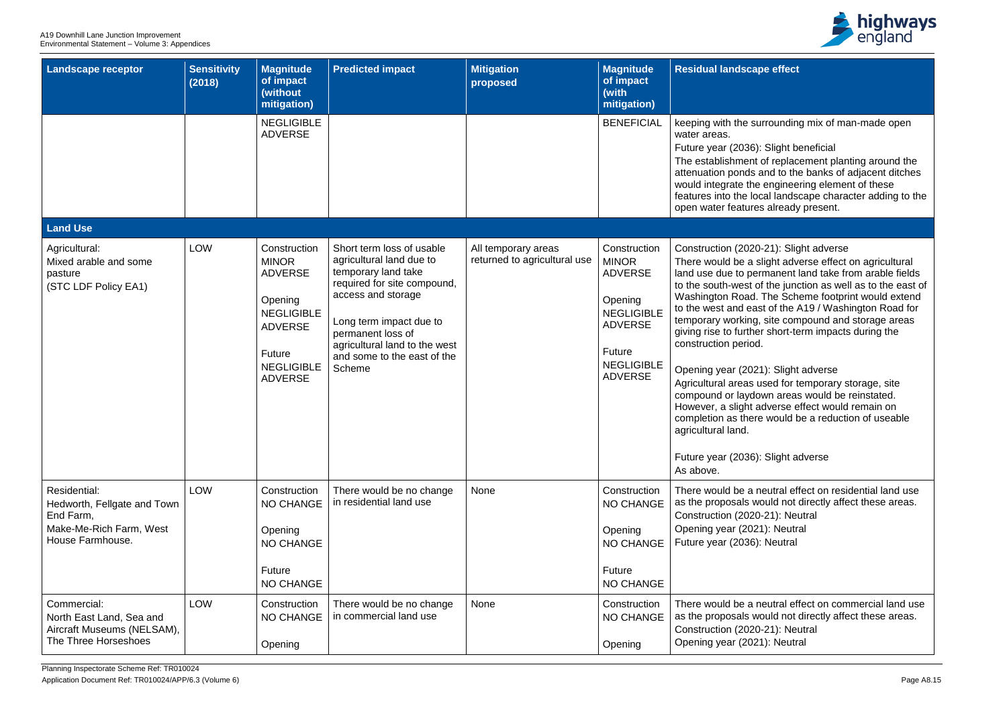A19 Downhill Lane Junction Improvement Environmental Statement – Volume 3: Appendices

| <b>Landscape receptor</b>                                                                               | <b>Sensitivity</b><br>(2018) | <b>Magnitude</b><br>of impact<br>(without<br>mitigation)                                                                                          | <b>Predicted impact</b>                                                                                                                                                                                                                                     | <b>Mitigation</b><br>proposed                       | <b>Magnitude</b><br>of impact<br>(with<br>mitigation)                                                                                             | <b>Residual landscape</b>                                                                                                                                                                                                                                                                                                                                                                            |
|---------------------------------------------------------------------------------------------------------|------------------------------|---------------------------------------------------------------------------------------------------------------------------------------------------|-------------------------------------------------------------------------------------------------------------------------------------------------------------------------------------------------------------------------------------------------------------|-----------------------------------------------------|---------------------------------------------------------------------------------------------------------------------------------------------------|------------------------------------------------------------------------------------------------------------------------------------------------------------------------------------------------------------------------------------------------------------------------------------------------------------------------------------------------------------------------------------------------------|
|                                                                                                         |                              | <b>NEGLIGIBLE</b><br><b>ADVERSE</b>                                                                                                               |                                                                                                                                                                                                                                                             |                                                     | <b>BENEFICIAL</b>                                                                                                                                 | keeping with the sur<br>water areas.<br>Future year (2036):<br>The establishment o<br>attenuation ponds a<br>would integrate the<br>features into the loca<br>open water features                                                                                                                                                                                                                    |
| <b>Land Use</b>                                                                                         |                              |                                                                                                                                                   |                                                                                                                                                                                                                                                             |                                                     |                                                                                                                                                   |                                                                                                                                                                                                                                                                                                                                                                                                      |
| Agricultural:<br>Mixed arable and some<br>pasture<br>(STC LDF Policy EA1)                               | <b>LOW</b>                   | Construction<br><b>MINOR</b><br><b>ADVERSE</b><br>Opening<br><b>NEGLIGIBLE</b><br><b>ADVERSE</b><br>Future<br><b>NEGLIGIBLE</b><br><b>ADVERSE</b> | Short term loss of usable<br>agricultural land due to<br>temporary land take<br>required for site compound,<br>access and storage<br>Long term impact due to<br>permanent loss of<br>agricultural land to the west<br>and some to the east of the<br>Scheme | All temporary areas<br>returned to agricultural use | Construction<br><b>MINOR</b><br><b>ADVERSE</b><br>Opening<br><b>NEGLIGIBLE</b><br><b>ADVERSE</b><br>Future<br><b>NEGLIGIBLE</b><br><b>ADVERSE</b> | Construction (2020-2<br>There would be a sli<br>land use due to pern<br>to the south-west of<br>Washington Road. T<br>to the west and east<br>temporary working,<br>giving rise to further<br>construction period.<br>Opening year (2021)<br>Agricultural areas us<br>compound or laydow<br>However, a slight ad<br>completion as there<br>agricultural land.<br>Future year $(2036)$ :<br>As above. |
| Residential:<br>Hedworth, Fellgate and Town<br>End Farm,<br>Make-Me-Rich Farm, West<br>House Farmhouse. | <b>LOW</b>                   | Construction<br><b>NO CHANGE</b><br>Opening<br><b>NO CHANGE</b><br>Future<br><b>NO CHANGE</b>                                                     | There would be no change<br>in residential land use                                                                                                                                                                                                         | None                                                | Construction<br>NO CHANGE<br>Opening<br><b>NO CHANGE</b><br>Future<br>NO CHANGE                                                                   | There would be a ne<br>as the proposals wo<br>Construction (2020-2<br>Opening year (2021)<br>Future year (2036):                                                                                                                                                                                                                                                                                     |
| Commercial:<br>North East Land, Sea and<br>Aircraft Museums (NELSAM),<br>The Three Horseshoes           | <b>LOW</b>                   | Construction<br><b>NO CHANGE</b><br>Opening                                                                                                       | There would be no change<br>in commercial land use                                                                                                                                                                                                          | <b>None</b>                                         | Construction<br>NO CHANGE<br>Opening                                                                                                              | There would be a ne<br>as the proposals wo<br>Construction (2020-2<br>Opening year (2021)                                                                                                                                                                                                                                                                                                            |



# **Resident**

#### arrounding mix of man-made open

#### Slight beneficial

of replacement planting around the and to the banks of adjacent ditches engineering element of these cal landscape character adding to the es already present.

# 0-21): Slight adverse

slight adverse effect on agricultural rmanent land take from arable fields of the junction as well as to the east of The Scheme footprint would extend ist of the A19 / Washington Road for site compound and storage areas er short-term impacts during the

## 21): Slight adverse

used for temporary storage, site own areas would be reinstated. adverse effect would remain on e would be a reduction of useable

Slight adverse

neutral effect on residential land use vould not directly affect these areas. e-21): Neutral 21): Neutral **Neutral** 

neutral effect on commercial land use vould not directly affect these areas. Construction (21): Neutral 21): Neutral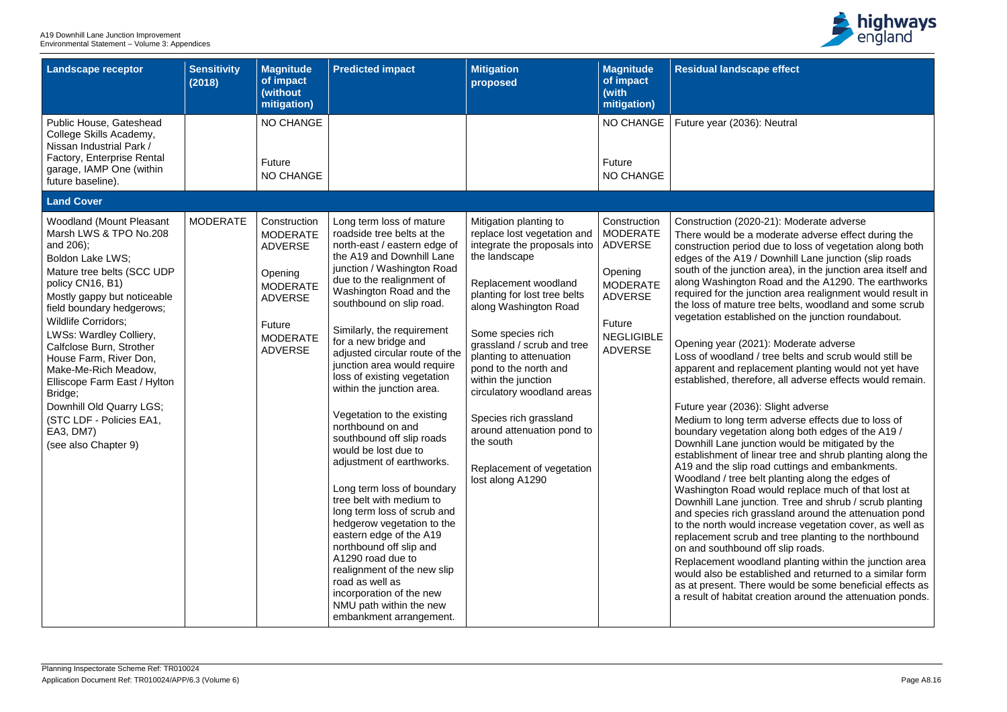

#### **e** effect

#### **Neutral**

#### -21): Moderate adverse

noderate adverse effect during the due to loss of vegetation along both Downhill Lane junction (slip roads n area), in the junction area itself and Road and the A1290. The earthworks ction area realignment would result in ree belts, woodland and some scrub ned on the junction roundabout.

#### 1): Moderate adverse

tree belts and scrub would still be cement planting would not yet have ore, all adverse effects would remain.

## Slight adverse

m adverse effects due to loss of In along both edges of the A19  $/$ tion would be mitigated by the ear tree and shrub planting along the ad cuttings and embankments. It planting along the edges of would replace much of that lost at tion. Tree and shrub / scrub planting assland around the attenuation pond ncrease vegetation cover, as well as and tree planting to the northbound off slip roads.

Iland planting within the junction area blished and returned to a similar form e would be some beneficial effects as reation around the attenuation ponds.

| <b>Landscape receptor</b>                                                                                                                                                                                                                                                                                                                                                                                                                                                               | <b>Sensitivity</b><br>(2018) | <b>Magnitude</b><br>of impact<br>(without<br>mitigation)                                                                                         | <b>Predicted impact</b>                                                                                                                                                                                                                                                                                                                                                                                                                                                                                                                                                                                                                                                                                                                                                                                                                                                                             | <b>Mitigation</b><br>proposed                                                                                                                                                                                                                                                                                                                                                                                                                                             | <b>Magnitude</b><br>of impact<br>(with<br>mitigation)                                                                                              | <b>Residual landscap</b>                                                                                                                                                                                                                                                                                                                                                                                                                                                                                                                                                                                                                                                                                              |
|-----------------------------------------------------------------------------------------------------------------------------------------------------------------------------------------------------------------------------------------------------------------------------------------------------------------------------------------------------------------------------------------------------------------------------------------------------------------------------------------|------------------------------|--------------------------------------------------------------------------------------------------------------------------------------------------|-----------------------------------------------------------------------------------------------------------------------------------------------------------------------------------------------------------------------------------------------------------------------------------------------------------------------------------------------------------------------------------------------------------------------------------------------------------------------------------------------------------------------------------------------------------------------------------------------------------------------------------------------------------------------------------------------------------------------------------------------------------------------------------------------------------------------------------------------------------------------------------------------------|---------------------------------------------------------------------------------------------------------------------------------------------------------------------------------------------------------------------------------------------------------------------------------------------------------------------------------------------------------------------------------------------------------------------------------------------------------------------------|----------------------------------------------------------------------------------------------------------------------------------------------------|-----------------------------------------------------------------------------------------------------------------------------------------------------------------------------------------------------------------------------------------------------------------------------------------------------------------------------------------------------------------------------------------------------------------------------------------------------------------------------------------------------------------------------------------------------------------------------------------------------------------------------------------------------------------------------------------------------------------------|
| Public House, Gateshead<br>College Skills Academy,<br>Nissan Industrial Park /<br>Factory, Enterprise Rental<br>garage, IAMP One (within<br>future baseline).                                                                                                                                                                                                                                                                                                                           |                              | <b>NO CHANGE</b><br>Future<br><b>NO CHANGE</b>                                                                                                   |                                                                                                                                                                                                                                                                                                                                                                                                                                                                                                                                                                                                                                                                                                                                                                                                                                                                                                     |                                                                                                                                                                                                                                                                                                                                                                                                                                                                           | NO CHANGE<br>Future<br><b>NO CHANGE</b>                                                                                                            | Future year (2036):                                                                                                                                                                                                                                                                                                                                                                                                                                                                                                                                                                                                                                                                                                   |
| <b>Land Cover</b>                                                                                                                                                                                                                                                                                                                                                                                                                                                                       |                              |                                                                                                                                                  |                                                                                                                                                                                                                                                                                                                                                                                                                                                                                                                                                                                                                                                                                                                                                                                                                                                                                                     |                                                                                                                                                                                                                                                                                                                                                                                                                                                                           |                                                                                                                                                    |                                                                                                                                                                                                                                                                                                                                                                                                                                                                                                                                                                                                                                                                                                                       |
| <b>Woodland (Mount Pleasant</b><br>Marsh LWS & TPO No.208<br>and 206);<br>Boldon Lake LWS;<br>Mature tree belts (SCC UDP<br>policy CN16, B1)<br>Mostly gappy but noticeable<br>field boundary hedgerows;<br><b>Wildlife Corridors;</b><br>LWSs: Wardley Colliery,<br>Calfclose Burn, Strother<br>House Farm, River Don,<br>Make-Me-Rich Meadow,<br>Elliscope Farm East / Hylton<br>Bridge;<br>Downhill Old Quarry LGS;<br>(STC LDF - Policies EA1,<br>EA3, DM7)<br>(see also Chapter 9) | <b>MODERATE</b>              | Construction<br><b>MODERATE</b><br><b>ADVERSE</b><br>Opening<br><b>MODERATE</b><br><b>ADVERSE</b><br>Future<br><b>MODERATE</b><br><b>ADVERSE</b> | Long term loss of mature<br>roadside tree belts at the<br>north-east / eastern edge of<br>the A19 and Downhill Lane<br>junction / Washington Road<br>due to the realignment of<br>Washington Road and the<br>southbound on slip road.<br>Similarly, the requirement<br>for a new bridge and<br>adjusted circular route of the<br>junction area would require<br>loss of existing vegetation<br>within the junction area.<br>Vegetation to the existing<br>northbound on and<br>southbound off slip roads<br>would be lost due to<br>adjustment of earthworks.<br>Long term loss of boundary<br>tree belt with medium to<br>long term loss of scrub and<br>hedgerow vegetation to the<br>eastern edge of the A19<br>northbound off slip and<br>A1290 road due to<br>realignment of the new slip<br>road as well as<br>incorporation of the new<br>NMU path within the new<br>embankment arrangement. | Mitigation planting to<br>replace lost vegetation and<br>integrate the proposals into<br>the landscape<br>Replacement woodland<br>planting for lost tree belts<br>along Washington Road<br>Some species rich<br>grassland / scrub and tree<br>planting to attenuation<br>pond to the north and<br>within the junction<br>circulatory woodland areas<br>Species rich grassland<br>around attenuation pond to<br>the south<br>Replacement of vegetation<br>lost along A1290 | Construction<br><b>MODERATE</b><br><b>ADVERSE</b><br>Opening<br><b>MODERATE</b><br><b>ADVERSE</b><br>Future<br><b>NEGLIGIBLE</b><br><b>ADVERSE</b> | Construction (2020-<br>There would be a m<br>construction period<br>edges of the A19 / I<br>south of the junction<br>along Washington F<br>required for the jund<br>the loss of mature ti<br>vegetation establish<br>Opening year (2021<br>Loss of woodland /<br>apparent and replad<br>established, therefo<br>Future year (2036):<br>Medium to long terr<br>boundary vegetation<br>Downhill Lane junct<br>establishment of lin<br>A19 and the slip roa<br>Woodland / tree bel<br>Washington Road w<br>Downhill Lane junct<br>and species rich gra<br>to the north would in<br>replacement scrub a<br>on and southbound<br>Replacement wood<br>would also be estab<br>as at present. There<br>a result of habitat cr |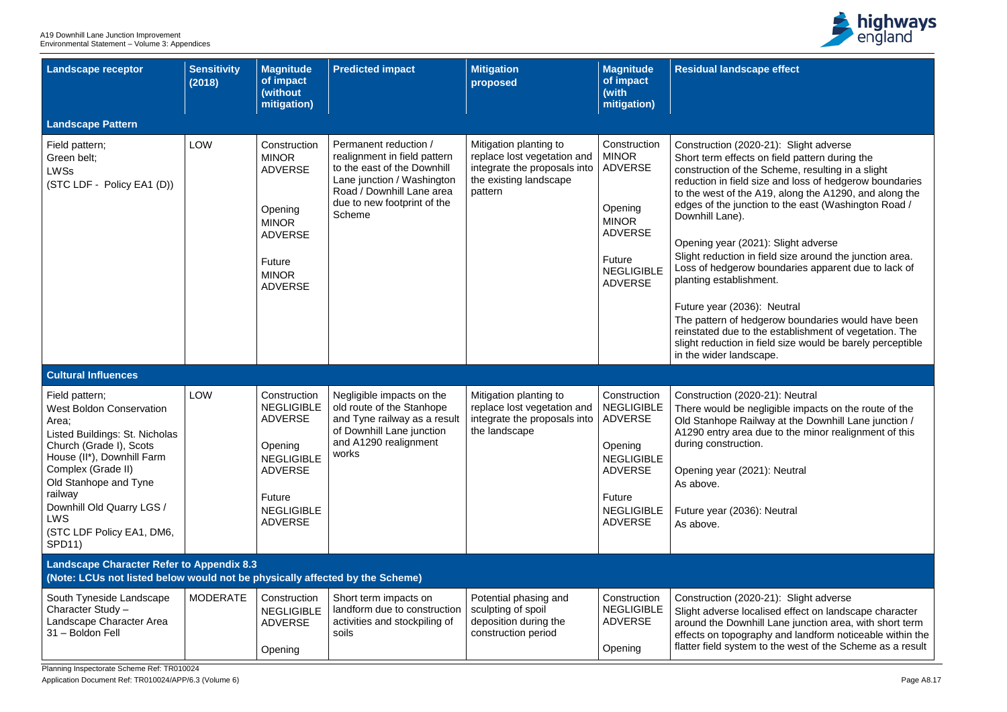Planning Inspectorate Scheme Ref: TR010024

Application Document Ref: TR010024/APP/6.3 (Volume 6) Page A8.17



**Re** effect

## 0-21): Slight adverse on field pattern during the Scheme, resulting in a slight ize and loss of hedgerow boundaries A19, along the A1290, and along the ion to the east (Washington Road /

## 21): Slight adverse

field size around the junction area. boundaries apparent due to lack of nent.

## ): Neutral

Igerow boundaries would have been he establishment of vegetation. The field size would be barely perceptible cape.

## $0-21$ : Neutral

egligible impacts on the route of the way at the Downhill Lane junction / due to the minor realignment of this

21): Neutral

): Neutral

0-21): Slight adverse

alised effect on landscape character ill Lane junction area, with short term phy and landform noticeable within the to the west of the Scheme as a result

| <b>Landscape receptor</b>                                                                                                                                                                                                                                                                                | <b>Sensitivity</b><br>(2018) | <b>Magnitude</b><br>of impact<br>(without<br>mitigation)                                                                                                      | <b>Predicted impact</b>                                                                                                                                                                         | <b>Mitigation</b><br>proposed                                                                                              | <b>Magnitude</b><br>of impact<br>(with<br>mitigation)                                                                                                  | <b>Residual landscape</b>                                                                                                                                                                                                                                                                                                                                                                          |
|----------------------------------------------------------------------------------------------------------------------------------------------------------------------------------------------------------------------------------------------------------------------------------------------------------|------------------------------|---------------------------------------------------------------------------------------------------------------------------------------------------------------|-------------------------------------------------------------------------------------------------------------------------------------------------------------------------------------------------|----------------------------------------------------------------------------------------------------------------------------|--------------------------------------------------------------------------------------------------------------------------------------------------------|----------------------------------------------------------------------------------------------------------------------------------------------------------------------------------------------------------------------------------------------------------------------------------------------------------------------------------------------------------------------------------------------------|
| <b>Landscape Pattern</b>                                                                                                                                                                                                                                                                                 |                              |                                                                                                                                                               |                                                                                                                                                                                                 |                                                                                                                            |                                                                                                                                                        |                                                                                                                                                                                                                                                                                                                                                                                                    |
| Field pattern;<br>Green belt:<br><b>LWSs</b><br>(STC LDF - Policy EA1 (D))                                                                                                                                                                                                                               | <b>LOW</b>                   | Construction<br><b>MINOR</b><br><b>ADVERSE</b><br>Opening<br><b>MINOR</b><br><b>ADVERSE</b><br><b>Future</b><br><b>MINOR</b><br><b>ADVERSE</b>                | Permanent reduction /<br>realignment in field pattern<br>to the east of the Downhill<br>Lane junction / Washington<br>Road / Downhill Lane area<br>due to new footprint of the<br><b>Scheme</b> | Mitigation planting to<br>replace lost vegetation and<br>integrate the proposals into<br>the existing landscape<br>pattern | Construction<br><b>MINOR</b><br><b>ADVERSE</b><br>Opening<br><b>MINOR</b><br><b>ADVERSE</b><br>Future<br><b>NEGLIGIBLE</b><br><b>ADVERSE</b>           | Construction (2020-2<br>Short term effects or<br>construction of the S<br>reduction in field size<br>to the west of the A1<br>edges of the junction<br>Downhill Lane).<br>Opening year (2021)<br>Slight reduction in fie<br>Loss of hedgerow bo<br>planting establishme<br>Future year (2036):<br>The pattern of hedge<br>reinstated due to the<br>slight reduction in fie<br>in the wider landsca |
| <b>Cultural Influences</b>                                                                                                                                                                                                                                                                               |                              |                                                                                                                                                               |                                                                                                                                                                                                 |                                                                                                                            |                                                                                                                                                        |                                                                                                                                                                                                                                                                                                                                                                                                    |
| Field pattern;<br><b>West Boldon Conservation</b><br>Area;<br>Listed Buildings: St. Nicholas<br>Church (Grade I), Scots<br>House (II*), Downhill Farm<br>Complex (Grade II)<br>Old Stanhope and Tyne<br>railway<br>Downhill Old Quarry LGS /<br><b>LWS</b><br>(STC LDF Policy EA1, DM6,<br><b>SPD11)</b> | <b>LOW</b>                   | Construction<br><b>NEGLIGIBLE</b><br><b>ADVERSE</b><br>Opening<br><b>NEGLIGIBLE</b><br><b>ADVERSE</b><br><b>Future</b><br><b>NEGLIGIBLE</b><br><b>ADVERSE</b> | Negligible impacts on the<br>old route of the Stanhope<br>and Tyne railway as a result<br>of Downhill Lane junction<br>and A1290 realignment<br>works                                           | Mitigation planting to<br>replace lost vegetation and<br>integrate the proposals into<br>the landscape                     | Construction<br><b>NEGLIGIBLE</b><br><b>ADVERSE</b><br>Opening<br><b>NEGLIGIBLE</b><br><b>ADVERSE</b><br>Future<br><b>NEGLIGIBLE</b><br><b>ADVERSE</b> | Construction (2020-2<br>There would be negl<br><b>Old Stanhope Railwa</b><br>A1290 entry area du<br>during construction.<br>Opening year (2021)<br>As above.<br>Future year (2036):<br>As above.                                                                                                                                                                                                   |
| <b>Landscape Character Refer to Appendix 8.3</b><br>(Note: LCUs not listed below would not be physically affected by the Scheme)                                                                                                                                                                         |                              |                                                                                                                                                               |                                                                                                                                                                                                 |                                                                                                                            |                                                                                                                                                        |                                                                                                                                                                                                                                                                                                                                                                                                    |
| South Tyneside Landscape<br>Character Study -<br>Landscape Character Area<br>31 - Boldon Fell                                                                                                                                                                                                            | <b>MODERATE</b>              | Construction<br><b>NEGLIGIBLE</b><br><b>ADVERSE</b><br>Opening                                                                                                | Short term impacts on<br>landform due to construction<br>activities and stockpiling of<br>soils                                                                                                 | Potential phasing and<br>sculpting of spoil<br>deposition during the<br>construction period                                | Construction<br><b>NEGLIGIBLE</b><br><b>ADVERSE</b><br>Opening                                                                                         | Construction (2020-2<br>Slight adverse locali<br>around the Downhill<br>effects on topograph<br>flatter field system to                                                                                                                                                                                                                                                                            |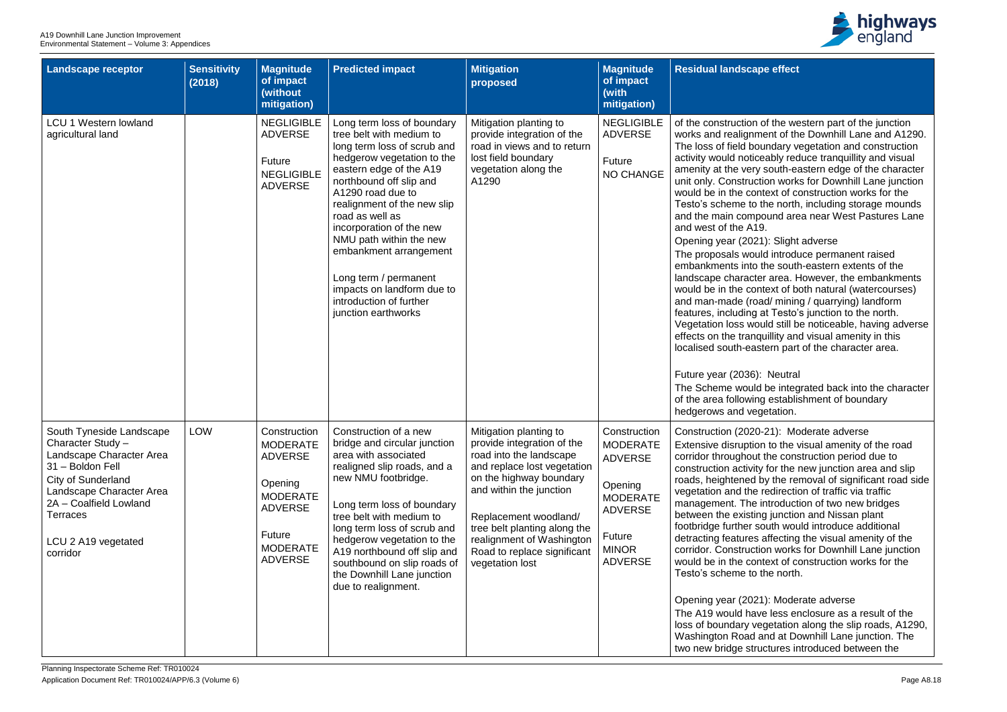

## **Re** effect

of the western part of the junction ent of the Downhill Lane and A1290. undary vegetation and construction eably reduce tranquillity and visual south-eastern edge of the character tion works for Downhill Lane junction ntext of construction works for the the north, including storage mounds ound area near West Pastures Lane  $9.$ 

#### 1): Slight adverse

Id introduce permanent raised the south-eastern extents of the er area. However, the embankments itext of both natural (watercourses) ad/ mining / quarrying) landform at Testo's junction to the north. uld still be noticeable, having adverse quillity and visual amenity in this localistern part of the character area.

## **Neutral**

be integrated back into the character g establishment of boundary getation.

## -21): Moderate adverse

In to the visual amenity of the road the construction period due to y for the new junction area and slip by the removal of significant road side redirection of traffic via traffic introduction of two new bridges g junction and Nissan plant jouth would introduce additional affecting the visual amenity of the ion works for Downhill Lane junction text of construction works for the the north.

## 1): Moderate adverse

e less enclosure as a result of the getation along the slip roads, A1290, and at Downhill Lane junction. The ictures introduced between the

| <b>Landscape receptor</b>                                                                                                                                                                                                              | <b>Sensitivity</b><br>(2018) | <b>Magnitude</b><br>of impact<br>(without<br>mitigation)                                                                                                | <b>Predicted impact</b>                                                                                                                                                                                                                                                                                                                                                                                                                    | <b>Mitigation</b><br>proposed                                                                                                                                                                                                                                                                                | <b>Magnitude</b><br>of impact<br>(with<br>mitigation)                                                                                         | <b>Residual landscap</b>                                                                                                                                                                                                                                                                                                                                                                                                                                                                                                                                |
|----------------------------------------------------------------------------------------------------------------------------------------------------------------------------------------------------------------------------------------|------------------------------|---------------------------------------------------------------------------------------------------------------------------------------------------------|--------------------------------------------------------------------------------------------------------------------------------------------------------------------------------------------------------------------------------------------------------------------------------------------------------------------------------------------------------------------------------------------------------------------------------------------|--------------------------------------------------------------------------------------------------------------------------------------------------------------------------------------------------------------------------------------------------------------------------------------------------------------|-----------------------------------------------------------------------------------------------------------------------------------------------|---------------------------------------------------------------------------------------------------------------------------------------------------------------------------------------------------------------------------------------------------------------------------------------------------------------------------------------------------------------------------------------------------------------------------------------------------------------------------------------------------------------------------------------------------------|
| <b>LCU 1 Western lowland</b><br>agricultural land                                                                                                                                                                                      |                              | <b>NEGLIGIBLE</b><br><b>ADVERSE</b><br><b>Future</b><br><b>NEGLIGIBLE</b><br><b>ADVERSE</b>                                                             | Long term loss of boundary<br>tree belt with medium to<br>long term loss of scrub and<br>hedgerow vegetation to the<br>eastern edge of the A19<br>northbound off slip and<br>A1290 road due to<br>realignment of the new slip<br>road as well as<br>incorporation of the new<br>NMU path within the new<br>embankment arrangement<br>Long term / permanent<br>impacts on landform due to<br>introduction of further<br>junction earthworks | Mitigation planting to<br>provide integration of the<br>road in views and to return<br>lost field boundary<br>vegetation along the<br>A1290                                                                                                                                                                  | <b>NEGLIGIBLE</b><br><b>ADVERSE</b><br>Future<br><b>NO CHANGE</b>                                                                             | of the construction<br>works and realignm<br>The loss of field bo<br>activity would notice<br>amenity at the very<br>unit only. Construct<br>would be in the con<br>Testo's scheme to<br>and the main comp<br>and west of the A19<br>Opening year (2021<br>The proposals wou<br>embankments into<br>landscape characte<br>would be in the con<br>and man-made (roa<br>features, including<br>Vegetation loss wo<br>effects on the trang<br>localised south-eas<br>Future year (2036):<br>The Scheme would<br>of the area following<br>hedgerows and veg |
| South Tyneside Landscape<br>Character Study -<br>Landscape Character Area<br>31 - Boldon Fell<br><b>City of Sunderland</b><br>Landscape Character Area<br>2A - Coalfield Lowland<br><b>Terraces</b><br>LCU 2 A19 vegetated<br>corridor | <b>LOW</b>                   | Construction<br><b>MODERATE</b><br><b>ADVERSE</b><br>Opening<br><b>MODERATE</b><br><b>ADVERSE</b><br><b>Future</b><br><b>MODERATE</b><br><b>ADVERSE</b> | Construction of a new<br>bridge and circular junction<br>area with associated<br>realigned slip roads, and a<br>new NMU footbridge.<br>Long term loss of boundary<br>tree belt with medium to<br>long term loss of scrub and<br>hedgerow vegetation to the<br>A19 northbound off slip and<br>southbound on slip roads of<br>the Downhill Lane junction<br>due to realignment.                                                              | Mitigation planting to<br>provide integration of the<br>road into the landscape<br>and replace lost vegetation<br>on the highway boundary<br>and within the junction<br>Replacement woodland/<br>tree belt planting along the<br>realignment of Washington<br>Road to replace significant<br>vegetation lost | Construction<br><b>MODERATE</b><br><b>ADVERSE</b><br>Opening<br><b>MODERATE</b><br><b>ADVERSE</b><br>Future<br><b>MINOR</b><br><b>ADVERSE</b> | Construction (2020<br><b>Extensive disruptior</b><br>corridor throughout<br>construction activity<br>roads, heightened b<br>vegetation and the<br>management. The<br>between the existin<br>footbridge further so<br>detracting features<br>corridor. Constructi<br>would be in the con<br>Testo's scheme to<br>Opening year (202<br>The A19 would hav<br>loss of boundary ve<br>Washington Road a<br>two new bridge stru                                                                                                                               |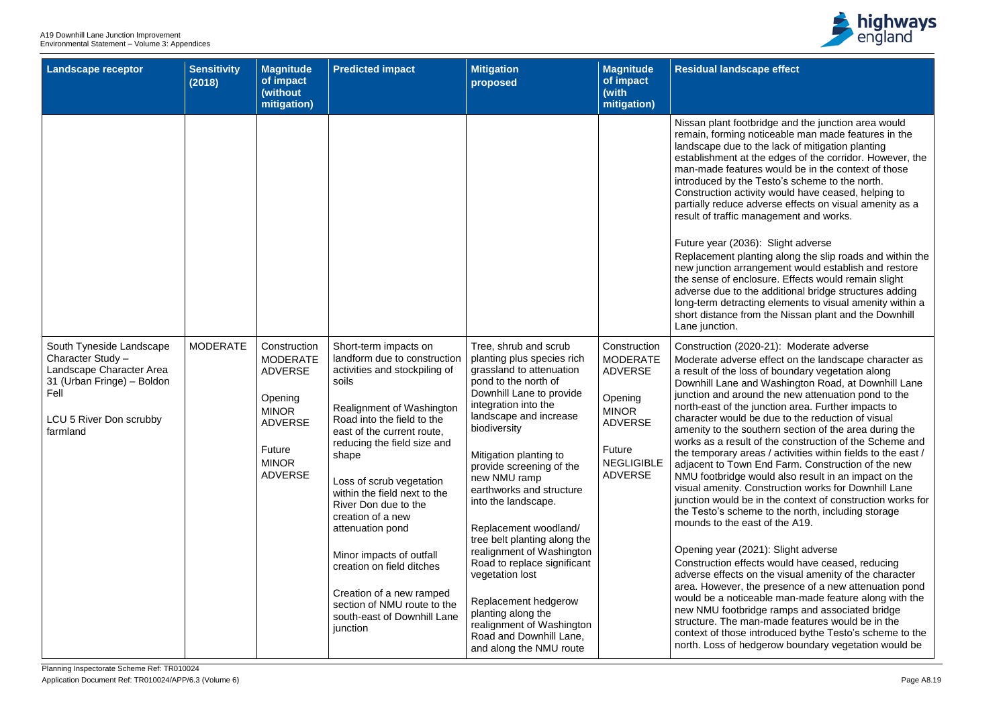

#### **Re** effect

idge and the junction area would ticeable man made features in the he lack of mitigation planting e edges of the corridor. However, the s would be in the context of those Testo's scheme to the north. ty would have ceased, helping to verse effects on visual amenity as a ragement and works.

#### Slight adverse

ing along the slip roads and within the gement would establish and restore sure. Effects would remain slight additional bridge structures adding Iq elements to visual amenity within a the Nissan plant and the Downhill

## -21): Moderate adverse

effect on the landscape character as of boundary vegetation along Washington Road, at Downhill Lane d the new attenuation pond to the nction area. Further impacts to due to the reduction of visual thern section of the area during the the construction of the Scheme and as / activities within fields to the east / Ind Farm. Construction of the new ould also result in an impact on the nstruction works for Downhill Lane in the context of construction works for e to the north, including storage of the A19.

## (1): Slight adverse

ts would have ceased, reducing the visual amenity of the character presence of a new attenuation pond able man-made feature along with the ge ramps and associated bridge -made features would be in the roduced bythe Testo's scheme to the erow boundary vegetation would be

| <b>Landscape receptor</b>                                                                                                                              | <b>Sensitivity</b><br>(2018) | <b>Magnitude</b><br>of impact<br>(without<br>mitigation)                                                                                   | <b>Predicted impact</b>                                                                                                                                                                                                                                                                                                                                                                                                                                                                                                      | <b>Mitigation</b><br>proposed                                                                                                                                                                                                                                                                                                                                                                                                                                                                                                                                                                           | <b>Magnitude</b><br>of impact<br>(with<br>mitigation)                                                                                                  | <b>Residual landscap</b>                                                                                                                                                                                                                                                                                                                                                                                                                                                                                                                                                              |
|--------------------------------------------------------------------------------------------------------------------------------------------------------|------------------------------|--------------------------------------------------------------------------------------------------------------------------------------------|------------------------------------------------------------------------------------------------------------------------------------------------------------------------------------------------------------------------------------------------------------------------------------------------------------------------------------------------------------------------------------------------------------------------------------------------------------------------------------------------------------------------------|---------------------------------------------------------------------------------------------------------------------------------------------------------------------------------------------------------------------------------------------------------------------------------------------------------------------------------------------------------------------------------------------------------------------------------------------------------------------------------------------------------------------------------------------------------------------------------------------------------|--------------------------------------------------------------------------------------------------------------------------------------------------------|---------------------------------------------------------------------------------------------------------------------------------------------------------------------------------------------------------------------------------------------------------------------------------------------------------------------------------------------------------------------------------------------------------------------------------------------------------------------------------------------------------------------------------------------------------------------------------------|
|                                                                                                                                                        |                              |                                                                                                                                            |                                                                                                                                                                                                                                                                                                                                                                                                                                                                                                                              |                                                                                                                                                                                                                                                                                                                                                                                                                                                                                                                                                                                                         |                                                                                                                                                        | Nissan plant footbri<br>remain, forming not<br>landscape due to th<br>establishment at th<br>man-made features<br>introduced by the T<br><b>Construction activit</b><br>partially reduce adv<br>result of traffic man<br>Future year (2036):<br>Replacement planti<br>new junction arrang<br>the sense of enclos<br>adverse due to the<br>long-term detracting<br>short distance from<br>Lane junction.                                                                                                                                                                               |
| South Tyneside Landscape<br>Character Study -<br>Landscape Character Area<br>31 (Urban Fringe) - Boldon<br>Fell<br>LCU 5 River Don scrubby<br>farmland | <b>MODERATE</b>              | Construction<br><b>MODERATE</b><br><b>ADVERSE</b><br>Opening<br><b>MINOR</b><br><b>ADVERSE</b><br>Future<br><b>MINOR</b><br><b>ADVERSE</b> | Short-term impacts on<br>landform due to construction<br>activities and stockpiling of<br>soils<br>Realignment of Washington<br>Road into the field to the<br>east of the current route,<br>reducing the field size and<br>shape<br>Loss of scrub vegetation<br>within the field next to the<br>River Don due to the<br>creation of a new<br>attenuation pond<br>Minor impacts of outfall<br>creation on field ditches<br>Creation of a new ramped<br>section of NMU route to the<br>south-east of Downhill Lane<br>junction | Tree, shrub and scrub<br>planting plus species rich<br>grassland to attenuation<br>pond to the north of<br>Downhill Lane to provide<br>integration into the<br>landscape and increase<br>biodiversity<br>Mitigation planting to<br>provide screening of the<br>new NMU ramp<br>earthworks and structure<br>into the landscape.<br>Replacement woodland/<br>tree belt planting along the<br>realignment of Washington<br>Road to replace significant<br>vegetation lost<br>Replacement hedgerow<br>planting along the<br>realignment of Washington<br>Road and Downhill Lane,<br>and along the NMU route | Construction<br><b>MODERATE</b><br><b>ADVERSE</b><br>Opening<br><b>MINOR</b><br><b>ADVERSE</b><br><b>Future</b><br><b>NEGLIGIBLE</b><br><b>ADVERSE</b> | Construction (2020<br>Moderate adverse<br>a result of the loss<br>Downhill Lane and<br>junction and around<br>north-east of the jui<br>character would be<br>amenity to the sout<br>works as a result of<br>the temporary area<br>adjacent to Town E<br>NMU footbridge wo<br>visual amenity. Cor<br>junction would be in<br>the Testo's scheme<br>mounds to the east<br>Opening year (202<br><b>Construction effect:</b><br>adverse effects on<br>area. However, the<br>would be a noticeal<br>new NMU footbridg<br>structure. The man<br>context of those int<br>north. Loss of hedg |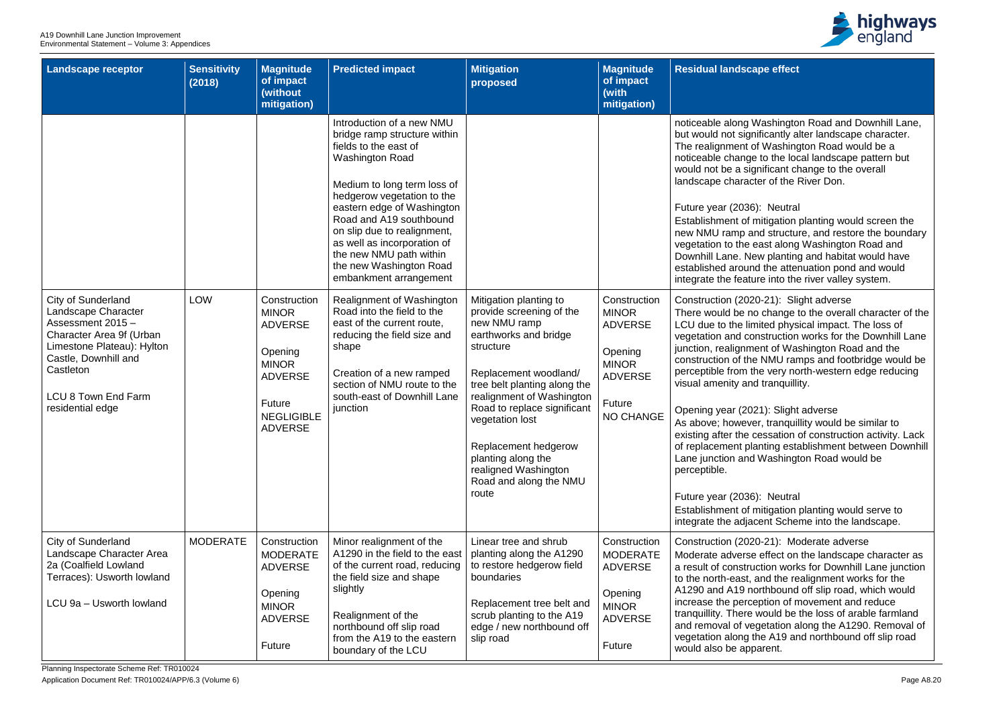Planning Inspectorate Scheme Ref: TR010024

Application Document Ref: TR010024/APP/6.3 (Volume 6) Page A8.20



## **Re** effect

/ashington Road and Downhill Lane, ficantly alter landscape character. Washington Road would be a to the local landscape pattern but hificant change to the overall er of the River Don.

## **Neutral**

itigation planting would screen the nd structure, and restore the boundary ast along Washington Road and w planting and habitat would have the attenuation pond and would re into the river valley system.

## e-21): Slight adverse

change to the overall character of the ited physical impact. The loss of nstruction works for the Downhill Lane ent of Washington Road and the NMU ramps and footbridge would be e very north-western edge reducing tranquillity.

## (1): Slight adverse

r, tranquillity would be similar to essation of construction activity. Lack nting establishment between Downhill Washington Road would be

## Neutral

itigation planting would serve to ent Scheme into the landscape.

## 0-21): Moderate adverse

effect on the landscape character as ction works for Downhill Lane junction and the realignment works for the rthbound off slip road, which would ption of movement and reduce vould be the loss of arable farmland and retation along the A1290. Removal of ne A19 and northbound off slip road arent.

| <b>Landscape receptor</b>                                                                                                                                                                                              | <b>Sensitivity</b><br>(2018) | <b>Magnitude</b><br>of impact<br>(without<br>mitigation)                                                                                     | <b>Predicted impact</b>                                                                                                                                                                                                                                                                                                                                                          | <b>Mitigation</b><br>proposed                                                                                                                                                                                                                                                                                                                             | <b>Magnitude</b><br>of impact<br>(with<br>mitigation)                                                                     | <b>Residual landscap</b>                                                                                                                                                                                                                                                                                                                                                               |
|------------------------------------------------------------------------------------------------------------------------------------------------------------------------------------------------------------------------|------------------------------|----------------------------------------------------------------------------------------------------------------------------------------------|----------------------------------------------------------------------------------------------------------------------------------------------------------------------------------------------------------------------------------------------------------------------------------------------------------------------------------------------------------------------------------|-----------------------------------------------------------------------------------------------------------------------------------------------------------------------------------------------------------------------------------------------------------------------------------------------------------------------------------------------------------|---------------------------------------------------------------------------------------------------------------------------|----------------------------------------------------------------------------------------------------------------------------------------------------------------------------------------------------------------------------------------------------------------------------------------------------------------------------------------------------------------------------------------|
|                                                                                                                                                                                                                        |                              |                                                                                                                                              | Introduction of a new NMU<br>bridge ramp structure within<br>fields to the east of<br><b>Washington Road</b><br>Medium to long term loss of<br>hedgerow vegetation to the<br>eastern edge of Washington<br>Road and A19 southbound<br>on slip due to realignment,<br>as well as incorporation of<br>the new NMU path within<br>the new Washington Road<br>embankment arrangement |                                                                                                                                                                                                                                                                                                                                                           |                                                                                                                           | noticeable along W<br>but would not signif<br>The realignment of<br>noticeable change<br>would not be a sign<br>landscape characte<br>Future year (2036):<br>Establishment of m<br>new NMU ramp and<br>vegetation to the ea<br>Downhill Lane, Nev<br>established around<br>integrate the featur                                                                                        |
| <b>City of Sunderland</b><br>Landscape Character<br>Assessment 2015 -<br>Character Area 9f (Urban<br>Limestone Plateau): Hylton<br>Castle, Downhill and<br>Castleton<br><b>LCU 8 Town End Farm</b><br>residential edge | <b>LOW</b>                   | Construction<br><b>MINOR</b><br><b>ADVERSE</b><br>Opening<br><b>MINOR</b><br><b>ADVERSE</b><br>Future<br><b>NEGLIGIBLE</b><br><b>ADVERSE</b> | Realignment of Washington<br>Road into the field to the<br>east of the current route,<br>reducing the field size and<br>shape<br>Creation of a new ramped<br>section of NMU route to the<br>south-east of Downhill Lane<br>junction                                                                                                                                              | Mitigation planting to<br>provide screening of the<br>new NMU ramp<br>earthworks and bridge<br>structure<br>Replacement woodland/<br>tree belt planting along the<br>realignment of Washington<br>Road to replace significant<br>vegetation lost<br>Replacement hedgerow<br>planting along the<br>realigned Washington<br>Road and along the NMU<br>route | Construction<br><b>MINOR</b><br><b>ADVERSE</b><br>Opening<br><b>MINOR</b><br><b>ADVERSE</b><br>Future<br><b>NO CHANGE</b> | Construction (2020<br>There would be no<br>LCU due to the limi<br>vegetation and con<br>junction, realignme<br>construction of the<br>perceptible from the<br>visual amenity and<br>Opening year (202<br>As above; however<br>existing after the ce<br>of replacement plar<br>Lane junction and \<br>perceptible.<br>Future year (2036):<br>Establishment of m<br>integrate the adjace |
| <b>City of Sunderland</b><br>Landscape Character Area<br>2a (Coalfield Lowland<br>Terraces): Usworth lowland<br>LCU 9a - Usworth lowland                                                                               | <b>MODERATE</b>              | Construction<br><b>MODERATE</b><br><b>ADVERSE</b><br>Opening<br><b>MINOR</b><br><b>ADVERSE</b><br>Future                                     | Minor realignment of the<br>A1290 in the field to the east<br>of the current road, reducing<br>the field size and shape<br>slightly<br>Realignment of the<br>northbound off slip road<br>from the A19 to the eastern<br>boundary of the LCU                                                                                                                                      | Linear tree and shrub<br>planting along the A1290<br>to restore hedgerow field<br>boundaries<br>Replacement tree belt and<br>scrub planting to the A19<br>edge / new northbound off<br>slip road                                                                                                                                                          | Construction<br><b>MODERATE</b><br><b>ADVERSE</b><br>Opening<br><b>MINOR</b><br><b>ADVERSE</b><br><b>Future</b>           | Construction (2020<br>Moderate adverse<br>a result of construc<br>to the north-east, a<br>A1290 and A19 nor<br>increase the percer<br>tranquillity. There w<br>and removal of veg<br>vegetation along th<br>would also be appa                                                                                                                                                         |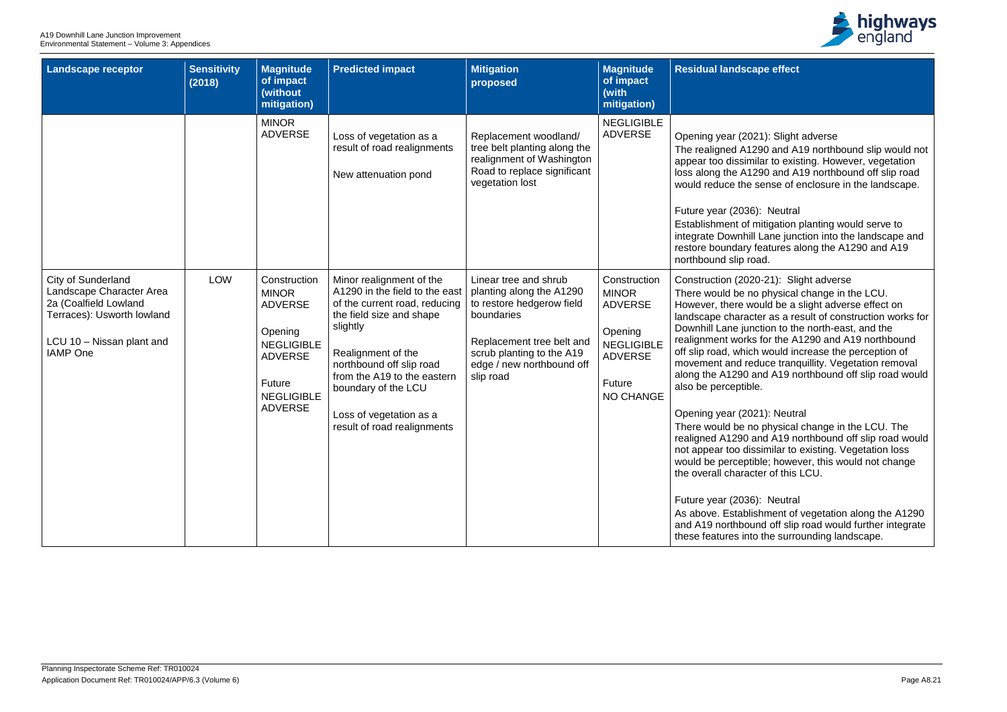

## **Re** effect

#### 21): Slight adverse

90 and A19 northbound slip would not lar to existing. However, vegetation 190 and A19 northbound off slip road sense of enclosure in the landscape.

## : Neutral

hitigation planting would serve to Lane junction into the landscape and eatures along the A1290 and A19 ad.

# 0-21): Slight adverse

physical change in the LCU. buld be a slight adverse effect on ler as a result of construction works for ction to the north-east, and the for the A1290 and A19 northbound off would increase the perception of luce tranquillity. Vegetation removal nd A19 northbound off slip road would

## 21): Neutral

physical change in the LCU. The nd A19 northbound off slip road would similar to existing. Vegetation loss ble; however, this would not change ter of this LCU.

## ): Neutral

hment of vegetation along the A1290 nd off slip road would further integrate the surrounding landscape.

| <b>Landscape receptor</b>                                                                                                                                    | <b>Sensitivity</b><br>(2018) | <b>Magnitude</b><br>of impact<br>(without<br>mitigation)                                                                                                 | <b>Predicted impact</b>                                                                                                                                                                                                                                                                               | <b>Mitigation</b><br>proposed                                                                                                                                                                    | <b>Magnitude</b><br>of impact<br>(with<br>mitigation)                                                                          | Residual landscap                                                                                                                                                                                                                                                                                                                                                                                                                                                               |
|--------------------------------------------------------------------------------------------------------------------------------------------------------------|------------------------------|----------------------------------------------------------------------------------------------------------------------------------------------------------|-------------------------------------------------------------------------------------------------------------------------------------------------------------------------------------------------------------------------------------------------------------------------------------------------------|--------------------------------------------------------------------------------------------------------------------------------------------------------------------------------------------------|--------------------------------------------------------------------------------------------------------------------------------|---------------------------------------------------------------------------------------------------------------------------------------------------------------------------------------------------------------------------------------------------------------------------------------------------------------------------------------------------------------------------------------------------------------------------------------------------------------------------------|
|                                                                                                                                                              |                              | <b>MINOR</b><br><b>ADVERSE</b>                                                                                                                           | Loss of vegetation as a<br>result of road realignments<br>New attenuation pond                                                                                                                                                                                                                        | Replacement woodland/<br>tree belt planting along the<br>realignment of Washington<br>Road to replace significant<br>vegetation lost                                                             | <b>NEGLIGIBLE</b><br><b>ADVERSE</b>                                                                                            | Opening year (2021<br>The realigned A129<br>appear too dissimila<br>loss along the A129<br>would reduce the se<br>Future year (2036):<br>Establishment of mit<br>integrate Downhill La<br>restore boundary fea<br>northbound slip road                                                                                                                                                                                                                                          |
| <b>City of Sunderland</b><br>Landscape Character Area<br>2a (Coalfield Lowland<br>Terraces): Usworth lowland<br>LCU 10 - Nissan plant and<br><b>IAMP</b> One | <b>LOW</b>                   | Construction<br><b>MINOR</b><br><b>ADVERSE</b><br>Opening<br><b>NEGLIGIBLE</b><br><b>ADVERSE</b><br><b>Future</b><br><b>NEGLIGIBLE</b><br><b>ADVERSE</b> | Minor realignment of the<br>A1290 in the field to the east<br>of the current road, reducing<br>the field size and shape<br>slightly<br>Realignment of the<br>northbound off slip road<br>from the A19 to the eastern<br>boundary of the LCU<br>Loss of vegetation as a<br>result of road realignments | Linear tree and shrub<br>planting along the A1290<br>to restore hedgerow field<br>boundaries<br>Replacement tree belt and<br>scrub planting to the A19<br>edge / new northbound off<br>slip road | Construction<br><b>MINOR</b><br><b>ADVERSE</b><br>Opening<br><b>NEGLIGIBLE</b><br><b>ADVERSE</b><br>Future<br><b>NO CHANGE</b> | Construction (2020-<br>There would be no p<br>However, there wou<br>landscape character<br>Downhill Lane juncti<br>realignment works fo<br>off slip road, which v<br>movement and redu<br>along the A1290 and<br>also be perceptible.<br>Opening year (2021<br>There would be no p<br>realigned A1290 and<br>not appear too dissi<br>would be perceptible<br>the overall character<br>Future year (2036):<br>As above. Establish<br>and A19 northbound<br>these features into t |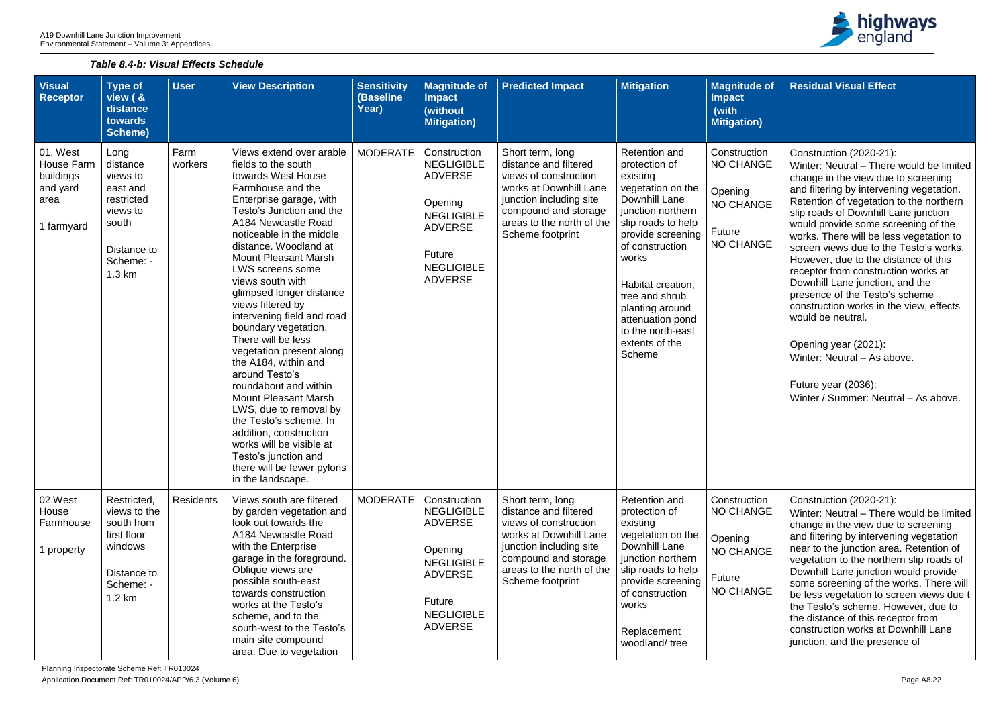# *Table 8.4-b: Visual Effects Schedule*



| <b>Visual</b><br>Receptor                                                    | Type of<br>view $(8$<br>distance<br>towards<br><b>Scheme)</b>                                                     | <b>User</b>      | <b>View Description</b>                                                                                                                                                                                                                                                                                                                                                                                                                                                                                                                                                                                                                                                                                                                                     | <b>Sensitivity</b><br>(Baseline<br>Year) | <b>Magnitude of</b><br><b>Impact</b><br>(without<br><b>Mitigation)</b>                                                                                        | <b>Predicted Impact</b>                                                                                                                                                                          | <b>Mitigation</b>                                                                                                                                                                                                                                                                                           | <b>Magnitude of</b><br><b>Impact</b><br>(with<br><b>Mitigation)</b>                           |
|------------------------------------------------------------------------------|-------------------------------------------------------------------------------------------------------------------|------------------|-------------------------------------------------------------------------------------------------------------------------------------------------------------------------------------------------------------------------------------------------------------------------------------------------------------------------------------------------------------------------------------------------------------------------------------------------------------------------------------------------------------------------------------------------------------------------------------------------------------------------------------------------------------------------------------------------------------------------------------------------------------|------------------------------------------|---------------------------------------------------------------------------------------------------------------------------------------------------------------|--------------------------------------------------------------------------------------------------------------------------------------------------------------------------------------------------|-------------------------------------------------------------------------------------------------------------------------------------------------------------------------------------------------------------------------------------------------------------------------------------------------------------|-----------------------------------------------------------------------------------------------|
| 01. West<br><b>House Farm</b><br>buildings<br>and yard<br>area<br>1 farmyard | Long<br>distance<br>views to<br>east and<br>restricted<br>views to<br>south<br>Distance to<br>Scheme: -<br>1.3 km | Farm<br>workers  | Views extend over arable<br>fields to the south<br>towards West House<br>Farmhouse and the<br>Enterprise garage, with<br>Testo's Junction and the<br>A184 Newcastle Road<br>noticeable in the middle<br>distance. Woodland at<br><b>Mount Pleasant Marsh</b><br><b>LWS screens some</b><br>views south with<br>glimpsed longer distance<br>views filtered by<br>intervening field and road<br>boundary vegetation.<br>There will be less<br>vegetation present along<br>the A184, within and<br>around Testo's<br>roundabout and within<br><b>Mount Pleasant Marsh</b><br>LWS, due to removal by<br>the Testo's scheme. In<br>addition, construction<br>works will be visible at<br>Testo's junction and<br>there will be fewer pylons<br>in the landscape. | <b>MODERATE</b>                          | Construction<br><b>NEGLIGIBLE</b><br><b>ADVERSE</b><br>Opening<br><b>NEGLIGIBLE</b><br><b>ADVERSE</b><br>Future<br><b>NEGLIGIBLE</b><br><b>ADVERSE</b>        | Short term, long<br>distance and filtered<br>views of construction<br>works at Downhill Lane<br>junction including site<br>compound and storage<br>areas to the north of the<br>Scheme footprint | Retention and<br>protection of<br>existing<br>vegetation on the<br>Downhill Lane<br>junction northern<br>slip roads to help<br>provide screening<br>of construction<br>works<br>Habitat creation,<br>tree and shrub<br>planting around<br>attenuation pond<br>to the north-east<br>extents of the<br>Scheme | Construction<br><b>NO CHANGE</b><br>Opening<br><b>NO CHANGE</b><br>Future<br><b>NO CHANGE</b> |
| 02.West<br>House<br>Farmhouse<br>property                                    | Restricted,<br>views to the<br>south from<br>first floor<br>windows<br>Distance to<br>Scheme: -<br>1.2 km         | <b>Residents</b> | Views south are filtered<br>by garden vegetation and<br>look out towards the<br>A184 Newcastle Road<br>with the Enterprise<br>garage in the foreground.<br>Oblique views are<br>possible south-east<br>towards construction<br>works at the Testo's<br>scheme, and to the<br>south-west to the Testo's<br>main site compound<br>area. Due to vegetation                                                                                                                                                                                                                                                                                                                                                                                                     | <b>MODERATE</b>                          | Construction<br><b>NEGLIGIBLE</b><br><b>ADVERSE</b><br>Opening<br><b>NEGLIGIBLE</b><br><b>ADVERSE</b><br><b>Future</b><br><b>NEGLIGIBLE</b><br><b>ADVERSE</b> | Short term, long<br>distance and filtered<br>views of construction<br>works at Downhill Lane<br>junction including site<br>compound and storage<br>areas to the north of the<br>Scheme footprint | Retention and<br>protection of<br>existing<br>vegetation on the<br>Downhill Lane<br>junction northern<br>slip roads to help<br>provide screening<br>of construction<br>works<br>Replacement<br>woodland/tree                                                                                                | Construction<br><b>NO CHANGE</b><br>Opening<br><b>NO CHANGE</b><br>Future<br><b>NO CHANGE</b> |

| $\bullet$ of         | <b>Residual Visual Effect</b>                                                                                                                                                                                                                                                                                                                                                                                                                                                                                                                                                                                                                                                                                   |
|----------------------|-----------------------------------------------------------------------------------------------------------------------------------------------------------------------------------------------------------------------------------------------------------------------------------------------------------------------------------------------------------------------------------------------------------------------------------------------------------------------------------------------------------------------------------------------------------------------------------------------------------------------------------------------------------------------------------------------------------------|
|                      |                                                                                                                                                                                                                                                                                                                                                                                                                                                                                                                                                                                                                                                                                                                 |
| )n<br>ЭE<br>ЭE<br>ЭE | Construction (2020-21):<br>Winter: Neutral - There would be limited<br>change in the view due to screening<br>and filtering by intervening vegetation.<br>Retention of vegetation to the northern<br>slip roads of Downhill Lane junction<br>would provide some screening of the<br>works. There will be less vegetation to<br>screen views due to the Testo's works.<br>However, due to the distance of this<br>receptor from construction works at<br>Downhill Lane junction, and the<br>presence of the Testo's scheme<br>construction works in the view, effects<br>would be neutral.<br>Opening year (2021):<br>Winter: Neutral - As above.<br>Future year (2036):<br>Winter / Summer: Neutral - As above. |
| m<br>ЭE<br>ЭE<br>ЭE  | Construction (2020-21):<br>Winter: Neutral – There would be limited<br>change in the view due to screening<br>and filtering by intervening vegetation<br>near to the junction area. Retention of<br>vegetation to the northern slip roads of<br>Downhill Lane junction would provide<br>some screening of the works. There will<br>be less vegetation to screen views due t<br>the Testo's scheme. However, due to<br>the distance of this receptor from<br>construction works at Downhill Lane<br>junction, and the presence of                                                                                                                                                                                |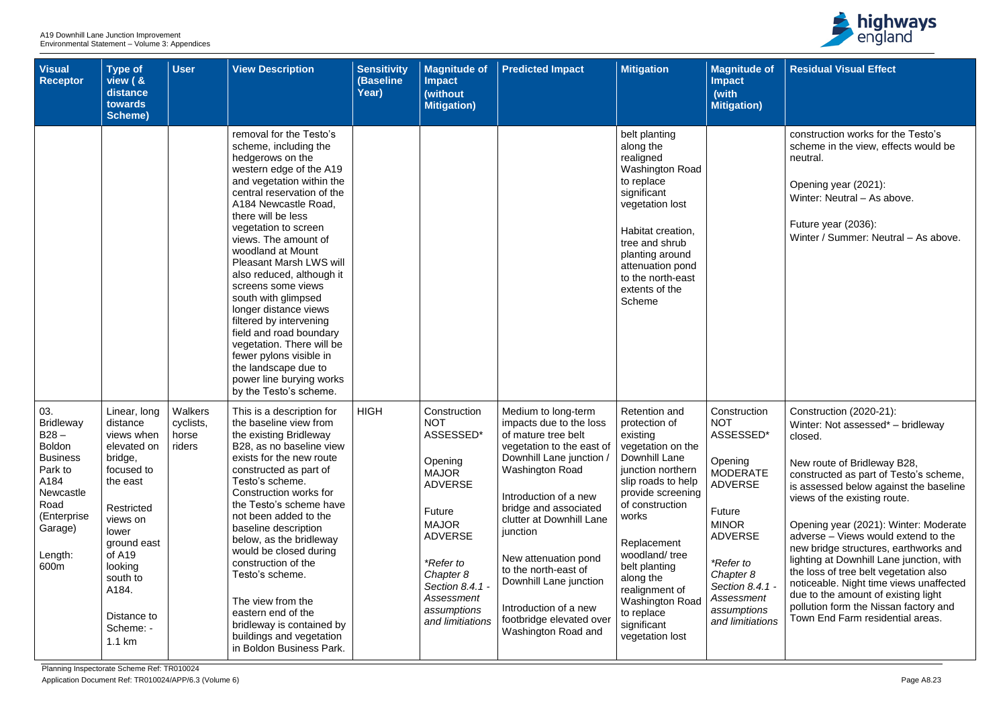| <b>Visual</b><br><b>Receptor</b>                                                                                                                            | <b>Type of</b><br>view ( &<br>distance<br>towards<br><b>Scheme)</b>                                                                                                                                                          | <b>User</b>                             | <b>View Description</b>                                                                                                                                                                                                                                                                                                                                                                                                                                                                                                                                                                                        | <b>Sensitivity</b><br>(Baseline<br>Year) | <b>Magnitude of</b><br><b>Impact</b><br>(without<br><b>Mitigation)</b>                                                                                                                                                         | <b>Predicted Impact</b>                                                                                                                                                                                                                                                                                                                                                                                  | <b>Mitigation</b>                                                                                                                                                                                                                                                                                                                             | <b>Magnitude of</b><br><b>Impact</b><br>(with<br><b>Mitigation)</b>                                                                                                                                                                             | <b>Residual Visual Effect</b>                                                                                                                                                                                                                                                                                                                                                                                                                                                                                                                                                                           |
|-------------------------------------------------------------------------------------------------------------------------------------------------------------|------------------------------------------------------------------------------------------------------------------------------------------------------------------------------------------------------------------------------|-----------------------------------------|----------------------------------------------------------------------------------------------------------------------------------------------------------------------------------------------------------------------------------------------------------------------------------------------------------------------------------------------------------------------------------------------------------------------------------------------------------------------------------------------------------------------------------------------------------------------------------------------------------------|------------------------------------------|--------------------------------------------------------------------------------------------------------------------------------------------------------------------------------------------------------------------------------|----------------------------------------------------------------------------------------------------------------------------------------------------------------------------------------------------------------------------------------------------------------------------------------------------------------------------------------------------------------------------------------------------------|-----------------------------------------------------------------------------------------------------------------------------------------------------------------------------------------------------------------------------------------------------------------------------------------------------------------------------------------------|-------------------------------------------------------------------------------------------------------------------------------------------------------------------------------------------------------------------------------------------------|---------------------------------------------------------------------------------------------------------------------------------------------------------------------------------------------------------------------------------------------------------------------------------------------------------------------------------------------------------------------------------------------------------------------------------------------------------------------------------------------------------------------------------------------------------------------------------------------------------|
|                                                                                                                                                             |                                                                                                                                                                                                                              |                                         | removal for the Testo's<br>scheme, including the<br>hedgerows on the<br>western edge of the A19<br>and vegetation within the<br>central reservation of the<br>A184 Newcastle Road,<br>there will be less<br>vegetation to screen<br>views. The amount of<br>woodland at Mount<br><b>Pleasant Marsh LWS will</b><br>also reduced, although it<br>screens some views<br>south with glimpsed<br>longer distance views<br>filtered by intervening<br>field and road boundary<br>vegetation. There will be<br>fewer pylons visible in<br>the landscape due to<br>power line burying works<br>by the Testo's scheme. |                                          |                                                                                                                                                                                                                                |                                                                                                                                                                                                                                                                                                                                                                                                          | belt planting<br>along the<br>realigned<br>Washington Road<br>to replace<br>significant<br>vegetation lost<br>Habitat creation,<br>tree and shrub<br>planting around<br>attenuation pond<br>to the north-east<br>extents of the<br>Scheme                                                                                                     |                                                                                                                                                                                                                                                 | construction works for the Testo's<br>scheme in the view, effects would be<br>neutral.<br>Opening year (2021):<br>Winter: Neutral - As above.<br>Future year (2036):<br>Winter / Summer: Neutral - As above.                                                                                                                                                                                                                                                                                                                                                                                            |
| 03.<br><b>Bridleway</b><br>$B28 -$<br><b>Boldon</b><br><b>Business</b><br>Park to<br>A184<br>Newcastle<br>Road<br>(Enterprise<br>Garage)<br>Length:<br>600m | Linear, long<br>distance<br>views when<br>elevated on<br>bridge,<br>focused to<br>the east<br>Restricted<br>views on<br>lower<br>ground east<br>of A19<br>looking<br>south to<br>A184.<br>Distance to<br>Scheme: -<br>1.1 km | Walkers<br>cyclists,<br>horse<br>riders | This is a description for<br>the baseline view from<br>the existing Bridleway<br>B28, as no baseline view<br>exists for the new route<br>constructed as part of<br>Testo's scheme.<br>Construction works for<br>the Testo's scheme have<br>not been added to the<br>baseline description<br>below, as the bridleway<br>would be closed during<br>construction of the<br>Testo's scheme.<br>The view from the<br>eastern end of the<br>bridleway is contained by<br>buildings and vegetation<br>in Boldon Business Park.                                                                                        | <b>HIGH</b>                              | Construction<br><b>NOT</b><br>ASSESSED*<br>Opening<br><b>MAJOR</b><br><b>ADVERSE</b><br>Future<br><b>MAJOR</b><br><b>ADVERSE</b><br>*Refer to<br>Chapter 8<br>Section 8.4.1 -<br>Assessment<br>assumptions<br>and limitiations | Medium to long-term<br>impacts due to the loss<br>of mature tree belt<br>vegetation to the east of<br>Downhill Lane junction /<br><b>Washington Road</b><br>Introduction of a new<br>bridge and associated<br>clutter at Downhill Lane<br>junction<br>New attenuation pond<br>to the north-east of<br>Downhill Lane junction<br>Introduction of a new<br>footbridge elevated over<br>Washington Road and | <b>Retention and</b><br>protection of<br>existing<br>vegetation on the<br>Downhill Lane<br>junction northern<br>slip roads to help<br>provide screening<br>of construction<br>works<br>Replacement<br>woodland/tree<br>belt planting<br>along the<br>realignment of<br><b>Washington Road</b><br>to replace<br>significant<br>vegetation lost | Construction<br><b>NOT</b><br>ASSESSED*<br>Opening<br><b>MODERATE</b><br><b>ADVERSE</b><br>Future<br><b>MINOR</b><br><b>ADVERSE</b><br><i>*Refer to</i><br>Chapter 8<br>Section 8.4.1 -<br><b>Assessment</b><br>assumptions<br>and limitiations | Construction (2020-21):<br>Winter: Not assessed* - bridleway<br>closed.<br>New route of Bridleway B28,<br>constructed as part of Testo's scheme,<br>is assessed below against the baseline<br>views of the existing route.<br>Opening year (2021): Winter: Moderate<br>adverse – Views would extend to the<br>new bridge structures, earthworks and<br>lighting at Downhill Lane junction, with<br>the loss of tree belt vegetation also<br>noticeable. Night time views unaffected<br>due to the amount of existing light<br>pollution form the Nissan factory and<br>Town End Farm residential areas. |

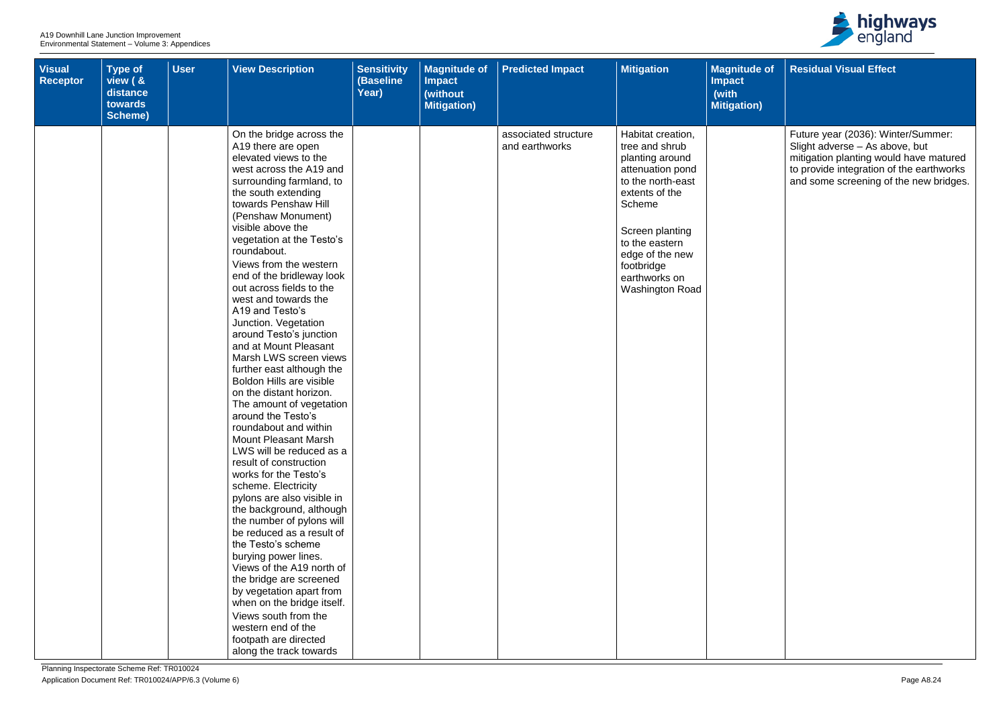| <b>Visual</b><br>Receptor | <b>Type of</b><br>view ( &<br>distance<br>towards<br>Scheme) | <b>User</b> | <b>View Description</b>                                                                                                                                                                                                                                                                                                                                                                                                                                                                                                                                                                                                                                                                                                                                                                                                                                                                                                                                                                                                                                                                                                                                                                                   | <b>Sensitivity</b><br>(Baseline<br>Year) | <b>Magnitude of</b><br><b>Impact</b><br>(without<br><b>Mitigation)</b> | <b>Predicted Impact</b>                | <b>Mitigation</b>                                                                                                                                                                                                                     | <b>Magnitude of</b><br><b>Impact</b><br>(with<br><b>Mitigation)</b> |
|---------------------------|--------------------------------------------------------------|-------------|-----------------------------------------------------------------------------------------------------------------------------------------------------------------------------------------------------------------------------------------------------------------------------------------------------------------------------------------------------------------------------------------------------------------------------------------------------------------------------------------------------------------------------------------------------------------------------------------------------------------------------------------------------------------------------------------------------------------------------------------------------------------------------------------------------------------------------------------------------------------------------------------------------------------------------------------------------------------------------------------------------------------------------------------------------------------------------------------------------------------------------------------------------------------------------------------------------------|------------------------------------------|------------------------------------------------------------------------|----------------------------------------|---------------------------------------------------------------------------------------------------------------------------------------------------------------------------------------------------------------------------------------|---------------------------------------------------------------------|
|                           |                                                              |             | On the bridge across the<br>A19 there are open<br>elevated views to the<br>west across the A19 and<br>surrounding farmland, to<br>the south extending<br>towards Penshaw Hill<br>(Penshaw Monument)<br>visible above the<br>vegetation at the Testo's<br>roundabout.<br>Views from the western<br>end of the bridleway look<br>out across fields to the<br>west and towards the<br>A19 and Testo's<br>Junction. Vegetation<br>around Testo's junction<br>and at Mount Pleasant<br>Marsh LWS screen views<br>further east although the<br><b>Boldon Hills are visible</b><br>on the distant horizon.<br>The amount of vegetation<br>around the Testo's<br>roundabout and within<br><b>Mount Pleasant Marsh</b><br>LWS will be reduced as a<br>result of construction<br>works for the Testo's<br>scheme. Electricity<br>pylons are also visible in<br>the background, although<br>the number of pylons will<br>be reduced as a result of<br>the Testo's scheme<br>burying power lines.<br>Views of the A19 north of<br>the bridge are screened<br>by vegetation apart from<br>when on the bridge itself.<br>Views south from the<br>western end of the<br>footpath are directed<br>along the track towards |                                          |                                                                        | associated structure<br>and earthworks | Habitat creation,<br>tree and shrub<br>planting around<br>attenuation pond<br>to the north-east<br>extents of the<br>Scheme<br>Screen planting<br>to the eastern<br>edge of the new<br>footbridge<br>earthworks on<br>Washington Road |                                                                     |



| <b>of</b> | <b>Residual Visual Effect</b>                                                                                                                                                                        |
|-----------|------------------------------------------------------------------------------------------------------------------------------------------------------------------------------------------------------|
|           |                                                                                                                                                                                                      |
|           | Future year (2036): Winter/Summer:<br>Slight adverse - As above, but<br>mitigation planting would have matured<br>to provide integration of the earthworks<br>and some screening of the new bridges. |
|           |                                                                                                                                                                                                      |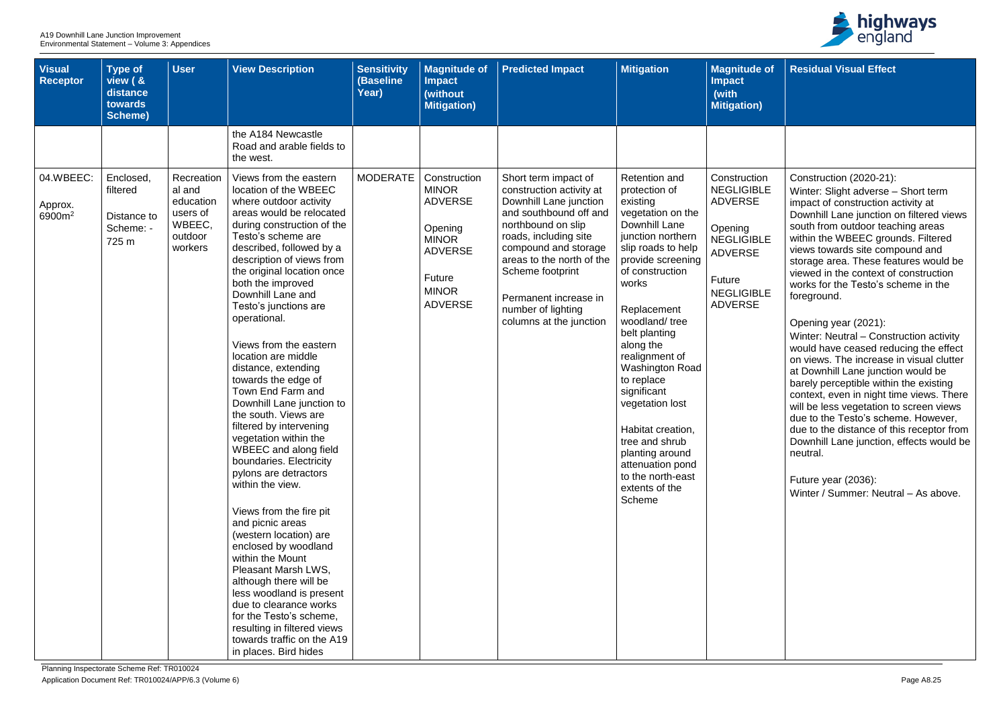| <b>Visual</b><br><b>Receptor</b>           | <b>Type of</b><br>view ( &<br>distance<br>towards<br><b>Scheme)</b> | <b>User</b>                                                                   | <b>View Description</b>                                                                                                                                                                                                                                                                                                                                                                                                                                                                                                                                                                                                                                                                                                                                                                                                                                                                                                                                                                                        | <b>Sensitivity</b><br>(Baseline<br>Year) | <b>Magnitude of</b><br><b>Impact</b><br>(without<br><b>Mitigation)</b>                                                                         | <b>Predicted Impact</b>                                                                                                                                                                                                                                                                                | <b>Mitigation</b>                                                                                                                                                                                                                                                                                                                                                                                                                                                     | <b>Magnitude of</b><br><b>Impact</b><br>(with<br><b>Mitigation)</b>                                                                                    |
|--------------------------------------------|---------------------------------------------------------------------|-------------------------------------------------------------------------------|----------------------------------------------------------------------------------------------------------------------------------------------------------------------------------------------------------------------------------------------------------------------------------------------------------------------------------------------------------------------------------------------------------------------------------------------------------------------------------------------------------------------------------------------------------------------------------------------------------------------------------------------------------------------------------------------------------------------------------------------------------------------------------------------------------------------------------------------------------------------------------------------------------------------------------------------------------------------------------------------------------------|------------------------------------------|------------------------------------------------------------------------------------------------------------------------------------------------|--------------------------------------------------------------------------------------------------------------------------------------------------------------------------------------------------------------------------------------------------------------------------------------------------------|-----------------------------------------------------------------------------------------------------------------------------------------------------------------------------------------------------------------------------------------------------------------------------------------------------------------------------------------------------------------------------------------------------------------------------------------------------------------------|--------------------------------------------------------------------------------------------------------------------------------------------------------|
|                                            |                                                                     |                                                                               | the A184 Newcastle<br>Road and arable fields to<br>the west.                                                                                                                                                                                                                                                                                                                                                                                                                                                                                                                                                                                                                                                                                                                                                                                                                                                                                                                                                   |                                          |                                                                                                                                                |                                                                                                                                                                                                                                                                                                        |                                                                                                                                                                                                                                                                                                                                                                                                                                                                       |                                                                                                                                                        |
| 04.WBEEC:<br>Approx.<br>6900m <sup>2</sup> | Enclosed,<br>filtered<br>Distance to<br>Scheme: -<br>725 m          | Recreation<br>al and<br>education<br>users of<br>WBEEC,<br>outdoor<br>workers | Views from the eastern<br>location of the WBEEC<br>where outdoor activity<br>areas would be relocated<br>during construction of the<br>Testo's scheme are<br>described, followed by a<br>description of views from<br>the original location once<br>both the improved<br>Downhill Lane and<br>Testo's junctions are<br>operational.<br>Views from the eastern<br>location are middle<br>distance, extending<br>towards the edge of<br>Town End Farm and<br>Downhill Lane junction to<br>the south. Views are<br>filtered by intervening<br>vegetation within the<br>WBEEC and along field<br>boundaries. Electricity<br>pylons are detractors<br>within the view.<br>Views from the fire pit<br>and picnic areas<br>(western location) are<br>enclosed by woodland<br>within the Mount<br>Pleasant Marsh LWS,<br>although there will be<br>less woodland is present<br>due to clearance works<br>for the Testo's scheme,<br>resulting in filtered views<br>towards traffic on the A19<br>in places. Bird hides | <b>MODERATE</b>                          | Construction<br><b>MINOR</b><br><b>ADVERSE</b><br>Opening<br><b>MINOR</b><br><b>ADVERSE</b><br><b>Future</b><br><b>MINOR</b><br><b>ADVERSE</b> | Short term impact of<br>construction activity at<br>Downhill Lane junction<br>and southbound off and<br>northbound on slip<br>roads, including site<br>compound and storage<br>areas to the north of the<br>Scheme footprint<br>Permanent increase in<br>number of lighting<br>columns at the junction | <b>Retention and</b><br>protection of<br>existing<br>vegetation on the<br>Downhill Lane<br>junction northern<br>slip roads to help<br>provide screening<br>of construction<br>works<br>Replacement<br>woodland/tree<br>belt planting<br>along the<br>realignment of<br>Washington Road<br>to replace<br>significant<br>vegetation lost<br>Habitat creation,<br>tree and shrub<br>planting around<br>attenuation pond<br>to the north-east<br>extents of the<br>Scheme | Construction<br><b>NEGLIGIBLE</b><br><b>ADVERSE</b><br>Opening<br><b>NEGLIGIBLE</b><br><b>ADVERSE</b><br>Future<br><b>NEGLIGIBLE</b><br><b>ADVERSE</b> |



| of      | <b>Residual Visual Effect</b>                                                                                                                                                                                                                                                                                                                                                                                                                                           |
|---------|-------------------------------------------------------------------------------------------------------------------------------------------------------------------------------------------------------------------------------------------------------------------------------------------------------------------------------------------------------------------------------------------------------------------------------------------------------------------------|
|         |                                                                                                                                                                                                                                                                                                                                                                                                                                                                         |
|         |                                                                                                                                                                                                                                                                                                                                                                                                                                                                         |
| m<br>LE | Construction (2020-21):<br>Winter: Slight adverse - Short term<br>impact of construction activity at<br>Downhill Lane junction on filtered views                                                                                                                                                                                                                                                                                                                        |
| LE      | south from outdoor teaching areas<br>within the WBEEC grounds. Filtered<br>views towards site compound and<br>storage area. These features would be<br>viewed in the context of construction                                                                                                                                                                                                                                                                            |
| LE      | works for the Testo's scheme in the<br>foreground.                                                                                                                                                                                                                                                                                                                                                                                                                      |
|         | Opening year (2021):<br>Winter: Neutral - Construction activity<br>would have ceased reducing the effect<br>on views. The increase in visual clutter<br>at Downhill Lane junction would be<br>barely perceptible within the existing<br>context, even in night time views. There<br>will be less vegetation to screen views<br>due to the Testo's scheme. However,<br>due to the distance of this receptor from<br>Downhill Lane junction, effects would be<br>neutral. |
|         | Future year (2036):<br>Winter / Summer: Neutral - As above.                                                                                                                                                                                                                                                                                                                                                                                                             |
|         |                                                                                                                                                                                                                                                                                                                                                                                                                                                                         |
|         |                                                                                                                                                                                                                                                                                                                                                                                                                                                                         |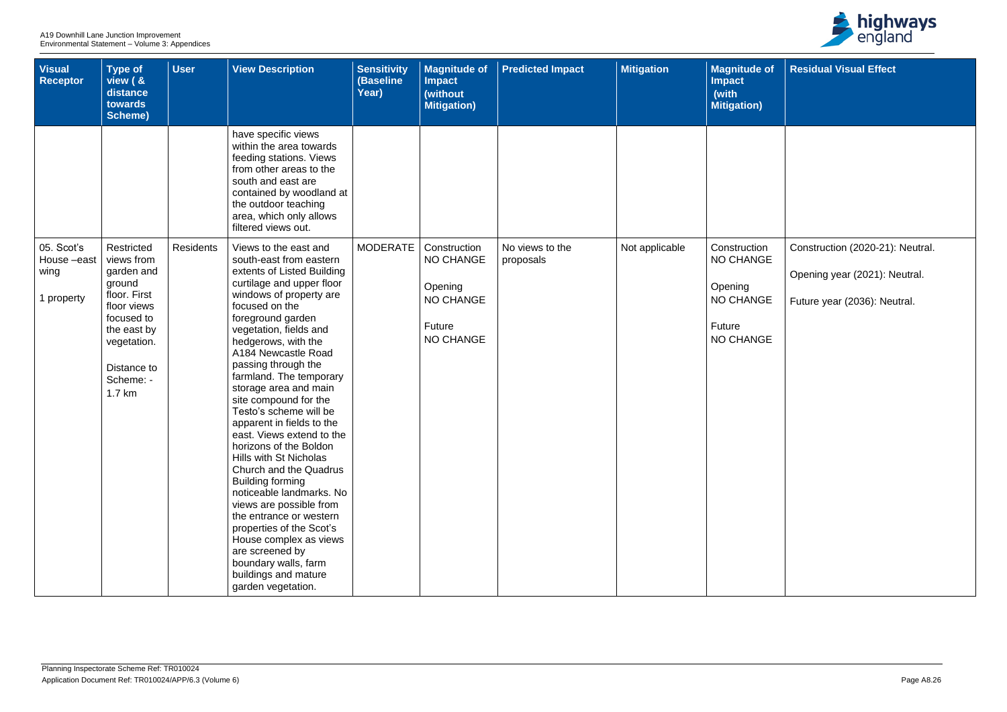| <b>Visual</b><br><b>Receptor</b>             | <b>Type of</b><br>view ( &<br>distance<br>towards<br><b>Scheme)</b>                                                                                               | <b>User</b>      | <b>View Description</b>                                                                                                                                                                                                                                                                                                                                                                                                                                                                                                                                                                                                                                                                                                                                                                 | <b>Sensitivity</b><br>(Baseline<br>Year) | <b>Magnitude of</b><br><b>Impact</b><br>(without<br><b>Mitigation)</b>                               | <b>Predicted Impact</b>      | <b>Mitigation</b> | <b>Magnitude of</b><br><b>Impact</b><br>(with<br><b>Mitigation)</b>                           |
|----------------------------------------------|-------------------------------------------------------------------------------------------------------------------------------------------------------------------|------------------|-----------------------------------------------------------------------------------------------------------------------------------------------------------------------------------------------------------------------------------------------------------------------------------------------------------------------------------------------------------------------------------------------------------------------------------------------------------------------------------------------------------------------------------------------------------------------------------------------------------------------------------------------------------------------------------------------------------------------------------------------------------------------------------------|------------------------------------------|------------------------------------------------------------------------------------------------------|------------------------------|-------------------|-----------------------------------------------------------------------------------------------|
|                                              |                                                                                                                                                                   |                  | have specific views<br>within the area towards<br>feeding stations. Views<br>from other areas to the<br>south and east are<br>contained by woodland at<br>the outdoor teaching<br>area, which only allows<br>filtered views out.                                                                                                                                                                                                                                                                                                                                                                                                                                                                                                                                                        |                                          |                                                                                                      |                              |                   |                                                                                               |
| 05. Scot's<br>House-east<br>wing<br>property | Restricted<br>views from<br>garden and<br>ground<br>floor. First<br>floor views<br>focused to<br>the east by<br>vegetation.<br>Distance to<br>Scheme: -<br>1.7 km | <b>Residents</b> | Views to the east and<br>south-east from eastern<br>extents of Listed Building<br>curtilage and upper floor<br>windows of property are<br>focused on the<br>foreground garden<br>vegetation, fields and<br>hedgerows, with the<br>A184 Newcastle Road<br>passing through the<br>farmland. The temporary<br>storage area and main<br>site compound for the<br>Testo's scheme will be<br>apparent in fields to the<br>east. Views extend to the<br>horizons of the Boldon<br>Hills with St Nicholas<br>Church and the Quadrus<br><b>Building forming</b><br>noticeable landmarks. No<br>views are possible from<br>the entrance or western<br>properties of the Scot's<br>House complex as views<br>are screened by<br>boundary walls, farm<br>buildings and mature<br>garden vegetation. | <b>MODERATE</b>                          | Construction<br><b>NO CHANGE</b><br>Opening<br><b>NO CHANGE</b><br><b>Future</b><br><b>NO CHANGE</b> | No views to the<br>proposals | Not applicable    | Construction<br><b>NO CHANGE</b><br>Opening<br><b>NO CHANGE</b><br>Future<br><b>NO CHANGE</b> |



| of       | <b>Residual Visual Effect</b>    |
|----------|----------------------------------|
|          |                                  |
|          |                                  |
|          |                                  |
|          |                                  |
|          |                                  |
| 'n<br>ЭE | Construction (2020-21): Neutral. |
|          | Opening year (2021): Neutral.    |
| ЭE       | Future year (2036): Neutral.     |
| ЭE       |                                  |
|          |                                  |
|          |                                  |
|          |                                  |
|          |                                  |
|          |                                  |
|          |                                  |
|          |                                  |
|          |                                  |
|          |                                  |
|          |                                  |
|          |                                  |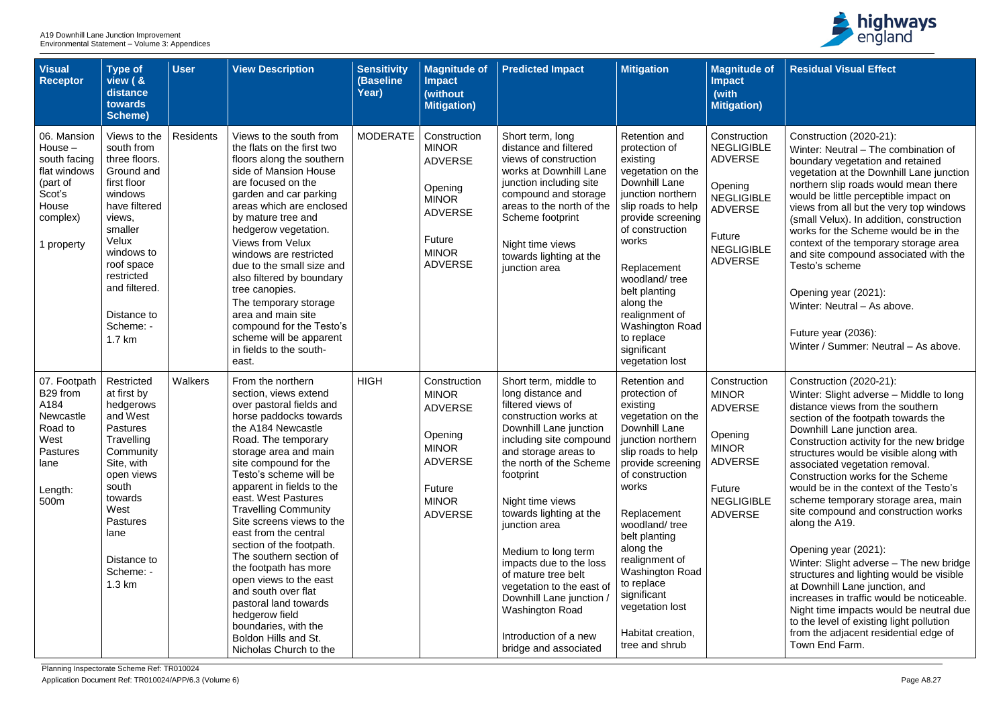| <b>Visual</b><br><b>Receptor</b>                                                                                | <b>Type of</b><br>view ( &<br>distance<br>towards<br>Scheme)                                                                                                                                                                        | <b>User</b>      | <b>View Description</b>                                                                                                                                                                                                                                                                                                                                                                                                                                                                                                                                                                                                  | <b>Sensitivity</b><br>(Baseline<br>Year) | <b>Magnitude of</b><br><b>Impact</b><br>(without<br><b>Mitigation)</b>                                                                         | <b>Predicted Impact</b>                                                                                                                                                                                                                                                                                                                                                                                                                                                                     | <b>Mitigation</b>                                                                                                                                                                                                                                                                                                                                                             | <b>Magnitude of</b><br><b>Impact</b><br>(with<br><b>Mitigation</b> )                                                                                   |
|-----------------------------------------------------------------------------------------------------------------|-------------------------------------------------------------------------------------------------------------------------------------------------------------------------------------------------------------------------------------|------------------|--------------------------------------------------------------------------------------------------------------------------------------------------------------------------------------------------------------------------------------------------------------------------------------------------------------------------------------------------------------------------------------------------------------------------------------------------------------------------------------------------------------------------------------------------------------------------------------------------------------------------|------------------------------------------|------------------------------------------------------------------------------------------------------------------------------------------------|---------------------------------------------------------------------------------------------------------------------------------------------------------------------------------------------------------------------------------------------------------------------------------------------------------------------------------------------------------------------------------------------------------------------------------------------------------------------------------------------|-------------------------------------------------------------------------------------------------------------------------------------------------------------------------------------------------------------------------------------------------------------------------------------------------------------------------------------------------------------------------------|--------------------------------------------------------------------------------------------------------------------------------------------------------|
| 06. Mansion<br>House $-$<br>south facing<br>flat windows<br>(part of<br>Scot's<br>House<br>complex)<br>property | Views to the<br>south from<br>three floors.<br>Ground and<br>first floor<br>windows<br>have filtered<br>views,<br>smaller<br>Velux<br>windows to<br>roof space<br>restricted<br>and filtered.<br>Distance to<br>Scheme: -<br>1.7 km | <b>Residents</b> | Views to the south from<br>the flats on the first two<br>floors along the southern<br>side of Mansion House<br>are focused on the<br>garden and car parking<br>areas which are enclosed<br>by mature tree and<br>hedgerow vegetation.<br><b>Views from Velux</b><br>windows are restricted<br>due to the small size and<br>also filtered by boundary<br>tree canopies.<br>The temporary storage<br>area and main site<br>compound for the Testo's<br>scheme will be apparent<br>in fields to the south-<br>east.                                                                                                         | <b>MODERATE</b>                          | Construction<br><b>MINOR</b><br><b>ADVERSE</b><br>Opening<br><b>MINOR</b><br><b>ADVERSE</b><br><b>Future</b><br><b>MINOR</b><br><b>ADVERSE</b> | Short term, long<br>distance and filtered<br>views of construction<br>works at Downhill Lane<br>junction including site<br>compound and storage<br>areas to the north of the<br>Scheme footprint<br>Night time views<br>towards lighting at the<br>junction area                                                                                                                                                                                                                            | <b>Retention and</b><br>protection of<br>existing<br>vegetation on the<br>Downhill Lane<br>junction northern<br>slip roads to help<br>provide screening<br>of construction<br>works<br>Replacement<br>woodland/tree<br>belt planting<br>along the<br>realignment of<br><b>Washington Road</b><br>to replace<br>significant<br>vegetation lost                                 | Construction<br><b>NEGLIGIBLE</b><br><b>ADVERSE</b><br>Opening<br><b>NEGLIGIBLE</b><br><b>ADVERSE</b><br>Future<br><b>NEGLIGIBLE</b><br><b>ADVERSE</b> |
| 07. Footpath<br>B29 from<br>A184<br>Newcastle<br>Road to<br>West<br><b>Pastures</b><br>lane<br>Length:<br>500m  | Restricted<br>at first by<br>hedgerows<br>and West<br><b>Pastures</b><br>Travelling<br>Community<br>Site, with<br>open views<br>south<br>towards<br>West<br><b>Pastures</b><br>lane<br>Distance to<br>Scheme: -<br>$1.3 \text{ km}$ | Walkers          | From the northern<br>section, views extend<br>over pastoral fields and<br>horse paddocks towards<br>the A184 Newcastle<br>Road. The temporary<br>storage area and main<br>site compound for the<br>Testo's scheme will be<br>apparent in fields to the<br>east. West Pastures<br><b>Travelling Community</b><br>Site screens views to the<br>east from the central<br>section of the footpath.<br>The southern section of<br>the footpath has more<br>open views to the east<br>and south over flat<br>pastoral land towards<br>hedgerow field<br>boundaries, with the<br>Boldon Hills and St.<br>Nicholas Church to the | <b>HIGH</b>                              | Construction<br><b>MINOR</b><br><b>ADVERSE</b><br>Opening<br><b>MINOR</b><br><b>ADVERSE</b><br><b>Future</b><br><b>MINOR</b><br><b>ADVERSE</b> | Short term, middle to<br>long distance and<br>filtered views of<br>construction works at<br>Downhill Lane junction<br>including site compound<br>and storage areas to<br>the north of the Scheme<br>footprint<br>Night time views<br>towards lighting at the<br>junction area<br>Medium to long term<br>impacts due to the loss<br>of mature tree belt<br>vegetation to the east of<br>Downhill Lane junction /<br><b>Washington Road</b><br>Introduction of a new<br>bridge and associated | <b>Retention and</b><br>protection of<br>existing<br>vegetation on the<br>Downhill Lane<br>junction northern<br>slip roads to help<br>provide screening<br>of construction<br>works<br>Replacement<br>woodland/tree<br>belt planting<br>along the<br>realignment of<br>Washington Road<br>to replace<br>significant<br>vegetation lost<br>Habitat creation,<br>tree and shrub | Construction<br><b>MINOR</b><br><b>ADVERSE</b><br>Opening<br><b>MINOR</b><br><b>ADVERSE</b><br>Future<br><b>NEGLIGIBLE</b><br><b>ADVERSE</b>           |



| e of                         | <b>Residual Visual Effect</b>                                                                                                                                                                                                                                                                                                                |
|------------------------------|----------------------------------------------------------------------------------------------------------------------------------------------------------------------------------------------------------------------------------------------------------------------------------------------------------------------------------------------|
| า)                           |                                                                                                                                                                                                                                                                                                                                              |
| ion<br><b>BLE</b><br>Ξ       | Construction (2020-21):<br>Winter: Neutral - The combination of<br>boundary vegetation and retained<br>vegetation at the Downhill Lane junction                                                                                                                                                                                              |
| <b>BLE</b><br>$\equiv$       | northern slip roads would mean there<br>would be little perceptible impact on<br>views from all but the very top windows<br>(small Velux). In addition, construction<br>works for the Scheme would be in the                                                                                                                                 |
| <b>BLE</b><br>$\overline{=}$ | context of the temporary storage area<br>and site compound associated with the<br>Testo's scheme                                                                                                                                                                                                                                             |
|                              | Opening year (2021):<br>Winter: Neutral - As above.                                                                                                                                                                                                                                                                                          |
|                              | Future year (2036):<br>Winter / Summer: Neutral - As above.                                                                                                                                                                                                                                                                                  |
| ion<br>Ξ                     | Construction (2020-21):<br>Winter: Slight adverse - Middle to long<br>distance views from the southern<br>section of the footpath towards the<br>Downhill Lane junction area.<br>Construction activity for the new bridge                                                                                                                    |
|                              | structures would be visible along with<br>associated vegetation removal.<br>Construction works for the Scheme                                                                                                                                                                                                                                |
| 3LE<br>Ξ                     | would be in the context of the Testo's<br>scheme temporary storage area, main<br>site compound and construction works<br>along the A19.                                                                                                                                                                                                      |
|                              | Opening year (2021):<br>Winter: Slight adverse – The new bridge<br>structures and lighting would be visible<br>at Downhill Lane junction, and<br>increases in traffic would be noticeable.<br>Night time impacts would be neutral due<br>to the level of existing light pollution<br>from the adjacent residential edge of<br>Town End Farm. |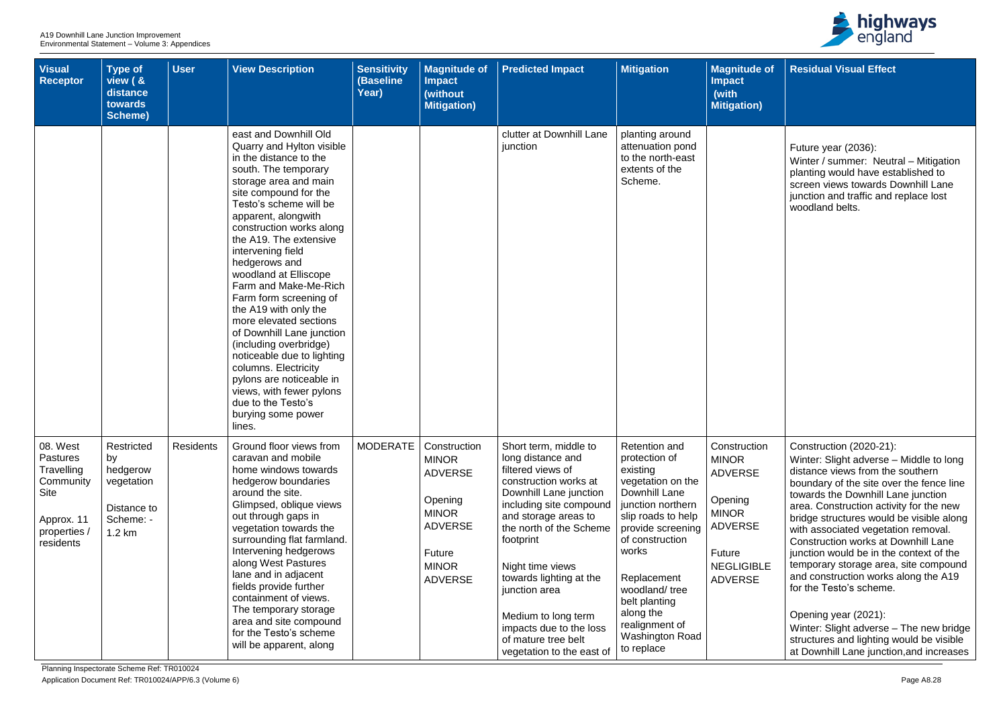| <b>Visual</b><br><b>Receptor</b>                                                                                 | <b>Type of</b><br>view ( &<br>distance<br>towards<br><b>Scheme)</b>              | <b>User</b>      | <b>View Description</b>                                                                                                                                                                                                                                                                                                                                                                                                                                                                                                                                                                                                                                       | <b>Sensitivity</b><br><b>(Baseline</b><br>Year) | <b>Magnitude of</b><br><b>Impact</b><br>(without<br><b>Mitigation</b> )                                                                 | <b>Predicted Impact</b>                                                                                                                                                                                                                                                                                                                                                             | <b>Mitigation</b>                                                                                                                                                                                                                                                                                           | <b>Magnitude of</b><br><b>Impact</b><br>(with<br><b>Mitigation)</b>                                                                          |
|------------------------------------------------------------------------------------------------------------------|----------------------------------------------------------------------------------|------------------|---------------------------------------------------------------------------------------------------------------------------------------------------------------------------------------------------------------------------------------------------------------------------------------------------------------------------------------------------------------------------------------------------------------------------------------------------------------------------------------------------------------------------------------------------------------------------------------------------------------------------------------------------------------|-------------------------------------------------|-----------------------------------------------------------------------------------------------------------------------------------------|-------------------------------------------------------------------------------------------------------------------------------------------------------------------------------------------------------------------------------------------------------------------------------------------------------------------------------------------------------------------------------------|-------------------------------------------------------------------------------------------------------------------------------------------------------------------------------------------------------------------------------------------------------------------------------------------------------------|----------------------------------------------------------------------------------------------------------------------------------------------|
|                                                                                                                  |                                                                                  |                  | east and Downhill Old<br>Quarry and Hylton visible<br>in the distance to the<br>south. The temporary<br>storage area and main<br>site compound for the<br>Testo's scheme will be<br>apparent, alongwith<br>construction works along<br>the A19. The extensive<br>intervening field<br>hedgerows and<br>woodland at Elliscope<br>Farm and Make-Me-Rich<br>Farm form screening of<br>the A19 with only the<br>more elevated sections<br>of Downhill Lane junction<br>(including overbridge)<br>noticeable due to lighting<br>columns. Electricity<br>pylons are noticeable in<br>views, with fewer pylons<br>due to the Testo's<br>burying some power<br>lines. |                                                 |                                                                                                                                         | clutter at Downhill Lane<br>junction                                                                                                                                                                                                                                                                                                                                                | planting around<br>attenuation pond<br>to the north-east<br>extents of the<br>Scheme.                                                                                                                                                                                                                       |                                                                                                                                              |
| 08. West<br><b>Pastures</b><br>Travelling<br>Community<br><b>Site</b><br>Approx. 11<br>properties /<br>residents | Restricted<br>by<br>hedgerow<br>vegetation<br>Distance to<br>Scheme: -<br>1.2 km | <b>Residents</b> | Ground floor views from<br>caravan and mobile<br>home windows towards<br>hedgerow boundaries<br>around the site.<br>Glimpsed, oblique views<br>out through gaps in<br>vegetation towards the<br>surrounding flat farmland.<br>Intervening hedgerows<br>along West Pastures<br>lane and in adjacent<br>fields provide further<br>containment of views.<br>The temporary storage<br>area and site compound<br>for the Testo's scheme<br>will be apparent, along                                                                                                                                                                                                 | <b>MODERATE</b>                                 | Construction<br><b>MINOR</b><br><b>ADVERSE</b><br>Opening<br><b>MINOR</b><br><b>ADVERSE</b><br>Future<br><b>MINOR</b><br><b>ADVERSE</b> | Short term, middle to<br>long distance and<br>filtered views of<br>construction works at<br>Downhill Lane junction<br>including site compound<br>and storage areas to<br>the north of the Scheme<br>footprint<br>Night time views<br>towards lighting at the<br>junction area<br>Medium to long term<br>impacts due to the loss<br>of mature tree belt<br>vegetation to the east of | <b>Retention and</b><br>protection of<br>existing<br>vegetation on the<br>Downhill Lane<br>junction northern<br>slip roads to help<br>provide screening<br>of construction<br>works<br>Replacement<br>woodland/tree<br>belt planting<br>along the<br>realignment of<br><b>Washington Road</b><br>to replace | Construction<br><b>MINOR</b><br><b>ADVERSE</b><br>Opening<br><b>MINOR</b><br><b>ADVERSE</b><br>Future<br><b>NEGLIGIBLE</b><br><b>ADVERSE</b> |



| of :     | <b>Residual Visual Effect</b>                                                                                                                                                                                                                                                                                                                                                                                                                                                                                               |
|----------|-----------------------------------------------------------------------------------------------------------------------------------------------------------------------------------------------------------------------------------------------------------------------------------------------------------------------------------------------------------------------------------------------------------------------------------------------------------------------------------------------------------------------------|
|          |                                                                                                                                                                                                                                                                                                                                                                                                                                                                                                                             |
|          | Future year (2036):<br>Winter / summer: Neutral - Mitigation<br>planting would have established to<br>screen views towards Downhill Lane<br>junction and traffic and replace lost<br>woodland belts.                                                                                                                                                                                                                                                                                                                        |
| 'n<br>LE | Construction (2020-21):<br>Winter: Slight adverse – Middle to long<br>distance views from the southern<br>boundary of the site over the fence line<br>towards the Downhill Lane junction<br>area. Construction activity for the new<br>bridge structures would be visible along<br>with associated vegetation removal.<br><b>Construction works at Downhill Lane</b><br>junction would be in the context of the<br>temporary storage area, site compound<br>and construction works along the A19<br>for the Testo's scheme. |
|          | Opening year (2021):<br>Winter: Slight adverse – The new bridge<br>structures and lighting would be visible<br>at Downhill Lane junction, and increases                                                                                                                                                                                                                                                                                                                                                                     |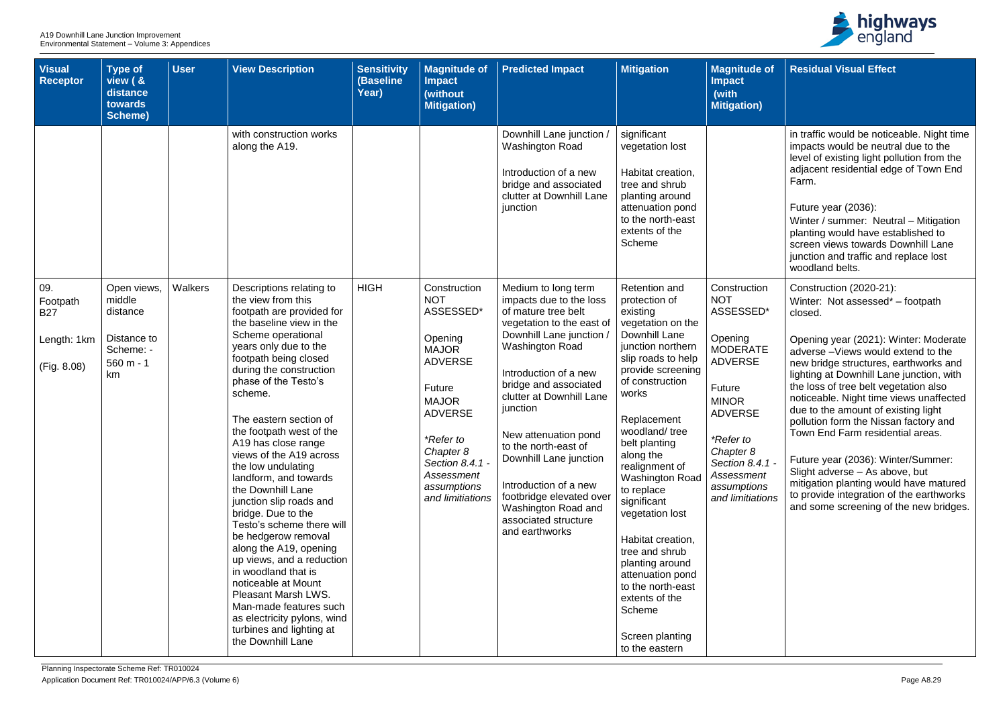| <b>Visual</b><br>Receptor                                   | <b>Type of</b><br>view ( &<br>distance<br>towards<br>Scheme)                       | <b>User</b> | <b>View Description</b>                                                                                                                                                                                                                                                                                                                                                                                                                                                                                                                                                                                                                                                                                                                                                     | <b>Sensitivity</b><br>(Baseline<br>Year) | <b>Magnitude of</b><br><b>Impact</b><br>(without<br><b>Mitigation)</b>                                                                                                                                                         | <b>Predicted Impact</b>                                                                                                                                                                                                                                                                                                                                                                                                                            | <b>Mitigation</b>                                                                                                                                                                                                                                                                                                                                                                                                                                                                                                 | <b>Magnitude of</b><br><b>Impact</b><br>(with<br><b>Mitigation)</b>                                                                                                                                                               |
|-------------------------------------------------------------|------------------------------------------------------------------------------------|-------------|-----------------------------------------------------------------------------------------------------------------------------------------------------------------------------------------------------------------------------------------------------------------------------------------------------------------------------------------------------------------------------------------------------------------------------------------------------------------------------------------------------------------------------------------------------------------------------------------------------------------------------------------------------------------------------------------------------------------------------------------------------------------------------|------------------------------------------|--------------------------------------------------------------------------------------------------------------------------------------------------------------------------------------------------------------------------------|----------------------------------------------------------------------------------------------------------------------------------------------------------------------------------------------------------------------------------------------------------------------------------------------------------------------------------------------------------------------------------------------------------------------------------------------------|-------------------------------------------------------------------------------------------------------------------------------------------------------------------------------------------------------------------------------------------------------------------------------------------------------------------------------------------------------------------------------------------------------------------------------------------------------------------------------------------------------------------|-----------------------------------------------------------------------------------------------------------------------------------------------------------------------------------------------------------------------------------|
|                                                             |                                                                                    |             | with construction works<br>along the A19.                                                                                                                                                                                                                                                                                                                                                                                                                                                                                                                                                                                                                                                                                                                                   |                                          |                                                                                                                                                                                                                                | Downhill Lane junction /<br><b>Washington Road</b><br>Introduction of a new<br>bridge and associated<br>clutter at Downhill Lane<br>junction                                                                                                                                                                                                                                                                                                       | significant<br>vegetation lost<br>Habitat creation,<br>tree and shrub<br>planting around<br>attenuation pond<br>to the north-east<br>extents of the<br>Scheme                                                                                                                                                                                                                                                                                                                                                     |                                                                                                                                                                                                                                   |
| 09.<br>Footpath<br><b>B27</b><br>Length: 1km<br>(Fig. 8.08) | Open views,<br>middle<br>distance<br>Distance to<br>Scheme: -<br>$560 m - 1$<br>km | Walkers     | Descriptions relating to<br>the view from this<br>footpath are provided for<br>the baseline view in the<br>Scheme operational<br>years only due to the<br>footpath being closed<br>during the construction<br>phase of the Testo's<br>scheme.<br>The eastern section of<br>the footpath west of the<br>A19 has close range<br>views of the A19 across<br>the low undulating<br>landform, and towards<br>the Downhill Lane<br>junction slip roads and<br>bridge. Due to the<br>Testo's scheme there will<br>be hedgerow removal<br>along the A19, opening<br>up views, and a reduction<br>in woodland that is<br>noticeable at Mount<br><b>Pleasant Marsh LWS.</b><br>Man-made features such<br>as electricity pylons, wind<br>turbines and lighting at<br>the Downhill Lane | <b>HIGH</b>                              | Construction<br><b>NOT</b><br>ASSESSED*<br>Opening<br><b>MAJOR</b><br><b>ADVERSE</b><br>Future<br><b>MAJOR</b><br><b>ADVERSE</b><br>*Refer to<br>Chapter 8<br>Section 8.4.1 -<br>Assessment<br>assumptions<br>and limitiations | Medium to long term<br>impacts due to the loss<br>of mature tree belt<br>vegetation to the east of<br>Downhill Lane junction /<br><b>Washington Road</b><br>Introduction of a new<br>bridge and associated<br>clutter at Downhill Lane<br>junction<br>New attenuation pond<br>to the north-east of<br>Downhill Lane junction<br>Introduction of a new<br>footbridge elevated over<br>Washington Road and<br>associated structure<br>and earthworks | <b>Retention and</b><br>protection of<br>existing<br>vegetation on the<br>Downhill Lane<br>junction northern<br>slip roads to help<br>provide screening<br>of construction<br>works<br>Replacement<br>woodland/tree<br>belt planting<br>along the<br>realignment of<br><b>Washington Road</b><br>to replace<br>significant<br>vegetation lost<br>Habitat creation,<br>tree and shrub<br>planting around<br>attenuation pond<br>to the north-east<br>extents of the<br>Scheme<br>Screen planting<br>to the eastern | Construction<br><b>NOT</b><br>ASSESSED*<br>Opening<br><b>MODERATE</b><br><b>ADVERSE</b><br>Future<br><b>MINOR</b><br><b>ADVERSE</b><br>*Refer to<br>Chapter 8<br>Section 8.4.1 -<br>Assessment<br>assumptions<br>and limitiations |



| of                          | <b>Residual Visual Effect</b>                                                                                                                                                                                                                                                                                                                                             |
|-----------------------------|---------------------------------------------------------------------------------------------------------------------------------------------------------------------------------------------------------------------------------------------------------------------------------------------------------------------------------------------------------------------------|
|                             |                                                                                                                                                                                                                                                                                                                                                                           |
|                             | in traffic would be noticeable. Night time<br>impacts would be neutral due to the<br>level of existing light pollution from the<br>adjacent residential edge of Town End<br>Farm.                                                                                                                                                                                         |
|                             | Future year (2036):<br>Winter / summer: Neutral - Mitigation<br>planting would have established to<br>screen views towards Downhill Lane<br>junction and traffic and replace lost<br>woodland belts.                                                                                                                                                                      |
| 'n<br>ר*                    | Construction (2020-21):<br>Winter: Not assessed* - footpath<br>closed.                                                                                                                                                                                                                                                                                                    |
| Έ                           | Opening year (2021): Winter: Moderate<br>adverse - Views would extend to the<br>new bridge structures, earthworks and<br>lighting at Downhill Lane junction, with<br>the loss of tree belt vegetation also<br>noticeable. Night time views unaffected<br>due to the amount of existing light<br>pollution form the Nissan factory and<br>Town End Farm residential areas. |
| $4.1 -$<br>7t<br>າຣ<br>ions | Future year (2036): Winter/Summer:<br>Slight adverse - As above, but<br>mitigation planting would have matured<br>to provide integration of the earthworks<br>and some screening of the new bridges.                                                                                                                                                                      |
|                             |                                                                                                                                                                                                                                                                                                                                                                           |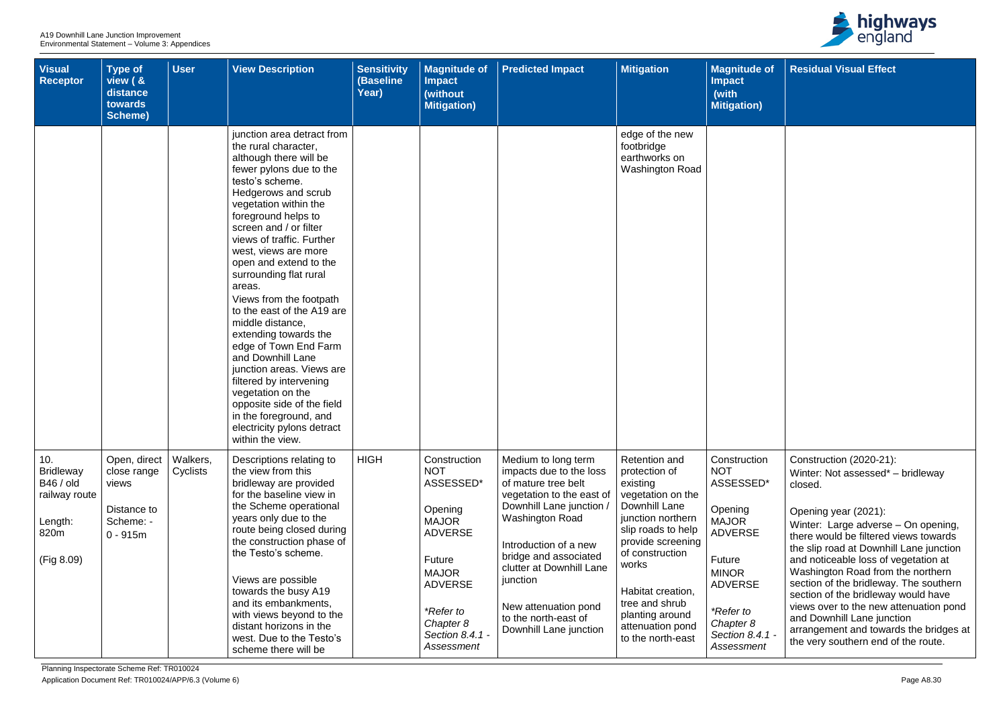| Visual<br><b>Receptor</b>                                                                     | Type of<br>view ( &<br>distance<br>towards<br>Scheme)                          | <b>User</b>          | <b>View Description</b>                                                                                                                                                                                                                                                                                                                                                                                                                                                                                                                                                                                                                                                                   | <b>Sensitivity</b><br>(Baseline<br>Year) | <b>Magnitude of</b><br><b>Impact</b><br>(without<br><b>Mitigation)</b>                                                                                                                      | <b>Predicted Impact</b>                                                                                                                                                                                                                                                                                                      | <b>Mitigation</b>                                                                                                                                                                                                                                                                      | <b>Magnitude of</b><br><b>Impact</b><br>(with<br><b>Mitigation</b> )                                                                                                                        |
|-----------------------------------------------------------------------------------------------|--------------------------------------------------------------------------------|----------------------|-------------------------------------------------------------------------------------------------------------------------------------------------------------------------------------------------------------------------------------------------------------------------------------------------------------------------------------------------------------------------------------------------------------------------------------------------------------------------------------------------------------------------------------------------------------------------------------------------------------------------------------------------------------------------------------------|------------------------------------------|---------------------------------------------------------------------------------------------------------------------------------------------------------------------------------------------|------------------------------------------------------------------------------------------------------------------------------------------------------------------------------------------------------------------------------------------------------------------------------------------------------------------------------|----------------------------------------------------------------------------------------------------------------------------------------------------------------------------------------------------------------------------------------------------------------------------------------|---------------------------------------------------------------------------------------------------------------------------------------------------------------------------------------------|
|                                                                                               |                                                                                |                      | junction area detract from<br>the rural character,<br>although there will be<br>fewer pylons due to the<br>testo's scheme.<br>Hedgerows and scrub<br>vegetation within the<br>foreground helps to<br>screen and / or filter<br>views of traffic. Further<br>west, views are more<br>open and extend to the<br>surrounding flat rural<br>areas.<br>Views from the footpath<br>to the east of the A19 are<br>middle distance,<br>extending towards the<br>edge of Town End Farm<br>and Downhill Lane<br>junction areas. Views are<br>filtered by intervening<br>vegetation on the<br>opposite side of the field<br>in the foreground, and<br>electricity pylons detract<br>within the view. |                                          |                                                                                                                                                                                             |                                                                                                                                                                                                                                                                                                                              | edge of the new<br>footbridge<br>earthworks on<br>Washington Road                                                                                                                                                                                                                      |                                                                                                                                                                                             |
| 10.<br><b>Bridleway</b><br><b>B46 / old</b><br>railway route<br>Length:<br>820m<br>(Fig 8.09) | Open, direct<br>close range<br>views<br>Distance to<br>Scheme: -<br>$0 - 915m$ | Walkers,<br>Cyclists | Descriptions relating to<br>the view from this<br>bridleway are provided<br>for the baseline view in<br>the Scheme operational<br>years only due to the<br>route being closed during<br>the construction phase of<br>the Testo's scheme.<br>Views are possible<br>towards the busy A19<br>and its embankments,<br>with views beyond to the<br>distant horizons in the<br>west. Due to the Testo's<br>scheme there will be                                                                                                                                                                                                                                                                 | <b>HIGH</b>                              | Construction<br><b>NOT</b><br>ASSESSED*<br>Opening<br><b>MAJOR</b><br><b>ADVERSE</b><br>Future<br><b>MAJOR</b><br><b>ADVERSE</b><br>*Refer to<br>Chapter 8<br>Section 8.4.1 -<br>Assessment | Medium to long term<br>impacts due to the loss<br>of mature tree belt<br>vegetation to the east of<br>Downhill Lane junction /<br><b>Washington Road</b><br>Introduction of a new<br>bridge and associated<br>clutter at Downhill Lane<br>junction<br>New attenuation pond<br>to the north-east of<br>Downhill Lane junction | <b>Retention and</b><br>protection of<br>existing<br>vegetation on the<br>Downhill Lane<br>junction northern<br>slip roads to help<br>provide screening<br>of construction<br>works<br>Habitat creation,<br>tree and shrub<br>planting around<br>attenuation pond<br>to the north-east | Construction<br><b>NOT</b><br>ASSESSED*<br>Opening<br><b>MAJOR</b><br><b>ADVERSE</b><br>Future<br><b>MINOR</b><br><b>ADVERSE</b><br>*Refer to<br>Chapter 8<br>Section 8.4.1 -<br>Assessment |



| e of           | <b>Residual Visual Effect</b>                                                                                                                              |
|----------------|------------------------------------------------------------------------------------------------------------------------------------------------------------|
| ۱)             |                                                                                                                                                            |
|                |                                                                                                                                                            |
|                |                                                                                                                                                            |
|                |                                                                                                                                                            |
|                |                                                                                                                                                            |
|                |                                                                                                                                                            |
|                |                                                                                                                                                            |
|                |                                                                                                                                                            |
|                |                                                                                                                                                            |
|                |                                                                                                                                                            |
|                |                                                                                                                                                            |
| on             | Construction (2020-21):                                                                                                                                    |
| ED*            | Winter: Not assessed* - bridleway<br>closed.                                                                                                               |
|                | Opening year (2021):<br>Winter: Large adverse - On opening,<br>there would be filtered views towards<br>the slip road at Downhill Lane junction            |
|                | and noticeable loss of vegetation at<br>Washington Road from the northern<br>section of the bridleway. The southern<br>section of the bridleway would have |
| $4.1 -$<br>ent | views over to the new attenuation pond<br>and Downhill Lane junction<br>arrangement and towards the bridges at<br>the very southern end of the route.      |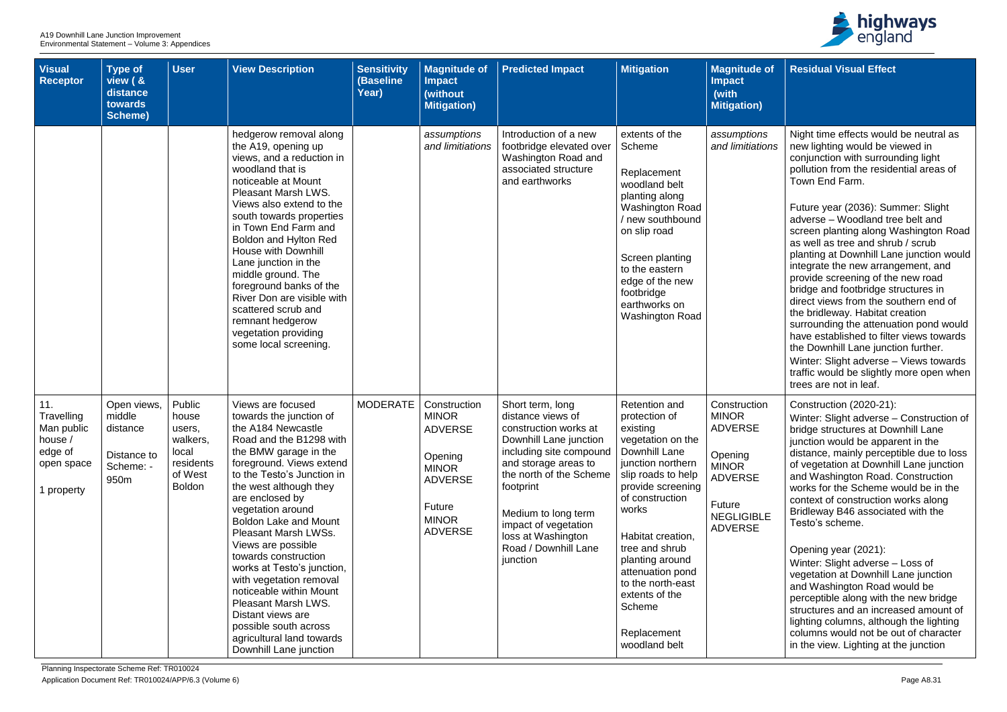

| <b>Visual</b><br><b>Receptor</b>                                                  | <b>Type of</b><br>view ( &<br>distance<br>towards<br><b>Scheme)</b>   | <b>User</b>                                                                             | <b>View Description</b>                                                                                                                                                                                                                                                                                                                                                                                                                                                                                                                                                  | <b>Sensitivity</b><br>(Baseline<br>Year) | <b>Magnitude of</b><br><b>Impact</b><br>(without<br><b>Mitigation)</b>                                                                         | <b>Predicted Impact</b>                                                                                                                                                                                                                                                                      | <b>Mitigation</b>                                                                                                                                                                                                                                                                                                                                  | <b>Magnitude of</b><br><b>Impact</b><br>(with<br><b>Mitigation</b> )                                                                         |
|-----------------------------------------------------------------------------------|-----------------------------------------------------------------------|-----------------------------------------------------------------------------------------|--------------------------------------------------------------------------------------------------------------------------------------------------------------------------------------------------------------------------------------------------------------------------------------------------------------------------------------------------------------------------------------------------------------------------------------------------------------------------------------------------------------------------------------------------------------------------|------------------------------------------|------------------------------------------------------------------------------------------------------------------------------------------------|----------------------------------------------------------------------------------------------------------------------------------------------------------------------------------------------------------------------------------------------------------------------------------------------|----------------------------------------------------------------------------------------------------------------------------------------------------------------------------------------------------------------------------------------------------------------------------------------------------------------------------------------------------|----------------------------------------------------------------------------------------------------------------------------------------------|
|                                                                                   |                                                                       |                                                                                         | hedgerow removal along<br>the A19, opening up<br>views, and a reduction in<br>woodland that is<br>noticeable at Mount<br>Pleasant Marsh LWS.<br>Views also extend to the<br>south towards properties<br>in Town End Farm and<br>Boldon and Hylton Red<br><b>House with Downhill</b><br>Lane junction in the<br>middle ground. The<br>foreground banks of the<br>River Don are visible with<br>scattered scrub and<br>remnant hedgerow<br>vegetation providing<br>some local screening.                                                                                   |                                          | assumptions<br>and limitiations                                                                                                                | Introduction of a new<br>footbridge elevated over<br>Washington Road and<br>associated structure<br>and earthworks                                                                                                                                                                           | extents of the<br>Scheme<br>Replacement<br>woodland belt<br>planting along<br><b>Washington Road</b><br>/ new southbound<br>on slip road<br>Screen planting<br>to the eastern<br>edge of the new<br>footbridge<br>earthworks on<br><b>Washington Road</b>                                                                                          | assumptions<br>and limitiations                                                                                                              |
| 11.<br>Travelling<br>Man public<br>house /<br>edge of<br>open space<br>1 property | Open views,<br>middle<br>distance<br>Distance to<br>Scheme: -<br>950m | Public<br>house<br>users,<br>walkers,<br>local<br>residents<br>of West<br><b>Boldon</b> | Views are focused<br>towards the junction of<br>the A184 Newcastle<br>Road and the B1298 with<br>the BMW garage in the<br>foreground. Views extend<br>to the Testo's Junction in<br>the west although they<br>are enclosed by<br>vegetation around<br><b>Boldon Lake and Mount</b><br>Pleasant Marsh LWSs.<br>Views are possible<br>towards construction<br>works at Testo's junction,<br>with vegetation removal<br>noticeable within Mount<br>Pleasant Marsh LWS.<br>Distant views are<br>possible south across<br>agricultural land towards<br>Downhill Lane junction | <b>MODERATE</b>                          | Construction<br><b>MINOR</b><br><b>ADVERSE</b><br>Opening<br><b>MINOR</b><br><b>ADVERSE</b><br><b>Future</b><br><b>MINOR</b><br><b>ADVERSE</b> | Short term, long<br>distance views of<br>construction works at<br>Downhill Lane junction<br>including site compound<br>and storage areas to<br>the north of the Scheme<br>footprint<br>Medium to long term<br>impact of vegetation<br>loss at Washington<br>Road / Downhill Lane<br>junction | <b>Retention and</b><br>protection of<br>existing<br>vegetation on the<br>Downhill Lane<br>junction northern<br>slip roads to help<br>provide screening<br>of construction<br>works<br>Habitat creation,<br>tree and shrub<br>planting around<br>attenuation pond<br>to the north-east<br>extents of the<br>Scheme<br>Replacement<br>woodland belt | Construction<br><b>MINOR</b><br><b>ADVERSE</b><br>Opening<br><b>MINOR</b><br><b>ADVERSE</b><br>Future<br><b>NEGLIGIBLE</b><br><b>ADVERSE</b> |

| e of        | <b>Residual Visual Effect</b>                                                                                                                                                                                                                                                                                                                                                                                                                                                                                                                                                                                                               |
|-------------|---------------------------------------------------------------------------------------------------------------------------------------------------------------------------------------------------------------------------------------------------------------------------------------------------------------------------------------------------------------------------------------------------------------------------------------------------------------------------------------------------------------------------------------------------------------------------------------------------------------------------------------------|
| ı)          |                                                                                                                                                                                                                                                                                                                                                                                                                                                                                                                                                                                                                                             |
| ns<br>tions | Night time effects would be neutral as<br>new lighting would be viewed in<br>conjunction with surrounding light<br>pollution from the residential areas of<br>Town End Farm.                                                                                                                                                                                                                                                                                                                                                                                                                                                                |
|             | Future year (2036): Summer: Slight<br>adverse - Woodland tree belt and<br>screen planting along Washington Road<br>as well as tree and shrub / scrub<br>planting at Downhill Lane junction would<br>integrate the new arrangement, and<br>provide screening of the new road<br>bridge and footbridge structures in<br>direct views from the southern end of<br>the bridleway. Habitat creation<br>surrounding the attenuation pond would<br>have established to filter views towards<br>the Downhill Lane junction further.<br>Winter: Slight adverse - Views towards<br>traffic would be slightly more open when<br>trees are not in leaf. |
| on<br>3LE   | Construction (2020-21):<br>Winter: Slight adverse - Construction of<br>bridge structures at Downhill Lane<br>junction would be apparent in the<br>distance, mainly perceptible due to loss<br>of vegetation at Downhill Lane junction<br>and Washington Road. Construction<br>works for the Scheme would be in the<br>context of construction works along<br>Bridleway B46 associated with the<br>Testo's scheme.                                                                                                                                                                                                                           |
|             | Opening year (2021):<br>Winter: Slight adverse - Loss of<br>vegetation at Downhill Lane junction<br>and Washington Road would be<br>perceptible along with the new bridge<br>structures and an increased amount of<br>lighting columns, although the lighting<br>columns would not be out of character<br>in the view. Lighting at the junction                                                                                                                                                                                                                                                                                             |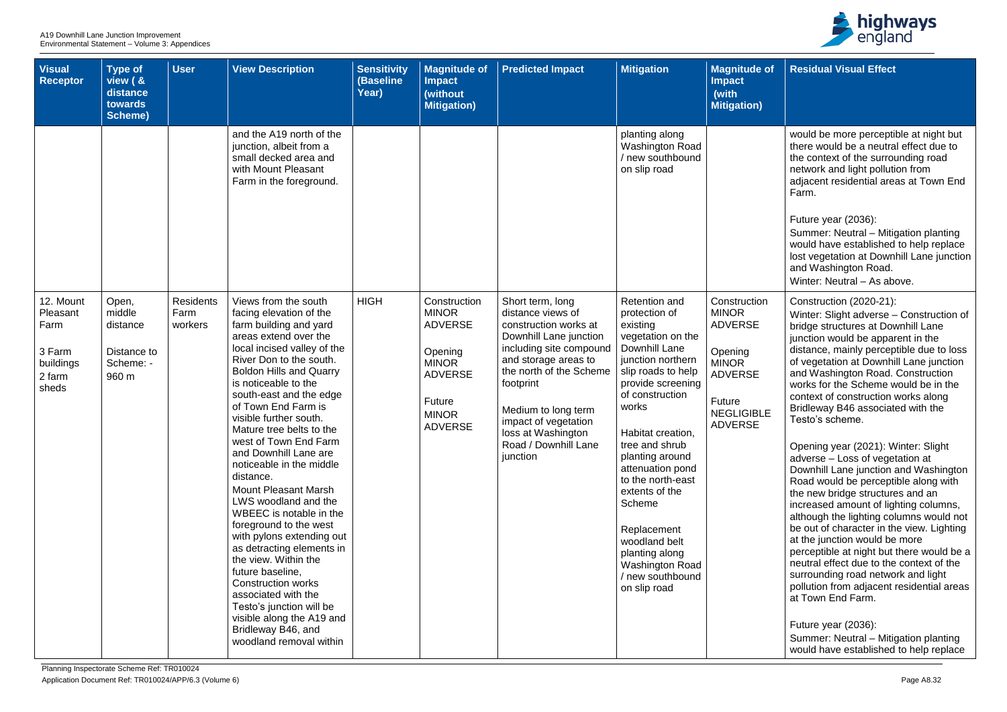| <b>Visual</b><br><b>Receptor</b>                                        | Type of<br>view ( &<br>distance<br>towards<br><b>Scheme)</b>     | <b>User</b>                         | <b>View Description</b>                                                                                                                                                                                                                                                                                                                                                                                                                                                                                                                                                                                                                                                                                                                                                                                   | <b>Sensitivity</b><br>(Baseline<br>Year) | <b>Magnitude of</b><br><b>Impact</b><br>(without<br><b>Mitigation)</b>                                                                         | <b>Predicted Impact</b>                                                                                                                                                                                                                                                                      | <b>Mitigation</b>                                                                                                                                                                                                                                                                                                                                                                                                           | <b>Magnitude of</b><br><b>Impact</b><br>(with<br><b>Mitigation)</b>                                                                          |
|-------------------------------------------------------------------------|------------------------------------------------------------------|-------------------------------------|-----------------------------------------------------------------------------------------------------------------------------------------------------------------------------------------------------------------------------------------------------------------------------------------------------------------------------------------------------------------------------------------------------------------------------------------------------------------------------------------------------------------------------------------------------------------------------------------------------------------------------------------------------------------------------------------------------------------------------------------------------------------------------------------------------------|------------------------------------------|------------------------------------------------------------------------------------------------------------------------------------------------|----------------------------------------------------------------------------------------------------------------------------------------------------------------------------------------------------------------------------------------------------------------------------------------------|-----------------------------------------------------------------------------------------------------------------------------------------------------------------------------------------------------------------------------------------------------------------------------------------------------------------------------------------------------------------------------------------------------------------------------|----------------------------------------------------------------------------------------------------------------------------------------------|
|                                                                         |                                                                  |                                     | and the A19 north of the<br>junction, albeit from a<br>small decked area and<br>with Mount Pleasant<br>Farm in the foreground.                                                                                                                                                                                                                                                                                                                                                                                                                                                                                                                                                                                                                                                                            |                                          |                                                                                                                                                |                                                                                                                                                                                                                                                                                              | planting along<br><b>Washington Road</b><br>/ new southbound<br>on slip road                                                                                                                                                                                                                                                                                                                                                |                                                                                                                                              |
| 12. Mount<br>Pleasant<br>Farm<br>3 Farm<br>buildings<br>2 farm<br>sheds | Open,<br>middle<br>distance<br>Distance to<br>Scheme: -<br>960 m | <b>Residents</b><br>Farm<br>workers | Views from the south<br>facing elevation of the<br>farm building and yard<br>areas extend over the<br>local incised valley of the<br>River Don to the south.<br><b>Boldon Hills and Quarry</b><br>is noticeable to the<br>south-east and the edge<br>of Town End Farm is<br>visible further south.<br>Mature tree belts to the<br>west of Town End Farm<br>and Downhill Lane are<br>noticeable in the middle<br>distance.<br><b>Mount Pleasant Marsh</b><br>LWS woodland and the<br>WBEEC is notable in the<br>foreground to the west<br>with pylons extending out<br>as detracting elements in<br>the view. Within the<br>future baseline,<br><b>Construction works</b><br>associated with the<br>Testo's junction will be<br>visible along the A19 and<br>Bridleway B46, and<br>woodland removal within | <b>HIGH</b>                              | Construction<br><b>MINOR</b><br><b>ADVERSE</b><br>Opening<br><b>MINOR</b><br><b>ADVERSE</b><br><b>Future</b><br><b>MINOR</b><br><b>ADVERSE</b> | Short term, long<br>distance views of<br>construction works at<br>Downhill Lane junction<br>including site compound<br>and storage areas to<br>the north of the Scheme<br>footprint<br>Medium to long term<br>impact of vegetation<br>loss at Washington<br>Road / Downhill Lane<br>junction | Retention and<br>protection of<br>existing<br>vegetation on the<br>Downhill Lane<br>junction northern<br>slip roads to help<br>provide screening<br>of construction<br>works<br>Habitat creation,<br>tree and shrub<br>planting around<br>attenuation pond<br>to the north-east<br>extents of the<br>Scheme<br>Replacement<br>woodland belt<br>planting along<br><b>Washington Road</b><br>/ new southbound<br>on slip road | Construction<br><b>MINOR</b><br><b>ADVERSE</b><br>Opening<br><b>MINOR</b><br><b>ADVERSE</b><br>Future<br><b>NEGLIGIBLE</b><br><b>ADVERSE</b> |



| of.     | <b>Residual Visual Effect</b>                                                                                                                                                                                                                                                                                                                                                                                                                                                                                                                                  |
|---------|----------------------------------------------------------------------------------------------------------------------------------------------------------------------------------------------------------------------------------------------------------------------------------------------------------------------------------------------------------------------------------------------------------------------------------------------------------------------------------------------------------------------------------------------------------------|
|         |                                                                                                                                                                                                                                                                                                                                                                                                                                                                                                                                                                |
|         | would be more perceptible at night but<br>there would be a neutral effect due to<br>the context of the surrounding road<br>network and light pollution from<br>adjacent residential areas at Town End<br>Farm.                                                                                                                                                                                                                                                                                                                                                 |
|         | Future year (2036):<br>Summer: Neutral – Mitigation planting<br>would have established to help replace<br>lost vegetation at Downhill Lane junction<br>and Washington Road.<br>Winter: Neutral - As above.                                                                                                                                                                                                                                                                                                                                                     |
| n<br>.E | Construction (2020-21):<br>Winter: Slight adverse - Construction of<br>bridge structures at Downhill Lane<br>junction would be apparent in the<br>distance, mainly perceptible due to loss<br>of vegetation at Downhill Lane junction<br>and Washington Road. Construction<br>works for the Scheme would be in the<br>context of construction works along<br>Bridleway B46 associated with the<br>Testo's scheme.                                                                                                                                              |
|         | Opening year (2021): Winter: Slight<br>adverse - Loss of vegetation at<br>Downhill Lane junction and Washington<br>Road would be perceptible along with<br>the new bridge structures and an<br>increased amount of lighting columns,<br>although the lighting columns would not<br>be out of character in the view. Lighting<br>at the junction would be more<br>perceptible at night but there would be a<br>neutral effect due to the context of the<br>surrounding road network and light<br>pollution from adjacent residential areas<br>at Town End Farm. |
|         | Future year (2036):<br>Summer: Neutral - Mitigation planting<br>would have established to help replace                                                                                                                                                                                                                                                                                                                                                                                                                                                         |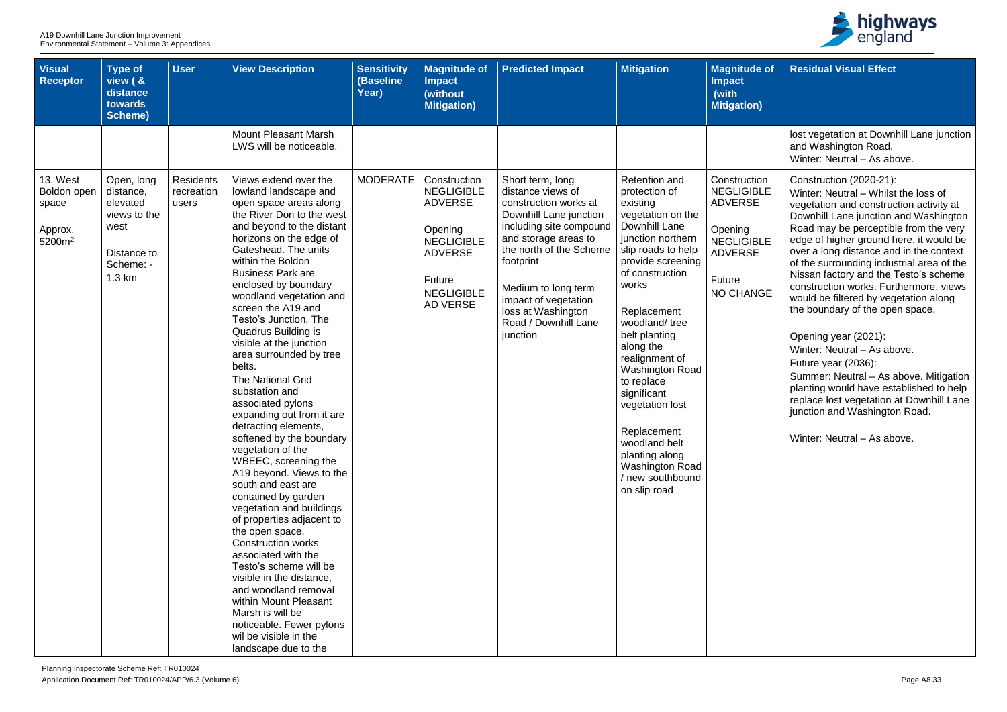| <b>Visual</b><br><b>Receptor</b>                                         | <b>Type of</b><br>view ( &<br>distance<br>towards<br><b>Scheme)</b>                               | <b>User</b>                             | <b>View Description</b>                                                                                                                                                                                                                                                                                                                                                                                                                                                                                                                                                                                                                                                                                                                                                                                                                                                                                                                                                                                                                           | <b>Sensitivity</b><br>(Baseline<br>Year) | <b>Magnitude of</b><br><b>Impact</b><br>(without<br><b>Mitigation)</b>                                                                                         | <b>Predicted Impact</b>                                                                                                                                                                                                                                                                      | <b>Mitigation</b>                                                                                                                                                                                                                                                                                                                                                                                                                                             | <b>Magnitude of</b><br><b>Impact</b><br>(with<br><b>Mitigation</b> )                                                                |
|--------------------------------------------------------------------------|---------------------------------------------------------------------------------------------------|-----------------------------------------|---------------------------------------------------------------------------------------------------------------------------------------------------------------------------------------------------------------------------------------------------------------------------------------------------------------------------------------------------------------------------------------------------------------------------------------------------------------------------------------------------------------------------------------------------------------------------------------------------------------------------------------------------------------------------------------------------------------------------------------------------------------------------------------------------------------------------------------------------------------------------------------------------------------------------------------------------------------------------------------------------------------------------------------------------|------------------------------------------|----------------------------------------------------------------------------------------------------------------------------------------------------------------|----------------------------------------------------------------------------------------------------------------------------------------------------------------------------------------------------------------------------------------------------------------------------------------------|---------------------------------------------------------------------------------------------------------------------------------------------------------------------------------------------------------------------------------------------------------------------------------------------------------------------------------------------------------------------------------------------------------------------------------------------------------------|-------------------------------------------------------------------------------------------------------------------------------------|
|                                                                          |                                                                                                   |                                         | <b>Mount Pleasant Marsh</b><br>LWS will be noticeable.                                                                                                                                                                                                                                                                                                                                                                                                                                                                                                                                                                                                                                                                                                                                                                                                                                                                                                                                                                                            |                                          |                                                                                                                                                                |                                                                                                                                                                                                                                                                                              |                                                                                                                                                                                                                                                                                                                                                                                                                                                               |                                                                                                                                     |
| <b>13. West</b><br>Boldon open<br>space<br>Approx.<br>5200m <sup>2</sup> | Open, long<br>distance,<br>elevated<br>views to the<br>west<br>Distance to<br>Scheme: -<br>1.3 km | <b>Residents</b><br>recreation<br>users | Views extend over the<br>lowland landscape and<br>open space areas along<br>the River Don to the west<br>and beyond to the distant<br>horizons on the edge of<br>Gateshead. The units<br>within the Boldon<br><b>Business Park are</b><br>enclosed by boundary<br>woodland vegetation and<br>screen the A19 and<br>Testo's Junction. The<br>Quadrus Building is<br>visible at the junction<br>area surrounded by tree<br>belts.<br><b>The National Grid</b><br>substation and<br>associated pylons<br>expanding out from it are<br>detracting elements,<br>softened by the boundary<br>vegetation of the<br>WBEEC, screening the<br>A19 beyond. Views to the<br>south and east are<br>contained by garden<br>vegetation and buildings<br>of properties adjacent to<br>the open space.<br><b>Construction works</b><br>associated with the<br>Testo's scheme will be<br>visible in the distance,<br>and woodland removal<br>within Mount Pleasant<br>Marsh is will be<br>noticeable. Fewer pylons<br>wil be visible in the<br>landscape due to the | <b>MODERATE</b>                          | Construction<br><b>NEGLIGIBLE</b><br><b>ADVERSE</b><br>Opening<br><b>NEGLIGIBLE</b><br><b>ADVERSE</b><br><b>Future</b><br><b>NEGLIGIBLE</b><br><b>AD VERSE</b> | Short term, long<br>distance views of<br>construction works at<br>Downhill Lane junction<br>including site compound<br>and storage areas to<br>the north of the Scheme<br>footprint<br>Medium to long term<br>impact of vegetation<br>loss at Washington<br>Road / Downhill Lane<br>junction | <b>Retention and</b><br>protection of<br>existing<br>vegetation on the<br>Downhill Lane<br>junction northern<br>slip roads to help<br>provide screening<br>of construction<br>works<br>Replacement<br>woodland/tree<br>belt planting<br>along the<br>realignment of<br><b>Washington Road</b><br>to replace<br>significant<br>vegetation lost<br>Replacement<br>woodland belt<br>planting along<br><b>Washington Road</b><br>/ new southbound<br>on slip road | Construction<br><b>NEGLIGIBLE</b><br><b>ADVERSE</b><br>Opening<br><b>NEGLIGIBLE</b><br><b>ADVERSE</b><br>Future<br><b>NO CHANGE</b> |



| $\overline{ot}$ | <b>Residual Visual Effect</b>                                                                                                                                                                                                                |
|-----------------|----------------------------------------------------------------------------------------------------------------------------------------------------------------------------------------------------------------------------------------------|
|                 |                                                                                                                                                                                                                                              |
|                 | lost vegetation at Downhill Lane junction<br>and Washington Road.<br>Winter: Neutral - As above.                                                                                                                                             |
| 'n<br>-E        | Construction (2020-21):<br>Winter: Neutral - Whilst the loss of<br>vegetation and construction activity at<br>Downhill Lane junction and Washington                                                                                          |
| -E              | Road may be perceptible from the very<br>edge of higher ground here, it would be<br>over a long distance and in the context<br>of the surrounding industrial area of the<br>Nissan factory and the Testo's scheme                            |
| ЭË              | construction works. Furthermore, views<br>would be filtered by vegetation along<br>the boundary of the open space.                                                                                                                           |
|                 | Opening year (2021):<br>Winter: Neutral - As above.<br>Future year (2036):<br>Summer: Neutral - As above. Mitigation<br>planting would have established to help<br>replace lost vegetation at Downhill Lane<br>junction and Washington Road. |
|                 | Winter: Neutral – As above.                                                                                                                                                                                                                  |
|                 |                                                                                                                                                                                                                                              |
|                 |                                                                                                                                                                                                                                              |
|                 |                                                                                                                                                                                                                                              |
|                 |                                                                                                                                                                                                                                              |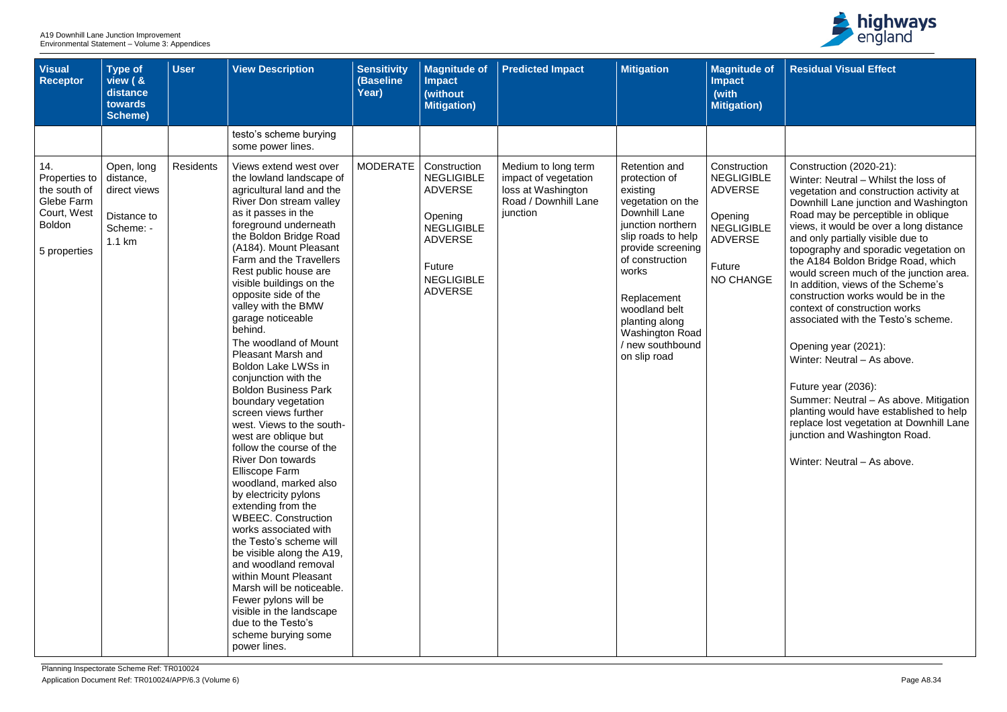| <b>Visual</b><br><b>Receptor</b>                                                                   | <b>Type of</b><br>view ( &<br>distance<br>towards<br>Scheme)                            | <b>User</b>      | <b>View Description</b>                                                                                                                                                                                                                                                                                                                                                                                                                                                                                                                                                                                                                                                                                                                                                                                                                                                                                                                                                                                                                                                                      | <b>Sensitivity</b><br>(Baseline<br>Year) | <b>Magnitude of</b><br><b>Impact</b><br>(without<br><b>Mitigation)</b>                                                                                 | <b>Predicted Impact</b>                                                                               | <b>Mitigation</b>                                                                                                                                                                                                                                                                     | <b>Magnitude of</b><br><b>Impact</b><br>(with<br><b>Mitigation)</b>                                                          |
|----------------------------------------------------------------------------------------------------|-----------------------------------------------------------------------------------------|------------------|----------------------------------------------------------------------------------------------------------------------------------------------------------------------------------------------------------------------------------------------------------------------------------------------------------------------------------------------------------------------------------------------------------------------------------------------------------------------------------------------------------------------------------------------------------------------------------------------------------------------------------------------------------------------------------------------------------------------------------------------------------------------------------------------------------------------------------------------------------------------------------------------------------------------------------------------------------------------------------------------------------------------------------------------------------------------------------------------|------------------------------------------|--------------------------------------------------------------------------------------------------------------------------------------------------------|-------------------------------------------------------------------------------------------------------|---------------------------------------------------------------------------------------------------------------------------------------------------------------------------------------------------------------------------------------------------------------------------------------|------------------------------------------------------------------------------------------------------------------------------|
|                                                                                                    |                                                                                         |                  | testo's scheme burying<br>some power lines.                                                                                                                                                                                                                                                                                                                                                                                                                                                                                                                                                                                                                                                                                                                                                                                                                                                                                                                                                                                                                                                  |                                          |                                                                                                                                                        |                                                                                                       |                                                                                                                                                                                                                                                                                       |                                                                                                                              |
| 14.<br>Properties to<br>the south of<br>Glebe Farm<br>Court, West<br><b>Boldon</b><br>5 properties | Open, long<br>distance,<br>direct views<br>Distance to<br>Scheme: -<br>$1.1 \text{ km}$ | <b>Residents</b> | Views extend west over<br>the lowland landscape of<br>agricultural land and the<br>River Don stream valley<br>as it passes in the<br>foreground underneath<br>the Boldon Bridge Road<br>(A184). Mount Pleasant<br>Farm and the Travellers<br>Rest public house are<br>visible buildings on the<br>opposite side of the<br>valley with the BMW<br>garage noticeable<br>behind.<br>The woodland of Mount<br><b>Pleasant Marsh and</b><br>Boldon Lake LWSs in<br>conjunction with the<br><b>Boldon Business Park</b><br>boundary vegetation<br>screen views further<br>west. Views to the south-<br>west are oblique but<br>follow the course of the<br><b>River Don towards</b><br><b>Elliscope Farm</b><br>woodland, marked also<br>by electricity pylons<br>extending from the<br><b>WBEEC. Construction</b><br>works associated with<br>the Testo's scheme will<br>be visible along the A19,<br>and woodland removal<br>within Mount Pleasant<br>Marsh will be noticeable.<br>Fewer pylons will be<br>visible in the landscape<br>due to the Testo's<br>scheme burying some<br>power lines. | <b>MODERATE</b>                          | Construction<br><b>NEGLIGIBLE</b><br><b>ADVERSE</b><br>Opening<br><b>NEGLIGIBLE</b><br><b>ADVERSE</b><br>Future<br><b>NEGLIGIBLE</b><br><b>ADVERSE</b> | Medium to long term<br>impact of vegetation<br>loss at Washington<br>Road / Downhill Lane<br>junction | Retention and<br>protection of<br>existing<br>vegetation on the<br>Downhill Lane<br>junction northern<br>slip roads to help<br>provide screening<br>of construction<br>works<br>Replacement<br>woodland belt<br>planting along<br>Washington Road<br>/ new southbound<br>on slip road | Construction<br><b>NEGLIGIBLE</b><br><b>ADVERSE</b><br>Opening<br><b>NEGLIGIBLE</b><br><b>ADVERSE</b><br>Future<br>NO CHANGE |



| of       | <b>Residual Visual Effect</b>                                                                                                                                                                     |
|----------|---------------------------------------------------------------------------------------------------------------------------------------------------------------------------------------------------|
|          |                                                                                                                                                                                                   |
|          |                                                                                                                                                                                                   |
| 'n<br>LE | Construction (2020-21):<br>Winter: Neutral - Whilst the loss of<br>vegetation and construction activity at<br>Downhill Lane junction and Washington                                               |
| LE       | Road may be perceptible in oblique<br>views, it would be over a long distance<br>and only partially visible due to<br>topography and sporadic vegetation on<br>the A184 Boldon Bridge Road, which |
| ЭE       | would screen much of the junction area.<br>In addition, views of the Scheme's<br>construction works would be in the<br>context of construction works<br>associated with the Testo's scheme.       |
|          | Opening year (2021):<br>Winter: Neutral - As above.                                                                                                                                               |
|          | Future year (2036):<br>Summer: Neutral - As above. Mitigation<br>planting would have established to help<br>replace lost vegetation at Downhill Lane<br>junction and Washington Road.             |
|          | Winter: Neutral - As above.                                                                                                                                                                       |
|          |                                                                                                                                                                                                   |
|          |                                                                                                                                                                                                   |
|          |                                                                                                                                                                                                   |
|          |                                                                                                                                                                                                   |
|          |                                                                                                                                                                                                   |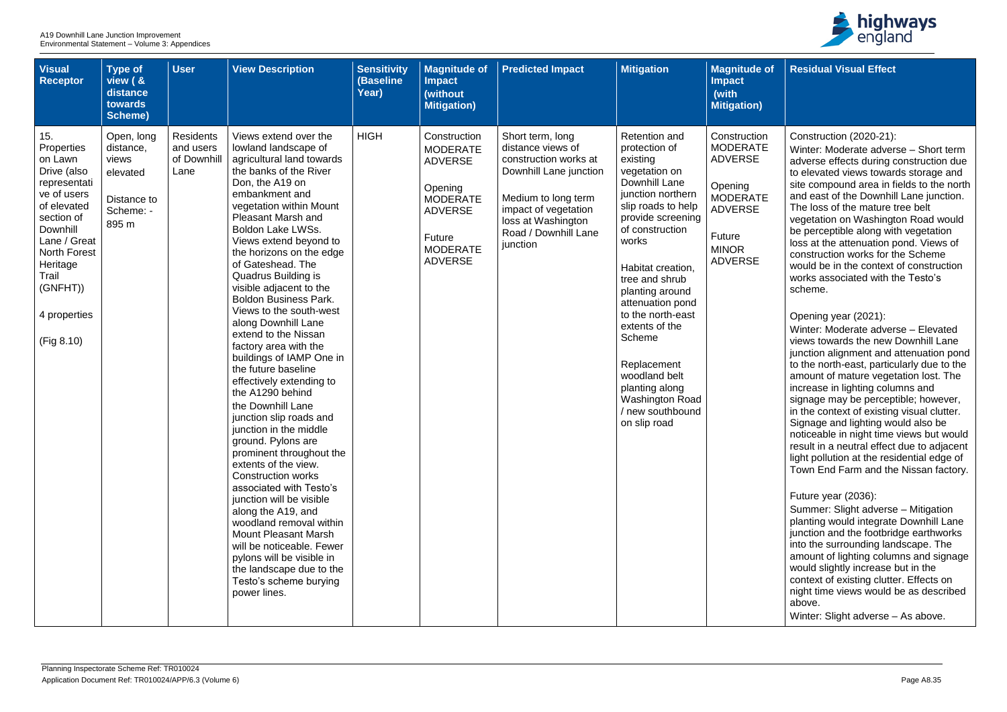| <b>Visual</b><br>Receptor                                                                                                                                                                                                 | <b>Type of</b><br>view ( &<br>distance<br>towards<br>Scheme)                      | <b>User</b>                                          | <b>View Description</b>                                                                                                                                                                                                                                                                                                                                                                                                                                                                                                                                                                                                                                                                                                                                                                                                                                                                                                                                                                                                                                  | <b>Sensitivity</b><br>(Baseline<br>Year) | <b>Magnitude of</b><br><b>Impact</b><br>(without<br><b>Mitigation)</b>                                                                                  | <b>Predicted Impact</b>                                                                                                                                                                           | <b>Mitigation</b>                                                                                                                                                                                                                                                                                                                                                                                                       | <b>Magnitude of</b><br><b>Impact</b><br>(with<br><b>Mitigation)</b>                                                                                  |
|---------------------------------------------------------------------------------------------------------------------------------------------------------------------------------------------------------------------------|-----------------------------------------------------------------------------------|------------------------------------------------------|----------------------------------------------------------------------------------------------------------------------------------------------------------------------------------------------------------------------------------------------------------------------------------------------------------------------------------------------------------------------------------------------------------------------------------------------------------------------------------------------------------------------------------------------------------------------------------------------------------------------------------------------------------------------------------------------------------------------------------------------------------------------------------------------------------------------------------------------------------------------------------------------------------------------------------------------------------------------------------------------------------------------------------------------------------|------------------------------------------|---------------------------------------------------------------------------------------------------------------------------------------------------------|---------------------------------------------------------------------------------------------------------------------------------------------------------------------------------------------------|-------------------------------------------------------------------------------------------------------------------------------------------------------------------------------------------------------------------------------------------------------------------------------------------------------------------------------------------------------------------------------------------------------------------------|------------------------------------------------------------------------------------------------------------------------------------------------------|
| 15.<br>Properties<br>on Lawn<br>Drive (also<br>representati<br>ve of users<br>of elevated<br>section of<br>Downhill<br>Lane / Great<br><b>North Forest</b><br>Heritage<br>Trail<br>(GNFHT))<br>4 properties<br>(Fig 8.10) | Open, long<br>distance,<br>views<br>elevated<br>Distance to<br>Scheme: -<br>895 m | <b>Residents</b><br>and users<br>of Downhill<br>Lane | Views extend over the<br>lowland landscape of<br>agricultural land towards<br>the banks of the River<br>Don, the A19 on<br>embankment and<br>vegetation within Mount<br><b>Pleasant Marsh and</b><br><b>Boldon Lake LWSs.</b><br>Views extend beyond to<br>the horizons on the edge<br>of Gateshead. The<br>Quadrus Building is<br>visible adjacent to the<br><b>Boldon Business Park.</b><br>Views to the south-west<br>along Downhill Lane<br>extend to the Nissan<br>factory area with the<br>buildings of IAMP One in<br>the future baseline<br>effectively extending to<br>the A1290 behind<br>the Downhill Lane<br>junction slip roads and<br>junction in the middle<br>ground. Pylons are<br>prominent throughout the<br>extents of the view.<br><b>Construction works</b><br>associated with Testo's<br>junction will be visible<br>along the A19, and<br>woodland removal within<br><b>Mount Pleasant Marsh</b><br>will be noticeable. Fewer<br>pylons will be visible in<br>the landscape due to the<br>Testo's scheme burying<br>power lines. | <b>HIGH</b>                              | Construction<br><b>MODERATE</b><br><b>ADVERSE</b><br>Opening<br><b>MODERATE</b><br><b>ADVERSE</b><br><b>Future</b><br><b>MODERATE</b><br><b>ADVERSE</b> | Short term, long<br>distance views of<br>construction works at<br>Downhill Lane junction<br>Medium to long term<br>impact of vegetation<br>loss at Washington<br>Road / Downhill Lane<br>junction | <b>Retention and</b><br>protection of<br>existing<br>vegetation on<br>Downhill Lane<br>junction northern<br>slip roads to help<br>provide screening<br>of construction<br>works<br>Habitat creation,<br>tree and shrub<br>planting around<br>attenuation pond<br>to the north-east<br>extents of the<br>Scheme<br>Replacement<br>woodland belt<br>planting along<br>Washington Road<br>/ new southbound<br>on slip road | Construction<br><b>MODERATE</b><br><b>ADVERSE</b><br>Opening<br><b>MODERATE</b><br><b>ADVERSE</b><br><b>Future</b><br><b>MINOR</b><br><b>ADVERSE</b> |



| <b>of</b> | <b>Residual Visual Effect</b>                                                                                                                                                                                                                                                                                                                                                                                                                                                                                                                                                         |
|-----------|---------------------------------------------------------------------------------------------------------------------------------------------------------------------------------------------------------------------------------------------------------------------------------------------------------------------------------------------------------------------------------------------------------------------------------------------------------------------------------------------------------------------------------------------------------------------------------------|
|           |                                                                                                                                                                                                                                                                                                                                                                                                                                                                                                                                                                                       |
| 'n<br>Έ   | Construction (2020-21):<br>Winter: Moderate adverse - Short term<br>adverse effects during construction due<br>to elevated views towards storage and                                                                                                                                                                                                                                                                                                                                                                                                                                  |
| Έ         | site compound area in fields to the north<br>and east of the Downhill Lane junction.<br>The loss of the mature tree belt<br>vegetation on Washington Road would<br>be perceptible along with vegetation<br>loss at the attenuation pond. Views of<br>construction works for the Scheme<br>would be in the context of construction<br>works associated with the Testo's<br>scheme.                                                                                                                                                                                                     |
|           | Opening year (2021):<br>Winter: Moderate adverse - Elevated<br>views towards the new Downhill Lane<br>junction alignment and attenuation pond<br>to the north-east, particularly due to the<br>amount of mature vegetation lost. The<br>increase in lighting columns and<br>signage may be perceptible; however,<br>in the context of existing visual clutter.<br>Signage and lighting would also be<br>noticeable in night time views but would<br>result in a neutral effect due to adjacent<br>light pollution at the residential edge of<br>Town End Farm and the Nissan factory. |
|           | Future year (2036):<br>Summer: Slight adverse - Mitigation<br>planting would integrate Downhill Lane<br>junction and the footbridge earthworks<br>into the surrounding landscape. The<br>amount of lighting columns and signage<br>would slightly increase but in the<br>context of existing clutter. Effects on<br>night time views would be as described<br>above.<br>Winter: Slight adverse - As above.                                                                                                                                                                            |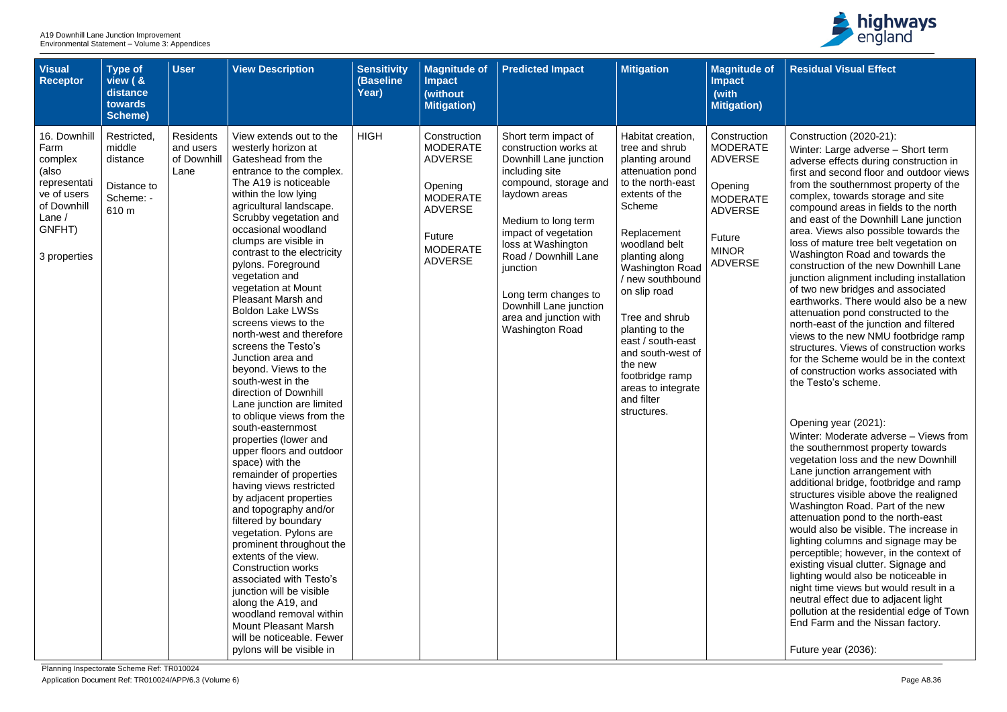| <b>Visual</b><br><b>Receptor</b>                                                                                           | <b>Type of</b><br>view ( &<br>distance<br>towards<br>Scheme)           | <b>User</b>                                          | <b>View Description</b>                                                                                                                                                                                                                                                                                                                                                                                                                                                                                                                                                                                                                                                                                                                                                                                                                                                                                                                                                                                                                                                                                                                                                                | <b>Sensitivity</b><br>(Baseline<br>Year) | <b>Magnitude of</b><br><b>Impact</b><br>(without<br><b>Mitigation)</b>                                                                                  | <b>Predicted Impact</b>                                                                                                                                                                                                                                                                                                                            | <b>Mitigation</b>                                                                                                                                                                                                                                                                                                                                                                                           | <b>Magnitude of</b><br><b>Impact</b><br>(with<br><b>Mitigation)</b>                                                                                  |
|----------------------------------------------------------------------------------------------------------------------------|------------------------------------------------------------------------|------------------------------------------------------|----------------------------------------------------------------------------------------------------------------------------------------------------------------------------------------------------------------------------------------------------------------------------------------------------------------------------------------------------------------------------------------------------------------------------------------------------------------------------------------------------------------------------------------------------------------------------------------------------------------------------------------------------------------------------------------------------------------------------------------------------------------------------------------------------------------------------------------------------------------------------------------------------------------------------------------------------------------------------------------------------------------------------------------------------------------------------------------------------------------------------------------------------------------------------------------|------------------------------------------|---------------------------------------------------------------------------------------------------------------------------------------------------------|----------------------------------------------------------------------------------------------------------------------------------------------------------------------------------------------------------------------------------------------------------------------------------------------------------------------------------------------------|-------------------------------------------------------------------------------------------------------------------------------------------------------------------------------------------------------------------------------------------------------------------------------------------------------------------------------------------------------------------------------------------------------------|------------------------------------------------------------------------------------------------------------------------------------------------------|
| 16. Downhill<br>Farm<br>complex<br>(also<br>representati<br>ve of users<br>of Downhill<br>Lane /<br>GNFHT)<br>3 properties | Restricted,<br>middle<br>distance<br>Distance to<br>Scheme: -<br>610 m | <b>Residents</b><br>and users<br>of Downhill<br>Lane | View extends out to the<br>westerly horizon at<br>Gateshead from the<br>entrance to the complex.<br>The A19 is noticeable<br>within the low lying<br>agricultural landscape.<br>Scrubby vegetation and<br>occasional woodland<br>clumps are visible in<br>contrast to the electricity<br>pylons. Foreground<br>vegetation and<br>vegetation at Mount<br><b>Pleasant Marsh and</b><br><b>Boldon Lake LWSs</b><br>screens views to the<br>north-west and therefore<br>screens the Testo's<br>Junction area and<br>beyond. Views to the<br>south-west in the<br>direction of Downhill<br>Lane junction are limited<br>to oblique views from the<br>south-easternmost<br>properties (lower and<br>upper floors and outdoor<br>space) with the<br>remainder of properties<br>having views restricted<br>by adjacent properties<br>and topography and/or<br>filtered by boundary<br>vegetation. Pylons are<br>prominent throughout the<br>extents of the view.<br><b>Construction works</b><br>associated with Testo's<br>junction will be visible<br>along the A19, and<br>woodland removal within<br><b>Mount Pleasant Marsh</b><br>will be noticeable. Fewer<br>pylons will be visible in | <b>HIGH</b>                              | Construction<br><b>MODERATE</b><br><b>ADVERSE</b><br>Opening<br><b>MODERATE</b><br><b>ADVERSE</b><br><b>Future</b><br><b>MODERATE</b><br><b>ADVERSE</b> | Short term impact of<br>construction works at<br>Downhill Lane junction<br>including site<br>compound, storage and<br>laydown areas<br>Medium to long term<br>impact of vegetation<br>loss at Washington<br>Road / Downhill Lane<br>junction<br>Long term changes to<br>Downhill Lane junction<br>area and junction with<br><b>Washington Road</b> | Habitat creation,<br>tree and shrub<br>planting around<br>attenuation pond<br>to the north-east<br>extents of the<br>Scheme<br>Replacement<br>woodland belt<br>planting along<br><b>Washington Road</b><br>/ new southbound<br>on slip road<br>Tree and shrub<br>planting to the<br>east / south-east<br>and south-west of<br>the new<br>footbridge ramp<br>areas to integrate<br>and filter<br>structures. | Construction<br><b>MODERATE</b><br><b>ADVERSE</b><br>Opening<br><b>MODERATE</b><br><b>ADVERSE</b><br><b>Future</b><br><b>MINOR</b><br><b>ADVERSE</b> |



| $\bullet$ of | <b>Residual Visual Effect</b>                                                                                                                                                                                                                                                                                                                                                                                                                                                                                                                                                                                                                                                                                             |
|--------------|---------------------------------------------------------------------------------------------------------------------------------------------------------------------------------------------------------------------------------------------------------------------------------------------------------------------------------------------------------------------------------------------------------------------------------------------------------------------------------------------------------------------------------------------------------------------------------------------------------------------------------------------------------------------------------------------------------------------------|
|              |                                                                                                                                                                                                                                                                                                                                                                                                                                                                                                                                                                                                                                                                                                                           |
| λIJ<br>Έ     | Construction (2020-21):<br>Winter: Large adverse - Short term<br>adverse effects during construction in<br>first and second floor and outdoor views<br>from the southernmost property of the                                                                                                                                                                                                                                                                                                                                                                                                                                                                                                                              |
| Έ            | complex, towards storage and site<br>compound areas in fields to the north<br>and east of the Downhill Lane junction<br>area. Views also possible towards the<br>loss of mature tree belt vegetation on<br>Washington Road and towards the<br>construction of the new Downhill Lane<br>junction alignment including installation<br>of two new bridges and associated<br>earthworks. There would also be a new<br>attenuation pond constructed to the<br>north-east of the junction and filtered<br>views to the new NMU footbridge ramp<br>structures. Views of construction works<br>for the Scheme would be in the context<br>of construction works associated with<br>the Testo's scheme.                             |
|              | Opening year (2021):<br>Winter: Moderate adverse - Views from<br>the southernmost property towards<br>vegetation loss and the new Downhill<br>Lane junction arrangement with<br>additional bridge, footbridge and ramp<br>structures visible above the realigned<br>Washington Road. Part of the new<br>attenuation pond to the north-east<br>would also be visible. The increase in<br>lighting columns and signage may be<br>perceptible; however, in the context of<br>existing visual clutter. Signage and<br>lighting would also be noticeable in<br>night time views but would result in a<br>neutral effect due to adjacent light<br>pollution at the residential edge of Town<br>End Farm and the Nissan factory. |
|              | Future year (2036):                                                                                                                                                                                                                                                                                                                                                                                                                                                                                                                                                                                                                                                                                                       |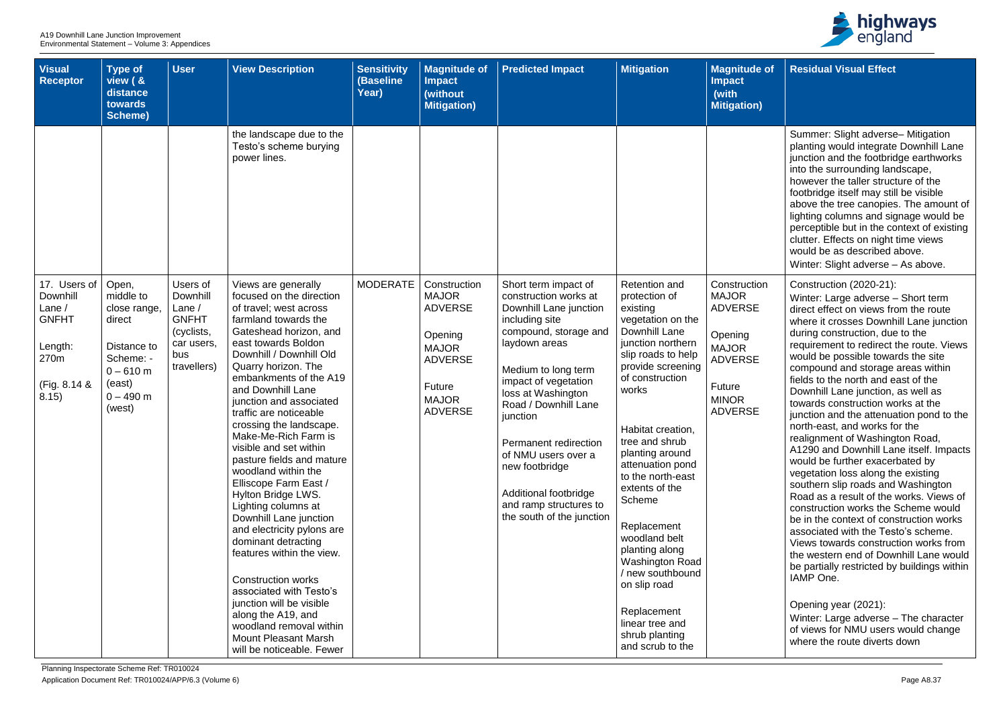| <b>Visual</b><br><b>Receptor</b>                                                                 | <b>Type of</b><br>view ( &<br>distance<br>towards<br>Scheme)                                                               | <b>User</b>                                                                                        | <b>View Description</b>                                                                                                                                                                                                                                                                                                                                                                                                                                                                                                                                                                                                                                                                                                                                                                                                      | <b>Sensitivity</b><br><b>(Baseline</b><br>Year) | <b>Magnitude of</b><br><b>Impact</b><br>(without<br><b>Mitigation)</b>                                                                  | <b>Predicted Impact</b>                                                                                                                                                                                                                                                                                                                                                                        | <b>Mitigation</b>                                                                                                                                                                                                                                                                                                                                                                                                                                                                                   | <b>Magnitude of</b><br><b>Impact</b><br>(with<br><b>Mitigation)</b>                                                                     |
|--------------------------------------------------------------------------------------------------|----------------------------------------------------------------------------------------------------------------------------|----------------------------------------------------------------------------------------------------|------------------------------------------------------------------------------------------------------------------------------------------------------------------------------------------------------------------------------------------------------------------------------------------------------------------------------------------------------------------------------------------------------------------------------------------------------------------------------------------------------------------------------------------------------------------------------------------------------------------------------------------------------------------------------------------------------------------------------------------------------------------------------------------------------------------------------|-------------------------------------------------|-----------------------------------------------------------------------------------------------------------------------------------------|------------------------------------------------------------------------------------------------------------------------------------------------------------------------------------------------------------------------------------------------------------------------------------------------------------------------------------------------------------------------------------------------|-----------------------------------------------------------------------------------------------------------------------------------------------------------------------------------------------------------------------------------------------------------------------------------------------------------------------------------------------------------------------------------------------------------------------------------------------------------------------------------------------------|-----------------------------------------------------------------------------------------------------------------------------------------|
|                                                                                                  |                                                                                                                            |                                                                                                    | the landscape due to the<br>Testo's scheme burying<br>power lines.                                                                                                                                                                                                                                                                                                                                                                                                                                                                                                                                                                                                                                                                                                                                                           |                                                 |                                                                                                                                         |                                                                                                                                                                                                                                                                                                                                                                                                |                                                                                                                                                                                                                                                                                                                                                                                                                                                                                                     |                                                                                                                                         |
| 17. Users of<br>Downhill<br>Lane $/$<br><b>GNFHT</b><br>Length:<br>270m<br>(Fig. 8.14 &<br>8.15) | Open,<br>middle to<br>close range,<br>direct<br>Distance to<br>Scheme: -<br>$0 - 610$ m<br>(east)<br>$0 - 490$ m<br>(west) | Users of<br>Downhill<br>Lane $/$<br><b>GNFHT</b><br>(cyclists,<br>car users,<br>bus<br>travellers) | Views are generally<br>focused on the direction<br>of travel; west across<br>farmland towards the<br>Gateshead horizon, and<br>east towards Boldon<br>Downhill / Downhill Old<br>Quarry horizon. The<br>embankments of the A19<br>and Downhill Lane<br>junction and associated<br>traffic are noticeable<br>crossing the landscape.<br>Make-Me-Rich Farm is<br>visible and set within<br>pasture fields and mature<br>woodland within the<br>Elliscope Farm East /<br>Hylton Bridge LWS.<br>Lighting columns at<br>Downhill Lane junction<br>and electricity pylons are<br>dominant detracting<br>features within the view.<br><b>Construction works</b><br>associated with Testo's<br>junction will be visible<br>along the A19, and<br>woodland removal within<br><b>Mount Pleasant Marsh</b><br>will be noticeable. Fewer | <b>MODERATE</b>                                 | Construction<br><b>MAJOR</b><br><b>ADVERSE</b><br>Opening<br><b>MAJOR</b><br><b>ADVERSE</b><br>Future<br><b>MAJOR</b><br><b>ADVERSE</b> | Short term impact of<br>construction works at<br>Downhill Lane junction<br>including site<br>compound, storage and<br>laydown areas<br>Medium to long term<br>impact of vegetation<br>loss at Washington<br>Road / Downhill Lane<br>junction<br>Permanent redirection<br>of NMU users over a<br>new footbridge<br>Additional footbridge<br>and ramp structures to<br>the south of the junction | <b>Retention and</b><br>protection of<br>existing<br>vegetation on the<br>Downhill Lane<br>junction northern<br>slip roads to help<br>provide screening<br>of construction<br>works<br>Habitat creation,<br>tree and shrub<br>planting around<br>attenuation pond<br>to the north-east<br>extents of the<br>Scheme<br>Replacement<br>woodland belt<br>planting along<br>Washington Road<br>/ new southbound<br>on slip road<br>Replacement<br>linear tree and<br>shrub planting<br>and scrub to the | Construction<br><b>MAJOR</b><br><b>ADVERSE</b><br>Opening<br><b>MAJOR</b><br><b>ADVERSE</b><br>Future<br><b>MINOR</b><br><b>ADVERSE</b> |



| e of      | <b>Residual Visual Effect</b>                                                                                                                                                                                                                                                                                                                                                                                                                                                                                                                                                                                                  |
|-----------|--------------------------------------------------------------------------------------------------------------------------------------------------------------------------------------------------------------------------------------------------------------------------------------------------------------------------------------------------------------------------------------------------------------------------------------------------------------------------------------------------------------------------------------------------------------------------------------------------------------------------------|
| า)        |                                                                                                                                                                                                                                                                                                                                                                                                                                                                                                                                                                                                                                |
|           | Summer: Slight adverse- Mitigation<br>planting would integrate Downhill Lane<br>junction and the footbridge earthworks<br>into the surrounding landscape,<br>however the taller structure of the<br>footbridge itself may still be visible<br>above the tree canopies. The amount of<br>lighting columns and signage would be<br>perceptible but in the context of existing<br>clutter. Effects on night time views<br>would be as described above.<br>Winter: Slight adverse - As above.                                                                                                                                      |
| ion       | Construction (2020-21):<br>Winter: Large adverse - Short term                                                                                                                                                                                                                                                                                                                                                                                                                                                                                                                                                                  |
| $\bar{=}$ | direct effect on views from the route<br>where it crosses Downhill Lane junction<br>during construction, due to the<br>requirement to redirect the route. Views                                                                                                                                                                                                                                                                                                                                                                                                                                                                |
| $\equiv$  | would be possible towards the site<br>compound and storage areas within<br>fields to the north and east of the<br>Downhill Lane junction, as well as                                                                                                                                                                                                                                                                                                                                                                                                                                                                           |
| Ξ         | towards construction works at the<br>junction and the attenuation pond to the<br>north-east, and works for the<br>realignment of Washington Road,<br>A1290 and Downhill Lane itself. Impacts<br>would be further exacerbated by<br>vegetation loss along the existing<br>southern slip roads and Washington<br>Road as a result of the works. Views of<br>construction works the Scheme would<br>be in the context of construction works<br>associated with the Testo's scheme.<br>Views towards construction works from<br>the western end of Downhill Lane would<br>be partially restricted by buildings within<br>IAMP One. |
|           | Opening year (2021):<br>Winter: Large adverse - The character<br>of views for NMU users would change<br>where the route diverts down                                                                                                                                                                                                                                                                                                                                                                                                                                                                                           |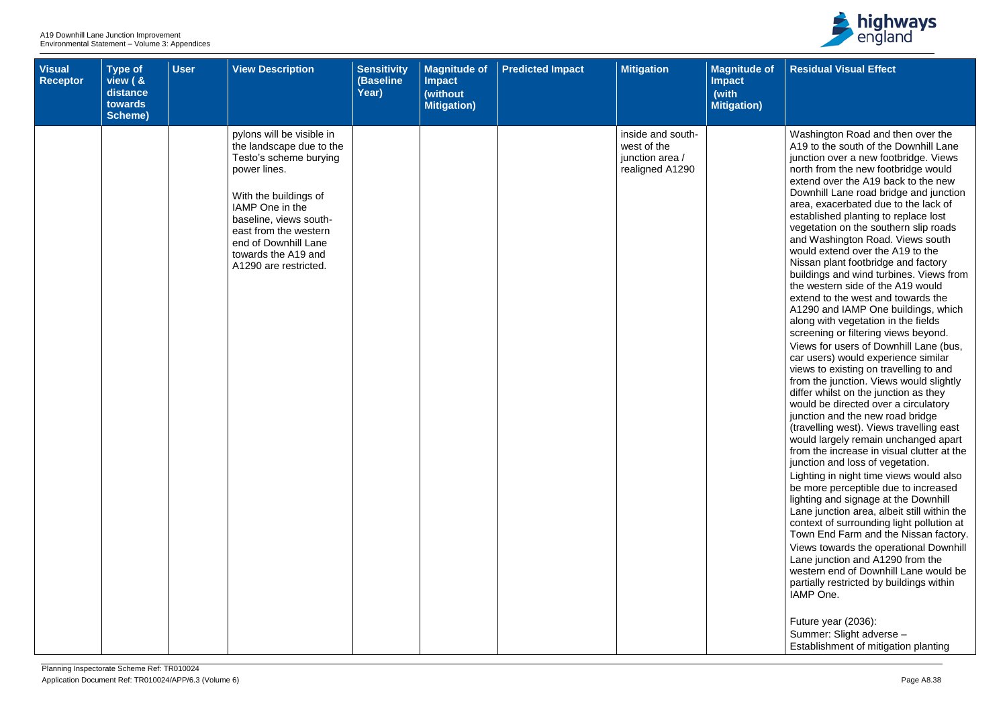

**Residual Visual Effect**

| <b>Visual</b><br>Receptor | <b>Type of</b><br>view ( &<br>distance<br>towards<br>Scheme) | <b>User</b> | <b>View Description</b>                                                                                                                                                                                                                                                | <b>Sensitivity</b><br>(Baseline<br>Year) | <b>Magnitude of</b><br><b>Impact</b><br>(without<br>Mitigation) | <b>Predicted Impact</b> | <b>Mitigation</b>                                                      | <b>Magnitude of</b><br><b>Impact</b><br>(with<br><b>Mitigation</b> ) |
|---------------------------|--------------------------------------------------------------|-------------|------------------------------------------------------------------------------------------------------------------------------------------------------------------------------------------------------------------------------------------------------------------------|------------------------------------------|-----------------------------------------------------------------|-------------------------|------------------------------------------------------------------------|----------------------------------------------------------------------|
|                           |                                                              |             | pylons will be visible in<br>the landscape due to the<br>Testo's scheme burying<br>power lines.<br>With the buildings of<br>IAMP One in the<br>baseline, views south-<br>east from the western<br>end of Downhill Lane<br>towards the A19 and<br>A1290 are restricted. |                                          |                                                                 |                         | inside and south-<br>west of the<br>junction area /<br>realigned A1290 |                                                                      |
|                           |                                                              |             |                                                                                                                                                                                                                                                                        |                                          |                                                                 |                         |                                                                        |                                                                      |

Washington Road and then over the A19 to the south of the Downhill Lane junction over a new footbridge. Views north from the new footbridge would extend over the A19 back to the new Downhill Lane road bridge and junction area, exacerbated due to the lack of established planting to replace lost vegetation on the southern slip roads and Washington Road. Views south would extend over the A19 to the Nissan plant footbridge and factory buildings and wind turbines. Views from the western side of the A19 would extend to the west and towards the A1290 and IAMP One buildings, which along with vegetation in the fields screening or filtering views beyond. Views for users of Downhill Lane (bus, car users) would experience similar views to existing on travelling to and from the junction. Views would slightly differ whilst on the junction as they would be directed over a circulatory junction and the new road bridge (travelling west). Views travelling east would largely remain unchanged apart from the increase in visual clutter at the junction and loss of vegetation. Lighting in night time views would also be more perceptible due to increased lighting and signage at the Downhill Lane junction area, albeit still within the context of surrounding light pollution at Town End Farm and the Nissan factory. Views towards the operational Downhill Lane junction and A1290 from the western end of Downhill Lane would be partially restricted by buildings within IAMP One.

Future year (2036): Summer: Slight adverse – Establishment of mitigation planting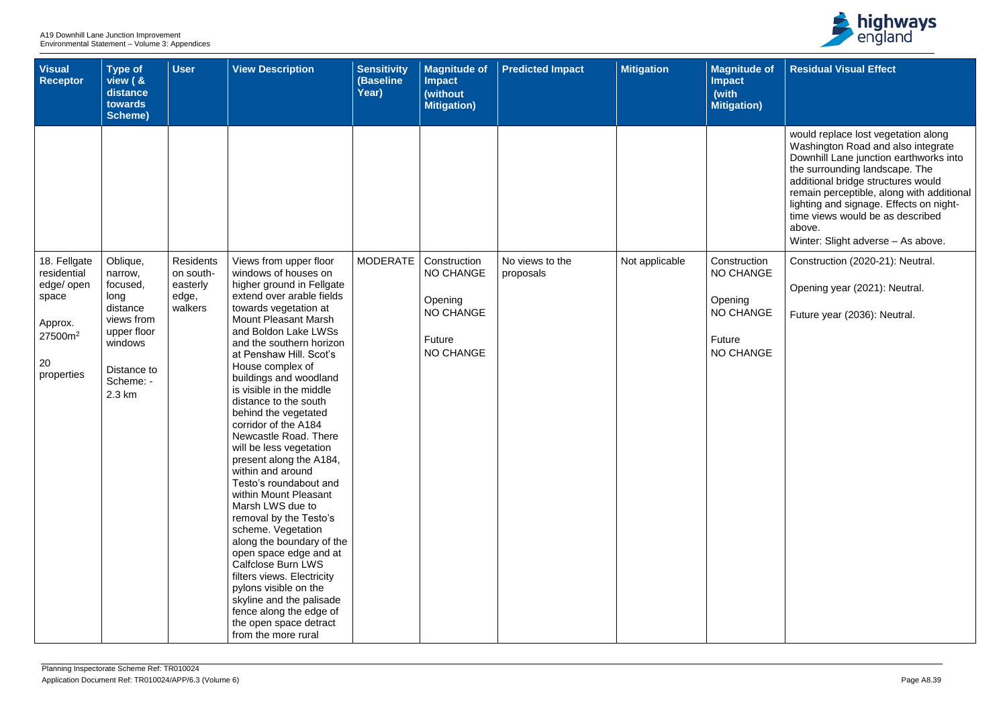| <b>Visual</b><br><b>Receptor</b>                                 | Type of<br>view ( &<br>distance<br>towards<br>Scheme)                                                      | <b>User</b>                   | <b>View Description</b>                                                                                                                                                                                                                                                                                                                                                                                                                                                                                                                                                                                                                                                                                                                                                                                                        | <b>Sensitivity</b><br>(Baseline<br>Year) | <b>Magnitude of</b><br><b>Impact</b><br>(without<br><b>Mitigation)</b> | <b>Predicted Impact</b>      | <b>Mitigation</b> | <b>Magnitude of</b><br><b>Impact</b><br>(with<br><b>Mitigation)</b> |
|------------------------------------------------------------------|------------------------------------------------------------------------------------------------------------|-------------------------------|--------------------------------------------------------------------------------------------------------------------------------------------------------------------------------------------------------------------------------------------------------------------------------------------------------------------------------------------------------------------------------------------------------------------------------------------------------------------------------------------------------------------------------------------------------------------------------------------------------------------------------------------------------------------------------------------------------------------------------------------------------------------------------------------------------------------------------|------------------------------------------|------------------------------------------------------------------------|------------------------------|-------------------|---------------------------------------------------------------------|
| 18. Fellgate<br>residential                                      | Oblique,<br>narrow,                                                                                        | <b>Residents</b><br>on south- | Views from upper floor<br>windows of houses on                                                                                                                                                                                                                                                                                                                                                                                                                                                                                                                                                                                                                                                                                                                                                                                 | <b>MODERATE</b>                          | Construction<br><b>NO CHANGE</b>                                       | No views to the<br>proposals | Not applicable    | Construction<br><b>NO CHANGE</b>                                    |
| edge/ open<br>space<br>Approx.<br>$27500m^2$<br>20<br>properties | focused,<br>long<br>distance<br>views from<br>upper floor<br>windows<br>Distance to<br>Scheme: -<br>2.3 km | easterly<br>edge,<br>walkers  | higher ground in Fellgate<br>extend over arable fields<br>towards vegetation at<br><b>Mount Pleasant Marsh</b><br>and Boldon Lake LWSs<br>and the southern horizon<br>at Penshaw Hill. Scot's<br>House complex of<br>buildings and woodland<br>is visible in the middle<br>distance to the south<br>behind the vegetated<br>corridor of the A184<br>Newcastle Road, There<br>will be less vegetation<br>present along the A184,<br>within and around<br>Testo's roundabout and<br>within Mount Pleasant<br>Marsh LWS due to<br>removal by the Testo's<br>scheme. Vegetation<br>along the boundary of the<br>open space edge and at<br><b>Calfclose Burn LWS</b><br>filters views. Electricity<br>pylons visible on the<br>skyline and the palisade<br>fence along the edge of<br>the open space detract<br>from the more rural |                                          | Opening<br><b>NO CHANGE</b><br><b>Future</b><br><b>NO CHANGE</b>       |                              |                   | Opening<br><b>NO CHANGE</b><br>Future<br><b>NO CHANGE</b>           |



| of (    | <b>Residual Visual Effect</b>                                                                                                                                                                                                                                                                                                                                           |
|---------|-------------------------------------------------------------------------------------------------------------------------------------------------------------------------------------------------------------------------------------------------------------------------------------------------------------------------------------------------------------------------|
|         |                                                                                                                                                                                                                                                                                                                                                                         |
|         | would replace lost vegetation along<br>Washington Road and also integrate<br>Downhill Lane junction earthworks into<br>the surrounding landscape. The<br>additional bridge structures would<br>remain perceptible, along with additional<br>lighting and signage. Effects on night-<br>time views would be as described<br>above.<br>Winter: Slight adverse - As above. |
| m<br>ЭE | Construction (2020-21): Neutral.                                                                                                                                                                                                                                                                                                                                        |
|         | Opening year (2021): Neutral.                                                                                                                                                                                                                                                                                                                                           |
| ЭE      | Future year (2036): Neutral.                                                                                                                                                                                                                                                                                                                                            |
| ЭE      |                                                                                                                                                                                                                                                                                                                                                                         |
|         |                                                                                                                                                                                                                                                                                                                                                                         |
|         |                                                                                                                                                                                                                                                                                                                                                                         |
|         |                                                                                                                                                                                                                                                                                                                                                                         |
|         |                                                                                                                                                                                                                                                                                                                                                                         |
|         |                                                                                                                                                                                                                                                                                                                                                                         |
|         |                                                                                                                                                                                                                                                                                                                                                                         |
|         |                                                                                                                                                                                                                                                                                                                                                                         |
|         |                                                                                                                                                                                                                                                                                                                                                                         |
|         |                                                                                                                                                                                                                                                                                                                                                                         |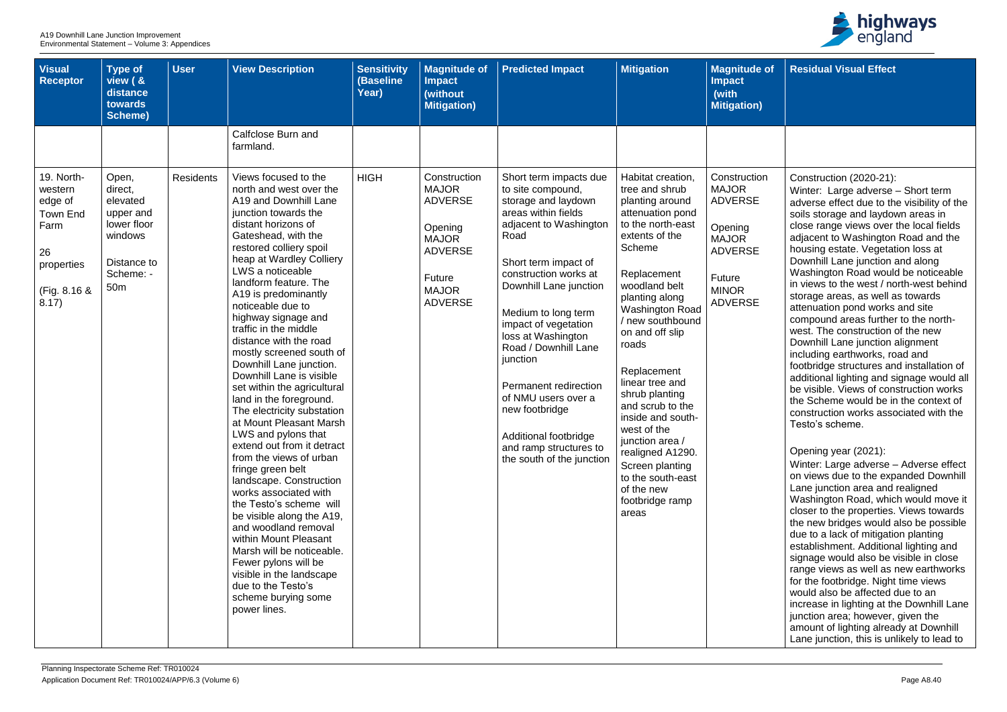| <b>Visual</b><br><b>Receptor</b>                                                                         | <b>Type of</b><br>view ( &<br>distance<br>towards<br><b>Scheme)</b>                                                | <b>User</b>      | <b>View Description</b>                                                                                                                                                                                                                                                                                                                                                                                                                                                                                                                                                                                                                                                                                                                                                                                                                                                                                                                                                                         | <b>Sensitivity</b><br>(Baseline<br>Year) | <b>Magnitude of</b><br><b>Impact</b><br>(without<br><b>Mitigation)</b>                                                                         | <b>Predicted Impact</b>                                                                                                                                                                                                                                                                                                                                                                                                                                           | <b>Mitigation</b>                                                                                                                                                                                                                                                                                                                                                                                                                                                                            | <b>Magnitude of</b><br><b>Impact</b><br>(with<br><b>Mitigation)</b>                                                                     |
|----------------------------------------------------------------------------------------------------------|--------------------------------------------------------------------------------------------------------------------|------------------|-------------------------------------------------------------------------------------------------------------------------------------------------------------------------------------------------------------------------------------------------------------------------------------------------------------------------------------------------------------------------------------------------------------------------------------------------------------------------------------------------------------------------------------------------------------------------------------------------------------------------------------------------------------------------------------------------------------------------------------------------------------------------------------------------------------------------------------------------------------------------------------------------------------------------------------------------------------------------------------------------|------------------------------------------|------------------------------------------------------------------------------------------------------------------------------------------------|-------------------------------------------------------------------------------------------------------------------------------------------------------------------------------------------------------------------------------------------------------------------------------------------------------------------------------------------------------------------------------------------------------------------------------------------------------------------|----------------------------------------------------------------------------------------------------------------------------------------------------------------------------------------------------------------------------------------------------------------------------------------------------------------------------------------------------------------------------------------------------------------------------------------------------------------------------------------------|-----------------------------------------------------------------------------------------------------------------------------------------|
|                                                                                                          |                                                                                                                    |                  | Calfclose Burn and<br>farmland.                                                                                                                                                                                                                                                                                                                                                                                                                                                                                                                                                                                                                                                                                                                                                                                                                                                                                                                                                                 |                                          |                                                                                                                                                |                                                                                                                                                                                                                                                                                                                                                                                                                                                                   |                                                                                                                                                                                                                                                                                                                                                                                                                                                                                              |                                                                                                                                         |
| 19. North-<br>western<br>edge of<br><b>Town End</b><br>Farm<br>26<br>properties<br>(Fig. 8.16 &<br>8.17) | Open,<br>direct,<br>elevated<br>upper and<br>lower floor<br>windows<br>Distance to<br>Scheme: -<br>50 <sub>m</sub> | <b>Residents</b> | Views focused to the<br>north and west over the<br>A19 and Downhill Lane<br>junction towards the<br>distant horizons of<br>Gateshead, with the<br>restored colliery spoil<br>heap at Wardley Colliery<br>LWS a noticeable<br>landform feature. The<br>A19 is predominantly<br>noticeable due to<br>highway signage and<br>traffic in the middle<br>distance with the road<br>mostly screened south of<br>Downhill Lane junction.<br>Downhill Lane is visible<br>set within the agricultural<br>land in the foreground.<br>The electricity substation<br>at Mount Pleasant Marsh<br>LWS and pylons that<br>extend out from it detract<br>from the views of urban<br>fringe green belt<br>landscape. Construction<br>works associated with<br>the Testo's scheme will<br>be visible along the A19,<br>and woodland removal<br>within Mount Pleasant<br>Marsh will be noticeable.<br>Fewer pylons will be<br>visible in the landscape<br>due to the Testo's<br>scheme burying some<br>power lines. | <b>HIGH</b>                              | Construction<br><b>MAJOR</b><br><b>ADVERSE</b><br>Opening<br><b>MAJOR</b><br><b>ADVERSE</b><br><b>Future</b><br><b>MAJOR</b><br><b>ADVERSE</b> | Short term impacts due<br>to site compound,<br>storage and laydown<br>areas within fields<br>adjacent to Washington<br>Road<br>Short term impact of<br>construction works at<br>Downhill Lane junction<br>Medium to long term<br>impact of vegetation<br>loss at Washington<br>Road / Downhill Lane<br>junction<br>Permanent redirection<br>of NMU users over a<br>new footbridge<br>Additional footbridge<br>and ramp structures to<br>the south of the junction | Habitat creation,<br>tree and shrub<br>planting around<br>attenuation pond<br>to the north-east<br>extents of the<br>Scheme<br>Replacement<br>woodland belt<br>planting along<br><b>Washington Road</b><br>/ new southbound<br>on and off slip<br>roads<br>Replacement<br>linear tree and<br>shrub planting<br>and scrub to the<br>inside and south-<br>west of the<br>junction area /<br>realigned A1290.<br>Screen planting<br>to the south-east<br>of the new<br>footbridge ramp<br>areas | Construction<br><b>MAJOR</b><br><b>ADVERSE</b><br>Opening<br><b>MAJOR</b><br><b>ADVERSE</b><br>Future<br><b>MINOR</b><br><b>ADVERSE</b> |



| Οf | <b>Residual Visual Effect</b>                                                                                                                                                                                                                                                                                                                                                                                                                                                                                                                                                                                                                                                                                                                                                                                                                                           |
|----|-------------------------------------------------------------------------------------------------------------------------------------------------------------------------------------------------------------------------------------------------------------------------------------------------------------------------------------------------------------------------------------------------------------------------------------------------------------------------------------------------------------------------------------------------------------------------------------------------------------------------------------------------------------------------------------------------------------------------------------------------------------------------------------------------------------------------------------------------------------------------|
|    |                                                                                                                                                                                                                                                                                                                                                                                                                                                                                                                                                                                                                                                                                                                                                                                                                                                                         |
|    |                                                                                                                                                                                                                                                                                                                                                                                                                                                                                                                                                                                                                                                                                                                                                                                                                                                                         |
| n  | Construction (2020-21):<br>Winter: Large adverse - Short term<br>adverse effect due to the visibility of the<br>soils storage and laydown areas in<br>close range views over the local fields<br>adjacent to Washington Road and the<br>housing estate. Vegetation loss at<br>Downhill Lane junction and along<br>Washington Road would be noticeable<br>in views to the west / north-west behind<br>storage areas, as well as towards<br>attenuation pond works and site<br>compound areas further to the north-<br>west. The construction of the new<br>Downhill Lane junction alignment<br>including earthworks, road and<br>footbridge structures and installation of<br>additional lighting and signage would all<br>be visible. Views of construction works<br>the Scheme would be in the context of<br>construction works associated with the<br>Testo's scheme. |
|    | Opening year (2021):<br>Winter: Large adverse – Adverse effect<br>on views due to the expanded Downhill<br>Lane junction area and realigned<br>Washington Road, which would move it<br>closer to the properties. Views towards<br>the new bridges would also be possible<br>due to a lack of mitigation planting<br>establishment. Additional lighting and<br>signage would also be visible in close<br>range views as well as new earthworks<br>for the footbridge. Night time views<br>would also be affected due to an<br>increase in lighting at the Downhill Lane<br>junction area; however, given the<br>amount of lighting already at Downhill<br>Lane junction, this is unlikely to lead to                                                                                                                                                                     |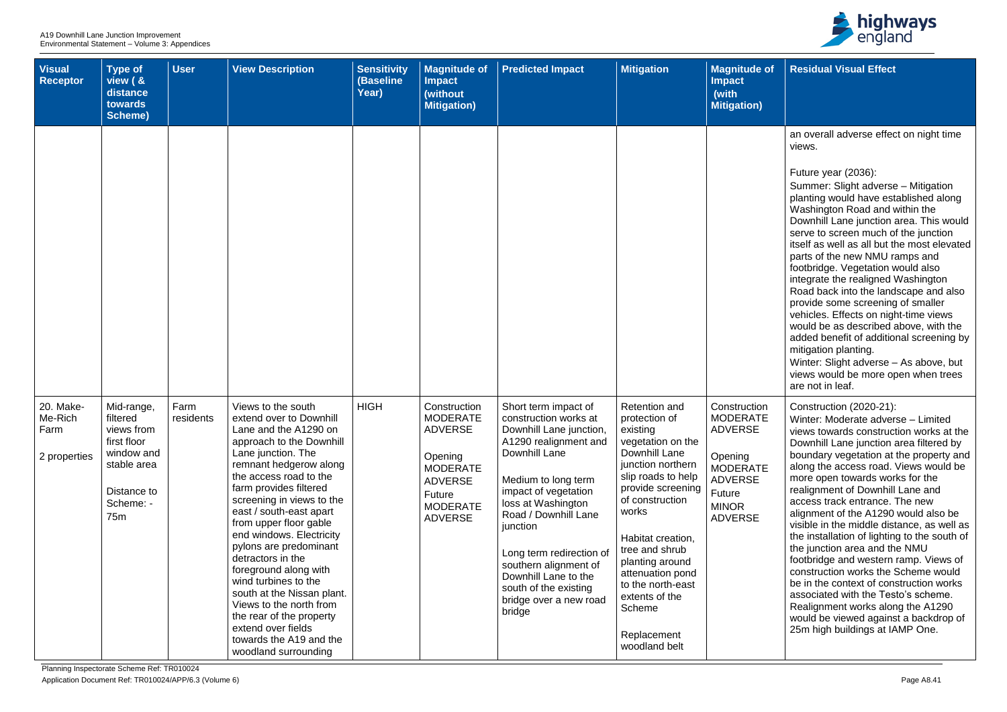

| <b>Visual</b><br><b>Receptor</b>             | <b>Type of</b><br>view ( &<br>distance<br>towards<br><b>Scheme)</b>                                                             | <b>User</b>       | <b>View Description</b>                                                                                                                                                                                                                                                                                                                                                                                                                                                                                                                                                            | <b>Sensitivity</b><br>(Baseline<br>Year) | <b>Magnitude of</b><br><b>Impact</b><br>(without<br><b>Mitigation</b> )                                                                          | <b>Predicted Impact</b>                                                                                                                                                                                                                                                                                                                                               | <b>Mitigation</b>                                                                                                                                                                                                                                                                                                                           | <b>Magnitude of</b><br><b>Impact</b><br>(with<br><b>Mitigation)</b>                                                                           |
|----------------------------------------------|---------------------------------------------------------------------------------------------------------------------------------|-------------------|------------------------------------------------------------------------------------------------------------------------------------------------------------------------------------------------------------------------------------------------------------------------------------------------------------------------------------------------------------------------------------------------------------------------------------------------------------------------------------------------------------------------------------------------------------------------------------|------------------------------------------|--------------------------------------------------------------------------------------------------------------------------------------------------|-----------------------------------------------------------------------------------------------------------------------------------------------------------------------------------------------------------------------------------------------------------------------------------------------------------------------------------------------------------------------|---------------------------------------------------------------------------------------------------------------------------------------------------------------------------------------------------------------------------------------------------------------------------------------------------------------------------------------------|-----------------------------------------------------------------------------------------------------------------------------------------------|
|                                              |                                                                                                                                 |                   |                                                                                                                                                                                                                                                                                                                                                                                                                                                                                                                                                                                    |                                          |                                                                                                                                                  |                                                                                                                                                                                                                                                                                                                                                                       |                                                                                                                                                                                                                                                                                                                                             |                                                                                                                                               |
| 20. Make-<br>Me-Rich<br>Farm<br>2 properties | Mid-range,<br>filtered<br>views from<br>first floor<br>window and<br>stable area<br>Distance to<br>Scheme: -<br>75 <sub>m</sub> | Farm<br>residents | Views to the south<br>extend over to Downhill<br>Lane and the A1290 on<br>approach to the Downhill<br>Lane junction. The<br>remnant hedgerow along<br>the access road to the<br>farm provides filtered<br>screening in views to the<br>east / south-east apart<br>from upper floor gable<br>end windows. Electricity<br>pylons are predominant<br>detractors in the<br>foreground along with<br>wind turbines to the<br>south at the Nissan plant.<br>Views to the north from<br>the rear of the property<br>extend over fields<br>towards the A19 and the<br>woodland surrounding | <b>HIGH</b>                              | Construction<br><b>MODERATE</b><br><b>ADVERSE</b><br>Opening<br><b>MODERATE</b><br><b>ADVERSE</b><br>Future<br><b>MODERATE</b><br><b>ADVERSE</b> | Short term impact of<br>construction works at<br>Downhill Lane junction,<br>A1290 realignment and<br>Downhill Lane<br>Medium to long term<br>impact of vegetation<br>loss at Washington<br>Road / Downhill Lane<br>junction<br>Long term redirection of<br>southern alignment of<br>Downhill Lane to the<br>south of the existing<br>bridge over a new road<br>bridge | Retention and<br>protection of<br>existing<br>vegetation on the<br>Downhill Lane<br>junction northern<br>slip roads to help<br>provide screening<br>of construction<br>works<br>Habitat creation,<br>tree and shrub<br>planting around<br>attenuation pond<br>to the north-east<br>extents of the<br>Scheme<br>Replacement<br>woodland belt | Construction<br><b>MODERATE</b><br><b>ADVERSE</b><br>Opening<br><b>MODERATE</b><br><b>ADVERSE</b><br>Future<br><b>MINOR</b><br><b>ADVERSE</b> |

| $\circ$ of  | <b>Residual Visual Effect</b>                                                                                                                                                                                                                                                                                                                                                                                                                                                                                                                                                                                                                                                                                                                                                                              |
|-------------|------------------------------------------------------------------------------------------------------------------------------------------------------------------------------------------------------------------------------------------------------------------------------------------------------------------------------------------------------------------------------------------------------------------------------------------------------------------------------------------------------------------------------------------------------------------------------------------------------------------------------------------------------------------------------------------------------------------------------------------------------------------------------------------------------------|
|             |                                                                                                                                                                                                                                                                                                                                                                                                                                                                                                                                                                                                                                                                                                                                                                                                            |
|             | an overall adverse effect on night time<br>views.                                                                                                                                                                                                                                                                                                                                                                                                                                                                                                                                                                                                                                                                                                                                                          |
|             | Future year (2036):<br>Summer: Slight adverse - Mitigation<br>planting would have established along<br>Washington Road and within the<br>Downhill Lane junction area. This would<br>serve to screen much of the junction<br>itself as well as all but the most elevated<br>parts of the new NMU ramps and<br>footbridge. Vegetation would also<br>integrate the realigned Washington<br>Road back into the landscape and also<br>provide some screening of smaller<br>vehicles. Effects on night-time views<br>would be as described above, with the<br>added benefit of additional screening by<br>mitigation planting.<br>Winter: Slight adverse - As above, but<br>views would be more open when trees<br>are not in leaf.                                                                              |
| m<br>Έ<br>Έ | Construction (2020-21):<br>Winter: Moderate adverse - Limited<br>views towards construction works at the<br>Downhill Lane junction area filtered by<br>boundary vegetation at the property and<br>along the access road. Views would be<br>more open towards works for the<br>realignment of Downhill Lane and<br>access track entrance. The new<br>alignment of the A1290 would also be<br>visible in the middle distance, as well as<br>the installation of lighting to the south of<br>the junction area and the NMU<br>footbridge and western ramp. Views of<br>construction works the Scheme would<br>be in the context of construction works<br>associated with the Testo's scheme.<br>Realignment works along the A1290<br>would be viewed against a backdrop of<br>25m high buildings at IAMP One. |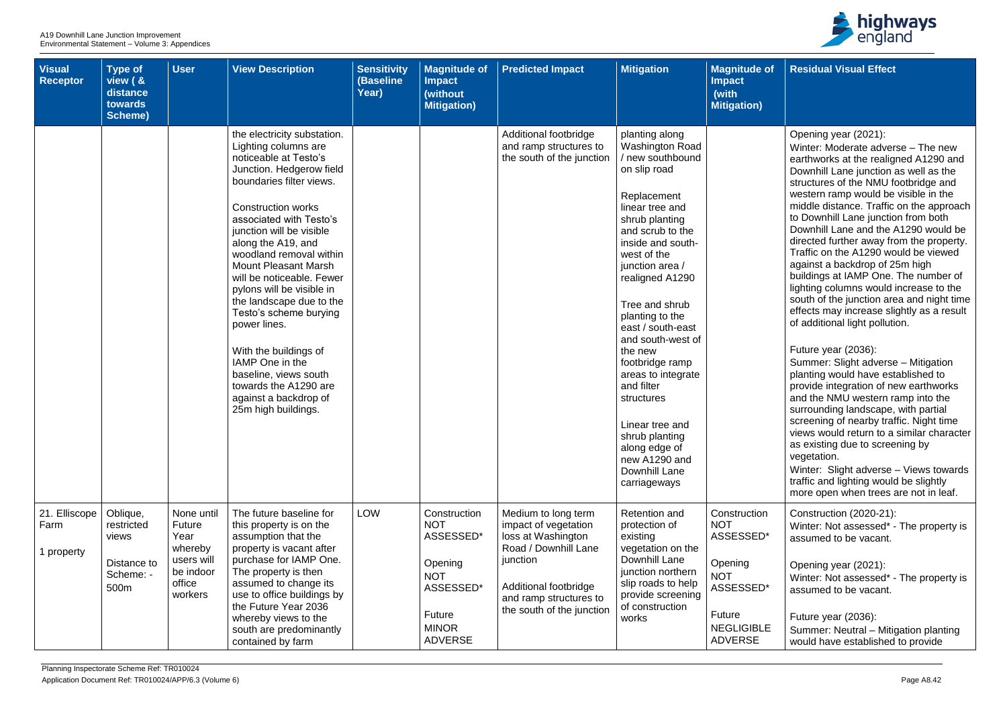| <b>Visual</b><br><b>Receptor</b>    | <b>Type of</b><br>view ( &<br>distance<br>towards<br><b>Scheme)</b> | <b>User</b>                                                                             | <b>View Description</b>                                                                                                                                                                                                                                                                                                                                                                                                                                                                                                                                                                | <b>Sensitivity</b><br><b>(Baseline</b><br>Year) | <b>Magnitude of</b><br><b>Impact</b><br>(without<br><b>Mitigation)</b>                                                           | <b>Predicted Impact</b>                                                                                                                                                               | <b>Mitigation</b>                                                                                                                                                                                                                                                                                                                                                                                                                                                                                     | <b>Magnitude of</b><br><b>Impact</b><br>(with<br><b>Mitigation)</b>                                                                   |
|-------------------------------------|---------------------------------------------------------------------|-----------------------------------------------------------------------------------------|----------------------------------------------------------------------------------------------------------------------------------------------------------------------------------------------------------------------------------------------------------------------------------------------------------------------------------------------------------------------------------------------------------------------------------------------------------------------------------------------------------------------------------------------------------------------------------------|-------------------------------------------------|----------------------------------------------------------------------------------------------------------------------------------|---------------------------------------------------------------------------------------------------------------------------------------------------------------------------------------|-------------------------------------------------------------------------------------------------------------------------------------------------------------------------------------------------------------------------------------------------------------------------------------------------------------------------------------------------------------------------------------------------------------------------------------------------------------------------------------------------------|---------------------------------------------------------------------------------------------------------------------------------------|
|                                     |                                                                     |                                                                                         | the electricity substation.<br>Lighting columns are<br>noticeable at Testo's<br>Junction. Hedgerow field<br>boundaries filter views.<br><b>Construction works</b><br>associated with Testo's<br>junction will be visible<br>along the A19, and<br>woodland removal within<br><b>Mount Pleasant Marsh</b><br>will be noticeable. Fewer<br>pylons will be visible in<br>the landscape due to the<br>Testo's scheme burying<br>power lines.<br>With the buildings of<br>IAMP One in the<br>baseline, views south<br>towards the A1290 are<br>against a backdrop of<br>25m high buildings. |                                                 |                                                                                                                                  | Additional footbridge<br>and ramp structures to<br>the south of the junction                                                                                                          | planting along<br><b>Washington Road</b><br>/ new southbound<br>on slip road<br>Replacement<br>linear tree and<br>shrub planting<br>and scrub to the<br>inside and south-<br>west of the<br>junction area /<br>realigned A1290<br>Tree and shrub<br>planting to the<br>east / south-east<br>and south-west of<br>the new<br>footbridge ramp<br>areas to integrate<br>and filter<br>structures<br>Linear tree and<br>shrub planting<br>along edge of<br>new A1290 and<br>Downhill Lane<br>carriageways |                                                                                                                                       |
| 21. Elliscope<br>Farm<br>1 property | Oblique,<br>restricted<br>views<br>Distance to<br>Scheme: -<br>500m | None until<br>Future<br>Year<br>whereby<br>users will<br>be indoor<br>office<br>workers | The future baseline for<br>this property is on the<br>assumption that the<br>property is vacant after<br>purchase for IAMP One.<br>The property is then<br>assumed to change its<br>use to office buildings by<br>the Future Year 2036<br>whereby views to the<br>south are predominantly<br>contained by farm                                                                                                                                                                                                                                                                         | <b>LOW</b>                                      | Construction<br><b>NOT</b><br>ASSESSED*<br>Opening<br><b>NOT</b><br>ASSESSED*<br><b>Future</b><br><b>MINOR</b><br><b>ADVERSE</b> | Medium to long term<br>impact of vegetation<br>loss at Washington<br>Road / Downhill Lane<br>junction<br>Additional footbridge<br>and ramp structures to<br>the south of the junction | Retention and<br>protection of<br>existing<br>vegetation on the<br>Downhill Lane<br>junction northern<br>slip roads to help<br>provide screening<br>of construction<br>works                                                                                                                                                                                                                                                                                                                          | Construction<br><b>NOT</b><br>ASSESSED*<br>Opening<br><b>NOT</b><br>ASSESSED*<br><b>Future</b><br><b>NEGLIGIBLE</b><br><b>ADVERSE</b> |



| $\bullet$ of | <b>Residual Visual Effect</b>                                                                                                                                                                                                                                                                                                                                                                                                                                                                                                                                                                                                                                                               |
|--------------|---------------------------------------------------------------------------------------------------------------------------------------------------------------------------------------------------------------------------------------------------------------------------------------------------------------------------------------------------------------------------------------------------------------------------------------------------------------------------------------------------------------------------------------------------------------------------------------------------------------------------------------------------------------------------------------------|
|              |                                                                                                                                                                                                                                                                                                                                                                                                                                                                                                                                                                                                                                                                                             |
|              | Opening year (2021):<br>Winter: Moderate adverse - The new<br>earthworks at the realigned A1290 and<br>Downhill Lane junction as well as the<br>structures of the NMU footbridge and<br>western ramp would be visible in the<br>middle distance. Traffic on the approach<br>to Downhill Lane junction from both<br>Downhill Lane and the A1290 would be<br>directed further away from the property.<br>Traffic on the A1290 would be viewed<br>against a backdrop of 25m high<br>buildings at IAMP One. The number of<br>lighting columns would increase to the<br>south of the junction area and night time<br>effects may increase slightly as a result<br>of additional light pollution. |
|              | Future year (2036):<br>Summer: Slight adverse - Mitigation<br>planting would have established to<br>provide integration of new earthworks<br>and the NMU western ramp into the<br>surrounding landscape, with partial<br>screening of nearby traffic. Night time<br>views would return to a similar character<br>as existing due to screening by<br>vegetation.<br>Winter: Slight adverse - Views towards<br>traffic and lighting would be slightly<br>more open when trees are not in leaf.                                                                                                                                                                                                |
| 'n           | Construction (2020-21):                                                                                                                                                                                                                                                                                                                                                                                                                                                                                                                                                                                                                                                                     |
| ר*           | Winter: Not assessed* - The property is<br>assumed to be vacant.                                                                                                                                                                                                                                                                                                                                                                                                                                                                                                                                                                                                                            |
|              | Opening year (2021):<br>Winter: Not assessed* - The property is<br>assumed to be vacant.                                                                                                                                                                                                                                                                                                                                                                                                                                                                                                                                                                                                    |
| LE           | Future year (2036):<br>Summer: Neutral - Mitigation planting<br>would have established to provide                                                                                                                                                                                                                                                                                                                                                                                                                                                                                                                                                                                           |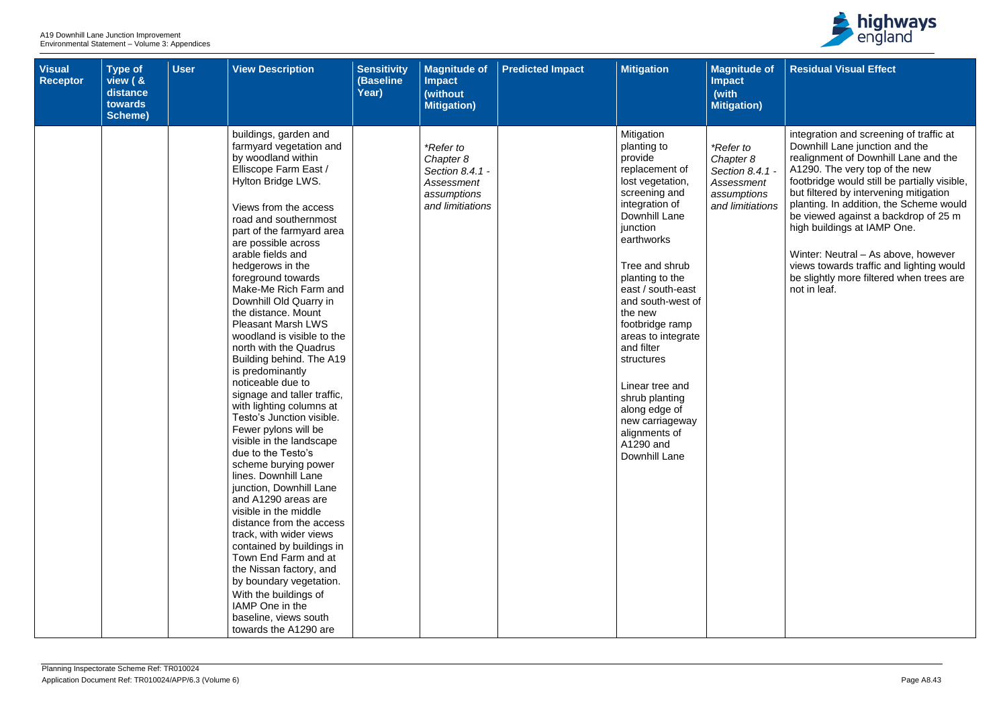| <b>Visual</b><br><b>Receptor</b> | <b>Type of</b><br>view ( &<br>distance<br>towards<br>Scheme) | <b>User</b> | <b>View Description</b>                                                                                                                                                                                                                                                                                                                                                                                                                                                                                                                                                                                                                                                                                                                                                                                                                                                                                                                                                                                                                                                                     | <b>Sensitivity</b><br>(Baseline<br>Year) | <b>Magnitude of</b><br><b>Impact</b><br>(without<br><b>Mitigation)</b>                            | <b>Predicted Impact</b> | <b>Mitigation</b>                                                                                                                                                                                                                                                                                                                                                                                                                               | <b>Magnitude of</b><br><b>Impact</b><br>(with<br><b>Mitigation)</b>                        |
|----------------------------------|--------------------------------------------------------------|-------------|---------------------------------------------------------------------------------------------------------------------------------------------------------------------------------------------------------------------------------------------------------------------------------------------------------------------------------------------------------------------------------------------------------------------------------------------------------------------------------------------------------------------------------------------------------------------------------------------------------------------------------------------------------------------------------------------------------------------------------------------------------------------------------------------------------------------------------------------------------------------------------------------------------------------------------------------------------------------------------------------------------------------------------------------------------------------------------------------|------------------------------------------|---------------------------------------------------------------------------------------------------|-------------------------|-------------------------------------------------------------------------------------------------------------------------------------------------------------------------------------------------------------------------------------------------------------------------------------------------------------------------------------------------------------------------------------------------------------------------------------------------|--------------------------------------------------------------------------------------------|
|                                  |                                                              |             | buildings, garden and<br>farmyard vegetation and<br>by woodland within<br>Elliscope Farm East /<br>Hylton Bridge LWS.<br>Views from the access<br>road and southernmost<br>part of the farmyard area<br>are possible across<br>arable fields and<br>hedgerows in the<br>foreground towards<br>Make-Me Rich Farm and<br>Downhill Old Quarry in<br>the distance. Mount<br><b>Pleasant Marsh LWS</b><br>woodland is visible to the<br>north with the Quadrus<br>Building behind. The A19<br>is predominantly<br>noticeable due to<br>signage and taller traffic,<br>with lighting columns at<br>Testo's Junction visible.<br>Fewer pylons will be<br>visible in the landscape<br>due to the Testo's<br>scheme burying power<br>lines. Downhill Lane<br>junction, Downhill Lane<br>and A1290 areas are<br>visible in the middle<br>distance from the access<br>track, with wider views<br>contained by buildings in<br>Town End Farm and at<br>the Nissan factory, and<br>by boundary vegetation.<br>With the buildings of<br>IAMP One in the<br>baseline, views south<br>towards the A1290 are |                                          | <i>*Refer to</i><br>Chapter 8<br>Section 8.4.1 -<br>Assessment<br>assumptions<br>and limitiations |                         | Mitigation<br>planting to<br>provide<br>replacement of<br>lost vegetation,<br>screening and<br>integration of<br>Downhill Lane<br>junction<br>earthworks<br>Tree and shrub<br>planting to the<br>east / south-east<br>and south-west of<br>the new<br>footbridge ramp<br>areas to integrate<br>and filter<br>structures<br>Linear tree and<br>shrub planting<br>along edge of<br>new carriageway<br>alignments of<br>A1290 and<br>Downhill Lane | *Refer to<br>Chapter 8<br>Section 8.4.1 -<br>Assessment<br>assumptions<br>and limitiations |



| <b>of</b>                    | <b>Residual Visual Effect</b>                                                                                                                                                                                                                                                                                                                                   |
|------------------------------|-----------------------------------------------------------------------------------------------------------------------------------------------------------------------------------------------------------------------------------------------------------------------------------------------------------------------------------------------------------------|
|                              |                                                                                                                                                                                                                                                                                                                                                                 |
| $1.1 -$<br>ηt<br>JS.<br>ions | integration and screening of traffic at<br>Downhill Lane junction and the<br>realignment of Downhill Lane and the<br>A1290. The very top of the new<br>footbridge would still be partially visible,<br>but filtered by intervening mitigation<br>planting. In addition, the Scheme would<br>be viewed against a backdrop of 25 m<br>high buildings at IAMP One. |
|                              | Winter: Neutral - As above, however<br>views towards traffic and lighting would<br>be slightly more filtered when trees are<br>not in leaf.                                                                                                                                                                                                                     |
|                              |                                                                                                                                                                                                                                                                                                                                                                 |
|                              |                                                                                                                                                                                                                                                                                                                                                                 |
|                              |                                                                                                                                                                                                                                                                                                                                                                 |
|                              |                                                                                                                                                                                                                                                                                                                                                                 |
|                              |                                                                                                                                                                                                                                                                                                                                                                 |
|                              |                                                                                                                                                                                                                                                                                                                                                                 |
|                              |                                                                                                                                                                                                                                                                                                                                                                 |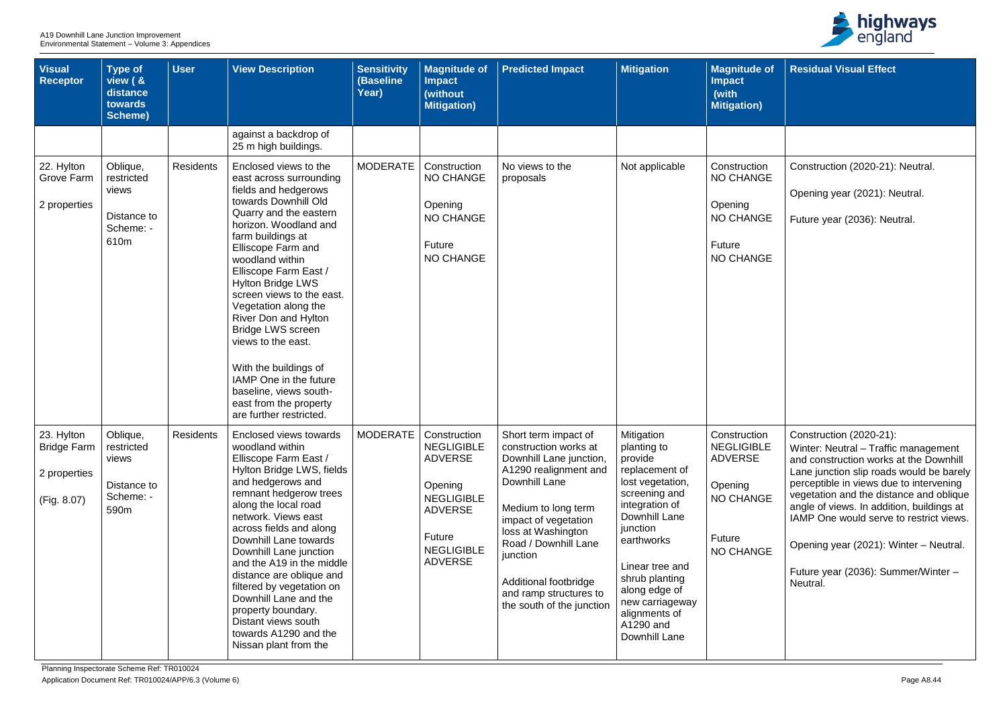| <b>Visual</b><br><b>Receptor</b>                                | <b>Type of</b><br>view ( &<br>distance<br>towards<br><b>Scheme)</b> | <b>User</b>      | <b>View Description</b>                                                                                                                                                                                                                                                                                                                                                                                                                                                                                                                               | <b>Sensitivity</b><br><b>(Baseline</b><br>Year) | <b>Magnitude of</b><br><b>Impact</b><br>(without<br><b>Mitigation</b> )                                                                                | <b>Predicted Impact</b>                                                                                                                                                                                                                                                                                     | <b>Mitigation</b>                                                                                                                                                                                                                                                                | <b>Magnitude of</b><br><b>Impact</b><br>(with<br><b>Mitigation)</b>                                       |
|-----------------------------------------------------------------|---------------------------------------------------------------------|------------------|-------------------------------------------------------------------------------------------------------------------------------------------------------------------------------------------------------------------------------------------------------------------------------------------------------------------------------------------------------------------------------------------------------------------------------------------------------------------------------------------------------------------------------------------------------|-------------------------------------------------|--------------------------------------------------------------------------------------------------------------------------------------------------------|-------------------------------------------------------------------------------------------------------------------------------------------------------------------------------------------------------------------------------------------------------------------------------------------------------------|----------------------------------------------------------------------------------------------------------------------------------------------------------------------------------------------------------------------------------------------------------------------------------|-----------------------------------------------------------------------------------------------------------|
|                                                                 |                                                                     |                  | against a backdrop of<br>25 m high buildings.                                                                                                                                                                                                                                                                                                                                                                                                                                                                                                         |                                                 |                                                                                                                                                        |                                                                                                                                                                                                                                                                                                             |                                                                                                                                                                                                                                                                                  |                                                                                                           |
| 22. Hylton<br><b>Grove Farm</b><br>2 properties                 | Oblique,<br>restricted<br>views<br>Distance to<br>Scheme: -<br>610m | <b>Residents</b> | Enclosed views to the<br>east across surrounding<br>fields and hedgerows<br>towards Downhill Old<br>Quarry and the eastern<br>horizon. Woodland and<br>farm buildings at<br><b>Elliscope Farm and</b><br>woodland within<br>Elliscope Farm East /<br><b>Hylton Bridge LWS</b><br>screen views to the east.<br>Vegetation along the<br><b>River Don and Hylton</b><br><b>Bridge LWS screen</b><br>views to the east.<br>With the buildings of<br>IAMP One in the future<br>baseline, views south-<br>east from the property<br>are further restricted. | <b>MODERATE</b>                                 | Construction<br>NO CHANGE<br>Opening<br><b>NO CHANGE</b><br>Future<br><b>NO CHANGE</b>                                                                 | No views to the<br>proposals                                                                                                                                                                                                                                                                                | Not applicable                                                                                                                                                                                                                                                                   | Construction<br><b>NO CHANGE</b><br>Opening<br><b>NO CHANGE</b><br>Future<br>NO CHANGE                    |
| 23. Hylton<br><b>Bridge Farm</b><br>2 properties<br>(Fig. 8.07) | Oblique,<br>restricted<br>views<br>Distance to<br>Scheme: -<br>590m | <b>Residents</b> | Enclosed views towards<br>woodland within<br>Elliscope Farm East /<br>Hylton Bridge LWS, fields<br>and hedgerows and<br>remnant hedgerow trees<br>along the local road<br>network. Views east<br>across fields and along<br>Downhill Lane towards<br>Downhill Lane junction<br>and the A19 in the middle<br>distance are oblique and<br>filtered by vegetation on<br>Downhill Lane and the<br>property boundary.<br>Distant views south<br>towards A1290 and the<br>Nissan plant from the                                                             | MODERATE                                        | Construction<br><b>NEGLIGIBLE</b><br><b>ADVERSE</b><br>Opening<br><b>NEGLIGIBLE</b><br><b>ADVERSE</b><br>Future<br><b>NEGLIGIBLE</b><br><b>ADVERSE</b> | Short term impact of<br>construction works at<br>Downhill Lane junction,<br>A1290 realignment and<br>Downhill Lane<br>Medium to long term<br>impact of vegetation<br>loss at Washington<br>Road / Downhill Lane<br>junction<br>Additional footbridge<br>and ramp structures to<br>the south of the junction | Mitigation<br>planting to<br>provide<br>replacement of<br>lost vegetation,<br>screening and<br>integration of<br>Downhill Lane<br>junction<br>earthworks<br>Linear tree and<br>shrub planting<br>along edge of<br>new carriageway<br>alignments of<br>A1290 and<br>Downhill Lane | Construction<br><b>NEGLIGIBLE</b><br><b>ADVERSE</b><br>Opening<br><b>NO CHANGE</b><br>Future<br>NO CHANGE |



| e of             | <b>Residual Visual Effect</b>                                                                                                                                              |
|------------------|----------------------------------------------------------------------------------------------------------------------------------------------------------------------------|
| ı)               |                                                                                                                                                                            |
|                  |                                                                                                                                                                            |
| on<br>IGE        | Construction (2020-21): Neutral.                                                                                                                                           |
|                  | Opening year (2021): Neutral.                                                                                                                                              |
| <b>IGE</b>       | Future year (2036): Neutral.                                                                                                                                               |
| <b>IGE</b>       |                                                                                                                                                                            |
|                  |                                                                                                                                                                            |
|                  |                                                                                                                                                                            |
|                  |                                                                                                                                                                            |
|                  |                                                                                                                                                                            |
|                  |                                                                                                                                                                            |
| UH<br><b>BLE</b> | Construction (2020-21):<br>Winter: Neutral - Traffic management<br>and construction works at the Downhill<br>Lane junction slip roads would be barely                      |
| IGE              | perceptible in views due to intervening<br>vegetation and the distance and oblique<br>angle of views. In addition, buildings at<br>IAMP One would serve to restrict views. |
| IGE              | Opening year (2021): Winter - Neutral.                                                                                                                                     |
|                  | Future year (2036): Summer/Winter -<br>Neutral.                                                                                                                            |
|                  |                                                                                                                                                                            |
|                  |                                                                                                                                                                            |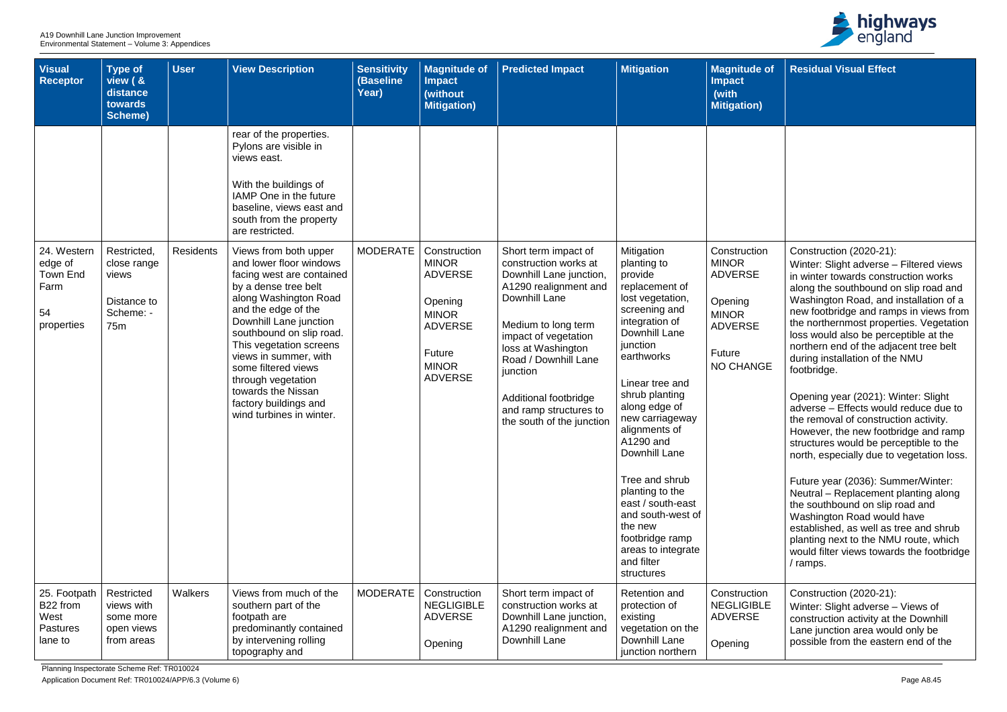Planning Inspectorate Scheme Ref: TR010024

Application Document Ref: TR010024/APP/6.3 (Volume 6) Page A8.45



| Visual<br>Receptor                                                    | <b>Type of</b><br>view ( &<br>distance<br>towards<br>Scheme)           | <b>User</b>      | <b>View Description</b>                                                                                                                                                                                                                                                                                                                                                                 | <b>Sensitivity</b><br>(Baseline<br>Year) | <b>Magnitude of</b><br><b>Impact</b><br>(without<br><b>Mitigation)</b>                                                                  | <b>Predicted Impact</b>                                                                                                                                                                                                                                                                                     | <b>Mitigation</b>                                                                                                                                                                                                                                                                                                                                                                                                                               | <b>Magnitude of</b><br><b>Impact</b><br>(with<br><b>Mitigation)</b>                                                       |
|-----------------------------------------------------------------------|------------------------------------------------------------------------|------------------|-----------------------------------------------------------------------------------------------------------------------------------------------------------------------------------------------------------------------------------------------------------------------------------------------------------------------------------------------------------------------------------------|------------------------------------------|-----------------------------------------------------------------------------------------------------------------------------------------|-------------------------------------------------------------------------------------------------------------------------------------------------------------------------------------------------------------------------------------------------------------------------------------------------------------|-------------------------------------------------------------------------------------------------------------------------------------------------------------------------------------------------------------------------------------------------------------------------------------------------------------------------------------------------------------------------------------------------------------------------------------------------|---------------------------------------------------------------------------------------------------------------------------|
|                                                                       |                                                                        |                  | rear of the properties.<br>Pylons are visible in<br>views east.<br>With the buildings of<br>IAMP One in the future<br>baseline, views east and<br>south from the property<br>are restricted.                                                                                                                                                                                            |                                          |                                                                                                                                         |                                                                                                                                                                                                                                                                                                             |                                                                                                                                                                                                                                                                                                                                                                                                                                                 |                                                                                                                           |
| 24. Western<br>edge of<br><b>Town End</b><br>Farm<br>54<br>properties | Restricted,<br>close range<br>views<br>Distance to<br>Scheme: -<br>75m | <b>Residents</b> | Views from both upper<br>and lower floor windows<br>facing west are contained<br>by a dense tree belt<br>along Washington Road<br>and the edge of the<br>Downhill Lane junction<br>southbound on slip road.<br>This vegetation screens<br>views in summer, with<br>some filtered views<br>through vegetation<br>towards the Nissan<br>factory buildings and<br>wind turbines in winter. | <b>MODERATE</b>                          | Construction<br><b>MINOR</b><br><b>ADVERSE</b><br>Opening<br><b>MINOR</b><br><b>ADVERSE</b><br>Future<br><b>MINOR</b><br><b>ADVERSE</b> | Short term impact of<br>construction works at<br>Downhill Lane junction,<br>A1290 realignment and<br>Downhill Lane<br>Medium to long term<br>impact of vegetation<br>loss at Washington<br>Road / Downhill Lane<br>junction<br>Additional footbridge<br>and ramp structures to<br>the south of the junction | Mitigation<br>planting to<br>provide<br>replacement of<br>lost vegetation,<br>screening and<br>integration of<br>Downhill Lane<br>junction<br>earthworks<br>Linear tree and<br>shrub planting<br>along edge of<br>new carriageway<br>alignments of<br>A1290 and<br>Downhill Lane<br>Tree and shrub<br>planting to the<br>east / south-east<br>and south-west of<br>the new<br>footbridge ramp<br>areas to integrate<br>and filter<br>structures | Construction<br><b>MINOR</b><br><b>ADVERSE</b><br>Opening<br><b>MINOR</b><br><b>ADVERSE</b><br>Future<br><b>NO CHANGE</b> |
| 25. Footpath<br>B22 from<br>West<br><b>Pastures</b><br>lane to        | Restricted<br>views with<br>some more<br>open views<br>from areas      | Walkers          | Views from much of the<br>southern part of the<br>footpath are<br>predominantly contained<br>by intervening rolling<br>topography and                                                                                                                                                                                                                                                   | <b>MODERATE</b>                          | Construction<br><b>NEGLIGIBLE</b><br><b>ADVERSE</b><br>Opening                                                                          | Short term impact of<br>construction works at<br>Downhill Lane junction,<br>A1290 realignment and<br>Downhill Lane                                                                                                                                                                                          | <b>Retention and</b><br>protection of<br>existing<br>vegetation on the<br>Downhill Lane<br>junction northern                                                                                                                                                                                                                                                                                                                                    | Construction<br><b>NEGLIGIBLE</b><br><b>ADVERSE</b><br>Opening                                                            |

| $e$ of                  | <b>Residual Visual Effect</b>                                                                                                                                                                                                                                               |
|-------------------------|-----------------------------------------------------------------------------------------------------------------------------------------------------------------------------------------------------------------------------------------------------------------------------|
| า)                      |                                                                                                                                                                                                                                                                             |
|                         |                                                                                                                                                                                                                                                                             |
|                         |                                                                                                                                                                                                                                                                             |
|                         |                                                                                                                                                                                                                                                                             |
| ion                     | Construction (2020-21):                                                                                                                                                                                                                                                     |
| Ξ                       | Winter: Slight adverse - Filtered views<br>in winter towards construction works<br>along the southbound on slip road and<br>Washington Road, and installation of a                                                                                                          |
| Ξ                       | new footbridge and ramps in views from<br>the northernmost properties. Vegetation<br>loss would also be perceptible at the<br>northern end of the adjacent tree belt                                                                                                        |
| IGE                     | during installation of the NMU<br>footbridge.                                                                                                                                                                                                                               |
|                         | Opening year (2021): Winter: Slight<br>adverse - Effects would reduce due to<br>the removal of construction activity.<br>However, the new footbridge and ramp<br>structures would be perceptible to the<br>north, especially due to vegetation loss.                        |
|                         | Future year (2036): Summer/Winter:<br>Neutral - Replacement planting along<br>the southbound on slip road and<br>Washington Road would have<br>established, as well as tree and shrub<br>planting next to the NMU route, which<br>would filter views towards the footbridge |
|                         | / ramps.                                                                                                                                                                                                                                                                    |
| ıon<br>3LE<br>$\bar{=}$ | Construction (2020-21):<br>Winter: Slight adverse - Views of<br>construction activity at the Downhill<br>Lane junction area would only be<br>possible from the eastern end of the                                                                                           |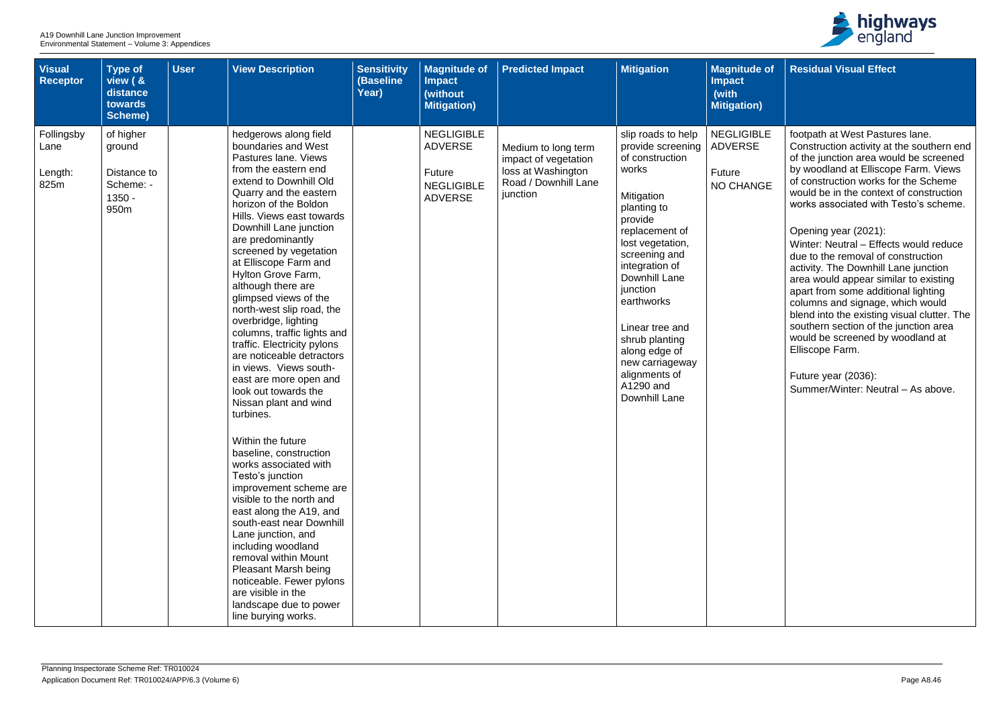| <b>Visual</b><br><b>Receptor</b>      | <b>Type of</b><br>view ( &<br>distance<br>towards<br><b>Scheme)</b> | <b>User</b> | <b>View Description</b>                                                                                                                                                                                                                                                                                                                                                                                                                                                                                                                                                                                                                                                                                                                                                                                                                                                                                                                                                                                                                                        | <b>Sensitivity</b><br>(Baseline<br>Year) | <b>Magnitude of</b><br><b>Impact</b><br>(without<br><b>Mitigation)</b>               | <b>Predicted Impact</b>                                                                               | <b>Mitigation</b>                                                                                                                                                                                                                                                                                                                                       | <b>Magnitude of</b><br><b>Impact</b><br>(with<br><b>Mitigation)</b> |
|---------------------------------------|---------------------------------------------------------------------|-------------|----------------------------------------------------------------------------------------------------------------------------------------------------------------------------------------------------------------------------------------------------------------------------------------------------------------------------------------------------------------------------------------------------------------------------------------------------------------------------------------------------------------------------------------------------------------------------------------------------------------------------------------------------------------------------------------------------------------------------------------------------------------------------------------------------------------------------------------------------------------------------------------------------------------------------------------------------------------------------------------------------------------------------------------------------------------|------------------------------------------|--------------------------------------------------------------------------------------|-------------------------------------------------------------------------------------------------------|---------------------------------------------------------------------------------------------------------------------------------------------------------------------------------------------------------------------------------------------------------------------------------------------------------------------------------------------------------|---------------------------------------------------------------------|
| Follingsby<br>Lane<br>Length:<br>825m | of higher<br>ground<br>Distance to<br>Scheme: -<br>$1350 -$<br>950m |             | hedgerows along field<br>boundaries and West<br>Pastures lane. Views<br>from the eastern end<br>extend to Downhill Old<br>Quarry and the eastern<br>horizon of the Boldon<br>Hills. Views east towards<br>Downhill Lane junction<br>are predominantly<br>screened by vegetation<br>at Elliscope Farm and<br>Hylton Grove Farm,<br>although there are<br>glimpsed views of the<br>north-west slip road, the<br>overbridge, lighting<br>columns, traffic lights and<br>traffic. Electricity pylons<br>are noticeable detractors<br>in views. Views south-<br>east are more open and<br>look out towards the<br>Nissan plant and wind<br>turbines.<br>Within the future<br>baseline, construction<br>works associated with<br>Testo's junction<br>improvement scheme are<br>visible to the north and<br>east along the A19, and<br>south-east near Downhill<br>Lane junction, and<br>including woodland<br>removal within Mount<br><b>Pleasant Marsh being</b><br>noticeable. Fewer pylons<br>are visible in the<br>landscape due to power<br>line burying works. |                                          | <b>NEGLIGIBLE</b><br><b>ADVERSE</b><br>Future<br><b>NEGLIGIBLE</b><br><b>ADVERSE</b> | Medium to long term<br>impact of vegetation<br>loss at Washington<br>Road / Downhill Lane<br>junction | slip roads to help<br>provide screening<br>of construction<br>works<br>Mitigation<br>planting to<br>provide<br>replacement of<br>lost vegetation,<br>screening and<br>integration of<br>Downhill Lane<br>junction<br>earthworks<br>Linear tree and<br>shrub planting<br>along edge of<br>new carriageway<br>alignments of<br>A1290 and<br>Downhill Lane | <b>NEGLIGIBLE</b><br><b>ADVERSE</b><br>Future<br>NO CHANGE          |



| <b>of</b> | <b>Residual Visual Effect</b>                                                                                                                                                                                                                                                                                                                                                                                   |
|-----------|-----------------------------------------------------------------------------------------------------------------------------------------------------------------------------------------------------------------------------------------------------------------------------------------------------------------------------------------------------------------------------------------------------------------|
|           |                                                                                                                                                                                                                                                                                                                                                                                                                 |
| .E<br>ЭË  | footpath at West Pastures lane.<br>Construction activity at the southern end<br>of the junction area would be screened<br>by woodland at Elliscope Farm. Views<br>of construction works for the Scheme<br>would be in the context of construction<br>works associated with Testo's scheme.                                                                                                                      |
|           | Opening year (2021):<br>Winter: Neutral - Effects would reduce<br>due to the removal of construction<br>activity. The Downhill Lane junction<br>area would appear similar to existing<br>apart from some additional lighting<br>columns and signage, which would<br>blend into the existing visual clutter. The<br>southern section of the junction area<br>would be screened by woodland at<br>Elliscope Farm. |
|           | Future year (2036):<br>Summer/Winter: Neutral - As above.                                                                                                                                                                                                                                                                                                                                                       |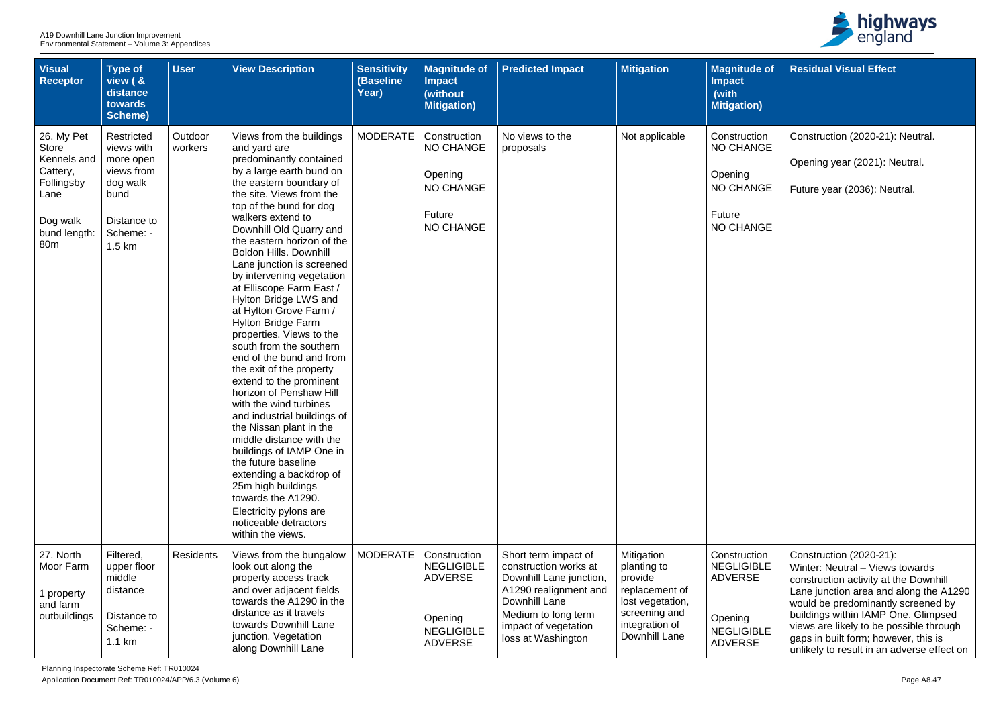| <b>Visual</b><br><b>Receptor</b>                                                                                           | <b>Type of</b><br>view ( &<br>distance<br>towards<br>Scheme)                                                  | <b>User</b>        | <b>View Description</b>                                                                                                                                                                                                                                                                                                                                                                                                                                                                                                                                                                                                                                                                                                                                                                                                                                                                                                                                | <b>Sensitivity</b><br>(Baseline<br>Year) | <b>Magnitude of</b><br><b>Impact</b><br>(without<br><b>Mitigation)</b>                                | <b>Predicted Impact</b>                                                                                                                                                                 | <b>Mitigation</b>                                                                                                              | <b>Magnitude of</b><br><b>Impact</b><br>(with<br><b>Mitigation</b> )                                  |
|----------------------------------------------------------------------------------------------------------------------------|---------------------------------------------------------------------------------------------------------------|--------------------|--------------------------------------------------------------------------------------------------------------------------------------------------------------------------------------------------------------------------------------------------------------------------------------------------------------------------------------------------------------------------------------------------------------------------------------------------------------------------------------------------------------------------------------------------------------------------------------------------------------------------------------------------------------------------------------------------------------------------------------------------------------------------------------------------------------------------------------------------------------------------------------------------------------------------------------------------------|------------------------------------------|-------------------------------------------------------------------------------------------------------|-----------------------------------------------------------------------------------------------------------------------------------------------------------------------------------------|--------------------------------------------------------------------------------------------------------------------------------|-------------------------------------------------------------------------------------------------------|
| 26. My Pet<br><b>Store</b><br>Kennels and<br>Cattery,<br>Follingsby<br>Lane<br>Dog walk<br>bund length:<br>80 <sub>m</sub> | Restricted<br>views with<br>more open<br>views from<br>dog walk<br>bund<br>Distance to<br>Scheme: -<br>1.5 km | Outdoor<br>workers | Views from the buildings<br>and yard are<br>predominantly contained<br>by a large earth bund on<br>the eastern boundary of<br>the site. Views from the<br>top of the bund for dog<br>walkers extend to<br>Downhill Old Quarry and<br>the eastern horizon of the<br>Boldon Hills. Downhill<br>Lane junction is screened<br>by intervening vegetation<br>at Elliscope Farm East /<br>Hylton Bridge LWS and<br>at Hylton Grove Farm /<br><b>Hylton Bridge Farm</b><br>properties. Views to the<br>south from the southern<br>end of the bund and from<br>the exit of the property<br>extend to the prominent<br>horizon of Penshaw Hill<br>with the wind turbines<br>and industrial buildings of<br>the Nissan plant in the<br>middle distance with the<br>buildings of IAMP One in<br>the future baseline<br>extending a backdrop of<br>25m high buildings<br>towards the A1290.<br>Electricity pylons are<br>noticeable detractors<br>within the views. | <b>MODERATE</b>                          | Construction<br>NO CHANGE<br>Opening<br><b>NO CHANGE</b><br><b>Future</b><br><b>NO CHANGE</b>         | No views to the<br>proposals                                                                                                                                                            | Not applicable                                                                                                                 | Construction<br><b>NO CHANGE</b><br>Opening<br>NO CHANGE<br>Future<br><b>NO CHANGE</b>                |
| 27. North<br>Moor Farm<br>property<br>and farm<br>outbuildings                                                             | Filtered,<br>upper floor<br>middle<br>distance<br>Distance to<br>Scheme: -<br>1.1 km                          | <b>Residents</b>   | Views from the bungalow<br>look out along the<br>property access track<br>and over adjacent fields<br>towards the A1290 in the<br>distance as it travels<br>towards Downhill Lane<br>junction. Vegetation<br>along Downhill Lane                                                                                                                                                                                                                                                                                                                                                                                                                                                                                                                                                                                                                                                                                                                       | <b>MODERATE</b>                          | Construction<br><b>NEGLIGIBLE</b><br><b>ADVERSE</b><br>Opening<br><b>NEGLIGIBLE</b><br><b>ADVERSE</b> | Short term impact of<br>construction works at<br>Downhill Lane junction,<br>A1290 realignment and<br>Downhill Lane<br>Medium to long term<br>impact of vegetation<br>loss at Washington | Mitigation<br>planting to<br>provide<br>replacement of<br>lost vegetation,<br>screening and<br>integration of<br>Downhill Lane | Construction<br><b>NEGLIGIBLE</b><br><b>ADVERSE</b><br>Opening<br><b>NEGLIGIBLE</b><br><b>ADVERSE</b> |



| e of             | <b>Residual Visual Effect</b>                                                                                                                                                       |
|------------------|-------------------------------------------------------------------------------------------------------------------------------------------------------------------------------------|
| I)               |                                                                                                                                                                                     |
| on<br>GE         | Construction (2020-21): Neutral.                                                                                                                                                    |
|                  | Opening year (2021): Neutral.                                                                                                                                                       |
| <b>GE</b>        | Future year (2036): Neutral.                                                                                                                                                        |
| <b>GE</b>        |                                                                                                                                                                                     |
|                  |                                                                                                                                                                                     |
| on<br><b>BLE</b> | Construction (2020-21):<br>Winter: Neutral - Views towards<br>construction activity at the Downhill<br>Lane junction area and along the A1290<br>would be predominantly screened by |
| 8LE              | buildings within IAMP One. Glimpsed<br>views are likely to be possible through<br>gaps in built form; however, this is<br>unlikely to result in an adverse effect on                |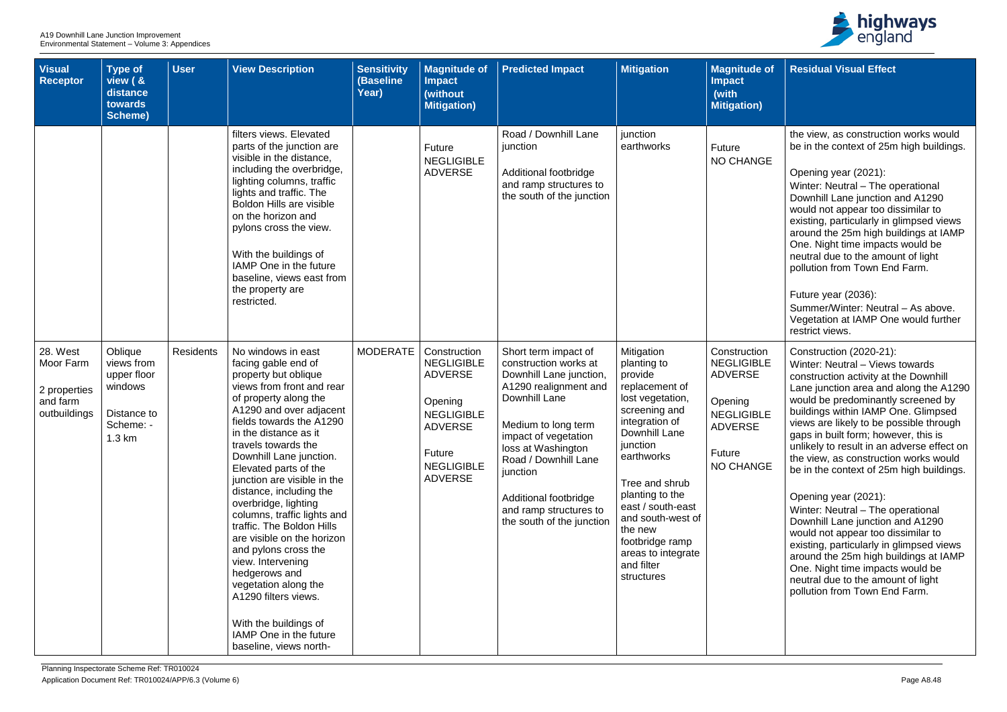| <b>Visual</b><br><b>Receptor</b>                                  | <b>Type of</b><br>view ( &<br>distance<br>towards<br><b>Scheme)</b>                             | <b>User</b>      | <b>View Description</b>                                                                                                                                                                                                                                                                                                                                                                                                                                                                                                                                                                                                                                   | <b>Sensitivity</b><br>(Baseline<br>Year) | <b>Magnitude of</b><br><b>Impact</b><br>(without<br><b>Mitigation</b> )                                                                                | <b>Predicted Impact</b>                                                                                                                                                                                                                                                                                     | <b>Mitigation</b>                                                                                                                                                                                                                                                                                                       | <b>Magnitude of</b><br><b>Impact</b><br>(with<br><b>Mitigation</b> )                                                                |
|-------------------------------------------------------------------|-------------------------------------------------------------------------------------------------|------------------|-----------------------------------------------------------------------------------------------------------------------------------------------------------------------------------------------------------------------------------------------------------------------------------------------------------------------------------------------------------------------------------------------------------------------------------------------------------------------------------------------------------------------------------------------------------------------------------------------------------------------------------------------------------|------------------------------------------|--------------------------------------------------------------------------------------------------------------------------------------------------------|-------------------------------------------------------------------------------------------------------------------------------------------------------------------------------------------------------------------------------------------------------------------------------------------------------------|-------------------------------------------------------------------------------------------------------------------------------------------------------------------------------------------------------------------------------------------------------------------------------------------------------------------------|-------------------------------------------------------------------------------------------------------------------------------------|
|                                                                   |                                                                                                 |                  | filters views. Elevated<br>parts of the junction are<br>visible in the distance,<br>including the overbridge,<br>lighting columns, traffic<br>lights and traffic. The<br><b>Boldon Hills are visible</b><br>on the horizon and<br>pylons cross the view.<br>With the buildings of<br>IAMP One in the future<br>baseline, views east from<br>the property are<br>restricted.                                                                                                                                                                                                                                                                               |                                          | Future<br><b>NEGLIGIBLE</b><br><b>ADVERSE</b>                                                                                                          | Road / Downhill Lane<br>junction<br>Additional footbridge<br>and ramp structures to<br>the south of the junction                                                                                                                                                                                            | junction<br>earthworks                                                                                                                                                                                                                                                                                                  | <b>Future</b><br>NO CHANGE                                                                                                          |
| 28. West<br>Moor Farm<br>2 properties<br>and farm<br>outbuildings | Oblique<br>views from<br>upper floor<br>windows<br>Distance to<br>Scheme: -<br>$1.3 \text{ km}$ | <b>Residents</b> | No windows in east<br>facing gable end of<br>property but oblique<br>views from front and rear<br>of property along the<br>A1290 and over adjacent<br>fields towards the A1290<br>in the distance as it<br>travels towards the<br>Downhill Lane junction.<br>Elevated parts of the<br>junction are visible in the<br>distance, including the<br>overbridge, lighting<br>columns, traffic lights and<br>traffic. The Boldon Hills<br>are visible on the horizon<br>and pylons cross the<br>view. Intervening<br>hedgerows and<br>vegetation along the<br>A1290 filters views.<br>With the buildings of<br>IAMP One in the future<br>baseline, views north- | <b>MODERATE</b>                          | Construction<br><b>NEGLIGIBLE</b><br><b>ADVERSE</b><br>Opening<br><b>NEGLIGIBLE</b><br><b>ADVERSE</b><br>Future<br><b>NEGLIGIBLE</b><br><b>ADVERSE</b> | Short term impact of<br>construction works at<br>Downhill Lane junction,<br>A1290 realignment and<br>Downhill Lane<br>Medium to long term<br>impact of vegetation<br>loss at Washington<br>Road / Downhill Lane<br>junction<br>Additional footbridge<br>and ramp structures to<br>the south of the junction | Mitigation<br>planting to<br>provide<br>replacement of<br>lost vegetation,<br>screening and<br>integration of<br>Downhill Lane<br>junction<br>earthworks<br>Tree and shrub<br>planting to the<br>east / south-east<br>and south-west of<br>the new<br>footbridge ramp<br>areas to integrate<br>and filter<br>structures | Construction<br><b>NEGLIGIBLE</b><br><b>ADVERSE</b><br>Opening<br><b>NEGLIGIBLE</b><br><b>ADVERSE</b><br><b>Future</b><br>NO CHANGE |



| of                   | <b>Residual Visual Effect</b>                                                                                                                                                                                                                                                                                                                                                                                                                                                                                                                                                                                                                                                                                                                                                                              |
|----------------------|------------------------------------------------------------------------------------------------------------------------------------------------------------------------------------------------------------------------------------------------------------------------------------------------------------------------------------------------------------------------------------------------------------------------------------------------------------------------------------------------------------------------------------------------------------------------------------------------------------------------------------------------------------------------------------------------------------------------------------------------------------------------------------------------------------|
|                      |                                                                                                                                                                                                                                                                                                                                                                                                                                                                                                                                                                                                                                                                                                                                                                                                            |
| ЭÉ                   | the view, as construction works would<br>be in the context of 25m high buildings.<br>Opening year (2021):<br>Winter: Neutral - The operational<br>Downhill Lane junction and A1290<br>would not appear too dissimilar to<br>existing, particularly in glimpsed views<br>around the 25m high buildings at IAMP<br>One. Night time impacts would be<br>neutral due to the amount of light<br>pollution from Town End Farm.<br>Future year (2036):<br>Summer/Winter: Neutral - As above.<br>Vegetation at IAMP One would further                                                                                                                                                                                                                                                                              |
| 'n<br>-E<br>-E<br>ЭE | restrict views.<br>Construction (2020-21):<br>Winter: Neutral - Views towards<br>construction activity at the Downhill<br>Lane junction area and along the A1290<br>would be predominantly screened by<br>buildings within IAMP One. Glimpsed<br>views are likely to be possible through<br>gaps in built form; however, this is<br>unlikely to result in an adverse effect on<br>the view, as construction works would<br>be in the context of 25m high buildings.<br>Opening year (2021):<br>Winter: Neutral – The operational<br>Downhill Lane junction and A1290<br>would not appear too dissimilar to<br>existing, particularly in glimpsed views<br>around the 25m high buildings at IAMP<br>One. Night time impacts would be<br>neutral due to the amount of light<br>pollution from Town End Farm. |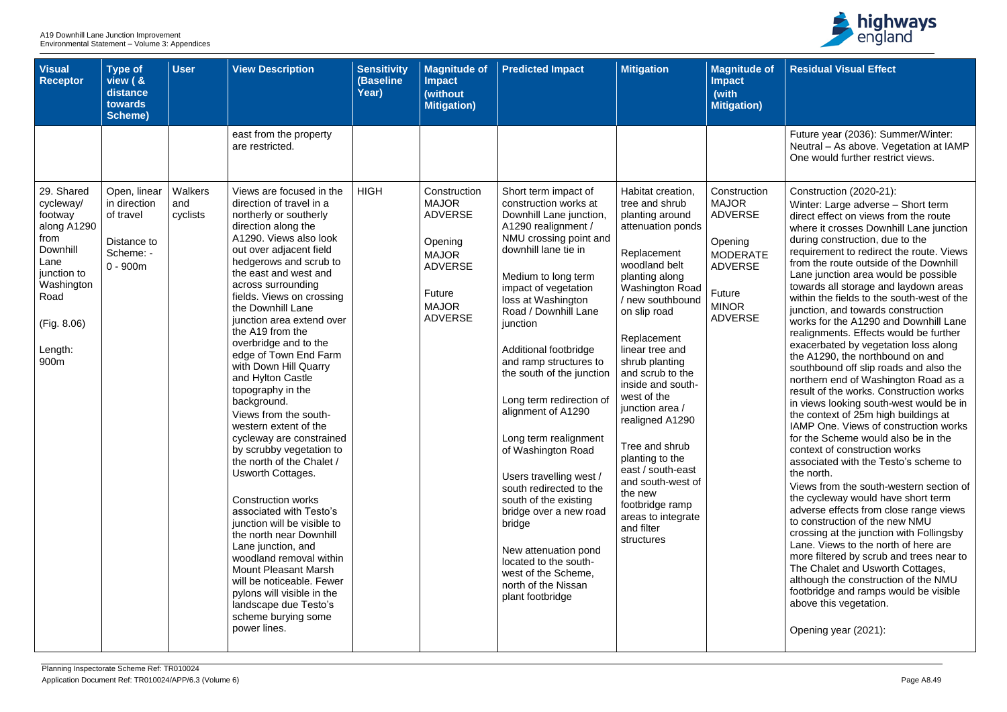

| <b>Visual</b><br>Receptor                                                                                                                            | <b>Type of</b><br>view ( &<br>distance<br>towards<br>Scheme)                        | <b>User</b>                | <b>View Description</b>                                                                                                                                                                                                                                                                                                                                                                                                                                                                                                                                                                                                                                                                                                                                                                                                                                                                                                                                             | <b>Sensitivity</b><br>(Baseline<br>Year) | <b>Magnitude of</b><br><b>Impact</b><br>(without<br><b>Mitigation)</b>                                                                         | <b>Predicted Impact</b>                                                                                                                                                                                                                                                                                                                                                                                                                                                                                                                                                                                                                                                           | <b>Mitigation</b>                                                                                                                                                                                                                                                                                                                                                                                                                                                                                            | <b>Magnitude of</b><br><b>Impact</b><br>(with<br><b>Mitigation)</b>                                                                        |
|------------------------------------------------------------------------------------------------------------------------------------------------------|-------------------------------------------------------------------------------------|----------------------------|---------------------------------------------------------------------------------------------------------------------------------------------------------------------------------------------------------------------------------------------------------------------------------------------------------------------------------------------------------------------------------------------------------------------------------------------------------------------------------------------------------------------------------------------------------------------------------------------------------------------------------------------------------------------------------------------------------------------------------------------------------------------------------------------------------------------------------------------------------------------------------------------------------------------------------------------------------------------|------------------------------------------|------------------------------------------------------------------------------------------------------------------------------------------------|-----------------------------------------------------------------------------------------------------------------------------------------------------------------------------------------------------------------------------------------------------------------------------------------------------------------------------------------------------------------------------------------------------------------------------------------------------------------------------------------------------------------------------------------------------------------------------------------------------------------------------------------------------------------------------------|--------------------------------------------------------------------------------------------------------------------------------------------------------------------------------------------------------------------------------------------------------------------------------------------------------------------------------------------------------------------------------------------------------------------------------------------------------------------------------------------------------------|--------------------------------------------------------------------------------------------------------------------------------------------|
|                                                                                                                                                      |                                                                                     |                            | east from the property<br>are restricted.                                                                                                                                                                                                                                                                                                                                                                                                                                                                                                                                                                                                                                                                                                                                                                                                                                                                                                                           |                                          |                                                                                                                                                |                                                                                                                                                                                                                                                                                                                                                                                                                                                                                                                                                                                                                                                                                   |                                                                                                                                                                                                                                                                                                                                                                                                                                                                                                              |                                                                                                                                            |
| 29. Shared<br>cycleway/<br>footway<br>along A1290<br>from<br>Downhill<br>Lane<br>junction to<br>Washington<br>Road<br>(Fig. 8.06)<br>Length:<br>900m | Open, linear<br>in direction<br>of travel<br>Distance to<br>Scheme: -<br>$0 - 900m$ | Walkers<br>and<br>cyclists | Views are focused in the<br>direction of travel in a<br>northerly or southerly<br>direction along the<br>A1290. Views also look<br>out over adjacent field<br>hedgerows and scrub to<br>the east and west and<br>across surrounding<br>fields. Views on crossing<br>the Downhill Lane<br>junction area extend over<br>the A19 from the<br>overbridge and to the<br>edge of Town End Farm<br>with Down Hill Quarry<br>and Hylton Castle<br>topography in the<br>background.<br>Views from the south-<br>western extent of the<br>cycleway are constrained<br>by scrubby vegetation to<br>the north of the Chalet /<br>Usworth Cottages.<br><b>Construction works</b><br>associated with Testo's<br>junction will be visible to<br>the north near Downhill<br>Lane junction, and<br>woodland removal within<br><b>Mount Pleasant Marsh</b><br>will be noticeable. Fewer<br>pylons will visible in the<br>landscape due Testo's<br>scheme burying some<br>power lines. | <b>HIGH</b>                              | Construction<br><b>MAJOR</b><br><b>ADVERSE</b><br>Opening<br><b>MAJOR</b><br><b>ADVERSE</b><br><b>Future</b><br><b>MAJOR</b><br><b>ADVERSE</b> | Short term impact of<br>construction works at<br>Downhill Lane junction,<br>A1290 realignment /<br>NMU crossing point and<br>downhill lane tie in<br>Medium to long term<br>impact of vegetation<br>loss at Washington<br>Road / Downhill Lane<br>junction<br>Additional footbridge<br>and ramp structures to<br>the south of the junction<br>Long term redirection of<br>alignment of A1290<br>Long term realignment<br>of Washington Road<br>Users travelling west /<br>south redirected to the<br>south of the existing<br>bridge over a new road<br>bridge<br>New attenuation pond<br>located to the south-<br>west of the Scheme,<br>north of the Nissan<br>plant footbridge | Habitat creation,<br>tree and shrub<br>planting around<br>attenuation ponds<br>Replacement<br>woodland belt<br>planting along<br><b>Washington Road</b><br>/ new southbound<br>on slip road<br>Replacement<br>linear tree and<br>shrub planting<br>and scrub to the<br>inside and south-<br>west of the<br>junction area /<br>realigned A1290<br>Tree and shrub<br>planting to the<br>east / south-east<br>and south-west of<br>the new<br>footbridge ramp<br>areas to integrate<br>and filter<br>structures | Construction<br><b>MAJOR</b><br><b>ADVERSE</b><br>Opening<br><b>MODERATE</b><br><b>ADVERSE</b><br>Future<br><b>MINOR</b><br><b>ADVERSE</b> |

| оf | <b>Residual Visual Effect</b>                                                                                                                                                                                                                                                                                                                                                                                                                                                                                                                                                                                                                                                                                                                                                                                         |
|----|-----------------------------------------------------------------------------------------------------------------------------------------------------------------------------------------------------------------------------------------------------------------------------------------------------------------------------------------------------------------------------------------------------------------------------------------------------------------------------------------------------------------------------------------------------------------------------------------------------------------------------------------------------------------------------------------------------------------------------------------------------------------------------------------------------------------------|
|    |                                                                                                                                                                                                                                                                                                                                                                                                                                                                                                                                                                                                                                                                                                                                                                                                                       |
|    | Future year (2036): Summer/Winter:<br>Neutral - As above. Vegetation at IAMP<br>One would further restrict views.                                                                                                                                                                                                                                                                                                                                                                                                                                                                                                                                                                                                                                                                                                     |
| n  | Construction (2020-21):<br>Winter: Large adverse - Short term<br>direct effect on views from the route<br>where it crosses Downhill Lane junction<br>during construction, due to the                                                                                                                                                                                                                                                                                                                                                                                                                                                                                                                                                                                                                                  |
| E  | requirement to redirect the route. Views<br>from the route outside of the Downhill<br>Lane junction area would be possible<br>towards all storage and laydown areas<br>within the fields to the south-west of the<br>junction, and towards construction<br>works for the A1290 and Downhill Lane<br>realignments. Effects would be further<br>exacerbated by vegetation loss along<br>the A1290, the northbound on and<br>southbound off slip roads and also the<br>northern end of Washington Road as a<br>result of the works. Construction works<br>in views looking south-west would be in<br>the context of 25m high buildings at<br><b>IAMP One. Views of construction works</b><br>for the Scheme would also be in the<br>context of construction works<br>associated with the Testo's scheme to<br>the north. |
|    | Views from the south-western section of<br>the cycleway would have short term<br>adverse effects from close range views<br>to construction of the new NMU<br>crossing at the junction with Follingsby<br>Lane. Views to the north of here are<br>more filtered by scrub and trees near to<br>The Chalet and Usworth Cottages,<br>although the construction of the NMU<br>footbridge and ramps would be visible<br>above this vegetation.                                                                                                                                                                                                                                                                                                                                                                              |
|    | Opening year (2021):                                                                                                                                                                                                                                                                                                                                                                                                                                                                                                                                                                                                                                                                                                                                                                                                  |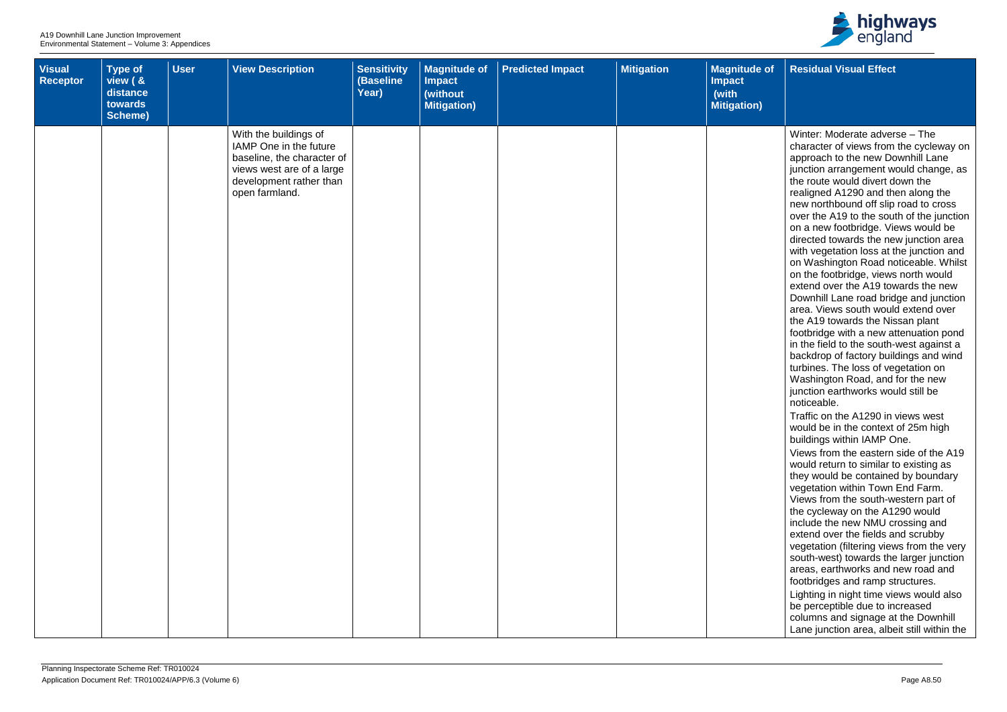| Visual<br>Receptor | Type of<br>view ( &<br>distance<br>towards<br>Scheme) | <b>User</b> | <b>View Description</b>                                                                                                                                 | <b>Sensitivity</b><br>(Baseline<br>Year) | <b>Magnitude of</b><br><b>Impact</b><br>(without<br><b>Mitigation</b> ) | <b>Predicted Impact</b> | <b>Mitigation</b> | <b>Magnitude of</b><br>Impact<br>(with<br>Mitigation) |
|--------------------|-------------------------------------------------------|-------------|---------------------------------------------------------------------------------------------------------------------------------------------------------|------------------------------------------|-------------------------------------------------------------------------|-------------------------|-------------------|-------------------------------------------------------|
|                    |                                                       |             | With the buildings of<br>IAMP One in the future<br>baseline, the character of<br>views west are of a large<br>development rather than<br>open farmland. |                                          |                                                                         |                         |                   |                                                       |
|                    |                                                       |             |                                                                                                                                                         |                                          |                                                                         |                         |                   |                                                       |



| $\overline{e}$ of | <b>Residual Visual Effect</b>                                                                                                                                                                                                                                                                                                                                                                                                                                                                                                                                                                                                                                                                                                                                                                                                                                                                                                                                                                                                                                                                                                                                                                                                                                                                                                                                                                                                                                                                                                                                                                                                                                                                                                         |
|-------------------|---------------------------------------------------------------------------------------------------------------------------------------------------------------------------------------------------------------------------------------------------------------------------------------------------------------------------------------------------------------------------------------------------------------------------------------------------------------------------------------------------------------------------------------------------------------------------------------------------------------------------------------------------------------------------------------------------------------------------------------------------------------------------------------------------------------------------------------------------------------------------------------------------------------------------------------------------------------------------------------------------------------------------------------------------------------------------------------------------------------------------------------------------------------------------------------------------------------------------------------------------------------------------------------------------------------------------------------------------------------------------------------------------------------------------------------------------------------------------------------------------------------------------------------------------------------------------------------------------------------------------------------------------------------------------------------------------------------------------------------|
|                   |                                                                                                                                                                                                                                                                                                                                                                                                                                                                                                                                                                                                                                                                                                                                                                                                                                                                                                                                                                                                                                                                                                                                                                                                                                                                                                                                                                                                                                                                                                                                                                                                                                                                                                                                       |
| I)                |                                                                                                                                                                                                                                                                                                                                                                                                                                                                                                                                                                                                                                                                                                                                                                                                                                                                                                                                                                                                                                                                                                                                                                                                                                                                                                                                                                                                                                                                                                                                                                                                                                                                                                                                       |
|                   | Winter: Moderate adverse - The<br>character of views from the cycleway on<br>approach to the new Downhill Lane<br>junction arrangement would change, as<br>the route would divert down the<br>realigned A1290 and then along the<br>new northbound off slip road to cross<br>over the A19 to the south of the junction<br>on a new footbridge. Views would be<br>directed towards the new junction area<br>with vegetation loss at the junction and<br>on Washington Road noticeable. Whilst<br>on the footbridge, views north would<br>extend over the A19 towards the new<br>Downhill Lane road bridge and junction<br>area. Views south would extend over<br>the A19 towards the Nissan plant<br>footbridge with a new attenuation pond<br>in the field to the south-west against a<br>backdrop of factory buildings and wind<br>turbines. The loss of vegetation on<br>Washington Road, and for the new<br>junction earthworks would still be<br>noticeable.<br>Traffic on the A1290 in views west<br>would be in the context of 25m high<br>buildings within IAMP One.<br>Views from the eastern side of the A19<br>would return to similar to existing as<br>they would be contained by boundary<br>vegetation within Town End Farm.<br>Views from the south-western part of<br>the cycleway on the A1290 would<br>include the new NMU crossing and<br>extend over the fields and scrubby<br>vegetation (filtering views from the very<br>south-west) towards the larger junction<br>areas, earthworks and new road and<br>footbridges and ramp structures.<br>Lighting in night time views would also<br>be perceptible due to increased<br>columns and signage at the Downhill<br>Lane junction area, albeit still within the |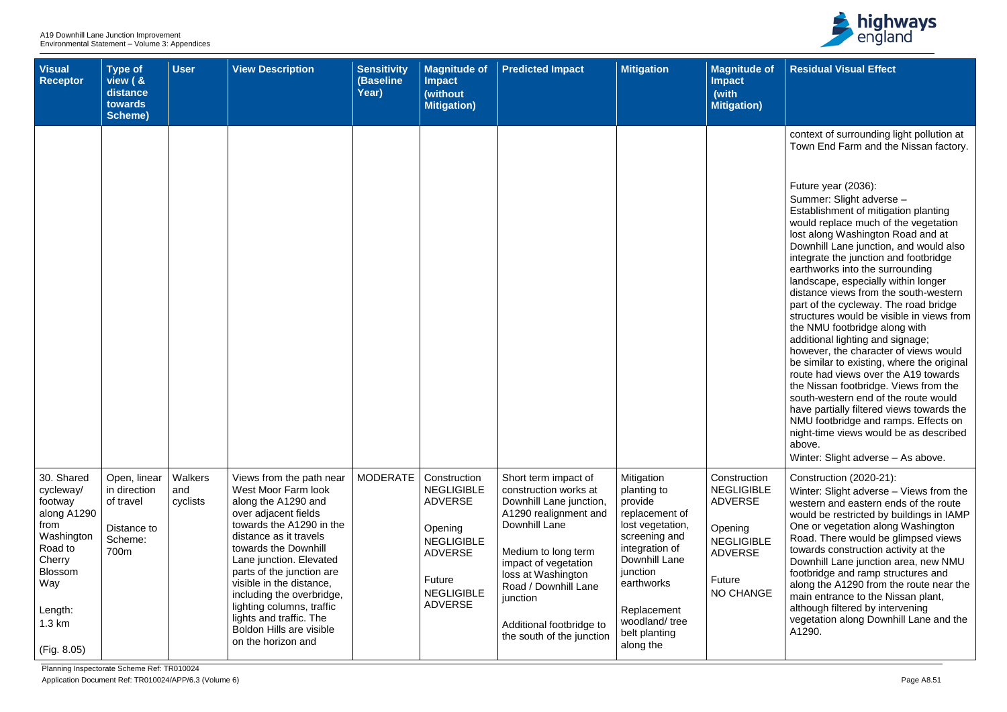

| <b>Visual</b><br><b>Receptor</b>                                                                                                                                    | <b>Type of</b><br>view ( &<br>distance<br>towards<br><b>Scheme)</b>         | <b>User</b>                | <b>View Description</b>                                                                                                                                                                                                                                                                                                                                                                                        | <b>Sensitivity</b><br>(Baseline<br>Year) | <b>Magnitude of</b><br><b>Impact</b><br>(without<br><b>Mitigation)</b>                                                                                 | <b>Predicted Impact</b>                                                                                                                                                                                                                                                              | <b>Mitigation</b>                                                                                                                                                                                                      | <b>Magnitude of</b><br><b>Impact</b><br>(with<br><b>Mitigation)</b>                                                          |
|---------------------------------------------------------------------------------------------------------------------------------------------------------------------|-----------------------------------------------------------------------------|----------------------------|----------------------------------------------------------------------------------------------------------------------------------------------------------------------------------------------------------------------------------------------------------------------------------------------------------------------------------------------------------------------------------------------------------------|------------------------------------------|--------------------------------------------------------------------------------------------------------------------------------------------------------|--------------------------------------------------------------------------------------------------------------------------------------------------------------------------------------------------------------------------------------------------------------------------------------|------------------------------------------------------------------------------------------------------------------------------------------------------------------------------------------------------------------------|------------------------------------------------------------------------------------------------------------------------------|
|                                                                                                                                                                     |                                                                             |                            |                                                                                                                                                                                                                                                                                                                                                                                                                |                                          |                                                                                                                                                        |                                                                                                                                                                                                                                                                                      |                                                                                                                                                                                                                        |                                                                                                                              |
| 30. Shared<br>cycleway/<br>footway<br>along A1290<br>from<br>Washington<br>Road to<br>Cherry<br><b>Blossom</b><br>Way<br>Length:<br>$1.3 \text{ km}$<br>(Fig. 8.05) | Open, linear<br>in direction<br>of travel<br>Distance to<br>Scheme:<br>700m | Walkers<br>and<br>cyclists | Views from the path near<br>West Moor Farm look<br>along the A1290 and<br>over adjacent fields<br>towards the A1290 in the<br>distance as it travels<br>towards the Downhill<br>Lane junction. Elevated<br>parts of the junction are<br>visible in the distance,<br>including the overbridge,<br>lighting columns, traffic<br>lights and traffic. The<br><b>Boldon Hills are visible</b><br>on the horizon and | <b>MODERATE</b>                          | Construction<br><b>NEGLIGIBLE</b><br><b>ADVERSE</b><br>Opening<br><b>NEGLIGIBLE</b><br><b>ADVERSE</b><br>Future<br><b>NEGLIGIBLE</b><br><b>ADVERSE</b> | Short term impact of<br>construction works at<br>Downhill Lane junction,<br>A1290 realignment and<br>Downhill Lane<br>Medium to long term<br>impact of vegetation<br>loss at Washington<br>Road / Downhill Lane<br>junction<br>Additional footbridge to<br>the south of the junction | Mitigation<br>planting to<br>provide<br>replacement of<br>lost vegetation,<br>screening and<br>integration of<br>Downhill Lane<br>junction<br>earthworks<br>Replacement<br>woodland/tree<br>belt planting<br>along the | Construction<br><b>NEGLIGIBLE</b><br><b>ADVERSE</b><br>Opening<br><b>NEGLIGIBLE</b><br><b>ADVERSE</b><br>Future<br>NO CHANGE |

| $\bullet$ of | <b>Residual Visual Effect</b>                                                                                                                                                                                                                                                                                                                                                                                                                                                                                                                                                                                                                                                                                                                                                                                                                                                                                                        |
|--------------|--------------------------------------------------------------------------------------------------------------------------------------------------------------------------------------------------------------------------------------------------------------------------------------------------------------------------------------------------------------------------------------------------------------------------------------------------------------------------------------------------------------------------------------------------------------------------------------------------------------------------------------------------------------------------------------------------------------------------------------------------------------------------------------------------------------------------------------------------------------------------------------------------------------------------------------|
|              |                                                                                                                                                                                                                                                                                                                                                                                                                                                                                                                                                                                                                                                                                                                                                                                                                                                                                                                                      |
|              | context of surrounding light pollution at<br>Town End Farm and the Nissan factory.                                                                                                                                                                                                                                                                                                                                                                                                                                                                                                                                                                                                                                                                                                                                                                                                                                                   |
|              | Future year (2036):<br>Summer: Slight adverse -<br>Establishment of mitigation planting<br>would replace much of the vegetation<br>lost along Washington Road and at<br>Downhill Lane junction, and would also<br>integrate the junction and footbridge<br>earthworks into the surrounding<br>landscape, especially within longer<br>distance views from the south-western<br>part of the cycleway. The road bridge<br>structures would be visible in views from<br>the NMU footbridge along with<br>additional lighting and signage;<br>however, the character of views would<br>be similar to existing, where the original<br>route had views over the A19 towards<br>the Nissan footbridge. Views from the<br>south-western end of the route would<br>have partially filtered views towards the<br>NMU footbridge and ramps. Effects on<br>night-time views would be as described<br>above.<br>Winter: Slight adverse - As above. |
| m<br>LЕ      | Construction (2020-21):<br>Winter: Slight adverse – Views from the<br>western and eastern ends of the route<br>would be restricted by buildings in IAMP                                                                                                                                                                                                                                                                                                                                                                                                                                                                                                                                                                                                                                                                                                                                                                              |
| LE           | One or vegetation along Washington<br>Road. There would be glimpsed views<br>towards construction activity at the<br>Downhill Lane junction area, new NMU<br>footbridge and ramp structures and                                                                                                                                                                                                                                                                                                                                                                                                                                                                                                                                                                                                                                                                                                                                      |
| ЭE           | along the A1290 from the route near the<br>main entrance to the Nissan plant,<br>although filtered by intervening<br>vegetation along Downhill Lane and the<br>A1290.                                                                                                                                                                                                                                                                                                                                                                                                                                                                                                                                                                                                                                                                                                                                                                |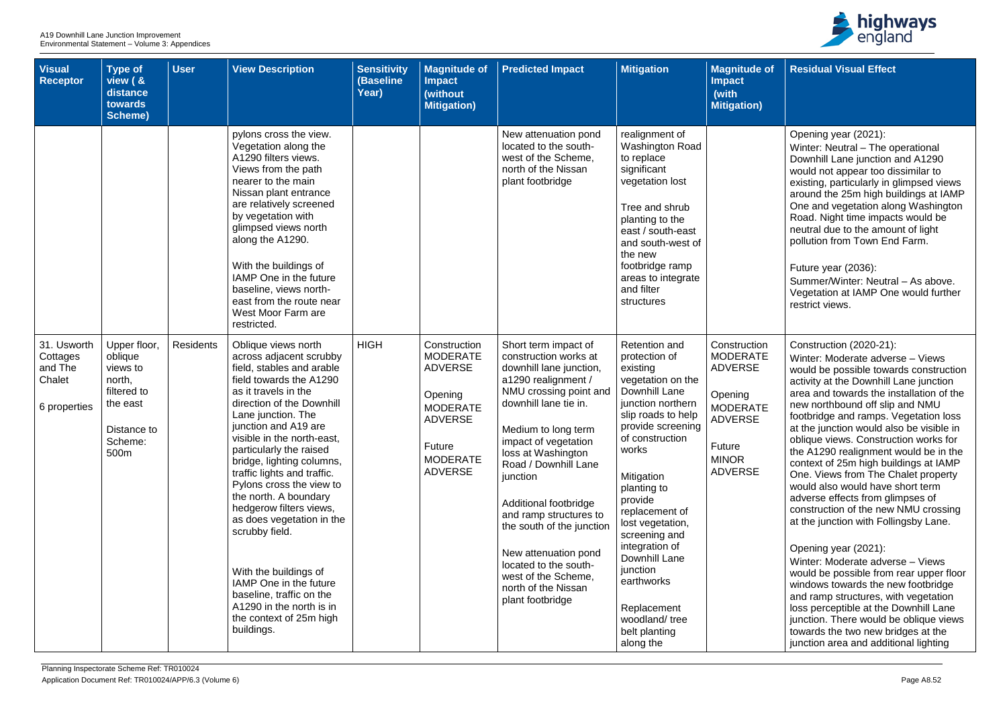| <b>Visual</b><br><b>Receptor</b>                             | <b>Type of</b><br>view ( &<br>distance<br>towards<br><b>Scheme)</b>                                        | <b>User</b>      | <b>View Description</b>                                                                                                                                                                                                                                                                                                                                                                                                                                                                                                                                                                                           | <b>Sensitivity</b><br>(Baseline<br>Year) | <b>Magnitude of</b><br><b>Impact</b><br>(without<br><b>Mitigation)</b>                                                                           | <b>Predicted Impact</b>                                                                                                                                                                                                                                                                                                                                                                                                                                        | <b>Mitigation</b>                                                                                                                                                                                                                                                                                                                                                                                             | <b>Magnitude of</b><br><b>Impact</b><br>(with<br><b>Mitigation</b> )                                                                          |
|--------------------------------------------------------------|------------------------------------------------------------------------------------------------------------|------------------|-------------------------------------------------------------------------------------------------------------------------------------------------------------------------------------------------------------------------------------------------------------------------------------------------------------------------------------------------------------------------------------------------------------------------------------------------------------------------------------------------------------------------------------------------------------------------------------------------------------------|------------------------------------------|--------------------------------------------------------------------------------------------------------------------------------------------------|----------------------------------------------------------------------------------------------------------------------------------------------------------------------------------------------------------------------------------------------------------------------------------------------------------------------------------------------------------------------------------------------------------------------------------------------------------------|---------------------------------------------------------------------------------------------------------------------------------------------------------------------------------------------------------------------------------------------------------------------------------------------------------------------------------------------------------------------------------------------------------------|-----------------------------------------------------------------------------------------------------------------------------------------------|
|                                                              |                                                                                                            |                  | pylons cross the view.<br>Vegetation along the<br>A1290 filters views.<br>Views from the path<br>nearer to the main<br>Nissan plant entrance<br>are relatively screened<br>by vegetation with<br>glimpsed views north<br>along the A1290.<br>With the buildings of<br>IAMP One in the future<br>baseline, views north-<br>east from the route near<br>West Moor Farm are<br>restricted.                                                                                                                                                                                                                           |                                          |                                                                                                                                                  | New attenuation pond<br>located to the south-<br>west of the Scheme,<br>north of the Nissan<br>plant footbridge                                                                                                                                                                                                                                                                                                                                                | realignment of<br>Washington Road<br>to replace<br>significant<br>vegetation lost<br>Tree and shrub<br>planting to the<br>east / south-east<br>and south-west of<br>the new<br>footbridge ramp<br>areas to integrate<br>and filter<br>structures                                                                                                                                                              |                                                                                                                                               |
| 31. Usworth<br>Cottages<br>and The<br>Chalet<br>6 properties | Upper floor,<br>oblique<br>views to<br>north,<br>filtered to<br>the east<br>Distance to<br>Scheme:<br>500m | <b>Residents</b> | Oblique views north<br>across adjacent scrubby<br>field, stables and arable<br>field towards the A1290<br>as it travels in the<br>direction of the Downhill<br>Lane junction. The<br>junction and A19 are<br>visible in the north-east,<br>particularly the raised<br>bridge, lighting columns,<br>traffic lights and traffic.<br>Pylons cross the view to<br>the north. A boundary<br>hedgerow filters views,<br>as does vegetation in the<br>scrubby field.<br>With the buildings of<br>IAMP One in the future<br>baseline, traffic on the<br>A1290 in the north is in<br>the context of 25m high<br>buildings. | <b>HIGH</b>                              | Construction<br><b>MODERATE</b><br><b>ADVERSE</b><br>Opening<br><b>MODERATE</b><br><b>ADVERSE</b><br>Future<br><b>MODERATE</b><br><b>ADVERSE</b> | Short term impact of<br>construction works at<br>downhill lane junction,<br>a1290 realignment /<br>NMU crossing point and<br>downhill lane tie in.<br>Medium to long term<br>impact of vegetation<br>loss at Washington<br>Road / Downhill Lane<br>junction<br>Additional footbridge<br>and ramp structures to<br>the south of the junction<br>New attenuation pond<br>located to the south-<br>west of the Scheme,<br>north of the Nissan<br>plant footbridge | <b>Retention and</b><br>protection of<br>existing<br>vegetation on the<br>Downhill Lane<br>junction northern<br>slip roads to help<br>provide screening<br>of construction<br>works<br>Mitigation<br>planting to<br>provide<br>replacement of<br>lost vegetation,<br>screening and<br>integration of<br>Downhill Lane<br>junction<br>earthworks<br>Replacement<br>woodland/tree<br>belt planting<br>along the | Construction<br><b>MODERATE</b><br><b>ADVERSE</b><br>Opening<br><b>MODERATE</b><br><b>ADVERSE</b><br>Future<br><b>MINOR</b><br><b>ADVERSE</b> |



| e of                                   | <b>Residual Visual Effect</b>                                                                                                                                                                                                                                                                                                                                                                                                                                                                                                                                                                                                                  |
|----------------------------------------|------------------------------------------------------------------------------------------------------------------------------------------------------------------------------------------------------------------------------------------------------------------------------------------------------------------------------------------------------------------------------------------------------------------------------------------------------------------------------------------------------------------------------------------------------------------------------------------------------------------------------------------------|
| (۱                                     |                                                                                                                                                                                                                                                                                                                                                                                                                                                                                                                                                                                                                                                |
|                                        | Opening year (2021):<br>Winter: Neutral - The operational<br>Downhill Lane junction and A1290<br>would not appear too dissimilar to<br>existing, particularly in glimpsed views<br>around the 25m high buildings at IAMP<br>One and vegetation along Washington<br>Road. Night time impacts would be<br>neutral due to the amount of light<br>pollution from Town End Farm.<br>Future year (2036):<br>Summer/Winter: Neutral - As above.<br>Vegetation at IAMP One would further<br>restrict views.                                                                                                                                            |
| on<br>TЕ<br>$\equiv$<br>ТE<br>$\equiv$ | Construction (2020-21):<br>Winter: Moderate adverse - Views<br>would be possible towards construction<br>activity at the Downhill Lane junction<br>area and towards the installation of the<br>new northbound off slip and NMU<br>footbridge and ramps. Vegetation loss<br>at the junction would also be visible in<br>oblique views. Construction works for<br>the A1290 realignment would be in the<br>context of 25m high buildings at IAMP<br>One. Views from The Chalet property<br>would also would have short term<br>adverse effects from glimpses of<br>construction of the new NMU crossing<br>at the junction with Follingsby Lane. |
|                                        | Opening year (2021):<br>Winter: Moderate adverse - Views<br>would be possible from rear upper floor<br>windows towards the new footbridge<br>and ramp structures, with vegetation<br>loss perceptible at the Downhill Lane<br>junction. There would be oblique views<br>towards the two new bridges at the<br>junction area and additional lighting                                                                                                                                                                                                                                                                                            |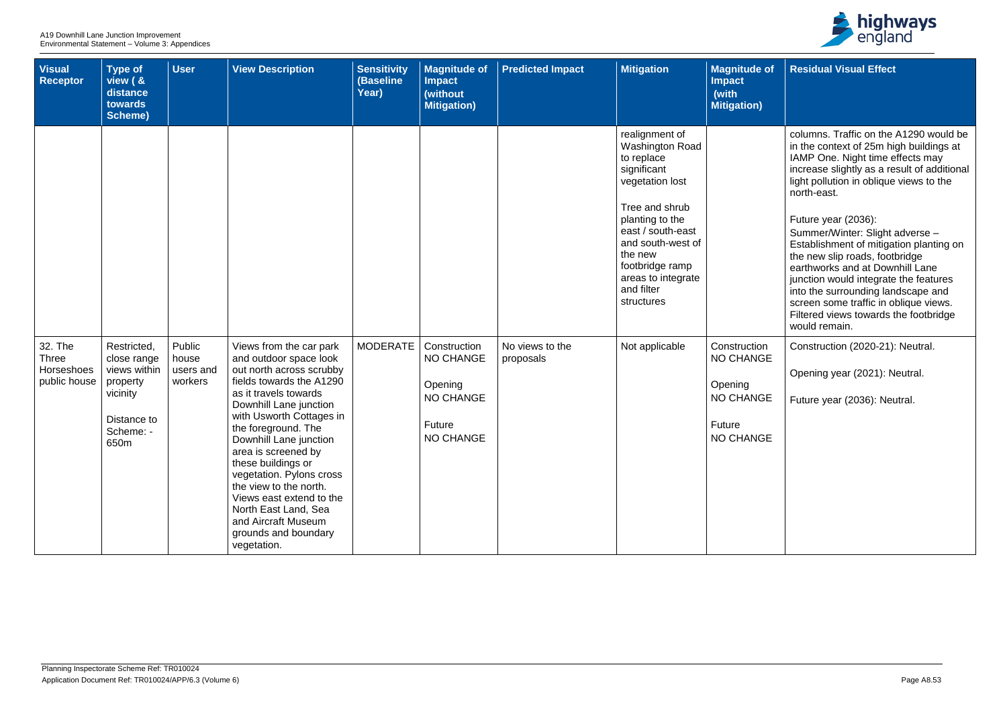| <b>Visual</b><br>Receptor                             | Type of<br>view ( &<br>distance<br>towards<br>Scheme)                                                  | <b>User</b>                             | <b>View Description</b>                                                                                                                                                                                                                                                                                                                                                                                                                                        | <b>Sensitivity</b><br>(Baseline<br>Year) | <b>Magnitude of</b><br><b>Impact</b><br>(without<br><b>Mitigation)</b>                 | <b>Predicted Impact</b>      | <b>Mitigation</b>                                                                                                                                                                                                                                | <b>Magnitude of</b><br><b>Impact</b><br>(with<br><b>Mitigation)</b>                           |
|-------------------------------------------------------|--------------------------------------------------------------------------------------------------------|-----------------------------------------|----------------------------------------------------------------------------------------------------------------------------------------------------------------------------------------------------------------------------------------------------------------------------------------------------------------------------------------------------------------------------------------------------------------------------------------------------------------|------------------------------------------|----------------------------------------------------------------------------------------|------------------------------|--------------------------------------------------------------------------------------------------------------------------------------------------------------------------------------------------------------------------------------------------|-----------------------------------------------------------------------------------------------|
|                                                       |                                                                                                        |                                         |                                                                                                                                                                                                                                                                                                                                                                                                                                                                |                                          |                                                                                        |                              | realignment of<br>Washington Road<br>to replace<br>significant<br>vegetation lost<br>Tree and shrub<br>planting to the<br>east / south-east<br>and south-west of<br>the new<br>footbridge ramp<br>areas to integrate<br>and filter<br>structures |                                                                                               |
| 32. The<br><b>Three</b><br>Horseshoes<br>public house | Restricted,<br>close range<br>views within<br>property<br>vicinity<br>Distance to<br>Scheme: -<br>650m | Public<br>house<br>users and<br>workers | Views from the car park<br>and outdoor space look<br>out north across scrubby<br>fields towards the A1290<br>as it travels towards<br>Downhill Lane junction<br>with Usworth Cottages in<br>the foreground. The<br>Downhill Lane junction<br>area is screened by<br>these buildings or<br>vegetation. Pylons cross<br>the view to the north.<br>Views east extend to the<br>North East Land, Sea<br>and Aircraft Museum<br>grounds and boundary<br>vegetation. | <b>MODERATE</b>                          | Construction<br>NO CHANGE<br>Opening<br><b>NO CHANGE</b><br><b>Future</b><br>NO CHANGE | No views to the<br>proposals | Not applicable                                                                                                                                                                                                                                   | Construction<br><b>NO CHANGE</b><br>Opening<br><b>NO CHANGE</b><br><b>Future</b><br>NO CHANGE |



| $\circ$ of | <b>Residual Visual Effect</b>                                                                                                                                                                                                                                                                                                                            |
|------------|----------------------------------------------------------------------------------------------------------------------------------------------------------------------------------------------------------------------------------------------------------------------------------------------------------------------------------------------------------|
|            |                                                                                                                                                                                                                                                                                                                                                          |
|            | columns. Traffic on the A1290 would be<br>in the context of 25m high buildings at<br>IAMP One. Night time effects may<br>increase slightly as a result of additional<br>light pollution in oblique views to the<br>north-east.                                                                                                                           |
|            | Future year (2036):<br>Summer/Winter: Slight adverse -<br>Establishment of mitigation planting on<br>the new slip roads, footbridge<br>earthworks and at Downhill Lane<br>junction would integrate the features<br>into the surrounding landscape and<br>screen some traffic in oblique views.<br>Filtered views towards the footbridge<br>would remain. |
| m<br>ЭE    | Construction (2020-21): Neutral.                                                                                                                                                                                                                                                                                                                         |
|            | Opening year (2021): Neutral.                                                                                                                                                                                                                                                                                                                            |
| ЭE         | Future year (2036): Neutral.                                                                                                                                                                                                                                                                                                                             |
| ᇰᆮ         |                                                                                                                                                                                                                                                                                                                                                          |
|            |                                                                                                                                                                                                                                                                                                                                                          |
|            |                                                                                                                                                                                                                                                                                                                                                          |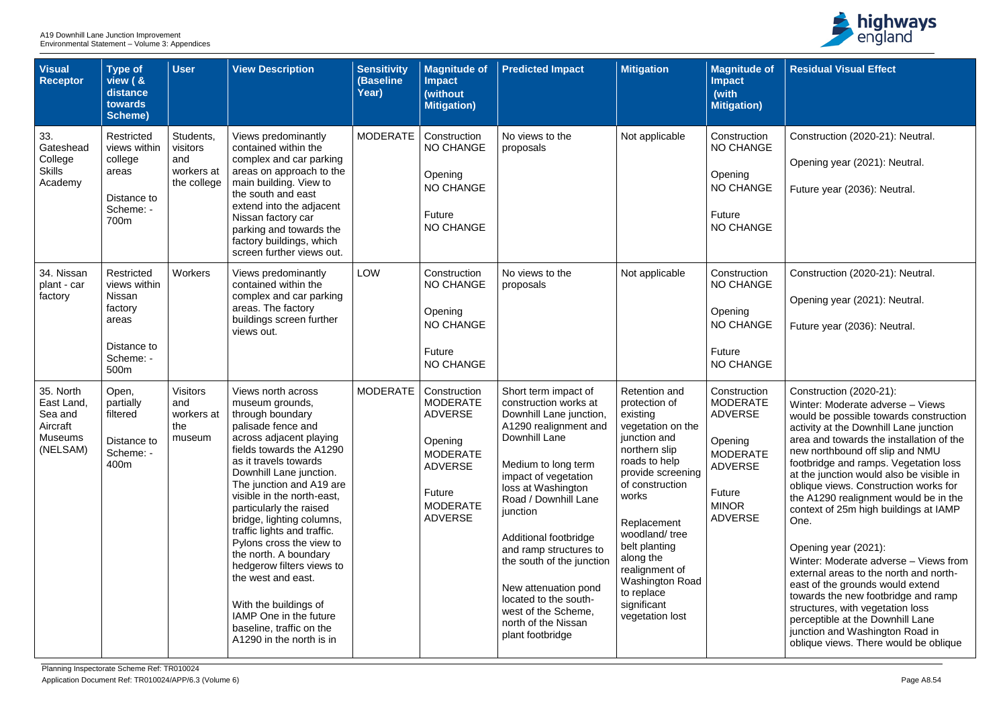| <b>Visual</b><br>Receptor                                                    | <b>Type of</b><br>view ( &<br>distance<br>towards<br><b>Scheme)</b>                          | <b>User</b>                                               | <b>View Description</b>                                                                                                                                                                                                                                                                                                                                                                                                                                                                                                                                        | <b>Sensitivity</b><br>(Baseline<br>Year) | <b>Magnitude of</b><br><b>Impact</b><br>(without<br><b>Mitigation</b> )                                                                          | <b>Predicted Impact</b>                                                                                                                                                                                                                                                                                                                                                                                                        | <b>Mitigation</b>                                                                                                                                                                                                                                                                                                     | <b>Magnitude of</b><br><b>Impact</b><br>(with<br><b>Mitigation</b> )                                                                          | <b>Residual Visual Effect</b>                                                                                                                                                                                                                                                                                                                                                                                                                                                                                                                                                                                                                                                                                                                                                                    |
|------------------------------------------------------------------------------|----------------------------------------------------------------------------------------------|-----------------------------------------------------------|----------------------------------------------------------------------------------------------------------------------------------------------------------------------------------------------------------------------------------------------------------------------------------------------------------------------------------------------------------------------------------------------------------------------------------------------------------------------------------------------------------------------------------------------------------------|------------------------------------------|--------------------------------------------------------------------------------------------------------------------------------------------------|--------------------------------------------------------------------------------------------------------------------------------------------------------------------------------------------------------------------------------------------------------------------------------------------------------------------------------------------------------------------------------------------------------------------------------|-----------------------------------------------------------------------------------------------------------------------------------------------------------------------------------------------------------------------------------------------------------------------------------------------------------------------|-----------------------------------------------------------------------------------------------------------------------------------------------|--------------------------------------------------------------------------------------------------------------------------------------------------------------------------------------------------------------------------------------------------------------------------------------------------------------------------------------------------------------------------------------------------------------------------------------------------------------------------------------------------------------------------------------------------------------------------------------------------------------------------------------------------------------------------------------------------------------------------------------------------------------------------------------------------|
| 33.<br>Gateshead<br>College<br><b>Skills</b><br>Academy                      | Restricted<br>views within<br>college<br>areas<br>Distance to<br>Scheme: -<br>700m           | Students,<br>visitors<br>and<br>workers at<br>the college | Views predominantly<br>contained within the<br>complex and car parking<br>areas on approach to the<br>main building. View to<br>the south and east<br>extend into the adjacent<br>Nissan factory car<br>parking and towards the<br>factory buildings, which<br>screen further views out.                                                                                                                                                                                                                                                                       | <b>MODERATE</b>                          | Construction<br><b>NO CHANGE</b><br>Opening<br><b>NO CHANGE</b><br>Future<br><b>NO CHANGE</b>                                                    | No views to the<br>proposals                                                                                                                                                                                                                                                                                                                                                                                                   | Not applicable                                                                                                                                                                                                                                                                                                        | Construction<br><b>NO CHANGE</b><br>Opening<br>NO CHANGE<br>Future<br><b>NO CHANGE</b>                                                        | Construction (2020-21): Neutral.<br>Opening year (2021): Neutral.<br>Future year (2036): Neutral.                                                                                                                                                                                                                                                                                                                                                                                                                                                                                                                                                                                                                                                                                                |
| 34. Nissan<br>plant - car<br>factory                                         | Restricted<br>views within<br>Nissan<br>factory<br>areas<br>Distance to<br>Scheme: -<br>500m | Workers                                                   | Views predominantly<br>contained within the<br>complex and car parking<br>areas. The factory<br>buildings screen further<br>views out.                                                                                                                                                                                                                                                                                                                                                                                                                         | LOW                                      | Construction<br><b>NO CHANGE</b><br>Opening<br><b>NO CHANGE</b><br>Future<br><b>NO CHANGE</b>                                                    | No views to the<br>proposals                                                                                                                                                                                                                                                                                                                                                                                                   | Not applicable                                                                                                                                                                                                                                                                                                        | Construction<br><b>NO CHANGE</b><br>Opening<br>NO CHANGE<br>Future<br><b>NO CHANGE</b>                                                        | Construction (2020-21): Neutral.<br>Opening year (2021): Neutral.<br>Future year (2036): Neutral.                                                                                                                                                                                                                                                                                                                                                                                                                                                                                                                                                                                                                                                                                                |
| 35. North<br>East Land,<br>Sea and<br>Aircraft<br><b>Museums</b><br>(NELSAM) | Open,<br>partially<br>filtered<br>Distance to<br>Scheme: -<br>400m                           | <b>Visitors</b><br>and<br>workers at<br>the<br>museum     | Views north across<br>museum grounds,<br>through boundary<br>palisade fence and<br>across adjacent playing<br>fields towards the A1290<br>as it travels towards<br>Downhill Lane junction.<br>The junction and A19 are<br>visible in the north-east,<br>particularly the raised<br>bridge, lighting columns,<br>traffic lights and traffic.<br>Pylons cross the view to<br>the north. A boundary<br>hedgerow filters views to<br>the west and east.<br>With the buildings of<br>IAMP One in the future<br>baseline, traffic on the<br>A1290 in the north is in | <b>MODERATE</b>                          | Construction<br><b>MODERATE</b><br><b>ADVERSE</b><br>Opening<br><b>MODERATE</b><br><b>ADVERSE</b><br>Future<br><b>MODERATE</b><br><b>ADVERSE</b> | Short term impact of<br>construction works at<br>Downhill Lane junction,<br>A1290 realignment and<br>Downhill Lane<br>Medium to long term<br>impact of vegetation<br>loss at Washington<br>Road / Downhill Lane<br>junction<br>Additional footbridge<br>and ramp structures to<br>the south of the junction<br>New attenuation pond<br>located to the south-<br>west of the Scheme,<br>north of the Nissan<br>plant footbridge | Retention and<br>protection of<br>existing<br>vegetation on the<br>junction and<br>northern slip<br>roads to help<br>provide screening<br>of construction<br>works<br>Replacement<br>woodland/tree<br>belt planting<br>along the<br>realignment of<br>Washington Road<br>to replace<br>significant<br>vegetation lost | Construction<br><b>MODERATE</b><br><b>ADVERSE</b><br>Opening<br><b>MODERATE</b><br><b>ADVERSE</b><br>Future<br><b>MINOR</b><br><b>ADVERSE</b> | Construction (2020-21):<br>Winter: Moderate adverse - Views<br>would be possible towards construction<br>activity at the Downhill Lane junction<br>area and towards the installation of the<br>new northbound off slip and NMU<br>footbridge and ramps. Vegetation loss<br>at the junction would also be visible in<br>oblique views. Construction works for<br>the A1290 realignment would be in the<br>context of 25m high buildings at IAMP<br>One.<br>Opening year (2021):<br>Winter: Moderate adverse - Views from<br>external areas to the north and north-<br>east of the grounds would extend<br>towards the new footbridge and ramp<br>structures, with vegetation loss<br>perceptible at the Downhill Lane<br>junction and Washington Road in<br>oblique views. There would be oblique |

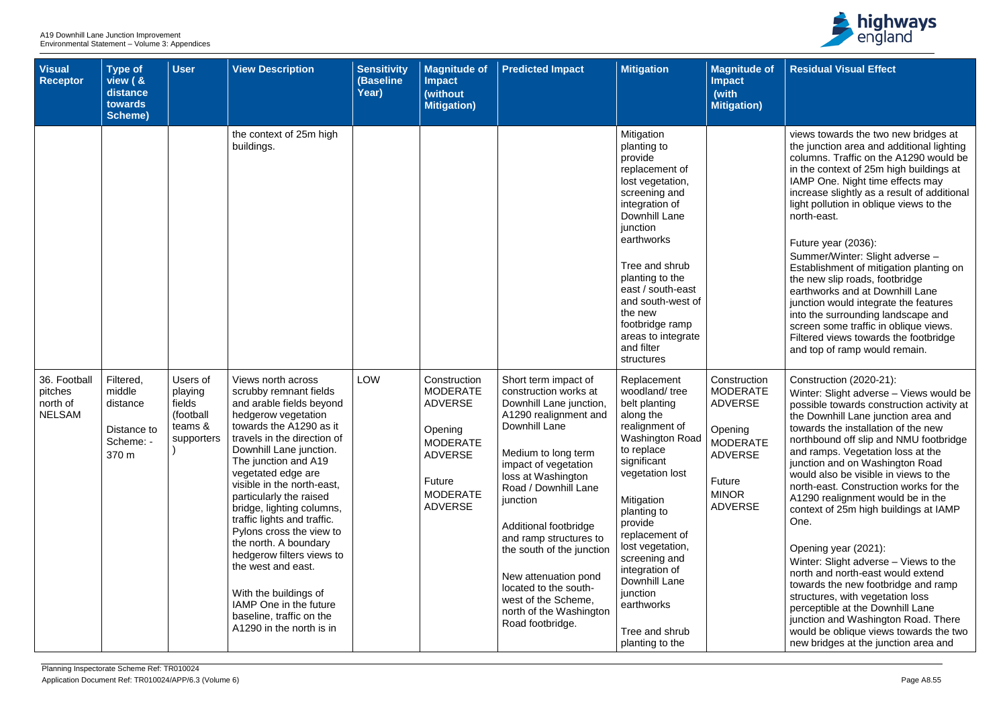| <b>Visual</b><br><b>Receptor</b>                     | <b>Type of</b><br>view ( &<br>distance<br>towards<br>Scheme)         | <b>User</b>                                                         | <b>View Description</b>                                                                                                                                                                                                                                                                                                                                                                                                                                                                                                                                                    | <b>Sensitivity</b><br>(Baseline<br>Year) | <b>Magnitude of</b><br><b>Impact</b><br>(without<br><b>Mitigation)</b>                                                                           | <b>Predicted Impact</b>                                                                                                                                                                                                                                                                                                                                                                                                            | <b>Mitigation</b>                                                                                                                                                                                                                                                                                                                                       | <b>Magnitude of</b><br><b>Impact</b><br>(with<br><b>Mitigation)</b>                                                                                  |
|------------------------------------------------------|----------------------------------------------------------------------|---------------------------------------------------------------------|----------------------------------------------------------------------------------------------------------------------------------------------------------------------------------------------------------------------------------------------------------------------------------------------------------------------------------------------------------------------------------------------------------------------------------------------------------------------------------------------------------------------------------------------------------------------------|------------------------------------------|--------------------------------------------------------------------------------------------------------------------------------------------------|------------------------------------------------------------------------------------------------------------------------------------------------------------------------------------------------------------------------------------------------------------------------------------------------------------------------------------------------------------------------------------------------------------------------------------|---------------------------------------------------------------------------------------------------------------------------------------------------------------------------------------------------------------------------------------------------------------------------------------------------------------------------------------------------------|------------------------------------------------------------------------------------------------------------------------------------------------------|
|                                                      |                                                                      |                                                                     | the context of 25m high<br>buildings.                                                                                                                                                                                                                                                                                                                                                                                                                                                                                                                                      |                                          |                                                                                                                                                  |                                                                                                                                                                                                                                                                                                                                                                                                                                    | Mitigation<br>planting to<br>provide<br>replacement of<br>lost vegetation,<br>screening and<br>integration of<br>Downhill Lane<br>junction<br>earthworks<br>Tree and shrub<br>planting to the<br>east / south-east<br>and south-west of<br>the new<br>footbridge ramp<br>areas to integrate<br>and filter<br>structures                                 |                                                                                                                                                      |
| 36. Football<br>pitches<br>north of<br><b>NELSAM</b> | Filtered,<br>middle<br>distance<br>Distance to<br>Scheme: -<br>370 m | Users of<br>playing<br>fields<br>(football<br>teams &<br>supporters | Views north across<br>scrubby remnant fields<br>and arable fields beyond<br>hedgerow vegetation<br>towards the A1290 as it<br>travels in the direction of<br>Downhill Lane junction.<br>The junction and A19<br>vegetated edge are<br>visible in the north-east,<br>particularly the raised<br>bridge, lighting columns,<br>traffic lights and traffic.<br>Pylons cross the view to<br>the north. A boundary<br>hedgerow filters views to<br>the west and east.<br>With the buildings of<br>IAMP One in the future<br>baseline, traffic on the<br>A1290 in the north is in | <b>LOW</b>                               | Construction<br><b>MODERATE</b><br><b>ADVERSE</b><br>Opening<br><b>MODERATE</b><br><b>ADVERSE</b><br>Future<br><b>MODERATE</b><br><b>ADVERSE</b> | Short term impact of<br>construction works at<br>Downhill Lane junction,<br>A1290 realignment and<br>Downhill Lane<br>Medium to long term<br>impact of vegetation<br>loss at Washington<br>Road / Downhill Lane<br>junction<br>Additional footbridge<br>and ramp structures to<br>the south of the junction<br>New attenuation pond<br>located to the south-<br>west of the Scheme,<br>north of the Washington<br>Road footbridge. | Replacement<br>woodland/tree<br>belt planting<br>along the<br>realignment of<br><b>Washington Road</b><br>to replace<br>significant<br>vegetation lost<br>Mitigation<br>planting to<br>provide<br>replacement of<br>lost vegetation,<br>screening and<br>integration of<br>Downhill Lane<br>junction<br>earthworks<br>Tree and shrub<br>planting to the | Construction<br><b>MODERATE</b><br><b>ADVERSE</b><br>Opening<br><b>MODERATE</b><br><b>ADVERSE</b><br><b>Future</b><br><b>MINOR</b><br><b>ADVERSE</b> |



| Οf          | <b>Residual Visual Effect</b>                                                                                                                                                                                                                                                                                                                                                                                                                                                            |
|-------------|------------------------------------------------------------------------------------------------------------------------------------------------------------------------------------------------------------------------------------------------------------------------------------------------------------------------------------------------------------------------------------------------------------------------------------------------------------------------------------------|
|             |                                                                                                                                                                                                                                                                                                                                                                                                                                                                                          |
|             | views towards the two new bridges at<br>the junction area and additional lighting<br>columns. Traffic on the A1290 would be<br>in the context of 25m high buildings at<br>IAMP One. Night time effects may<br>increase slightly as a result of additional<br>light pollution in oblique views to the<br>north-east.                                                                                                                                                                      |
|             | Future year (2036):<br>Summer/Winter: Slight adverse -<br>Establishment of mitigation planting on<br>the new slip roads, footbridge<br>earthworks and at Downhill Lane<br>junction would integrate the features<br>into the surrounding landscape and<br>screen some traffic in oblique views.<br>Filtered views towards the footbridge<br>and top of ramp would remain.                                                                                                                 |
| n<br>E<br>E | Construction (2020-21):<br>Winter: Slight adverse - Views would be<br>possible towards construction activity at<br>the Downhill Lane junction area and<br>towards the installation of the new<br>northbound off slip and NMU footbridge<br>and ramps. Vegetation loss at the<br>junction and on Washington Road<br>would also be visible in views to the<br>north-east. Construction works for the<br>A1290 realignment would be in the<br>context of 25m high buildings at IAMP<br>One. |
|             | Opening year (2021):<br>Winter: Slight adverse – Views to the<br>north and north-east would extend<br>towards the new footbridge and ramp<br>structures, with vegetation loss<br>perceptible at the Downhill Lane<br>junction and Washington Road. There<br>would be oblique views towards the two<br>new bridges at the junction area and                                                                                                                                               |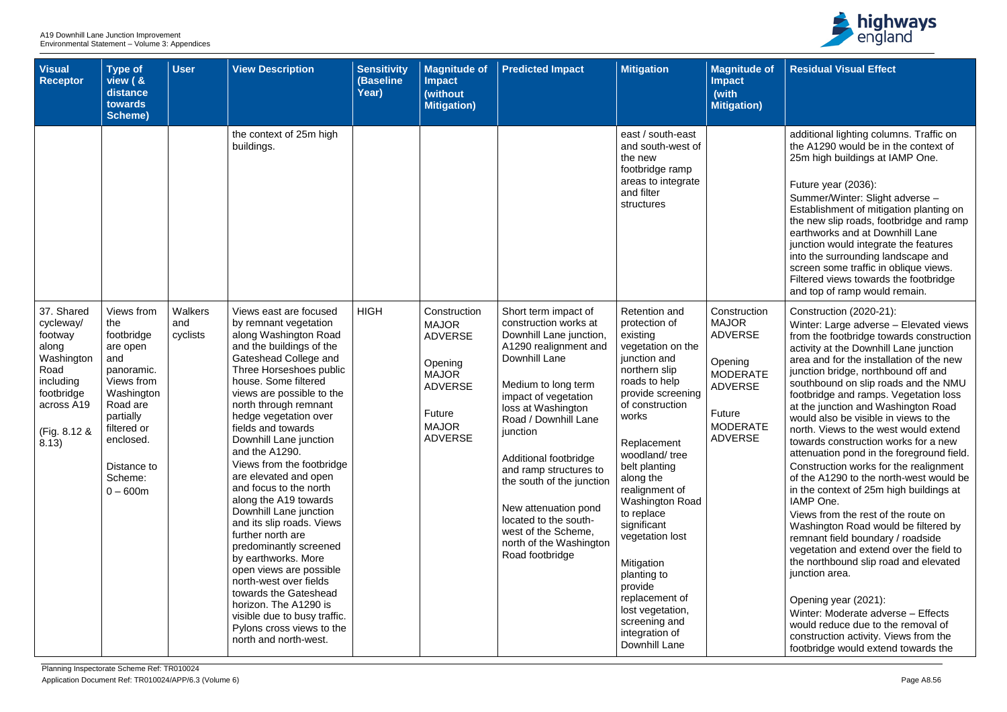| of | <b>Residual Visual Effect</b>                                                                                                                                                                                                                                                                                                                                                     |
|----|-----------------------------------------------------------------------------------------------------------------------------------------------------------------------------------------------------------------------------------------------------------------------------------------------------------------------------------------------------------------------------------|
|    |                                                                                                                                                                                                                                                                                                                                                                                   |
|    | additional lighting columns. Traffic on<br>the A1290 would be in the context of<br>25m high buildings at IAMP One.                                                                                                                                                                                                                                                                |
|    | Future year (2036):<br>Summer/Winter: Slight adverse -<br>Establishment of mitigation planting on<br>the new slip roads, footbridge and ramp<br>earthworks and at Downhill Lane<br>junction would integrate the features<br>into the surrounding landscape and<br>screen some traffic in oblique views.<br>Filtered views towards the footbridge<br>and top of ramp would remain. |
| 'n | Construction (2020-21):<br>Winter: Large adverse - Elevated views<br>from the footbridge towards construction                                                                                                                                                                                                                                                                     |
| Έ  | activity at the Downhill Lane junction<br>area and for the installation of the new<br>junction bridge, northbound off and<br>southbound on slip roads and the NMU<br>footbridge and ramps. Vegetation loss<br>at the junction and Washington Road                                                                                                                                 |
| Έ  | would also be visible in views to the<br>north. Views to the west would extend<br>towards construction works for a new<br>attenuation pond in the foreground field.<br>Construction works for the realignment<br>of the A1290 to the north-west would be<br>in the context of 25m high buildings at<br><b>IAMP</b> One.                                                           |
|    | Views from the rest of the route on<br>Washington Road would be filtered by<br>remnant field boundary / roadside<br>vegetation and extend over the field to<br>the northbound slip road and elevated<br>junction area.                                                                                                                                                            |
|    | Opening year (2021):<br>Winter: Moderate adverse - Effects<br>would reduce due to the removal of<br>construction activity. Views from the<br>footbridge would extend towards the                                                                                                                                                                                                  |

| <b>Visual</b><br><b>Receptor</b>                                                                                                    | Type of<br>view ( &<br>distance<br>towards<br><b>Scheme)</b>                                                                                                                              | <b>User</b>                | <b>View Description</b>                                                                                                                                                                                                                                                                                                                                                                                                                                                                                                                                                                                                                                                                                                                                              | <b>Sensitivity</b><br>(Baseline<br>Year) | <b>Magnitude of</b><br><b>Impact</b><br>(without<br><b>Mitigation)</b>                                                                         | <b>Predicted Impact</b>                                                                                                                                                                                                                                                                                                                                                                                                           | <b>Mitigation</b>                                                                                                                                                                                                                                                                                                                                                                                                                                              | <b>Magnitude of</b><br><b>Impact</b><br>(with<br><b>Mitigation</b> )                                                                          |
|-------------------------------------------------------------------------------------------------------------------------------------|-------------------------------------------------------------------------------------------------------------------------------------------------------------------------------------------|----------------------------|----------------------------------------------------------------------------------------------------------------------------------------------------------------------------------------------------------------------------------------------------------------------------------------------------------------------------------------------------------------------------------------------------------------------------------------------------------------------------------------------------------------------------------------------------------------------------------------------------------------------------------------------------------------------------------------------------------------------------------------------------------------------|------------------------------------------|------------------------------------------------------------------------------------------------------------------------------------------------|-----------------------------------------------------------------------------------------------------------------------------------------------------------------------------------------------------------------------------------------------------------------------------------------------------------------------------------------------------------------------------------------------------------------------------------|----------------------------------------------------------------------------------------------------------------------------------------------------------------------------------------------------------------------------------------------------------------------------------------------------------------------------------------------------------------------------------------------------------------------------------------------------------------|-----------------------------------------------------------------------------------------------------------------------------------------------|
|                                                                                                                                     |                                                                                                                                                                                           |                            | the context of 25m high<br>buildings.                                                                                                                                                                                                                                                                                                                                                                                                                                                                                                                                                                                                                                                                                                                                |                                          |                                                                                                                                                |                                                                                                                                                                                                                                                                                                                                                                                                                                   | east / south-east<br>and south-west of<br>the new<br>footbridge ramp<br>areas to integrate<br>and filter<br>structures                                                                                                                                                                                                                                                                                                                                         |                                                                                                                                               |
| 37. Shared<br>cycleway/<br>footway<br>along<br>Washington<br>Road<br>including<br>footbridge<br>across A19<br>(Fig. 8.12 &<br>8.13) | Views from<br>the<br>footbridge<br>are open<br>and<br>panoramic.<br>Views from<br>Washington<br>Road are<br>partially<br>filtered or<br>enclosed.<br>Distance to<br>Scheme:<br>$0 - 600m$ | Walkers<br>and<br>cyclists | Views east are focused<br>by remnant vegetation<br>along Washington Road<br>and the buildings of the<br>Gateshead College and<br>Three Horseshoes public<br>house. Some filtered<br>views are possible to the<br>north through remnant<br>hedge vegetation over<br>fields and towards<br>Downhill Lane junction<br>and the A1290.<br>Views from the footbridge<br>are elevated and open<br>and focus to the north<br>along the A19 towards<br>Downhill Lane junction<br>and its slip roads. Views<br>further north are<br>predominantly screened<br>by earthworks. More<br>open views are possible<br>north-west over fields<br>towards the Gateshead<br>horizon. The A1290 is<br>visible due to busy traffic.<br>Pylons cross views to the<br>north and north-west. | <b>HIGH</b>                              | Construction<br><b>MAJOR</b><br><b>ADVERSE</b><br>Opening<br><b>MAJOR</b><br><b>ADVERSE</b><br><b>Future</b><br><b>MAJOR</b><br><b>ADVERSE</b> | Short term impact of<br>construction works at<br>Downhill Lane junction,<br>A1290 realignment and<br>Downhill Lane<br>Medium to long term<br>impact of vegetation<br>loss at Washington<br>Road / Downhill Lane<br>junction<br>Additional footbridge<br>and ramp structures to<br>the south of the junction<br>New attenuation pond<br>located to the south-<br>west of the Scheme,<br>north of the Washington<br>Road footbridge | <b>Retention and</b><br>protection of<br>existing<br>vegetation on the<br>junction and<br>northern slip<br>roads to help<br>provide screening<br>of construction<br>works<br>Replacement<br>woodland/tree<br>belt planting<br>along the<br>realignment of<br>Washington Road<br>to replace<br>significant<br>vegetation lost<br>Mitigation<br>planting to<br>provide<br>replacement of<br>lost vegetation,<br>screening and<br>integration of<br>Downhill Lane | Construction<br><b>MAJOR</b><br><b>ADVERSE</b><br>Opening<br><b>MODERATE</b><br><b>ADVERSE</b><br>Future<br><b>MODERATE</b><br><b>ADVERSE</b> |

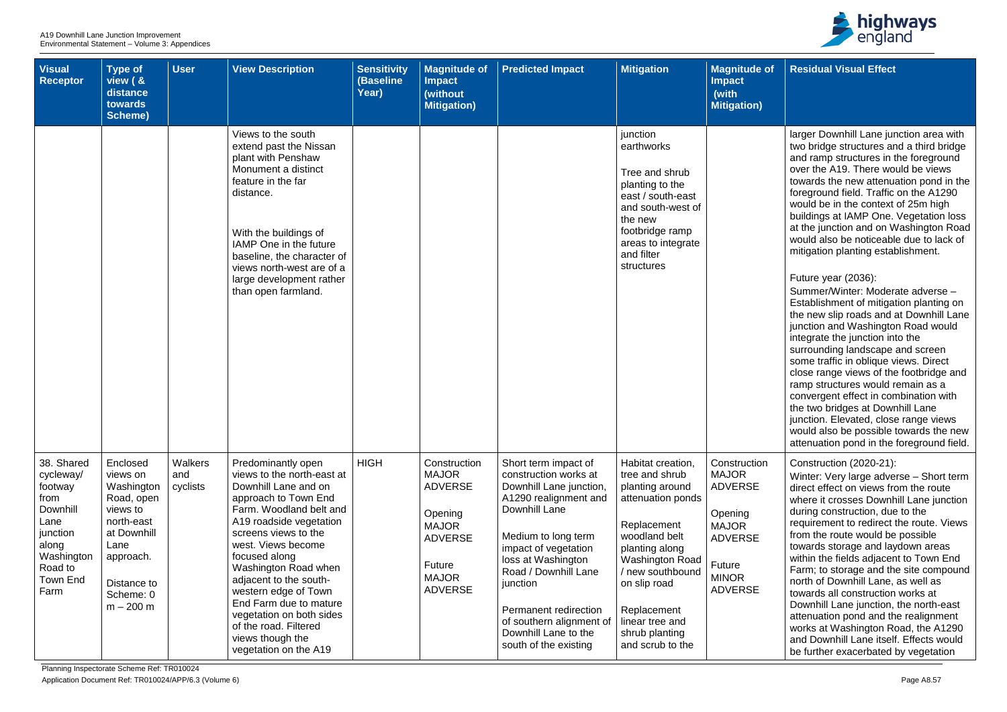| <b>Visual</b><br><b>Receptor</b>                                                                                                        | <b>Type of</b><br>view ( &<br>distance<br>towards<br><b>Scheme)</b>                                                                                       | <b>User</b>                | <b>View Description</b>                                                                                                                                                                                                                                                                                                                                                                                                     | <b>Sensitivity</b><br>(Baseline<br>Year) | <b>Magnitude of</b><br><b>Impact</b><br>(without<br><b>Mitigation)</b>                                                                  | <b>Predicted Impact</b>                                                                                                                                                                                                                                                                                                           | <b>Mitigation</b>                                                                                                                                                                                                                                                   | <b>Magnitude of</b><br><b>Impact</b><br>(with<br><b>Mitigation)</b>                                                                     |
|-----------------------------------------------------------------------------------------------------------------------------------------|-----------------------------------------------------------------------------------------------------------------------------------------------------------|----------------------------|-----------------------------------------------------------------------------------------------------------------------------------------------------------------------------------------------------------------------------------------------------------------------------------------------------------------------------------------------------------------------------------------------------------------------------|------------------------------------------|-----------------------------------------------------------------------------------------------------------------------------------------|-----------------------------------------------------------------------------------------------------------------------------------------------------------------------------------------------------------------------------------------------------------------------------------------------------------------------------------|---------------------------------------------------------------------------------------------------------------------------------------------------------------------------------------------------------------------------------------------------------------------|-----------------------------------------------------------------------------------------------------------------------------------------|
|                                                                                                                                         |                                                                                                                                                           |                            | Views to the south<br>extend past the Nissan<br>plant with Penshaw<br>Monument a distinct<br>feature in the far<br>distance.<br>With the buildings of<br>IAMP One in the future<br>baseline, the character of<br>views north-west are of a<br>large development rather<br>than open farmland.                                                                                                                               |                                          |                                                                                                                                         |                                                                                                                                                                                                                                                                                                                                   | junction<br>earthworks<br>Tree and shrub<br>planting to the<br>east / south-east<br>and south-west of<br>the new<br>footbridge ramp<br>areas to integrate<br>and filter<br>structures                                                                               |                                                                                                                                         |
| 38. Shared<br>cycleway/<br>footway<br>from<br>Downhill<br>Lane<br>junction<br>along<br>Washington<br>Road to<br><b>Town End</b><br>Farm | Enclosed<br>views on<br>Washington<br>Road, open<br>views to<br>north-east<br>at Downhill<br>Lane<br>approach.<br>Distance to<br>Scheme: 0<br>$m - 200 m$ | Walkers<br>and<br>cyclists | Predominantly open<br>views to the north-east at<br>Downhill Lane and on<br>approach to Town End<br>Farm. Woodland belt and<br>A19 roadside vegetation<br>screens views to the<br>west. Views become<br>focused along<br>Washington Road when<br>adjacent to the south-<br>western edge of Town<br>End Farm due to mature<br>vegetation on both sides<br>of the road. Filtered<br>views though the<br>vegetation on the A19 | <b>HIGH</b>                              | Construction<br><b>MAJOR</b><br><b>ADVERSE</b><br>Opening<br><b>MAJOR</b><br><b>ADVERSE</b><br>Future<br><b>MAJOR</b><br><b>ADVERSE</b> | Short term impact of<br>construction works at<br>Downhill Lane junction,<br>A1290 realignment and<br>Downhill Lane<br>Medium to long term<br>impact of vegetation<br>loss at Washington<br>Road / Downhill Lane<br>junction<br>Permanent redirection<br>of southern alignment of<br>Downhill Lane to the<br>south of the existing | Habitat creation,<br>tree and shrub<br>planting around<br>attenuation ponds<br>Replacement<br>woodland belt<br>planting along<br><b>Washington Road</b><br>/ new southbound<br>on slip road<br>Replacement<br>linear tree and<br>shrub planting<br>and scrub to the | Construction<br><b>MAJOR</b><br><b>ADVERSE</b><br>Opening<br><b>MAJOR</b><br><b>ADVERSE</b><br>Future<br><b>MINOR</b><br><b>ADVERSE</b> |



| $\cdot$ of | <b>Residual Visual Effect</b>                                                                                                                                                                                                                                                                                                                                                                                                                                                                                                                                                                                                                                                             |
|------------|-------------------------------------------------------------------------------------------------------------------------------------------------------------------------------------------------------------------------------------------------------------------------------------------------------------------------------------------------------------------------------------------------------------------------------------------------------------------------------------------------------------------------------------------------------------------------------------------------------------------------------------------------------------------------------------------|
|            |                                                                                                                                                                                                                                                                                                                                                                                                                                                                                                                                                                                                                                                                                           |
|            | larger Downhill Lane junction area with<br>two bridge structures and a third bridge<br>and ramp structures in the foreground<br>over the A19. There would be views<br>towards the new attenuation pond in the<br>foreground field. Traffic on the A1290<br>would be in the context of 25m high<br>buildings at IAMP One. Vegetation loss<br>at the junction and on Washington Road<br>would also be noticeable due to lack of<br>mitigation planting establishment.                                                                                                                                                                                                                       |
|            | Future year (2036):<br>Summer/Winter: Moderate adverse -<br>Establishment of mitigation planting on<br>the new slip roads and at Downhill Lane<br>junction and Washington Road would<br>integrate the junction into the<br>surrounding landscape and screen<br>some traffic in oblique views. Direct<br>close range views of the footbridge and<br>ramp structures would remain as a<br>convergent effect in combination with<br>the two bridges at Downhill Lane<br>junction. Elevated, close range views<br>would also be possible towards the new<br>attenuation pond in the foreground field.                                                                                         |
| 'n         | Construction (2020-21):<br>Winter: Very large adverse - Short term<br>direct effect on views from the route<br>where it crosses Downhill Lane junction<br>during construction, due to the<br>requirement to redirect the route. Views<br>from the route would be possible<br>towards storage and laydown areas<br>within the fields adjacent to Town End<br>Farm; to storage and the site compound<br>north of Downhill Lane, as well as<br>towards all construction works at<br>Downhill Lane junction, the north-east<br>attenuation pond and the realignment<br>works at Washington Road, the A1290<br>and Downhill Lane itself. Effects would<br>be further exacerbated by vegetation |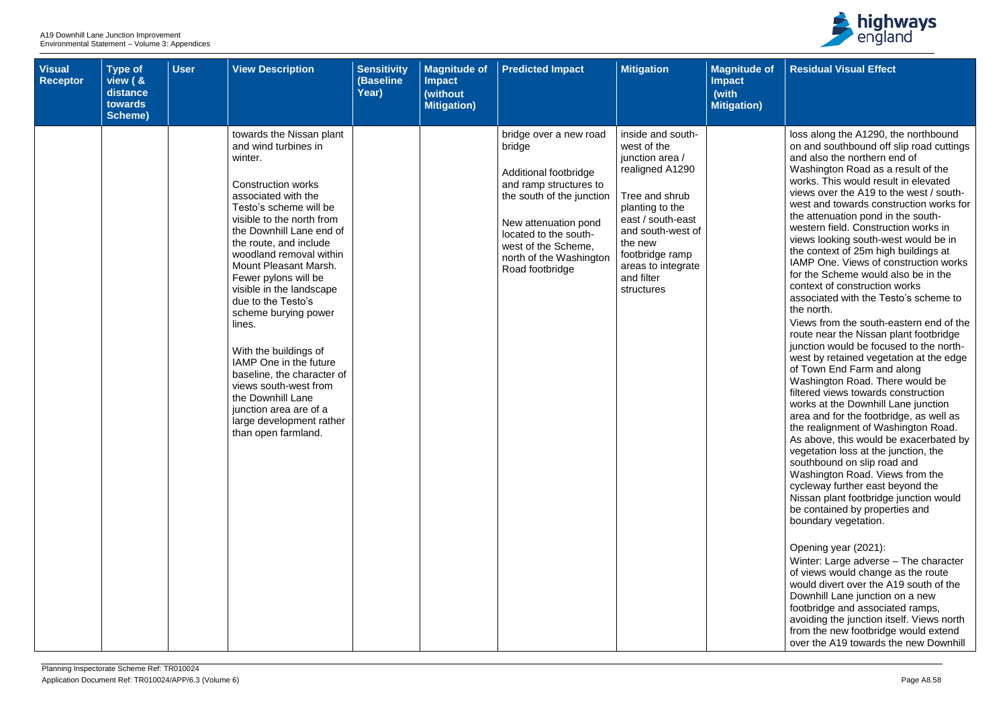| <b>Visual</b><br><b>Receptor</b> | <b>Type of</b><br>view ( &<br>distance<br>towards<br>Scheme) | <b>User</b> | <b>View Description</b>                                                                                                                                                                                                                                                                                                                                                                                                                                                                                                                                                                                  | <b>Sensitivity</b><br>(Baseline<br>Year) | <b>Magnitude of</b><br><b>Impact</b><br>(without<br><b>Mitigation)</b> | <b>Predicted Impact</b>                                                                                                                                                                                                                | <b>Mitigation</b>                                                                                                                                                                                                                     | <b>Magnitude of</b><br><b>Impact</b><br>(with<br><b>Mitigation)</b> | <b>Residual Visual Effect</b>                                                                                                                                                                                                                                                                                                                                                                                                                                                                                                                                                                                                                                                                                                                                                                                                                                                                                                                                                                                                                                                                                                                                                                                                                                                                                                                                                                                                                                                                                                                                                                                                                                                            |
|----------------------------------|--------------------------------------------------------------|-------------|----------------------------------------------------------------------------------------------------------------------------------------------------------------------------------------------------------------------------------------------------------------------------------------------------------------------------------------------------------------------------------------------------------------------------------------------------------------------------------------------------------------------------------------------------------------------------------------------------------|------------------------------------------|------------------------------------------------------------------------|----------------------------------------------------------------------------------------------------------------------------------------------------------------------------------------------------------------------------------------|---------------------------------------------------------------------------------------------------------------------------------------------------------------------------------------------------------------------------------------|---------------------------------------------------------------------|------------------------------------------------------------------------------------------------------------------------------------------------------------------------------------------------------------------------------------------------------------------------------------------------------------------------------------------------------------------------------------------------------------------------------------------------------------------------------------------------------------------------------------------------------------------------------------------------------------------------------------------------------------------------------------------------------------------------------------------------------------------------------------------------------------------------------------------------------------------------------------------------------------------------------------------------------------------------------------------------------------------------------------------------------------------------------------------------------------------------------------------------------------------------------------------------------------------------------------------------------------------------------------------------------------------------------------------------------------------------------------------------------------------------------------------------------------------------------------------------------------------------------------------------------------------------------------------------------------------------------------------------------------------------------------------|
|                                  |                                                              |             | towards the Nissan plant<br>and wind turbines in<br>winter.<br><b>Construction works</b><br>associated with the<br>Testo's scheme will be<br>visible to the north from<br>the Downhill Lane end of<br>the route, and include<br>woodland removal within<br>Mount Pleasant Marsh.<br>Fewer pylons will be<br>visible in the landscape<br>due to the Testo's<br>scheme burying power<br>lines.<br>With the buildings of<br>IAMP One in the future<br>baseline, the character of<br>views south-west from<br>the Downhill Lane<br>junction area are of a<br>large development rather<br>than open farmland. |                                          |                                                                        | bridge over a new road<br>bridge<br>Additional footbridge<br>and ramp structures to<br>the south of the junction<br>New attenuation pond<br>located to the south-<br>west of the Scheme.<br>north of the Washington<br>Road footbridge | inside and south-<br>west of the<br>junction area /<br>realigned A1290<br>Tree and shrub<br>planting to the<br>east / south-east<br>and south-west of<br>the new<br>footbridge ramp<br>areas to integrate<br>and filter<br>structures |                                                                     | loss along the A1290, the northbound<br>on and southbound off slip road cuttings<br>and also the northern end of<br>Washington Road as a result of the<br>works. This would result in elevated<br>views over the A19 to the west / south-<br>west and towards construction works for<br>the attenuation pond in the south-<br>western field. Construction works in<br>views looking south-west would be in<br>the context of 25m high buildings at<br>IAMP One. Views of construction works<br>for the Scheme would also be in the<br>context of construction works<br>associated with the Testo's scheme to<br>the north.<br>Views from the south-eastern end of the<br>route near the Nissan plant footbridge<br>junction would be focused to the north-<br>west by retained vegetation at the edge<br>of Town End Farm and along<br>Washington Road. There would be<br>filtered views towards construction<br>works at the Downhill Lane junction<br>area and for the footbridge, as well as<br>the realignment of Washington Road.<br>As above, this would be exacerbated by<br>vegetation loss at the junction, the<br>southbound on slip road and<br>Washington Road. Views from the<br>cycleway further east beyond the<br>Nissan plant footbridge junction would<br>be contained by properties and<br>boundary vegetation.<br>Opening year (2021):<br>Winter: Large adverse - The character<br>of views would change as the route<br>would divert over the A19 south of the<br>Downhill Lane junction on a new<br>footbridge and associated ramps,<br>avoiding the junction itself. Views north<br>from the new footbridge would extend<br>over the A19 towards the new Downhill |

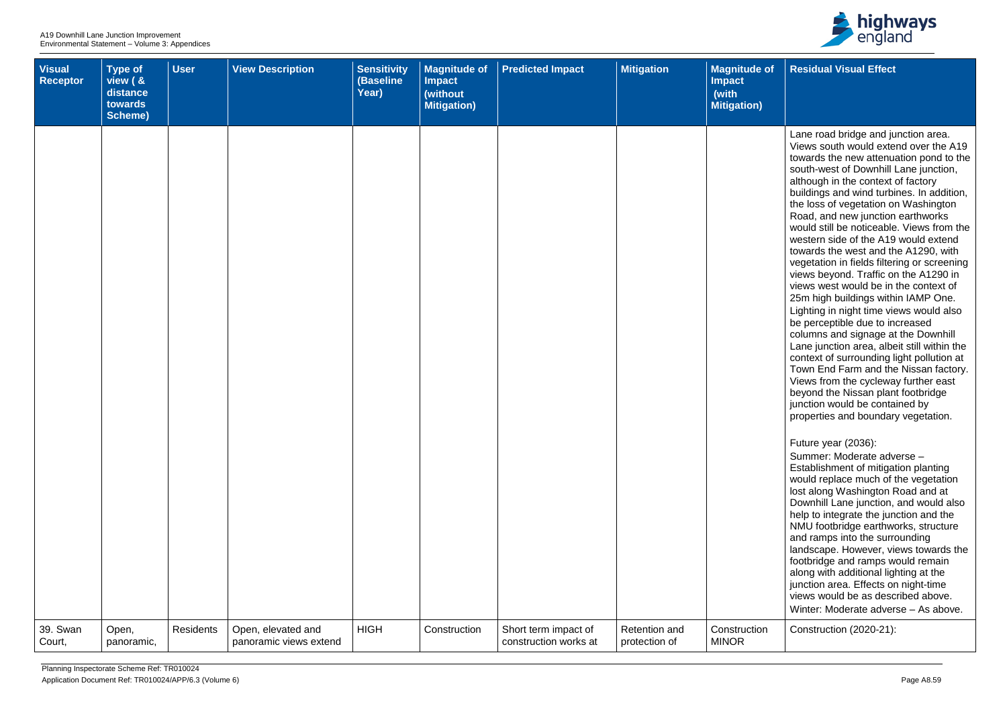| <b>Visual</b><br>Receptor | <b>Type of</b><br>view ( &<br>distance<br>towards<br>Scheme) | <b>User</b> | <b>View Description</b>                      | <b>Sensitivity</b><br>(Baseline<br>Year) | <b>Magnitude of</b><br><b>Impact</b><br>(without<br><b>Mitigation)</b> | <b>Predicted Impact</b>                       | <b>Mitigation</b>              | <b>Magnitude of</b><br><b>Impact</b><br>(with<br><b>Mitigation)</b> | <b>Residual Visual Effect</b>                                                                                                                                                                                                                                                                                                                                                                                                                                                                                                                                                                                                                                                                                                                                                                                                                                                                                                                                                                                                                          |
|---------------------------|--------------------------------------------------------------|-------------|----------------------------------------------|------------------------------------------|------------------------------------------------------------------------|-----------------------------------------------|--------------------------------|---------------------------------------------------------------------|--------------------------------------------------------------------------------------------------------------------------------------------------------------------------------------------------------------------------------------------------------------------------------------------------------------------------------------------------------------------------------------------------------------------------------------------------------------------------------------------------------------------------------------------------------------------------------------------------------------------------------------------------------------------------------------------------------------------------------------------------------------------------------------------------------------------------------------------------------------------------------------------------------------------------------------------------------------------------------------------------------------------------------------------------------|
|                           |                                                              |             |                                              |                                          |                                                                        |                                               |                                |                                                                     | Lane road bridge and junction area.<br>Views south would extend over the A19<br>towards the new attenuation pond to the<br>south-west of Downhill Lane junction,<br>although in the context of factory<br>buildings and wind turbines. In addition,<br>the loss of vegetation on Washington<br>Road, and new junction earthworks<br>would still be noticeable. Views from the<br>western side of the A19 would extend<br>towards the west and the A1290, with<br>vegetation in fields filtering or screening<br>views beyond. Traffic on the A1290 in<br>views west would be in the context of<br>25m high buildings within IAMP One.<br>Lighting in night time views would also<br>be perceptible due to increased<br>columns and signage at the Downhill<br>Lane junction area, albeit still within the<br>context of surrounding light pollution at<br>Town End Farm and the Nissan factory.<br>Views from the cycleway further east<br>beyond the Nissan plant footbridge<br>junction would be contained by<br>properties and boundary vegetation. |
|                           |                                                              |             |                                              |                                          |                                                                        |                                               |                                |                                                                     | Future year (2036):<br>Summer: Moderate adverse -<br>Establishment of mitigation planting<br>would replace much of the vegetation<br>lost along Washington Road and at<br>Downhill Lane junction, and would also<br>help to integrate the junction and the<br>NMU footbridge earthworks, structure<br>and ramps into the surrounding<br>landscape. However, views towards the<br>footbridge and ramps would remain<br>along with additional lighting at the<br>junction area. Effects on night-time<br>views would be as described above.<br>Winter: Moderate adverse - As above.                                                                                                                                                                                                                                                                                                                                                                                                                                                                      |
| 39. Swan<br>Court,        | Open,<br>panoramic,                                          | Residents   | Open, elevated and<br>panoramic views extend | <b>HIGH</b>                              | Construction                                                           | Short term impact of<br>construction works at | Retention and<br>protection of | Construction<br><b>MINOR</b>                                        | Construction (2020-21):                                                                                                                                                                                                                                                                                                                                                                                                                                                                                                                                                                                                                                                                                                                                                                                                                                                                                                                                                                                                                                |

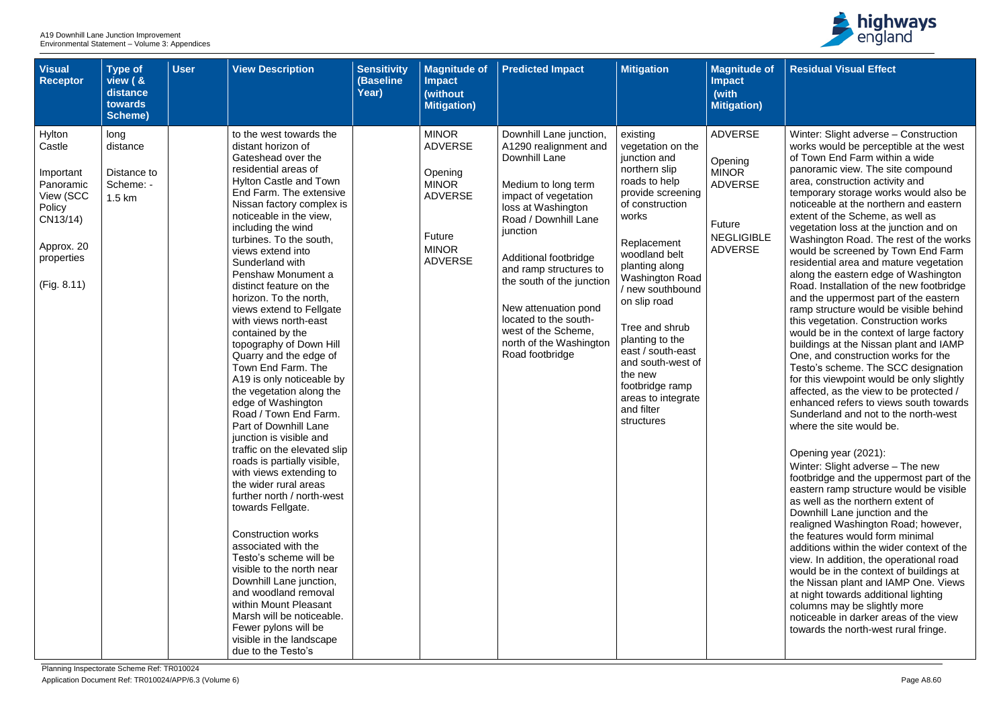| <b>Visual</b><br><b>Receptor</b>                                                                                         | <b>Type of</b><br>view ( &<br>distance<br>towards<br><b>Scheme)</b> | <b>User</b> | <b>View Description</b>                                                                                                                                                                                                                                                                                                                                                                                                                                                                                                                                                                                                                                                                                                                                                                                                                                                                                                                                                                                                                                                                                                                                                 | <b>Sensitivity</b><br>(Baseline<br>Year) | <b>Magnitude of</b><br><b>Impact</b><br>(without<br><b>Mitigation)</b>                                                         | <b>Predicted Impact</b>                                                                                                                                                                                                                                                                                                                                                          | <b>Mitigation</b>                                                                                                                                                                                                                                                                                                                                                                                               | <b>Magnitude of</b><br><b>Impact</b><br>(with<br><b>Mitigation</b> )                                                |
|--------------------------------------------------------------------------------------------------------------------------|---------------------------------------------------------------------|-------------|-------------------------------------------------------------------------------------------------------------------------------------------------------------------------------------------------------------------------------------------------------------------------------------------------------------------------------------------------------------------------------------------------------------------------------------------------------------------------------------------------------------------------------------------------------------------------------------------------------------------------------------------------------------------------------------------------------------------------------------------------------------------------------------------------------------------------------------------------------------------------------------------------------------------------------------------------------------------------------------------------------------------------------------------------------------------------------------------------------------------------------------------------------------------------|------------------------------------------|--------------------------------------------------------------------------------------------------------------------------------|----------------------------------------------------------------------------------------------------------------------------------------------------------------------------------------------------------------------------------------------------------------------------------------------------------------------------------------------------------------------------------|-----------------------------------------------------------------------------------------------------------------------------------------------------------------------------------------------------------------------------------------------------------------------------------------------------------------------------------------------------------------------------------------------------------------|---------------------------------------------------------------------------------------------------------------------|
| Hylton<br>Castle<br>Important<br>Panoramic<br>View (SCC<br>Policy<br>CN13/14)<br>Approx. 20<br>properties<br>(Fig. 8.11) | long<br>distance<br>Distance to<br>Scheme: -<br>1.5 km              |             | to the west towards the<br>distant horizon of<br>Gateshead over the<br>residential areas of<br><b>Hylton Castle and Town</b><br>End Farm. The extensive<br>Nissan factory complex is<br>noticeable in the view,<br>including the wind<br>turbines. To the south,<br>views extend into<br>Sunderland with<br>Penshaw Monument a<br>distinct feature on the<br>horizon. To the north,<br>views extend to Fellgate<br>with views north-east<br>contained by the<br>topography of Down Hill<br>Quarry and the edge of<br>Town End Farm. The<br>A19 is only noticeable by<br>the vegetation along the<br>edge of Washington<br>Road / Town End Farm.<br>Part of Downhill Lane<br>junction is visible and<br>traffic on the elevated slip<br>roads is partially visible,<br>with views extending to<br>the wider rural areas<br>further north / north-west<br>towards Fellgate.<br><b>Construction works</b><br>associated with the<br>Testo's scheme will be<br>visible to the north near<br>Downhill Lane junction,<br>and woodland removal<br>within Mount Pleasant<br>Marsh will be noticeable.<br>Fewer pylons will be<br>visible in the landscape<br>due to the Testo's |                                          | <b>MINOR</b><br><b>ADVERSE</b><br>Opening<br><b>MINOR</b><br><b>ADVERSE</b><br><b>Future</b><br><b>MINOR</b><br><b>ADVERSE</b> | Downhill Lane junction,<br>A1290 realignment and<br>Downhill Lane<br>Medium to long term<br>impact of vegetation<br>loss at Washington<br>Road / Downhill Lane<br>junction<br>Additional footbridge<br>and ramp structures to<br>the south of the junction<br>New attenuation pond<br>located to the south-<br>west of the Scheme,<br>north of the Washington<br>Road footbridge | existing<br>vegetation on the<br>junction and<br>northern slip<br>roads to help<br>provide screening<br>of construction<br>works<br>Replacement<br>woodland belt<br>planting along<br><b>Washington Road</b><br>/ new southbound<br>on slip road<br>Tree and shrub<br>planting to the<br>east / south-east<br>and south-west of<br>the new<br>footbridge ramp<br>areas to integrate<br>and filter<br>structures | <b>ADVERSE</b><br>Opening<br><b>MINOR</b><br><b>ADVERSE</b><br><b>Future</b><br><b>NEGLIGIBLE</b><br><b>ADVERSE</b> |



| le of           | <b>Residual Visual Effect</b>                                                                                                                                                                                                                                                                                                                                                                                                                                                                                                                                                                                                                                                                                                                            |
|-----------------|----------------------------------------------------------------------------------------------------------------------------------------------------------------------------------------------------------------------------------------------------------------------------------------------------------------------------------------------------------------------------------------------------------------------------------------------------------------------------------------------------------------------------------------------------------------------------------------------------------------------------------------------------------------------------------------------------------------------------------------------------------|
| n)              |                                                                                                                                                                                                                                                                                                                                                                                                                                                                                                                                                                                                                                                                                                                                                          |
| $\equiv$<br>Ξ   | Winter: Slight adverse – Construction<br>works would be perceptible at the west<br>of Town End Farm within a wide<br>panoramic view. The site compound<br>area, construction activity and<br>temporary storage works would also be<br>noticeable at the northern and eastern<br>extent of the Scheme, as well as                                                                                                                                                                                                                                                                                                                                                                                                                                         |
| 3LE<br>$\equiv$ | vegetation loss at the junction and on<br>Washington Road. The rest of the works<br>would be screened by Town End Farm<br>residential area and mature vegetation<br>along the eastern edge of Washington<br>Road. Installation of the new footbridge<br>and the uppermost part of the eastern<br>ramp structure would be visible behind<br>this vegetation. Construction works<br>would be in the context of large factory<br>buildings at the Nissan plant and IAMP<br>One, and construction works for the<br>Testo's scheme. The SCC designation<br>for this viewpoint would be only slightly<br>affected, as the view to be protected /<br>enhanced refers to views south towards<br>Sunderland and not to the north-west<br>where the site would be. |
|                 | Opening year (2021):<br>Winter: Slight adverse – The new<br>footbridge and the uppermost part of the<br>eastern ramp structure would be visible<br>as well as the northern extent of<br>Downhill Lane junction and the<br>realigned Washington Road; however,<br>the features would form minimal<br>additions within the wider context of the<br>view. In addition, the operational road<br>would be in the context of buildings at<br>the Nissan plant and IAMP One. Views<br>at night towards additional lighting<br>columns may be slightly more<br>noticeable in darker areas of the view<br>towards the north-west rural fringe.                                                                                                                    |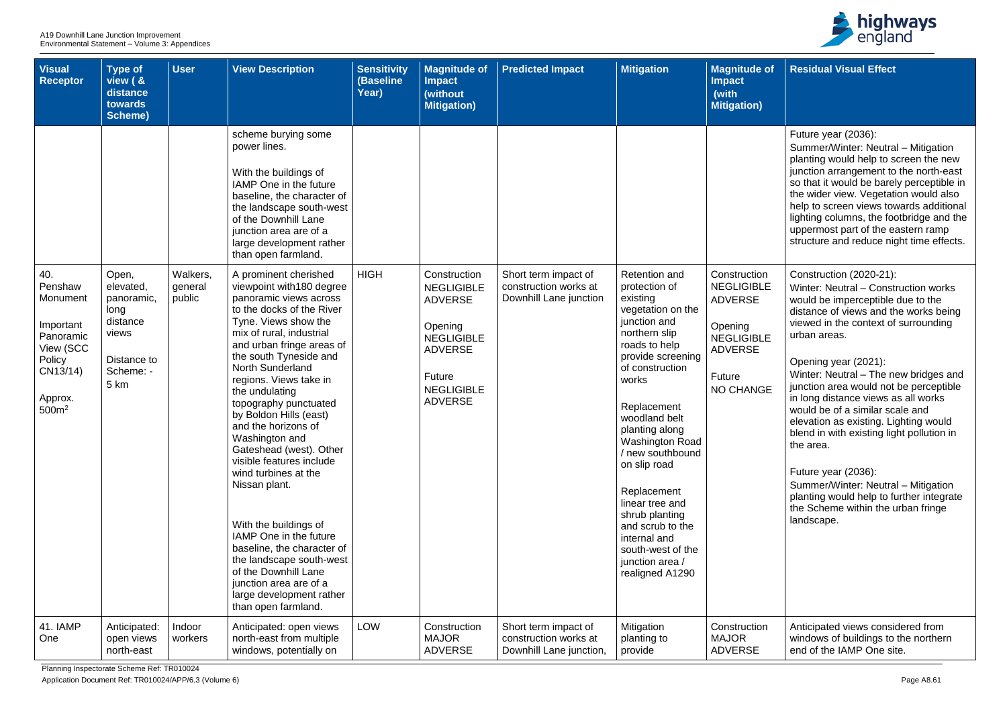Planning Inspectorate Scheme Ref: TR010024

Application Document Ref: TR010024/APP/6.3 (Volume 6) Page A8.61



| <b>Visual</b><br><b>Receptor</b>                                                                                        | Type of<br>view ( &<br>distance<br>towards<br><b>Scheme)</b>                                      | <b>User</b>                   | <b>View Description</b>                                                                                                                                                                                                                                                                                                                                                                                                                                                                                                                                                                                                                                                                                                                                                                                                                                                                                                                                            | <b>Sensitivity</b><br>(Baseline<br>Year) | <b>Magnitude of</b><br><b>Impact</b><br>(without<br><b>Mitigation)</b>                                                                                        | <b>Predicted Impact</b>                                                  | <b>Mitigation</b>                                                                                                                                                                                                                                                                                                                                                                                                              | <b>Magnitude of</b><br><b>Impact</b><br>(with<br><b>Mitigation)</b>                                                                        |
|-------------------------------------------------------------------------------------------------------------------------|---------------------------------------------------------------------------------------------------|-------------------------------|--------------------------------------------------------------------------------------------------------------------------------------------------------------------------------------------------------------------------------------------------------------------------------------------------------------------------------------------------------------------------------------------------------------------------------------------------------------------------------------------------------------------------------------------------------------------------------------------------------------------------------------------------------------------------------------------------------------------------------------------------------------------------------------------------------------------------------------------------------------------------------------------------------------------------------------------------------------------|------------------------------------------|---------------------------------------------------------------------------------------------------------------------------------------------------------------|--------------------------------------------------------------------------|--------------------------------------------------------------------------------------------------------------------------------------------------------------------------------------------------------------------------------------------------------------------------------------------------------------------------------------------------------------------------------------------------------------------------------|--------------------------------------------------------------------------------------------------------------------------------------------|
| 40.<br>Penshaw<br>Monument<br>Important<br>Panoramic<br>View (SCC<br>Policy<br>CN13/14)<br>Approx.<br>500m <sup>2</sup> | Open,<br>elevated,<br>panoramic,<br>long<br>distance<br>views<br>Distance to<br>Scheme: -<br>5 km | Walkers,<br>general<br>public | scheme burying some<br>power lines.<br>With the buildings of<br>IAMP One in the future<br>baseline, the character of<br>the landscape south-west<br>of the Downhill Lane<br>junction area are of a<br>large development rather<br>than open farmland.<br>A prominent cherished<br>viewpoint with 180 degree<br>panoramic views across<br>to the docks of the River<br>Tyne. Views show the<br>mix of rural, industrial<br>and urban fringe areas of<br>the south Tyneside and<br><b>North Sunderland</b><br>regions. Views take in<br>the undulating<br>topography punctuated<br>by Boldon Hills (east)<br>and the horizons of<br>Washington and<br>Gateshead (west). Other<br>visible features include<br>wind turbines at the<br>Nissan plant.<br>With the buildings of<br>IAMP One in the future<br>baseline, the character of<br>the landscape south-west<br>of the Downhill Lane<br>junction area are of a<br>large development rather<br>than open farmland. | <b>HIGH</b>                              | Construction<br><b>NEGLIGIBLE</b><br><b>ADVERSE</b><br>Opening<br><b>NEGLIGIBLE</b><br><b>ADVERSE</b><br><b>Future</b><br><b>NEGLIGIBLE</b><br><b>ADVERSE</b> | Short term impact of<br>construction works at<br>Downhill Lane junction  | Retention and<br>protection of<br>existing<br>vegetation on the<br>junction and<br>northern slip<br>roads to help<br>provide screening<br>of construction<br>works<br>Replacement<br>woodland belt<br>planting along<br>Washington Road<br>/ new southbound<br>on slip road<br>Replacement<br>linear tree and<br>shrub planting<br>and scrub to the<br>internal and<br>south-west of the<br>junction area /<br>realigned A1290 | Construction<br><b>NEGLIGIBLE</b><br><b>ADVERSE</b><br>Opening<br><b>NEGLIGIBLE</b><br><b>ADVERSE</b><br><b>Future</b><br><b>NO CHANGE</b> |
| 41. IAMP<br>One                                                                                                         | Anticipated:<br>open views<br>north-east                                                          | Indoor<br>workers             | Anticipated: open views<br>north-east from multiple<br>windows, potentially on                                                                                                                                                                                                                                                                                                                                                                                                                                                                                                                                                                                                                                                                                                                                                                                                                                                                                     | <b>LOW</b>                               | Construction<br><b>MAJOR</b><br><b>ADVERSE</b>                                                                                                                | Short term impact of<br>construction works at<br>Downhill Lane junction, | Mitigation<br>planting to<br>provide                                                                                                                                                                                                                                                                                                                                                                                           | Construction<br><b>MAJOR</b><br><b>ADVERSE</b>                                                                                             |

| <b>of</b>      | <b>Residual Visual Effect</b>                                                                                                                                                                                                                                                                                                                                                                                |
|----------------|--------------------------------------------------------------------------------------------------------------------------------------------------------------------------------------------------------------------------------------------------------------------------------------------------------------------------------------------------------------------------------------------------------------|
|                |                                                                                                                                                                                                                                                                                                                                                                                                              |
|                | Future year (2036):<br>Summer/Winter: Neutral - Mitigation<br>planting would help to screen the new<br>junction arrangement to the north-east<br>so that it would be barely perceptible in<br>the wider view. Vegetation would also<br>help to screen views towards additional<br>lighting columns, the footbridge and the<br>uppermost part of the eastern ramp<br>structure and reduce night time effects. |
| 'n<br>-E<br>.E | Construction (2020-21):<br>Winter: Neutral - Construction works<br>would be imperceptible due to the<br>distance of views and the works being<br>viewed in the context of surrounding<br>urban areas.                                                                                                                                                                                                        |
| ЭĖ             | Opening year (2021):<br>Winter: Neutral - The new bridges and<br>junction area would not be perceptible<br>in long distance views as all works<br>would be of a similar scale and<br>elevation as existing. Lighting would<br>blend in with existing light pollution in<br>the area.                                                                                                                         |
|                | Future year (2036):<br>Summer/Winter: Neutral - Mitigation<br>planting would help to further integrate<br>the Scheme within the urban fringe<br>landscape.                                                                                                                                                                                                                                                   |
| n              | Anticipated views considered from<br>windows of buildings to the northern<br>end of the IAMP One site.                                                                                                                                                                                                                                                                                                       |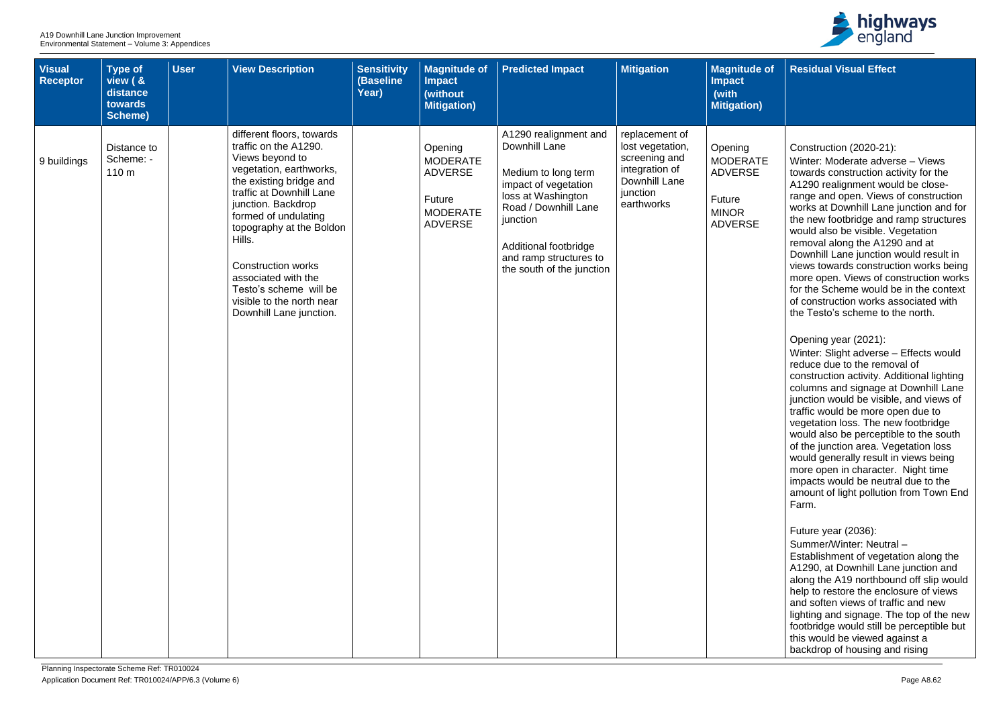| <b>Visual</b><br><b>Receptor</b> | <b>Type of</b><br>view ( &<br>distance<br>towards<br><b>Scheme)</b> | <b>User</b> | <b>View Description</b>                                                                                                                                                                                                                                                                                                                                                           | <b>Sensitivity</b><br>(Baseline<br>Year) | <b>Magnitude of</b><br><b>Impact</b><br>(without<br><b>Mitigation)</b>                      | <b>Predicted Impact</b>                                                                                                                                                                                                         | <b>Mitigation</b>                                                                                                | <b>Magnitude of</b><br><b>Impact</b><br>(with<br><b>Mitigation)</b>                      |
|----------------------------------|---------------------------------------------------------------------|-------------|-----------------------------------------------------------------------------------------------------------------------------------------------------------------------------------------------------------------------------------------------------------------------------------------------------------------------------------------------------------------------------------|------------------------------------------|---------------------------------------------------------------------------------------------|---------------------------------------------------------------------------------------------------------------------------------------------------------------------------------------------------------------------------------|------------------------------------------------------------------------------------------------------------------|------------------------------------------------------------------------------------------|
| 9 buildings                      | Distance to<br>Scheme: -<br>110 m                                   |             | different floors, towards<br>traffic on the A1290.<br>Views beyond to<br>vegetation, earthworks,<br>the existing bridge and<br>traffic at Downhill Lane<br>junction. Backdrop<br>formed of undulating<br>topography at the Boldon<br>Hills.<br><b>Construction works</b><br>associated with the<br>Testo's scheme will be<br>visible to the north near<br>Downhill Lane junction. |                                          | Opening<br><b>MODERATE</b><br><b>ADVERSE</b><br>Future<br><b>MODERATE</b><br><b>ADVERSE</b> | A1290 realignment and<br>Downhill Lane<br>Medium to long term<br>impact of vegetation<br>loss at Washington<br>Road / Downhill Lane<br>junction<br>Additional footbridge<br>and ramp structures to<br>the south of the junction | replacement of<br>lost vegetation,<br>screening and<br>integration of<br>Downhill Lane<br>junction<br>earthworks | Opening<br><b>MODERATE</b><br><b>ADVERSE</b><br>Future<br><b>MINOR</b><br><b>ADVERSE</b> |



| of ( | <b>Residual Visual Effect</b>                                                                                                                                                                                                                                                                                                                                                                                                                                                                                                                                                                       |
|------|-----------------------------------------------------------------------------------------------------------------------------------------------------------------------------------------------------------------------------------------------------------------------------------------------------------------------------------------------------------------------------------------------------------------------------------------------------------------------------------------------------------------------------------------------------------------------------------------------------|
|      |                                                                                                                                                                                                                                                                                                                                                                                                                                                                                                                                                                                                     |
| Έ    | Construction (2020-21):<br>Winter: Moderate adverse - Views<br>towards construction activity for the<br>A1290 realignment would be close-<br>range and open. Views of construction<br>works at Downhill Lane junction and for<br>the new footbridge and ramp structures<br>would also be visible. Vegetation<br>removal along the A1290 and at<br>Downhill Lane junction would result in<br>views towards construction works being<br>more open. Views of construction works<br>for the Scheme would be in the context<br>of construction works associated with<br>the Testo's scheme to the north. |
|      | Opening year (2021):<br>Winter: Slight adverse - Effects would<br>reduce due to the removal of<br>construction activity. Additional lighting<br>columns and signage at Downhill Lane<br>junction would be visible, and views of<br>traffic would be more open due to<br>vegetation loss. The new footbridge<br>would also be perceptible to the south<br>of the junction area. Vegetation loss<br>would generally result in views being<br>more open in character. Night time<br>impacts would be neutral due to the<br>amount of light pollution from Town End<br>Farm.                            |
|      | Future year (2036):<br>Summer/Winter: Neutral-<br>Establishment of vegetation along the<br>A1290, at Downhill Lane junction and<br>along the A19 northbound off slip would<br>help to restore the enclosure of views<br>and soften views of traffic and new<br>lighting and signage. The top of the new<br>footbridge would still be perceptible but<br>this would be viewed against a<br>backdrop of housing and rising                                                                                                                                                                            |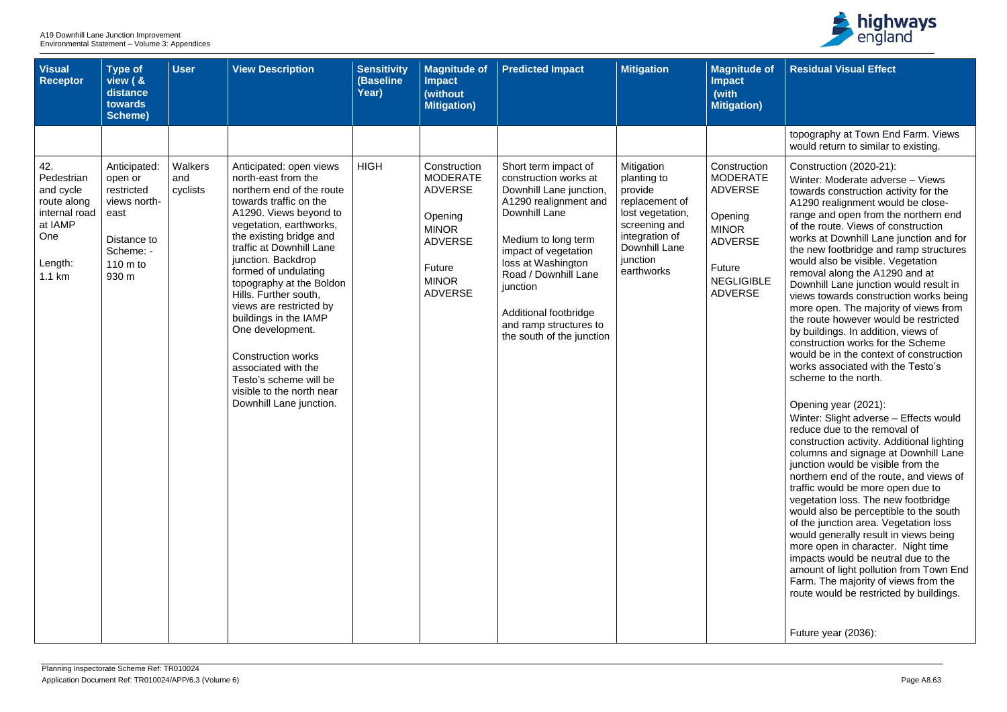| of            | <b>Residual Visual Effect</b>                                                                                                                                                                                                                                                                                                                                                                                                                                                                                                                                                                                                                                                                                                                  |
|---------------|------------------------------------------------------------------------------------------------------------------------------------------------------------------------------------------------------------------------------------------------------------------------------------------------------------------------------------------------------------------------------------------------------------------------------------------------------------------------------------------------------------------------------------------------------------------------------------------------------------------------------------------------------------------------------------------------------------------------------------------------|
|               |                                                                                                                                                                                                                                                                                                                                                                                                                                                                                                                                                                                                                                                                                                                                                |
|               | topography at Town End Farm. Views<br>would return to similar to existing.                                                                                                                                                                                                                                                                                                                                                                                                                                                                                                                                                                                                                                                                     |
| 'n<br>Έ<br>_E | Construction (2020-21):<br>Winter: Moderate adverse - Views<br>towards construction activity for the<br>A1290 realignment would be close-<br>range and open from the northern end<br>of the route. Views of construction<br>works at Downhill Lane junction and for<br>the new footbridge and ramp structures<br>would also be visible. Vegetation<br>removal along the A1290 and at<br>Downhill Lane junction would result in<br>views towards construction works being<br>more open. The majority of views from<br>the route however would be restricted<br>by buildings. In addition, views of<br>construction works for the Scheme<br>would be in the context of construction<br>works associated with the Testo's<br>scheme to the north. |
|               | Opening year (2021):<br>Winter: Slight adverse - Effects would<br>reduce due to the removal of<br>construction activity. Additional lighting<br>columns and signage at Downhill Lane<br>junction would be visible from the<br>northern end of the route, and views of<br>traffic would be more open due to<br>vegetation loss. The new footbridge<br>would also be perceptible to the south<br>of the junction area. Vegetation loss<br>would generally result in views being<br>more open in character. Night time<br>impacts would be neutral due to the<br>amount of light pollution from Town End<br>Farm. The majority of views from the<br>route would be restricted by buildings.                                                       |
|               | Future year (2036):                                                                                                                                                                                                                                                                                                                                                                                                                                                                                                                                                                                                                                                                                                                            |

| <b>Visual</b><br><b>Receptor</b>                                                                      | <b>Type of</b><br>view ( &<br>distance<br>towards<br>Scheme)                                                             | <b>User</b>                | <b>View Description</b>                                                                                                                                                                                                                                                                                                                                                                                                                                                                                                            | <b>Sensitivity</b><br>(Baseline<br>Year) | <b>Magnitude of</b><br><b>Impact</b><br>(without<br><b>Mitigation)</b>                                                                     | <b>Predicted Impact</b>                                                                                                                                                                                                                                                                                     | <b>Mitigation</b>                                                                                                                                        | <b>Magnitude of</b><br><b>Impact</b><br>(with<br><b>Mitigation</b> )                                                                            |
|-------------------------------------------------------------------------------------------------------|--------------------------------------------------------------------------------------------------------------------------|----------------------------|------------------------------------------------------------------------------------------------------------------------------------------------------------------------------------------------------------------------------------------------------------------------------------------------------------------------------------------------------------------------------------------------------------------------------------------------------------------------------------------------------------------------------------|------------------------------------------|--------------------------------------------------------------------------------------------------------------------------------------------|-------------------------------------------------------------------------------------------------------------------------------------------------------------------------------------------------------------------------------------------------------------------------------------------------------------|----------------------------------------------------------------------------------------------------------------------------------------------------------|-------------------------------------------------------------------------------------------------------------------------------------------------|
| 42.<br>Pedestrian<br>and cycle<br>route along<br>internal road<br>at IAMP<br>One<br>Length:<br>1.1 km | Anticipated:<br>open or<br>restricted<br>views north-<br>east<br>Distance to<br>Scheme: -<br>$110 \text{ m}$ to<br>930 m | Walkers<br>and<br>cyclists | Anticipated: open views<br>north-east from the<br>northern end of the route<br>towards traffic on the<br>A1290. Views beyond to<br>vegetation, earthworks,<br>the existing bridge and<br>traffic at Downhill Lane<br>junction. Backdrop<br>formed of undulating<br>topography at the Boldon<br>Hills. Further south,<br>views are restricted by<br>buildings in the IAMP<br>One development.<br><b>Construction works</b><br>associated with the<br>Testo's scheme will be<br>visible to the north near<br>Downhill Lane junction. | <b>HIGH</b>                              | Construction<br><b>MODERATE</b><br><b>ADVERSE</b><br>Opening<br><b>MINOR</b><br><b>ADVERSE</b><br>Future<br><b>MINOR</b><br><b>ADVERSE</b> | Short term impact of<br>construction works at<br>Downhill Lane junction,<br>A1290 realignment and<br>Downhill Lane<br>Medium to long term<br>impact of vegetation<br>loss at Washington<br>Road / Downhill Lane<br>junction<br>Additional footbridge<br>and ramp structures to<br>the south of the junction | Mitigation<br>planting to<br>provide<br>replacement of<br>lost vegetation,<br>screening and<br>integration of<br>Downhill Lane<br>junction<br>earthworks | Construction<br><b>MODERATE</b><br><b>ADVERSE</b><br>Opening<br><b>MINOR</b><br><b>ADVERSE</b><br>Future<br><b>NEGLIGIBLE</b><br><b>ADVERSE</b> |
|                                                                                                       |                                                                                                                          |                            |                                                                                                                                                                                                                                                                                                                                                                                                                                                                                                                                    |                                          |                                                                                                                                            |                                                                                                                                                                                                                                                                                                             |                                                                                                                                                          |                                                                                                                                                 |

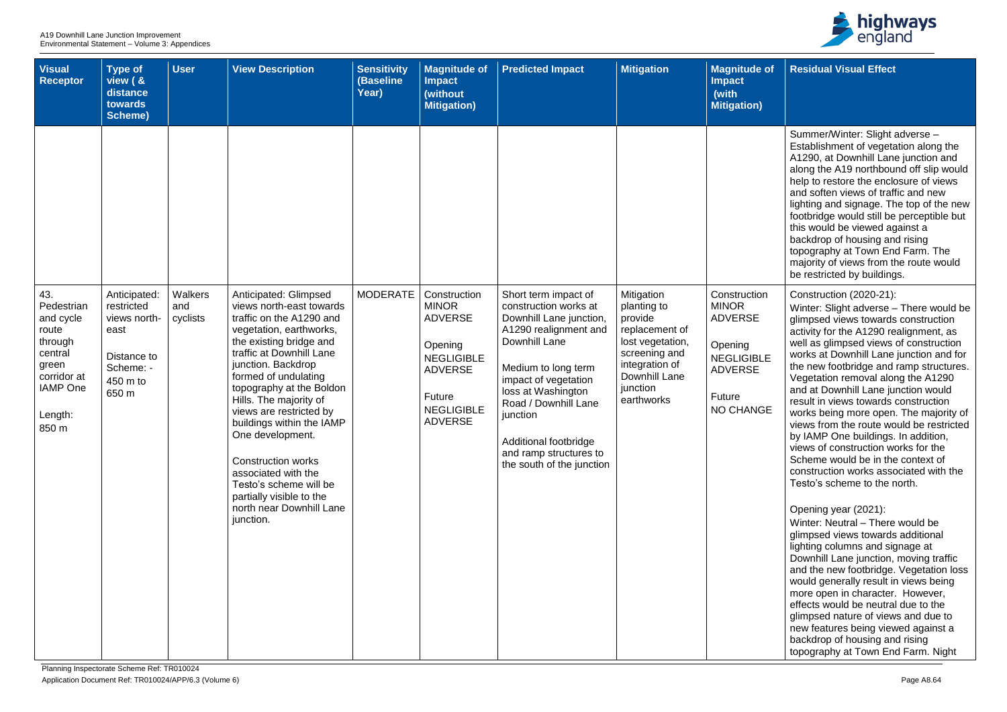| <b>Visual</b><br><b>Receptor</b>                                                                                      | Type of<br>view ( &<br>distance<br>towards<br>Scheme)                               | <b>User</b>     | <b>View Description</b>                                                                                                                                                                                                                                                                                                                                                                                                                                                   | <b>Sensitivity</b><br>(Baseline<br>Year) | <b>Magnitude of</b><br><b>Impact</b><br>(without<br><b>Mitigation)</b>                                                            | <b>Predicted Impact</b>                                                                                                                                                                                                                                                             | <b>Mitigation</b>                                                                                                                          | <b>Magnitude of</b><br><b>Impact</b><br>(with<br><b>Mitigation</b> )                                           |
|-----------------------------------------------------------------------------------------------------------------------|-------------------------------------------------------------------------------------|-----------------|---------------------------------------------------------------------------------------------------------------------------------------------------------------------------------------------------------------------------------------------------------------------------------------------------------------------------------------------------------------------------------------------------------------------------------------------------------------------------|------------------------------------------|-----------------------------------------------------------------------------------------------------------------------------------|-------------------------------------------------------------------------------------------------------------------------------------------------------------------------------------------------------------------------------------------------------------------------------------|--------------------------------------------------------------------------------------------------------------------------------------------|----------------------------------------------------------------------------------------------------------------|
| 43.                                                                                                                   | Anticipated:                                                                        | Walkers         | Anticipated: Glimpsed                                                                                                                                                                                                                                                                                                                                                                                                                                                     | <b>MODERATE</b>                          | Construction                                                                                                                      | Short term impact of                                                                                                                                                                                                                                                                | Mitigation                                                                                                                                 | Construction                                                                                                   |
| Pedestrian<br>and cycle<br>route<br>through<br>central<br>green<br>corridor at<br><b>IAMP</b> One<br>Length:<br>850 m | restricted<br>views north-<br>east<br>Distance to<br>Scheme: -<br>450 m to<br>650 m | and<br>cyclists | views north-east towards<br>traffic on the A1290 and<br>vegetation, earthworks,<br>the existing bridge and<br>traffic at Downhill Lane<br>junction. Backdrop<br>formed of undulating<br>topography at the Boldon<br>Hills. The majority of<br>views are restricted by<br>buildings within the IAMP<br>One development.<br><b>Construction works</b><br>associated with the<br>Testo's scheme will be<br>partially visible to the<br>north near Downhill Lane<br>junction. |                                          | <b>MINOR</b><br><b>ADVERSE</b><br>Opening<br><b>NEGLIGIBLE</b><br><b>ADVERSE</b><br>Future<br><b>NEGLIGIBLE</b><br><b>ADVERSE</b> | construction works at<br>Downhill Lane junction,<br>A1290 realignment and<br>Downhill Lane<br>Medium to long term<br>impact of vegetation<br>loss at Washington<br>Road / Downhill Lane<br>junction<br>Additional footbridge<br>and ramp structures to<br>the south of the junction | planting to<br>provide<br>replacement of<br>lost vegetation,<br>screening and<br>integration of<br>Downhill Lane<br>junction<br>earthworks | <b>MINOR</b><br><b>ADVERSE</b><br>Opening<br><b>NEGLIGIBLE</b><br><b>ADVERSE</b><br>Future<br><b>NO CHANGE</b> |



| <b>of</b> | <b>Residual Visual Effect</b>                                                                                                                                                                                                                                                                                                                                                                                                                                                                                          |
|-----------|------------------------------------------------------------------------------------------------------------------------------------------------------------------------------------------------------------------------------------------------------------------------------------------------------------------------------------------------------------------------------------------------------------------------------------------------------------------------------------------------------------------------|
|           |                                                                                                                                                                                                                                                                                                                                                                                                                                                                                                                        |
|           | Summer/Winter: Slight adverse -<br>Establishment of vegetation along the<br>A1290, at Downhill Lane junction and<br>along the A19 northbound off slip would<br>help to restore the enclosure of views<br>and soften views of traffic and new<br>lighting and signage. The top of the new<br>footbridge would still be perceptible but<br>this would be viewed against a<br>backdrop of housing and rising<br>topography at Town End Farm. The<br>majority of views from the route would<br>be restricted by buildings. |
| n         | Construction (2020-21):<br>Winter: Slight adverse - There would be<br>glimpsed views towards construction                                                                                                                                                                                                                                                                                                                                                                                                              |
| .E        | activity for the A1290 realignment, as<br>well as glimpsed views of construction<br>works at Downhill Lane junction and for<br>the new footbridge and ramp structures.<br>Vegetation removal along the A1290                                                                                                                                                                                                                                                                                                           |
| ЭĒ        | and at Downhill Lane junction would<br>result in views towards construction<br>works being more open. The majority of<br>views from the route would be restricted<br>by IAMP One buildings. In addition,<br>views of construction works for the<br>Scheme would be in the context of<br>construction works associated with the<br>Testo's scheme to the north.                                                                                                                                                         |
|           | Opening year (2021):<br>Winter: Neutral - There would be<br>glimpsed views towards additional<br>lighting columns and signage at<br>Downhill Lane junction, moving traffic<br>and the new footbridge. Vegetation loss<br>would generally result in views being<br>more open in character. However,<br>effects would be neutral due to the<br>glimpsed nature of views and due to<br>new features being viewed against a<br>backdrop of housing and rising<br>topography at Town End Farm. Night                        |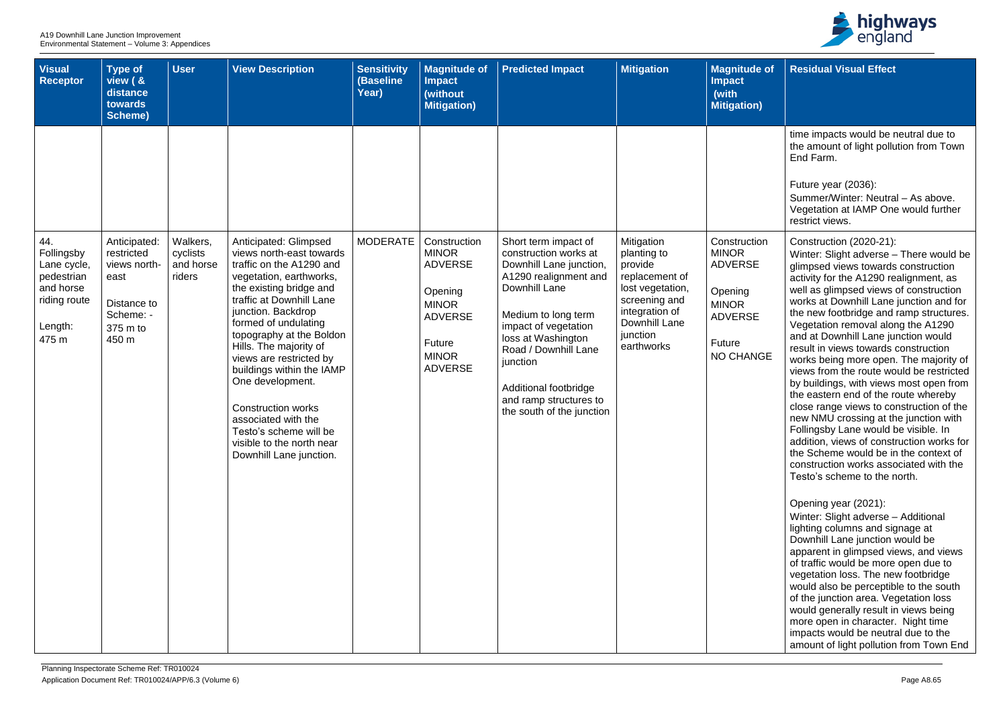| <b>Visual</b><br>Receptor                                                                | <b>Type of</b><br>view ( &<br>distance<br>towards<br>Scheme)                        | <b>User</b>                     | <b>View Description</b>                                                                                                                                                                                                                                                                                                                                                                                                                                      | <b>Sensitivity</b><br>(Baseline<br>Year) | <b>Magnitude of</b><br><b>Impact</b><br>(without<br><b>Mitigation</b> )                                                 | <b>Predicted Impact</b>                                                                                                                                                                                                                                                             | <b>Mitigation</b>                                                                                                                          | <b>Magnitude of</b><br><b>Impact</b><br>(with<br><b>Mitigation)</b>                                       |
|------------------------------------------------------------------------------------------|-------------------------------------------------------------------------------------|---------------------------------|--------------------------------------------------------------------------------------------------------------------------------------------------------------------------------------------------------------------------------------------------------------------------------------------------------------------------------------------------------------------------------------------------------------------------------------------------------------|------------------------------------------|-------------------------------------------------------------------------------------------------------------------------|-------------------------------------------------------------------------------------------------------------------------------------------------------------------------------------------------------------------------------------------------------------------------------------|--------------------------------------------------------------------------------------------------------------------------------------------|-----------------------------------------------------------------------------------------------------------|
| 44.                                                                                      | Anticipated:                                                                        | Walkers,                        | Anticipated: Glimpsed                                                                                                                                                                                                                                                                                                                                                                                                                                        | <b>MODERATE</b>                          | Construction                                                                                                            | Short term impact of                                                                                                                                                                                                                                                                | Mitigation                                                                                                                                 | Construction                                                                                              |
| Follingsby<br>Lane cycle,<br>pedestrian<br>and horse<br>riding route<br>Length:<br>475 m | restricted<br>views north-<br>east<br>Distance to<br>Scheme: -<br>375 m to<br>450 m | cyclists<br>and horse<br>riders | views north-east towards<br>traffic on the A1290 and<br>vegetation, earthworks,<br>the existing bridge and<br>traffic at Downhill Lane<br>junction. Backdrop<br>formed of undulating<br>topography at the Boldon<br>Hills. The majority of<br>views are restricted by<br>buildings within the IAMP<br>One development.<br><b>Construction works</b><br>associated with the<br>Testo's scheme will be<br>visible to the north near<br>Downhill Lane junction. |                                          | <b>MINOR</b><br><b>ADVERSE</b><br>Opening<br><b>MINOR</b><br><b>ADVERSE</b><br>Future<br><b>MINOR</b><br><b>ADVERSE</b> | construction works at<br>Downhill Lane junction,<br>A1290 realignment and<br>Downhill Lane<br>Medium to long term<br>impact of vegetation<br>loss at Washington<br>Road / Downhill Lane<br>junction<br>Additional footbridge<br>and ramp structures to<br>the south of the junction | planting to<br>provide<br>replacement of<br>lost vegetation,<br>screening and<br>integration of<br>Downhill Lane<br>junction<br>earthworks | <b>MINOR</b><br><b>ADVERSE</b><br>Opening<br><b>MINOR</b><br><b>ADVERSE</b><br><b>Future</b><br>NO CHANGE |



| <b>of</b> | <b>Residual Visual Effect</b>                                                                                                                                                                                                                                                                                                                                                                                                                                                                                                                                                                                                                                                                                                                                                                                                                                                  |
|-----------|--------------------------------------------------------------------------------------------------------------------------------------------------------------------------------------------------------------------------------------------------------------------------------------------------------------------------------------------------------------------------------------------------------------------------------------------------------------------------------------------------------------------------------------------------------------------------------------------------------------------------------------------------------------------------------------------------------------------------------------------------------------------------------------------------------------------------------------------------------------------------------|
|           |                                                                                                                                                                                                                                                                                                                                                                                                                                                                                                                                                                                                                                                                                                                                                                                                                                                                                |
|           | time impacts would be neutral due to<br>the amount of light pollution from Town<br>End Farm.                                                                                                                                                                                                                                                                                                                                                                                                                                                                                                                                                                                                                                                                                                                                                                                   |
|           | Future year (2036):<br>Summer/Winter: Neutral - As above.<br>Vegetation at IAMP One would further<br>restrict views.                                                                                                                                                                                                                                                                                                                                                                                                                                                                                                                                                                                                                                                                                                                                                           |
| n<br>ЭĒ   | Construction (2020-21):<br>Winter: Slight adverse – There would be<br>glimpsed views towards construction<br>activity for the A1290 realignment, as<br>well as glimpsed views of construction<br>works at Downhill Lane junction and for<br>the new footbridge and ramp structures.<br>Vegetation removal along the A1290<br>and at Downhill Lane junction would<br>result in views towards construction<br>works being more open. The majority of<br>views from the route would be restricted<br>by buildings, with views most open from<br>the eastern end of the route whereby<br>close range views to construction of the<br>new NMU crossing at the junction with<br>Follingsby Lane would be visible. In<br>addition, views of construction works for<br>the Scheme would be in the context of<br>construction works associated with the<br>Testo's scheme to the north. |
|           | Opening year (2021):<br>Winter: Slight adverse - Additional<br>lighting columns and signage at<br>Downhill Lane junction would be<br>apparent in glimpsed views, and views<br>of traffic would be more open due to<br>vegetation loss. The new footbridge<br>would also be perceptible to the south<br>of the junction area. Vegetation loss<br>would generally result in views being<br>more open in character. Night time<br>impacts would be neutral due to the<br>amount of light pollution from Town End                                                                                                                                                                                                                                                                                                                                                                  |